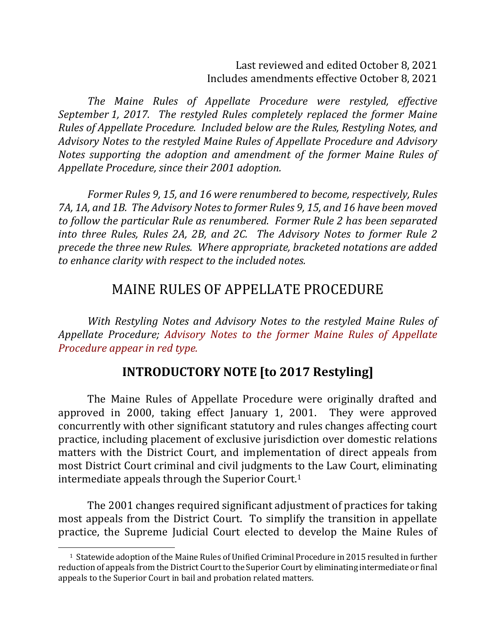### Last reviewed and edited October 8, 2021 Includes amendments effective October 8, 2021

*The Maine Rules of Appellate Procedure were restyled, effective September 1, 2017. The restyled Rules completely replaced the former Maine Rules of Appellate Procedure. Included below are the Rules, Restyling Notes, and* Advisory Notes to the restyled Maine Rules of Appellate Procedure and Advisory *Notes supporting the adoption and amendment of the former Maine Rules of Appellate Procedure, since their 2001 adoption.* 

*Former Rules* 9, 15, and 16 were renumbered to become, respectively, Rules 7A, 1A, and 1B. The Advisory Notes to former Rules 9, 15, and 16 have been moved *to follow the particular Rule as renumbered. Former Rule 2 has been separated into three Rules, Rules 2A, 2B, and 2C. The Advisory Notes to former Rule 2 precede the three new Rules. Where appropriate, bracketed notations are added* to enhance clarity with respect to the included notes.

# MAINE RULES OF APPELLATE PROCEDURE

*With Restyling Notes and Advisory Notes to the restyled Maine Rules of Appellate Procedure; Advisory Notes to the former Maine Rules of Appellate Procedure appear in red type.* 

# **INTRODUCTORY NOTE** [to 2017 Restyling]

The Maine Rules of Appellate Procedure were originally drafted and approved in 2000, taking effect January 1, 2001. They were approved concurrently with other significant statutory and rules changes affecting court practice, including placement of exclusive jurisdiction over domestic relations matters with the District Court, and implementation of direct appeals from most District Court criminal and civil judgments to the Law Court, eliminating intermediate appeals through the Superior Court.<sup>1</sup>

The 2001 changes required significant adjustment of practices for taking most appeals from the District Court. To simplify the transition in appellate practice, the Supreme Judicial Court elected to develop the Maine Rules of

<sup>&</sup>lt;sup>1</sup> Statewide adoption of the Maine Rules of Unified Criminal Procedure in 2015 resulted in further reduction of appeals from the District Court to the Superior Court by eliminating intermediate or final appeals to the Superior Court in bail and probation related matters.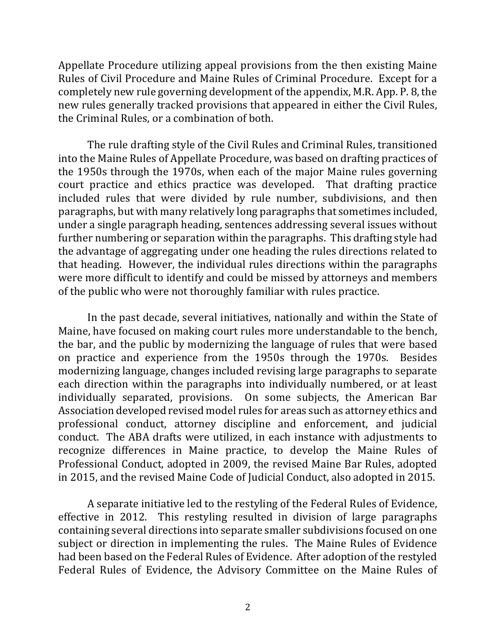Appellate Procedure utilizing appeal provisions from the then existing Maine Rules of Civil Procedure and Maine Rules of Criminal Procedure. Except for a completely new rule governing development of the appendix, M.R. App. P. 8, the new rules generally tracked provisions that appeared in either the Civil Rules, the Criminal Rules, or a combination of both.

The rule drafting style of the Civil Rules and Criminal Rules, transitioned into the Maine Rules of Appellate Procedure, was based on drafting practices of the 1950s through the 1970s, when each of the major Maine rules governing court practice and ethics practice was developed. That drafting practice included rules that were divided by rule number, subdivisions, and then paragraphs, but with many relatively long paragraphs that sometimes included, under a single paragraph heading, sentences addressing several issues without further numbering or separation within the paragraphs. This drafting style had the advantage of aggregating under one heading the rules directions related to that heading. However, the individual rules directions within the paragraphs were more difficult to identify and could be missed by attorneys and members of the public who were not thoroughly familiar with rules practice.

In the past decade, several initiatives, nationally and within the State of Maine, have focused on making court rules more understandable to the bench, the bar, and the public by modernizing the language of rules that were based on practice and experience from the 1950s through the 1970s. Besides modernizing language, changes included revising large paragraphs to separate each direction within the paragraphs into individually numbered, or at least individually separated, provisions. On some subjects, the American Bar Association developed revised model rules for areas such as attorney ethics and professional conduct, attorney discipline and enforcement, and judicial conduct. The ABA drafts were utilized, in each instance with adjustments to recognize differences in Maine practice, to develop the Maine Rules of Professional Conduct, adopted in 2009, the revised Maine Bar Rules, adopted in 2015, and the revised Maine Code of Judicial Conduct, also adopted in 2015.

A separate initiative led to the restyling of the Federal Rules of Evidence, effective in 2012. This restyling resulted in division of large paragraphs containing several directions into separate smaller subdivisions focused on one subject or direction in implementing the rules. The Maine Rules of Evidence had been based on the Federal Rules of Evidence. After adoption of the restyled Federal Rules of Evidence, the Advisory Committee on the Maine Rules of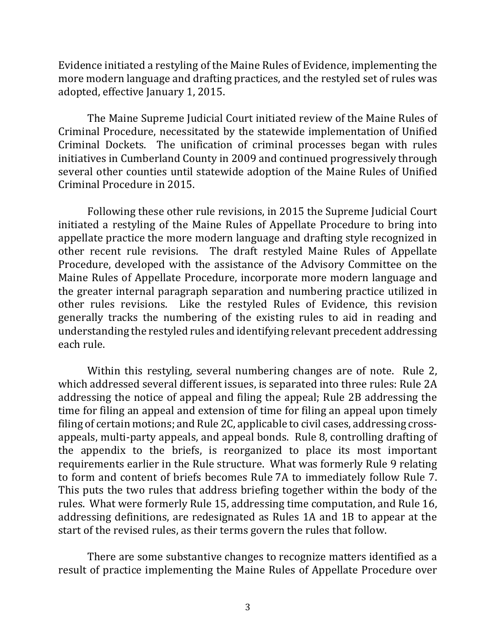Evidence initiated a restyling of the Maine Rules of Evidence, implementing the more modern language and drafting practices, and the restyled set of rules was adopted, effective January 1, 2015.

The Maine Supreme Judicial Court initiated review of the Maine Rules of Criminal Procedure, necessitated by the statewide implementation of Unified Criminal Dockets. The unification of criminal processes began with rules initiatives in Cumberland County in 2009 and continued progressively through several other counties until statewide adoption of the Maine Rules of Unified Criminal Procedure in 2015.

Following these other rule revisions, in 2015 the Supreme Judicial Court initiated a restyling of the Maine Rules of Appellate Procedure to bring into appellate practice the more modern language and drafting style recognized in other recent rule revisions. The draft restyled Maine Rules of Appellate Procedure, developed with the assistance of the Advisory Committee on the Maine Rules of Appellate Procedure, incorporate more modern language and the greater internal paragraph separation and numbering practice utilized in other rules revisions. Like the restyled Rules of Evidence, this revision generally tracks the numbering of the existing rules to aid in reading and understanding the restyled rules and identifying relevant precedent addressing each rule.

Within this restyling, several numbering changes are of note. Rule 2, which addressed several different issues, is separated into three rules: Rule 2A addressing the notice of appeal and filing the appeal; Rule 2B addressing the time for filing an appeal and extension of time for filing an appeal upon timely filing of certain motions; and Rule 2C, applicable to civil cases, addressing crossappeals, multi-party appeals, and appeal bonds. Rule 8, controlling drafting of the appendix to the briefs, is reorganized to place its most important requirements earlier in the Rule structure. What was formerly Rule 9 relating to form and content of briefs becomes Rule 7A to immediately follow Rule 7. This puts the two rules that address briefing together within the body of the rules. What were formerly Rule 15, addressing time computation, and Rule 16, addressing definitions, are redesignated as Rules 1A and 1B to appear at the start of the revised rules, as their terms govern the rules that follow.

There are some substantive changes to recognize matters identified as a result of practice implementing the Maine Rules of Appellate Procedure over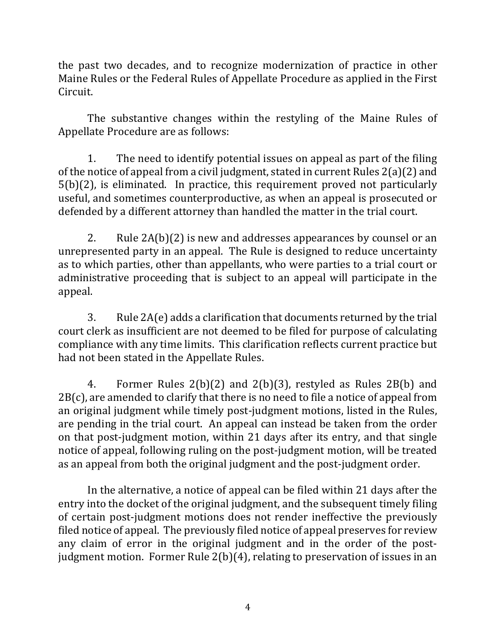the past two decades, and to recognize modernization of practice in other Maine Rules or the Federal Rules of Appellate Procedure as applied in the First Circuit. 

The substantive changes within the restyling of the Maine Rules of Appellate Procedure are as follows:

1. The need to identify potential issues on appeal as part of the filing of the notice of appeal from a civil judgment, stated in current Rules  $2(a)(2)$  and  $5(b)(2)$ , is eliminated. In practice, this requirement proved not particularly useful, and sometimes counterproductive, as when an appeal is prosecuted or defended by a different attorney than handled the matter in the trial court.

2. Rule  $2A(b)(2)$  is new and addresses appearances by counsel or an unrepresented party in an appeal. The Rule is designed to reduce uncertainty as to which parties, other than appellants, who were parties to a trial court or administrative proceeding that is subject to an appeal will participate in the appeal.

3. Rule  $2A(e)$  adds a clarification that documents returned by the trial court clerk as insufficient are not deemed to be filed for purpose of calculating compliance with any time limits. This clarification reflects current practice but had not been stated in the Appellate Rules.

4. Former Rules  $2(b)(2)$  and  $2(b)(3)$ , restyled as Rules  $2B(b)$  and  $2B(c)$ , are amended to clarify that there is no need to file a notice of appeal from an original judgment while timely post-judgment motions, listed in the Rules, are pending in the trial court. An appeal can instead be taken from the order on that post-judgment motion, within 21 days after its entry, and that single notice of appeal, following ruling on the post-judgment motion, will be treated as an appeal from both the original judgment and the post-judgment order.

In the alternative, a notice of appeal can be filed within 21 days after the entry into the docket of the original judgment, and the subsequent timely filing of certain post-judgment motions does not render ineffective the previously filed notice of appeal. The previously filed notice of appeal preserves for review any claim of error in the original judgment and in the order of the postjudgment motion. Former Rule  $2(b)(4)$ , relating to preservation of issues in an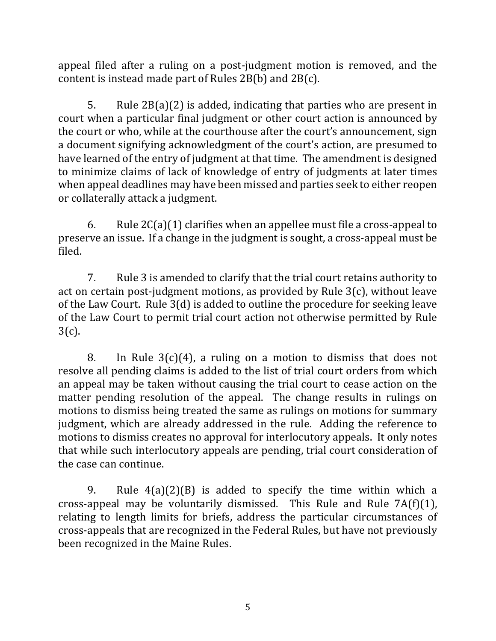appeal filed after a ruling on a post-judgment motion is removed, and the content is instead made part of Rules  $2B(b)$  and  $2B(c)$ .

5. Rule  $2B(a)(2)$  is added, indicating that parties who are present in court when a particular final judgment or other court action is announced by the court or who, while at the courthouse after the court's announcement, sign a document signifying acknowledgment of the court's action, are presumed to have learned of the entry of judgment at that time. The amendment is designed to minimize claims of lack of knowledge of entry of judgments at later times when appeal deadlines may have been missed and parties seek to either reopen or collaterally attack a judgment.

6. Rule  $2C(a)(1)$  clarifies when an appellee must file a cross-appeal to preserve an issue. If a change in the judgment is sought, a cross-appeal must be filed.

7. Rule 3 is amended to clarify that the trial court retains authority to act on certain post-judgment motions, as provided by Rule  $3(c)$ , without leave of the Law Court. Rule  $3(d)$  is added to outline the procedure for seeking leave of the Law Court to permit trial court action not otherwise permitted by Rule 3(c).

8. In Rule  $3(c)(4)$ , a ruling on a motion to dismiss that does not resolve all pending claims is added to the list of trial court orders from which an appeal may be taken without causing the trial court to cease action on the matter pending resolution of the appeal. The change results in rulings on motions to dismiss being treated the same as rulings on motions for summary judgment, which are already addressed in the rule. Adding the reference to motions to dismiss creates no approval for interlocutory appeals. It only notes that while such interlocutory appeals are pending, trial court consideration of the case can continue.

9. Rule  $4(a)(2)(B)$  is added to specify the time within which a cross-appeal may be voluntarily dismissed. This Rule and Rule  $7A(f)(1)$ , relating to length limits for briefs, address the particular circumstances of cross-appeals that are recognized in the Federal Rules, but have not previously been recognized in the Maine Rules.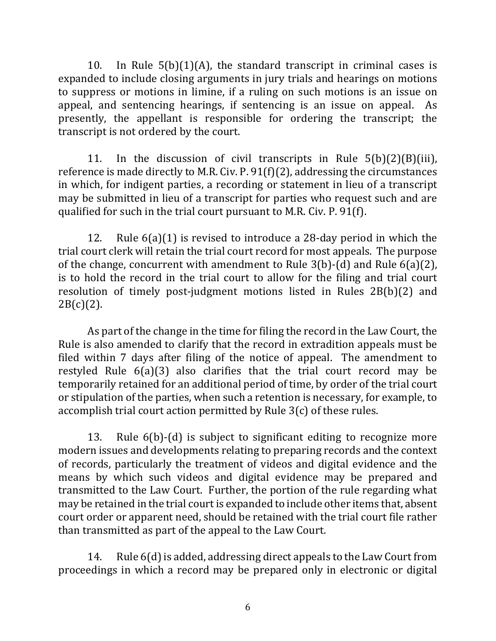10. In Rule  $5(b)(1)(A)$ , the standard transcript in criminal cases is expanded to include closing arguments in jury trials and hearings on motions to suppress or motions in limine, if a ruling on such motions is an issue on appeal, and sentencing hearings, if sentencing is an issue on appeal. As presently, the appellant is responsible for ordering the transcript; the transcript is not ordered by the court.

11. In the discussion of civil transcripts in Rule  $5(b)(2)(B)(iii)$ , reference is made directly to M.R. Civ. P.  $91(f)(2)$ , addressing the circumstances in which, for indigent parties, a recording or statement in lieu of a transcript may be submitted in lieu of a transcript for parties who request such and are qualified for such in the trial court pursuant to M.R. Civ. P. 91(f).

12. Rule  $6(a)(1)$  is revised to introduce a 28-day period in which the trial court clerk will retain the trial court record for most appeals. The purpose of the change, concurrent with amendment to Rule  $3(b)$ -(d) and Rule  $6(a)(2)$ , is to hold the record in the trial court to allow for the filing and trial court resolution of timely post-judgment motions listed in Rules  $2B(b)(2)$  and  $2B(c)(2)$ .

As part of the change in the time for filing the record in the Law Court, the Rule is also amended to clarify that the record in extradition appeals must be filed within 7 days after filing of the notice of appeal. The amendment to restyled Rule  $6(a)(3)$  also clarifies that the trial court record may be temporarily retained for an additional period of time, by order of the trial court or stipulation of the parties, when such a retention is necessary, for example, to accomplish trial court action permitted by Rule  $3(c)$  of these rules.

13. Rule  $6(b)$ -(d) is subject to significant editing to recognize more modern issues and developments relating to preparing records and the context of records, particularly the treatment of videos and digital evidence and the means by which such videos and digital evidence may be prepared and transmitted to the Law Court. Further, the portion of the rule regarding what may be retained in the trial court is expanded to include other items that, absent court order or apparent need, should be retained with the trial court file rather than transmitted as part of the appeal to the Law Court.

14. Rule 6(d) is added, addressing direct appeals to the Law Court from proceedings in which a record may be prepared only in electronic or digital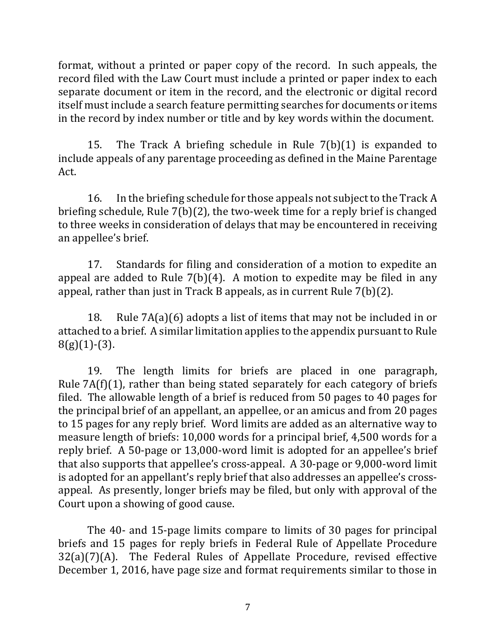format, without a printed or paper copy of the record. In such appeals, the record filed with the Law Court must include a printed or paper index to each separate document or item in the record, and the electronic or digital record itself must include a search feature permitting searches for documents or items in the record by index number or title and by key words within the document.

15. The Track A briefing schedule in Rule  $7(b)(1)$  is expanded to include appeals of any parentage proceeding as defined in the Maine Parentage Act. 

16. In the briefing schedule for those appeals not subject to the Track A briefing schedule, Rule  $7(b)(2)$ , the two-week time for a reply brief is changed to three weeks in consideration of delays that may be encountered in receiving an appellee's brief.

17. Standards for filing and consideration of a motion to expedite an appeal are added to Rule  $7(b)(4)$ . A motion to expedite may be filed in any appeal, rather than just in Track B appeals, as in current Rule  $7(b)(2)$ .

18. Rule  $7A(a)(6)$  adopts a list of items that may not be included in or attached to a brief. A similar limitation applies to the appendix pursuant to Rule  $8(g)(1)-(3)$ .

19. The length limits for briefs are placed in one paragraph, Rule  $7A(f)(1)$ , rather than being stated separately for each category of briefs filed. The allowable length of a brief is reduced from 50 pages to 40 pages for the principal brief of an appellant, an appellee, or an amicus and from 20 pages to 15 pages for any reply brief. Word limits are added as an alternative way to measure length of briefs: 10,000 words for a principal brief, 4,500 words for a reply brief. A 50-page or 13,000-word limit is adopted for an appellee's brief that also supports that appellee's cross-appeal. A 30-page or  $9,000$ -word limit is adopted for an appellant's reply brief that also addresses an appellee's crossappeal. As presently, longer briefs may be filed, but only with approval of the Court upon a showing of good cause.

The 40- and 15-page limits compare to limits of 30 pages for principal briefs and 15 pages for reply briefs in Federal Rule of Appellate Procedure  $32(a)(7)(A)$ . The Federal Rules of Appellate Procedure, revised effective December 1, 2016, have page size and format requirements similar to those in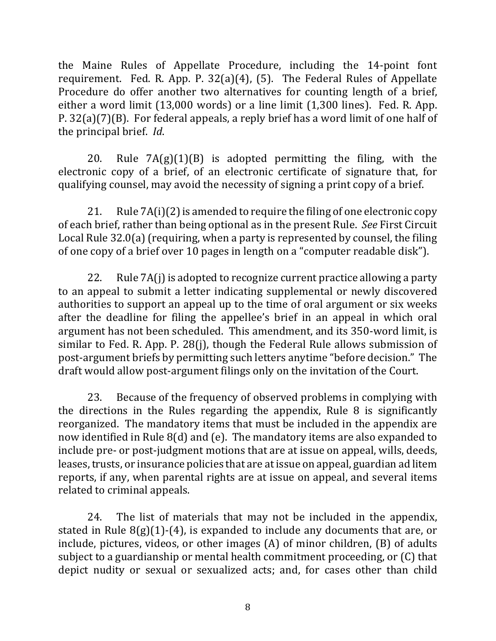the Maine Rules of Appellate Procedure, including the 14-point font requirement. Fed. R. App. P.  $32(a)(4)$ , (5). The Federal Rules of Appellate Procedure do offer another two alternatives for counting length of a brief, either a word limit  $(13,000 \text{ words})$  or a line limit  $(1,300 \text{ lines})$ . Fed. R. App. P.  $32(a)(7)(B)$ . For federal appeals, a reply brief has a word limit of one half of the principal brief. *Id.* 

20. Rule  $7A(g)(1)(B)$  is adopted permitting the filing, with the electronic copy of a brief, of an electronic certificate of signature that, for qualifying counsel, may avoid the necessity of signing a print copy of a brief.

21. Rule  $7A(i)(2)$  is amended to require the filing of one electronic copy of each brief, rather than being optional as in the present Rule. See First Circuit Local Rule  $32.0(a)$  (requiring, when a party is represented by counsel, the filing of one copy of a brief over 10 pages in length on a "computer readable disk").

22. Rule  $7A(j)$  is adopted to recognize current practice allowing a party to an appeal to submit a letter indicating supplemental or newly discovered authorities to support an appeal up to the time of oral argument or six weeks after the deadline for filing the appellee's brief in an appeal in which oral argument has not been scheduled. This amendment, and its 350-word limit, is similar to Fed. R. App. P. 28(j), though the Federal Rule allows submission of post-argument briefs by permitting such letters anytime "before decision." The draft would allow post-argument filings only on the invitation of the Court.

23. Because of the frequency of observed problems in complying with the directions in the Rules regarding the appendix, Rule  $8$  is significantly reorganized. The mandatory items that must be included in the appendix are now identified in Rule  $8(d)$  and (e). The mandatory items are also expanded to include pre- or post-judgment motions that are at issue on appeal, wills, deeds, leases, trusts, or insurance policies that are at issue on appeal, guardian ad litem reports, if any, when parental rights are at issue on appeal, and several items related to criminal appeals.

24. The list of materials that may not be included in the appendix, stated in Rule  $8(g)(1)-(4)$ , is expanded to include any documents that are, or include, pictures, videos, or other images  $(A)$  of minor children,  $(B)$  of adults subject to a guardianship or mental health commitment proceeding, or  $(C)$  that depict nudity or sexual or sexualized acts; and, for cases other than child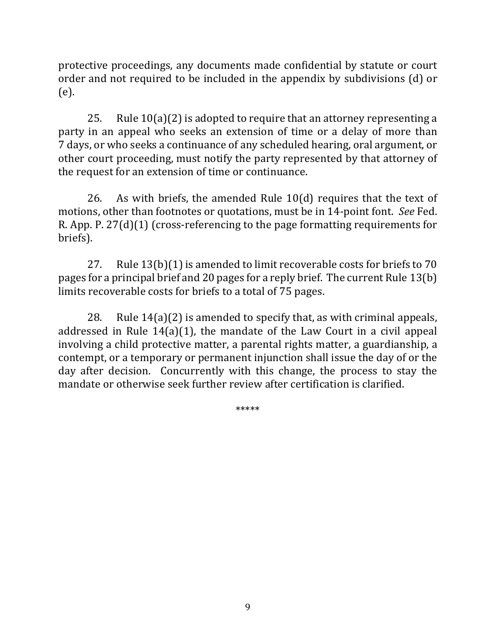protective proceedings, any documents made confidential by statute or court order and not required to be included in the appendix by subdivisions (d) or (e).

25. Rule  $10(a)(2)$  is adopted to require that an attorney representing a party in an appeal who seeks an extension of time or a delay of more than 7 days, or who seeks a continuance of any scheduled hearing, oral argument, or other court proceeding, must notify the party represented by that attorney of the request for an extension of time or continuance.

26. As with briefs, the amended Rule  $10(d)$  requires that the text of motions, other than footnotes or quotations, must be in 14-point font. See Fed. R. App. P.  $27(d)(1)$  (cross-referencing to the page formatting requirements for briefs).

27. Rule  $13(b)(1)$  is amended to limit recoverable costs for briefs to 70 pages for a principal brief and 20 pages for a reply brief. The current Rule  $13(b)$ limits recoverable costs for briefs to a total of 75 pages.

28. Rule  $14(a)(2)$  is amended to specify that, as with criminal appeals, addressed in Rule  $14(a)(1)$ , the mandate of the Law Court in a civil appeal involving a child protective matter, a parental rights matter, a guardianship, a contempt, or a temporary or permanent injunction shall issue the day of or the day after decision. Concurrently with this change, the process to stay the mandate or otherwise seek further review after certification is clarified.

\*\*\*\*\*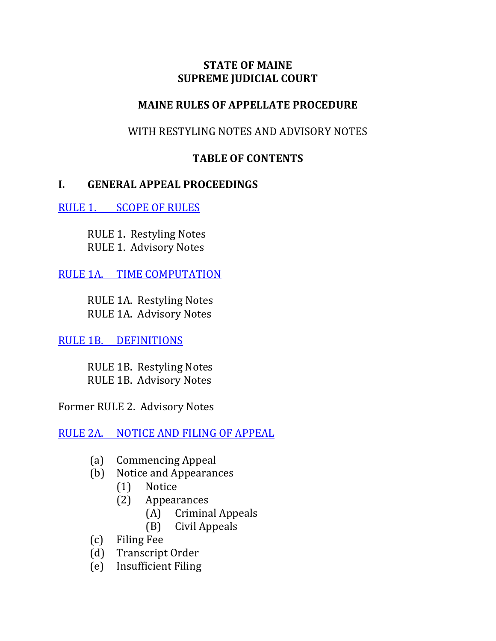### **STATE OF MAINE SUPREME JUDICIAL COURT**

## **MAINE RULES OF APPELLATE PROCEDURE**

### WITH RESTYLING NOTES AND ADVISORY NOTES

### **TABLE OF CONTENTS**

### **I. GENERAL APPEAL PROCEEDINGS**

RULE 1. SCOPE OF RULES

RULE 1. Restyling Notes RULE 1. Advisory Notes

RULE 1A. TIME COMPUTATION

RULE 1A. Restyling Notes RULE 1A. Advisory Notes

RULE 1B. DEFINITIONS

RULE 1B. Restyling Notes RULE 1B. Advisory Notes

Former RULE 2. Advisory Notes

RULE 2A. NOTICE AND FILING OF APPEAL

- (a) Commencing Appeal
- (b) Notice and Appearances
	- (1) Notice
	- (2) Appearances
		- (A) Criminal Appeals
		- (B) Civil Appeals
- (c) Filing Fee
- (d) Transcript Order
- (e) Insufficient Filing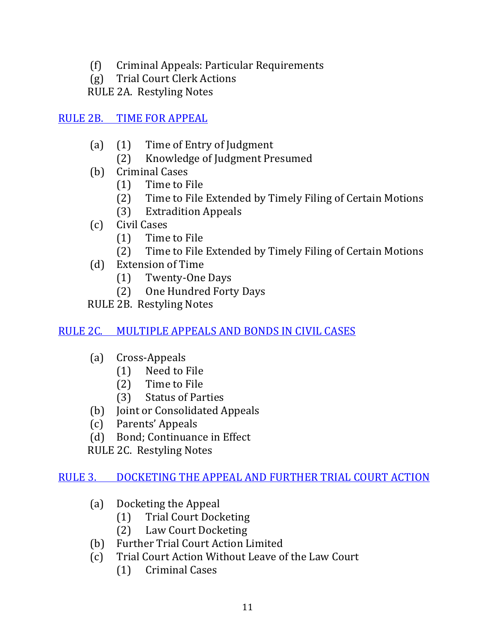- (f) Criminal Appeals: Particular Requirements
- (g) Trial Court Clerk Actions

RULE 2A. Restyling Notes

# RULE 2B. TIME FOR APPEAL

- (a) (1) Time of Entry of Judgment
	- (2) Knowledge of Judgment Presumed
- (b) Criminal Cases
	- (1) Time to File
	- (2) Time to File Extended by Timely Filing of Certain Motions
	- (3) Extradition Appeals
- (c) Civil Cases
	- $(1)$  Time to File
	- (2) Time to File Extended by Timely Filing of Certain Motions
- (d) Extension of Time
	- (1) Twenty-One Days
	- (2) One Hundred Forty Days

RULE 2B. Restyling Notes

# RULE 2C. MULTIPLE APPEALS AND BONDS IN CIVIL CASES

- (a) Cross-Appeals
	- (1) Need to File
	- (2) Time to File
	- (3) Status of Parties
- (b) Joint or Consolidated Appeals
- (c) Parents' Appeals
- (d) Bond; Continuance in Effect
- RULE 2C. Restyling Notes

# RULE 3. DOCKETING THE APPEAL AND FURTHER TRIAL COURT ACTION

- (a) Docketing the Appeal
	- (1) Trial Court Docketing
	- (2) Law Court Docketing
- (b) Further Trial Court Action Limited
- (c) Trial Court Action Without Leave of the Law Court
	- (1) Criminal Cases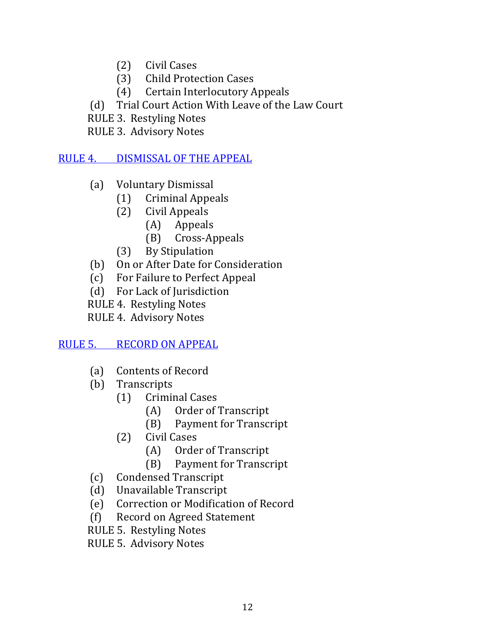- (2) Civil Cases
- (3) Child Protection Cases
- (4) Certain Interlocutory Appeals
- (d) Trial Court Action With Leave of the Law Court
- RULE 3. Restyling Notes
- RULE 3. Advisory Notes

# RULE 4. DISMISSAL OF THE APPEAL

- (a) Voluntary Dismissal
	- (1) Criminal Appeals
	- (2) Civil Appeals
		- (A) Appeals
		- (B) Cross-Appeals
	- (3) By Stipulation
- (b) On or After Date for Consideration
- (c) For Failure to Perfect Appeal
- (d) For Lack of Jurisdiction

RULE 4. Restyling Notes

RULE 4. Advisory Notes

# RULE 5. RECORD ON APPEAL

- (a) Contents of Record
- (b) Transcripts
	- (1) Criminal Cases
		- (A) Order of Transcript
		- (B) Payment for Transcript
	- (2) Civil Cases
		- (A) Order of Transcript
		- (B) Payment for Transcript
- (c) Condensed Transcript
- (d) Unavailable Transcript
- (e) Correction or Modification of Record
- (f) Record on Agreed Statement
- RULE 5. Restyling Notes
- RULE 5. Advisory Notes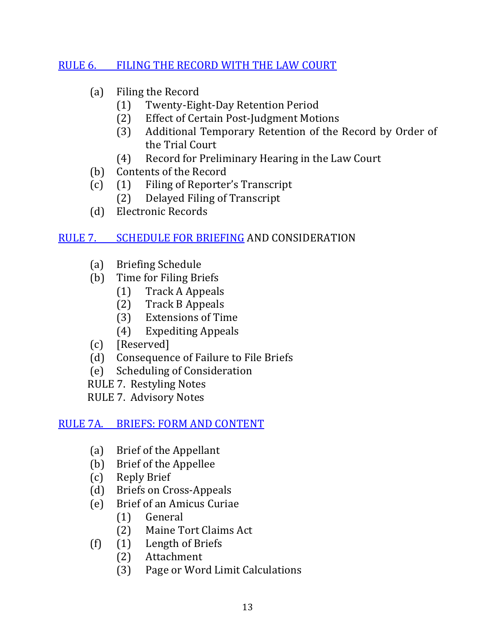# RULE 6. FILING THE RECORD WITH THE LAW COURT

- (a) Filing the Record
	- (1) Twenty-Eight-Day Retention Period
	- (2) Effect of Certain Post-Judgment Motions
	- (3) Additional Temporary Retention of the Record by Order of the Trial Court
	- (4) Record for Preliminary Hearing in the Law Court
- (b) Contents of the Record
- (c) (1) Filing of Reporter's Transcript
	- (2) Delayed Filing of Transcript
- (d) Electronic Records

# RULE 7. SCHEDULE FOR BRIEFING AND CONSIDERATION

- (a) Briefing Schedule
- (b) Time for Filing Briefs
	- (1) Track A Appeals
	- (2) Track B Appeals
	- (3) Extensions of Time
	- (4) Expediting Appeals
- (c) [Reserved]
- (d) Consequence of Failure to File Briefs
- (e) Scheduling of Consideration
- RULE 7. Restyling Notes

RULE 7. Advisory Notes

RULE 7A. BRIEFS: FORM AND CONTENT

- (a) Brief of the Appellant
- (b) Brief of the Appellee
- (c) Reply Brief
- (d) Briefs on Cross-Appeals
- (e) Brief of an Amicus Curiae
	- (1) General
	- (2) Maine Tort Claims Act
- $(f)$   $(1)$  Length of Briefs
	- (2) Attachment
		- (3) Page or Word Limit Calculations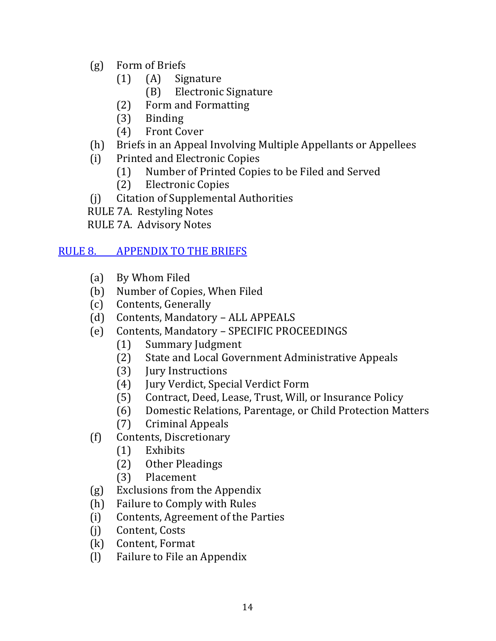- (g) Form of Briefs
	- (1) (A) Signature
		- (B) Electronic Signature
	- (2) Form and Formatting
	- (3) Binding
	- (4) Front Cover
- (h) Briefs in an Appeal Involving Multiple Appellants or Appellees
- (i) Printed and Electronic Copies
	- (1) Number of Printed Copies to be Filed and Served
	- (2) Electronic Copies
- (j) Citation of Supplemental Authorities
- RULE 7A. Restyling Notes
- RULE 7A. Advisory Notes

# RULE 8. APPENDIX TO THE BRIEFS

- (a) By Whom Filed
- (b) Number of Copies, When Filed
- (c) Contents, Generally
- (d) Contents, Mandatory ALL APPEALS
- (e) Contents, Mandatory SPECIFIC PROCEEDINGS
	- (1) Summary Judgment
	- (2) State and Local Government Administrative Appeals
	- (3) Jury Instructions
	- (4) Jury Verdict, Special Verdict Form
	- (5) Contract, Deed, Lease, Trust, Will, or Insurance Policy
	- (6) Domestic Relations, Parentage, or Child Protection Matters
	- (7) Criminal Appeals
- (f) Contents, Discretionary
	- (1) Exhibits
	- (2) Other Pleadings
	- (3) Placement
- (g) Exclusions from the Appendix
- (h) Failure to Comply with Rules
- (i) Contents, Agreement of the Parties
- (j) Content, Costs
- (k) Content, Format
- $(l)$  Failure to File an Appendix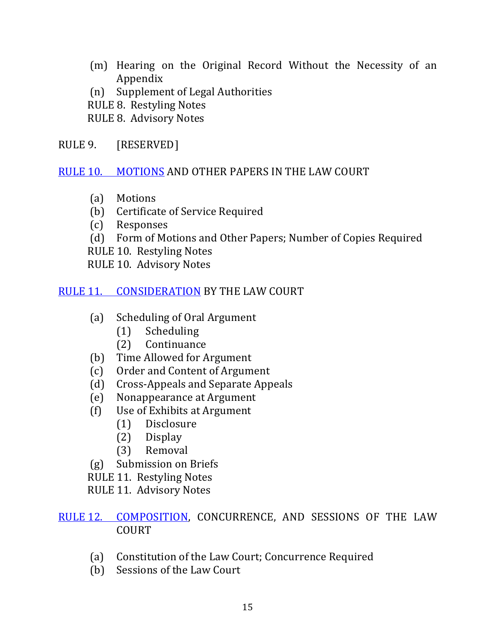- (m) Hearing on the Original Record Without the Necessity of an Appendix
- (n) Supplement of Legal Authorities
- RULE 8. Restyling Notes
- RULE 8. Advisory Notes

RULE 9. [RESERVED]

### RULE 10. MOTIONS AND OTHER PAPERS IN THE LAW COURT

- (a) Motions
- (b) Certificate of Service Required
- (c) Responses
- (d) Form of Motions and Other Papers; Number of Copies Required
- RULE 10. Restyling Notes
- RULE 10. Advisory Notes

## RULE 11. CONSIDERATION BY THE LAW COURT

- (a) Scheduling of Oral Argument
	- (1) Scheduling
	- (2) Continuance
- (b) Time Allowed for Argument
- (c) Order and Content of Argument
- (d) Cross-Appeals and Separate Appeals
- (e) Nonappearance at Argument
- (f) Use of Exhibits at Argument
	- (1) Disclosure
	- (2) Display
	- (3) Removal
- (g) Submission on Briefs
- RULE 11. Restyling Notes
- RULE 11. Advisory Notes

## RULE 12. COMPOSITION, CONCURRENCE, AND SESSIONS OF THE LAW COURT

- (a) Constitution of the Law Court; Concurrence Required
- (b) Sessions of the Law Court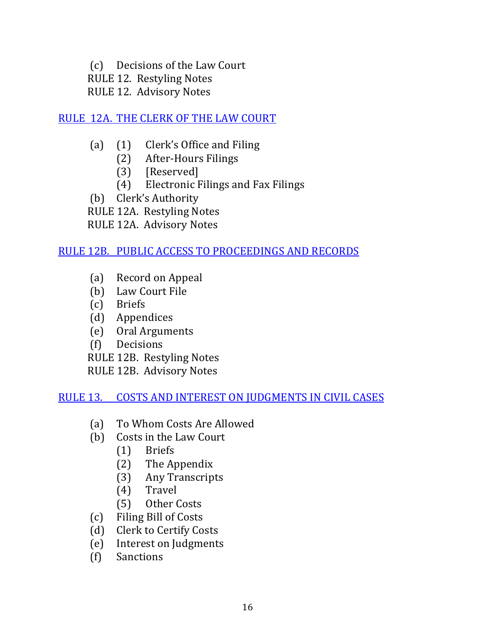(c) Decisions of the Law Court RULE 12. Restyling Notes RULE 12. Advisory Notes

# RULE 12A. THE CLERK OF THE LAW COURT

- (a) (1) Clerk's Office and Filing
	- (2) After-Hours Filings
	- (3) [Reserved]
	- (4) Electronic Filings and Fax Filings
- (b) Clerk's Authority
- RULE 12A. Restyling Notes
- RULE 12A. Advisory Notes

## RULE 12B. PUBLIC ACCESS TO PROCEEDINGS AND RECORDS

- (a) Record on Appeal
- (b) Law Court File
- (c) Briefs
- (d) Appendices
- (e) Oral Arguments
- (f) Decisions

RULE 12B. Restyling Notes

RULE 12B. Advisory Notes

RULE 13. COSTS AND INTEREST ON JUDGMENTS IN CIVIL CASES

- (a) To Whom Costs Are Allowed
- (b) Costs in the Law Court
	- (1) Briefs
	- (2) The Appendix
	- (3) Any Transcripts
	- (4) Travel
	- (5) Other Costs
- (c) Filing Bill of Costs
- (d) Clerk to Certify Costs
- (e) Interest on Judgments
- (f) Sanctions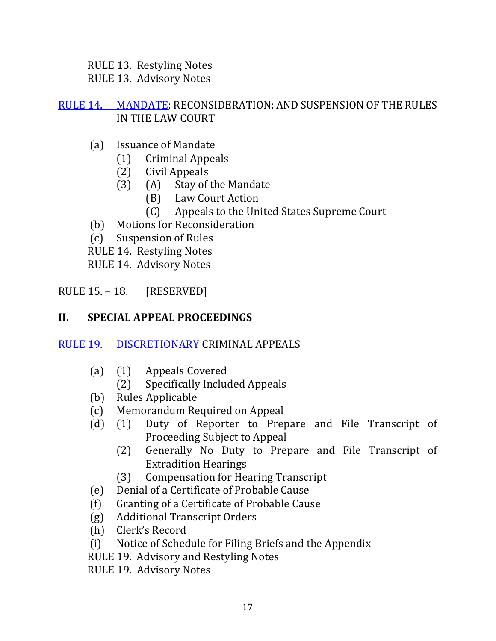RULE 13. Restyling Notes RULE 13. Advisory Notes

RULE 14. MANDATE; RECONSIDERATION; AND SUSPENSION OF THE RULES IN THE LAW COURT

- (a) Issuance of Mandate
	- (1) Criminal Appeals
	- (2) Civil Appeals
	- (3) (A) Stay of the Mandate
		- (B) Law Court Action
		- (C) Appeals to the United States Supreme Court
- (b) Motions for Reconsideration
- (c) Suspension of Rules
- RULE 14. Restyling Notes
- RULE 14. Advisory Notes

RULE  $15. - 18.$  [RESERVED]

# **II. SPECIAL APPEAL PROCEEDINGS**

- RULE 19. DISCRETIONARY CRIMINAL APPEALS
	- (a) (1) Appeals Covered
		- (2) Specifically Included Appeals
	- (b) Rules Applicable
	- (c) Memorandum Required on Appeal
	- (d) (1) Duty of Reporter to Prepare and File Transcript of Proceeding Subject to Appeal
		- (2) Generally No Duty to Prepare and File Transcript of **Extradition Hearings**
		- (3) Compensation for Hearing Transcript
	- (e) Denial of a Certificate of Probable Cause
	- (f) Granting of a Certificate of Probable Cause
	- (g) Additional Transcript Orders
	- (h) Clerk's Record
	- (i) Notice of Schedule for Filing Briefs and the Appendix
	- RULE 19. Advisory and Restyling Notes
	- RULE 19. Advisory Notes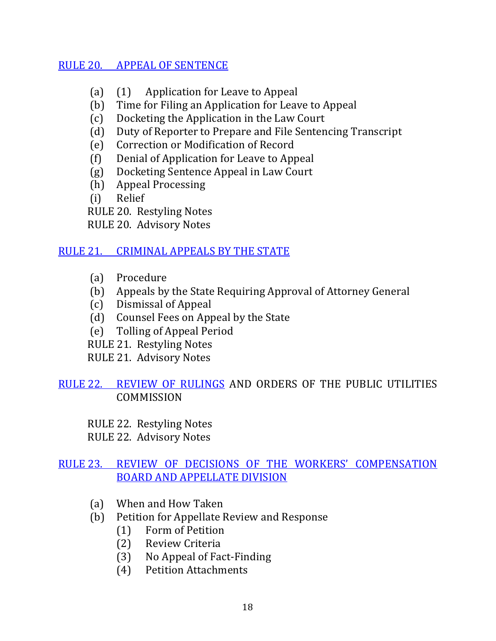## RULE 20. APPEAL OF SENTENCE

- (a)  $(1)$  Application for Leave to Appeal
- (b) Time for Filing an Application for Leave to Appeal
- (c) Docketing the Application in the Law Court
- (d) Duty of Reporter to Prepare and File Sentencing Transcript
- (e) Correction or Modification of Record
- (f) Denial of Application for Leave to Appeal
- (g) Docketing Sentence Appeal in Law Court
- (h) Appeal Processing
- (i) Relief

RULE 20. Restyling Notes

RULE 20. Advisory Notes

### RULE 21. CRIMINAL APPEALS BY THE STATE

- (a) Procedure
- (b) Appeals by the State Requiring Approval of Attorney General
- (c) Dismissal of Appeal
- (d) Counsel Fees on Appeal by the State
- (e) Tolling of Appeal Period
- RULE 21. Restyling Notes
- RULE 21. Advisory Notes

# RULE 22. REVIEW OF RULINGS AND ORDERS OF THE PUBLIC UTILITIES **COMMISSION**

RULE 22. Restyling Notes RULE 22. Advisory Notes

# RULE 23. REVIEW OF DECISIONS OF THE WORKERS' COMPENSATION BOARD AND APPELLATE DIVISION

- (a) When and How Taken
- (b) Petition for Appellate Review and Response
	- (1) Form of Petition
	- (2) Review Criteria
	- (3) No Appeal of Fact-Finding
	- (4) Petition Attachments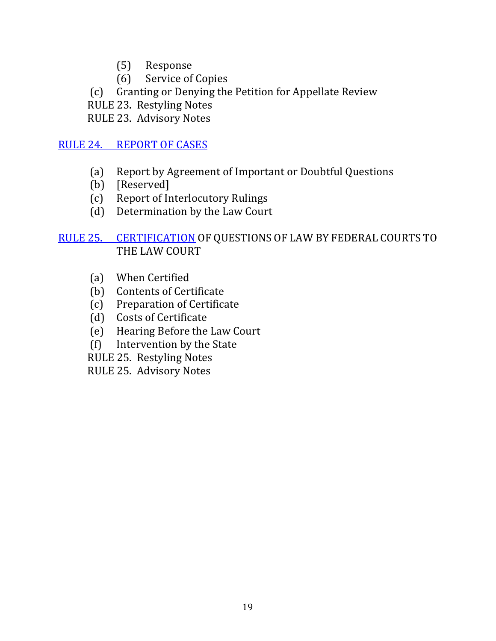- (5) Response
- (6) Service of Copies
- (c) Granting or Denying the Petition for Appellate Review
- RULE 23. Restyling Notes
- RULE 23. Advisory Notes

## RULE 24. REPORT OF CASES

- (a) Report by Agreement of Important or Doubtful Questions
- (b) [Reserved]
- (c) Report of Interlocutory Rulings
- (d) Determination by the Law Court

# RULE 25. CERTIFICATION OF QUESTIONS OF LAW BY FEDERAL COURTS TO THE LAW COURT

- (a) When Certified
- (b) Contents of Certificate
- (c) Preparation of Certificate
- (d) Costs of Certificate
- (e) Hearing Before the Law Court
- (f) Intervention by the State
- RULE 25. Restyling Notes
- RULE 25. Advisory Notes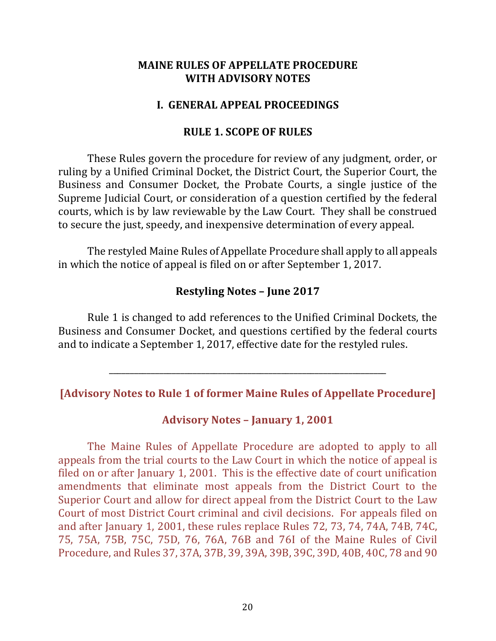#### **MAINE RULES OF APPELLATE PROCEDURE WITH ADVISORY NOTES**

#### **I. GENERAL APPEAL PROCEEDINGS**

#### **RULE 1. SCOPE OF RULES**

These Rules govern the procedure for review of any judgment, order, or ruling by a Unified Criminal Docket, the District Court, the Superior Court, the Business and Consumer Docket, the Probate Courts, a single justice of the Supreme Judicial Court, or consideration of a question certified by the federal courts, which is by law reviewable by the Law Court. They shall be construed to secure the just, speedy, and inexpensive determination of every appeal.

The restyled Maine Rules of Appellate Procedure shall apply to all appeals in which the notice of appeal is filed on or after September 1, 2017.

### **Restyling Notes – June 2017**

Rule 1 is changed to add references to the Unified Criminal Dockets, the Business and Consumer Docket, and questions certified by the federal courts and to indicate a September 1, 2017, effective date for the restyled rules.

**[Advisory Notes to Rule 1 of former Maine Rules of Appellate Procedure]** 

\_\_\_\_\_\_\_\_\_\_\_\_\_\_\_\_\_\_\_\_\_\_\_\_\_\_\_\_\_\_\_\_\_\_\_\_\_\_\_\_\_\_\_\_\_\_\_\_\_\_\_\_\_\_\_\_\_\_\_\_\_\_\_\_\_\_

### **Advisory Notes – January 1, 2001**

The Maine Rules of Appellate Procedure are adopted to apply to all appeals from the trial courts to the Law Court in which the notice of appeal is filed on or after January 1, 2001. This is the effective date of court unification amendments that eliminate most appeals from the District Court to the Superior Court and allow for direct appeal from the District Court to the Law Court of most District Court criminal and civil decisions. For appeals filed on and after January 1, 2001, these rules replace Rules 72, 73, 74, 74A, 74B, 74C, 75, 75A, 75B, 75C, 75D, 76, 76A, 76B and 76I of the Maine Rules of Civil Procedure, and Rules 37, 37A, 37B, 39, 39A, 39B, 39C, 39D, 40B, 40C, 78 and 90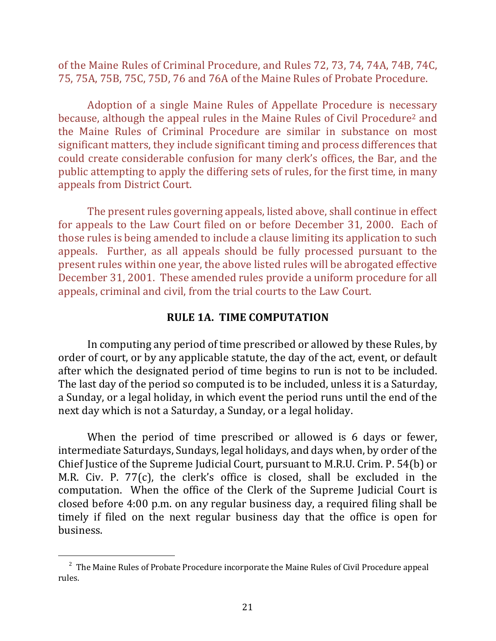of the Maine Rules of Criminal Procedure, and Rules 72, 73, 74, 74A, 74B, 74C, 75, 75A, 75B, 75C, 75D, 76 and 76A of the Maine Rules of Probate Procedure.

Adoption of a single Maine Rules of Appellate Procedure is necessary because, although the appeal rules in the Maine Rules of Civil Procedure<sup>2</sup> and the Maine Rules of Criminal Procedure are similar in substance on most significant matters, they include significant timing and process differences that could create considerable confusion for many clerk's offices, the Bar, and the public attempting to apply the differing sets of rules, for the first time, in many appeals from District Court.

The present rules governing appeals, listed above, shall continue in effect for appeals to the Law Court filed on or before December 31, 2000. Each of those rules is being amended to include a clause limiting its application to such appeals. Further, as all appeals should be fully processed pursuant to the present rules within one year, the above listed rules will be abrogated effective December 31, 2001. These amended rules provide a uniform procedure for all appeals, criminal and civil, from the trial courts to the Law Court.

#### **RULE 1A. TIME COMPUTATION**

In computing any period of time prescribed or allowed by these Rules, by order of court, or by any applicable statute, the day of the act, event, or default after which the designated period of time begins to run is not to be included. The last day of the period so computed is to be included, unless it is a Saturday, a Sunday, or a legal holiday, in which event the period runs until the end of the next day which is not a Saturday, a Sunday, or a legal holiday.

When the period of time prescribed or allowed is 6 days or fewer, intermediate Saturdays, Sundays, legal holidays, and days when, by order of the Chief Justice of the Supreme Judicial Court, pursuant to M.R.U. Crim. P. 54(b) or M.R. Civ. P. 77 $(c)$ , the clerk's office is closed, shall be excluded in the computation. When the office of the Clerk of the Supreme Judicial Court is closed before 4:00 p.m. on any regular business day, a required filing shall be timely if filed on the next regular business day that the office is open for business.

 $2$  The Maine Rules of Probate Procedure incorporate the Maine Rules of Civil Procedure appeal rules.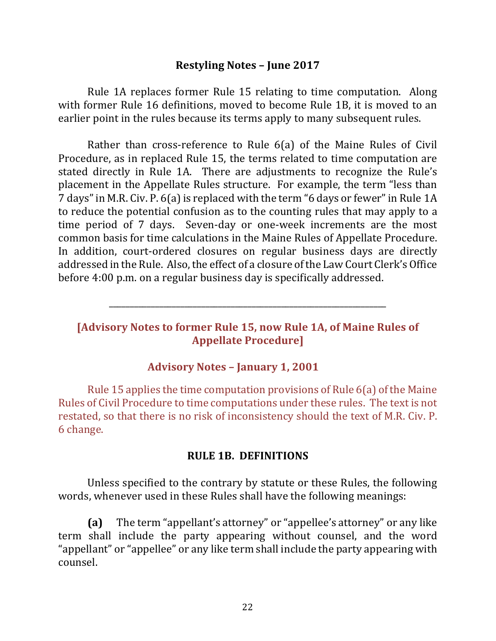#### **Restyling Notes – June 2017**

Rule 1A replaces former Rule 15 relating to time computation. Along with former Rule 16 definitions, moved to become Rule 1B, it is moved to an earlier point in the rules because its terms apply to many subsequent rules.

Rather than cross-reference to Rule  $6(a)$  of the Maine Rules of Civil Procedure, as in replaced Rule 15, the terms related to time computation are stated directly in Rule 1A. There are adjustments to recognize the Rule's placement in the Appellate Rules structure. For example, the term "less than 7 days" in M.R. Civ. P. 6(a) is replaced with the term "6 days or fewer" in Rule 1A to reduce the potential confusion as to the counting rules that may apply to a time period of 7 days. Seven-day or one-week increments are the most common basis for time calculations in the Maine Rules of Appellate Procedure. In addition, court-ordered closures on regular business days are directly addressed in the Rule. Also, the effect of a closure of the Law Court Clerk's Office before 4:00 p.m. on a regular business day is specifically addressed.

# **[Advisory Notes to former Rule 15, now Rule 1A, of Maine Rules of Appellate Procedure]**

\_\_\_\_\_\_\_\_\_\_\_\_\_\_\_\_\_\_\_\_\_\_\_\_\_\_\_\_\_\_\_\_\_\_\_\_\_\_\_\_\_\_\_\_\_\_\_\_\_\_\_\_\_\_\_\_\_\_\_\_\_\_\_\_\_\_

### **Advisory Notes – January 1, 2001**

Rule 15 applies the time computation provisions of Rule  $6(a)$  of the Maine Rules of Civil Procedure to time computations under these rules. The text is not restated, so that there is no risk of inconsistency should the text of M.R. Civ. P. 6 change. 

### **RULE 1B. DEFINITIONS**

Unless specified to the contrary by statute or these Rules, the following words, whenever used in these Rules shall have the following meanings:

**(a)** The term "appellant's attorney" or "appellee's attorney" or any like term shall include the party appearing without counsel, and the word "appellant" or "appellee" or any like term shall include the party appearing with counsel.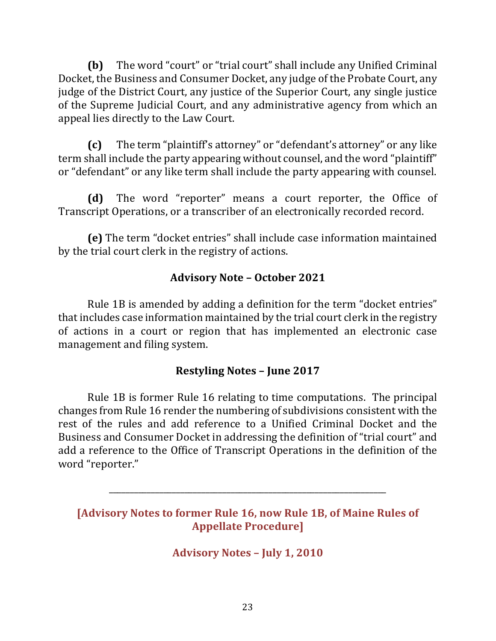**(b)** The word "court" or "trial court" shall include any Unified Criminal Docket, the Business and Consumer Docket, any judge of the Probate Court, any judge of the District Court, any justice of the Superior Court, any single justice of the Supreme Judicial Court, and any administrative agency from which an appeal lies directly to the Law Court.

**(c)** The term "plaintiff's attorney" or "defendant's attorney" or any like term shall include the party appearing without counsel, and the word "plaintiff" or "defendant" or any like term shall include the party appearing with counsel.

**(d)** The word "reporter" means a court reporter, the Office of Transcript Operations, or a transcriber of an electronically recorded record.

**(e)** The term "docket entries" shall include case information maintained by the trial court clerk in the registry of actions.

# **Advisory Note – October 2021**

Rule 1B is amended by adding a definition for the term "docket entries" that includes case information maintained by the trial court clerk in the registry of actions in a court or region that has implemented an electronic case management and filing system.

# **Restyling Notes – June 2017**

Rule 1B is former Rule 16 relating to time computations. The principal changes from Rule 16 render the numbering of subdivisions consistent with the rest of the rules and add reference to a Unified Criminal Docket and the Business and Consumer Docket in addressing the definition of "trial court" and add a reference to the Office of Transcript Operations in the definition of the word "reporter."

# **[Advisory Notes to former Rule 16, now Rule 1B, of Maine Rules of Appellate Procedure]**

\_\_\_\_\_\_\_\_\_\_\_\_\_\_\_\_\_\_\_\_\_\_\_\_\_\_\_\_\_\_\_\_\_\_\_\_\_\_\_\_\_\_\_\_\_\_\_\_\_\_\_\_\_\_\_\_\_\_\_\_\_\_\_\_\_\_

**Advisory Notes – July 1, 2010**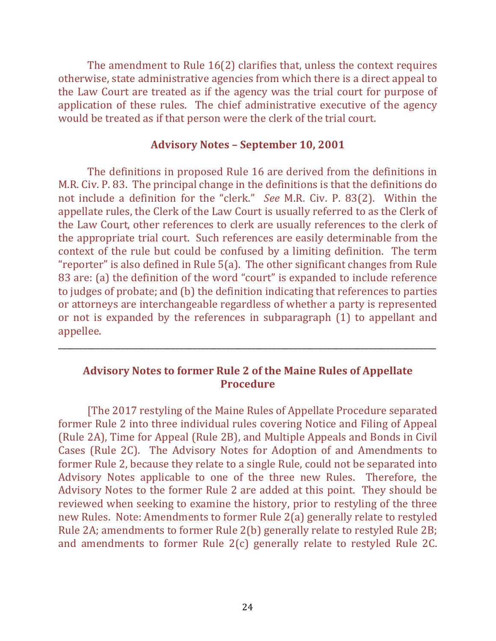The amendment to Rule  $16(2)$  clarifies that, unless the context requires otherwise, state administrative agencies from which there is a direct appeal to the Law Court are treated as if the agency was the trial court for purpose of application of these rules. The chief administrative executive of the agency would be treated as if that person were the clerk of the trial court.

#### **Advisory Notes – September 10, 2001**

The definitions in proposed Rule 16 are derived from the definitions in M.R. Civ. P. 83. The principal change in the definitions is that the definitions do not include a definition for the "clerk." *See* M.R. Civ. P. 83(2). Within the appellate rules, the Clerk of the Law Court is usually referred to as the Clerk of the Law Court, other references to clerk are usually references to the clerk of the appropriate trial court. Such references are easily determinable from the context of the rule but could be confused by a limiting definition. The term "reporter" is also defined in Rule  $5(a)$ . The other significant changes from Rule 83 are: (a) the definition of the word "court" is expanded to include reference to judges of probate; and (b) the definition indicating that references to parties or attorneys are interchangeable regardless of whether a party is represented or not is expanded by the references in subparagraph (1) to appellant and appellee.

## **Advisory Notes to former Rule 2 of the Maine Rules of Appellate Procedure**

\_\_\_\_\_\_\_\_\_\_\_\_\_\_\_\_\_\_\_\_\_\_\_\_\_\_\_\_\_\_\_\_\_\_\_\_\_\_\_\_\_\_\_\_\_\_\_\_\_\_\_\_\_\_\_\_\_\_\_\_\_\_\_\_\_\_\_\_\_\_\_\_\_\_\_\_\_\_\_\_\_\_\_\_\_\_\_\_\_\_

[The 2017 restyling of the Maine Rules of Appellate Procedure separated former Rule 2 into three individual rules covering Notice and Filing of Appeal (Rule 2A), Time for Appeal (Rule 2B), and Multiple Appeals and Bonds in Civil Cases (Rule 2C). The Advisory Notes for Adoption of and Amendments to former Rule 2, because they relate to a single Rule, could not be separated into Advisory Notes applicable to one of the three new Rules. Therefore, the Advisory Notes to the former Rule 2 are added at this point. They should be reviewed when seeking to examine the history, prior to restyling of the three new Rules. Note: Amendments to former Rule 2(a) generally relate to restyled Rule 2A; amendments to former Rule 2(b) generally relate to restyled Rule 2B; and amendments to former Rule  $2(c)$  generally relate to restyled Rule 2C.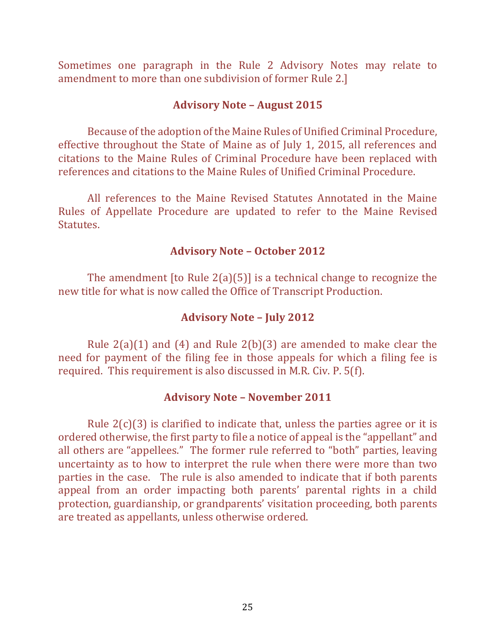Sometimes one paragraph in the Rule 2 Advisory Notes may relate to amendment to more than one subdivision of former Rule 2.]

### **Advisory Note – August 2015**

Because of the adoption of the Maine Rules of Unified Criminal Procedure, effective throughout the State of Maine as of July 1, 2015, all references and citations to the Maine Rules of Criminal Procedure have been replaced with references and citations to the Maine Rules of Unified Criminal Procedure.

All references to the Maine Revised Statutes Annotated in the Maine Rules of Appellate Procedure are updated to refer to the Maine Revised **Statutes** 

### **Advisory Note – October 2012**

The amendment  $[$ to Rule 2(a)(5)] is a technical change to recognize the new title for what is now called the Office of Transcript Production.

### **Advisory Note – July 2012**

Rule  $2(a)(1)$  and  $(4)$  and Rule  $2(b)(3)$  are amended to make clear the need for payment of the filing fee in those appeals for which a filing fee is required. This requirement is also discussed in M.R. Civ.  $P. 5(f)$ .

#### **Advisory Note – November 2011**

Rule  $2(c)(3)$  is clarified to indicate that, unless the parties agree or it is ordered otherwise, the first party to file a notice of appeal is the "appellant" and all others are "appellees." The former rule referred to "both" parties, leaving uncertainty as to how to interpret the rule when there were more than two parties in the case. The rule is also amended to indicate that if both parents appeal from an order impacting both parents' parental rights in a child protection, guardianship, or grandparents' visitation proceeding, both parents are treated as appellants, unless otherwise ordered.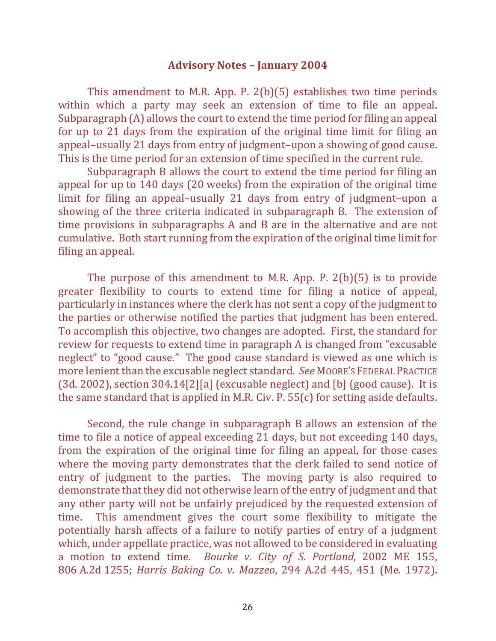#### **Advisory Notes – January 2004**

This amendment to M.R. App. P.  $2(b)(5)$  establishes two time periods within which a party may seek an extension of time to file an appeal. Subparagraph  $(A)$  allows the court to extend the time period for filing an appeal for up to 21 days from the expiration of the original time limit for filing an appeal-usually 21 days from entry of judgment-upon a showing of good cause. This is the time period for an extension of time specified in the current rule.

Subparagraph B allows the court to extend the time period for filing an appeal for up to  $140$  days (20 weeks) from the expiration of the original time limit for filing an appeal–usually 21 days from entry of judgment–upon a showing of the three criteria indicated in subparagraph B. The extension of time provisions in subparagraphs A and B are in the alternative and are not cumulative. Both start running from the expiration of the original time limit for filing an appeal.

The purpose of this amendment to M.R. App. P.  $2(b)(5)$  is to provide greater flexibility to courts to extend time for filing a notice of appeal, particularly in instances where the clerk has not sent a copy of the judgment to the parties or otherwise notified the parties that judgment has been entered. To accomplish this objective, two changes are adopted. First, the standard for review for requests to extend time in paragraph A is changed from "excusable" neglect" to "good cause." The good cause standard is viewed as one which is more lenient than the excusable neglect standard. See MOORE'S FEDERAL PRACTICE (3d. 2002), section  $304.14[2][a]$  (excusable neglect) and [b] (good cause). It is the same standard that is applied in M.R. Civ. P.  $55(c)$  for setting aside defaults.

Second, the rule change in subparagraph B allows an extension of the time to file a notice of appeal exceeding 21 days, but not exceeding 140 days, from the expiration of the original time for filing an appeal, for those cases where the moving party demonstrates that the clerk failed to send notice of entry of judgment to the parties. The moving party is also required to demonstrate that they did not otherwise learn of the entry of judgment and that any other party will not be unfairly prejudiced by the requested extension of time. This amendment gives the court some flexibility to mitigate the potentially harsh affects of a failure to notify parties of entry of a judgment which, under appellate practice, was not allowed to be considered in evaluating a motion to extend time. *Bourke v. City of S. Portland*, 2002 ME 155, 806 A.2d 1255; *Harris Baking Co. v. Mazzeo*, 294 A.2d 445, 451 (Me. 1972).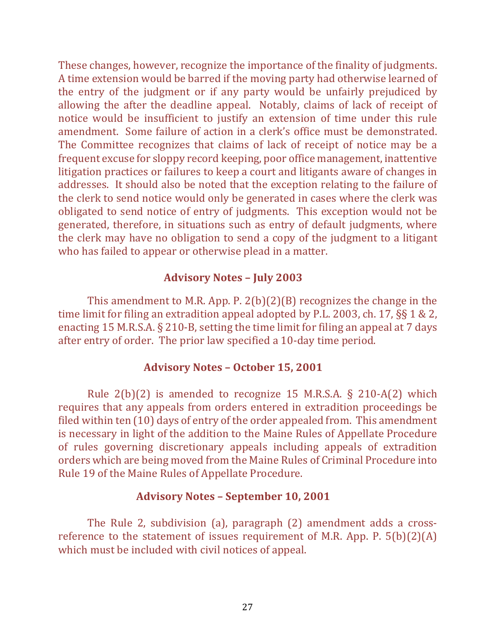These changes, however, recognize the importance of the finality of judgments. A time extension would be barred if the moving party had otherwise learned of the entry of the judgment or if any party would be unfairly prejudiced by allowing the after the deadline appeal. Notably, claims of lack of receipt of notice would be insufficient to justify an extension of time under this rule amendment. Some failure of action in a clerk's office must be demonstrated. The Committee recognizes that claims of lack of receipt of notice may be a frequent excuse for sloppy record keeping, poor office management, inattentive litigation practices or failures to keep a court and litigants aware of changes in addresses. It should also be noted that the exception relating to the failure of the clerk to send notice would only be generated in cases where the clerk was obligated to send notice of entry of judgments. This exception would not be generated, therefore, in situations such as entry of default judgments, where the clerk may have no obligation to send a copy of the judgment to a litigant who has failed to appear or otherwise plead in a matter.

#### **Advisory Notes – July 2003**

This amendment to M.R. App. P.  $2(b)(2)(B)$  recognizes the change in the time limit for filing an extradition appeal adopted by P.L. 2003, ch. 17,  $\S$ § 1 & 2, enacting 15 M.R.S.A.  $\S$  210-B, setting the time limit for filing an appeal at 7 days after entry of order. The prior law specified a 10-day time period.

### **Advisory Notes – October 15, 2001**

Rule  $2(b)(2)$  is amended to recognize 15 M.R.S.A. § 210-A(2) which requires that any appeals from orders entered in extradition proceedings be filed within ten  $(10)$  days of entry of the order appealed from. This amendment is necessary in light of the addition to the Maine Rules of Appellate Procedure of rules governing discretionary appeals including appeals of extradition orders which are being moved from the Maine Rules of Criminal Procedure into Rule 19 of the Maine Rules of Appellate Procedure.

#### **Advisory Notes – September 10, 2001**

The Rule 2, subdivision (a), paragraph (2) amendment adds a crossreference to the statement of issues requirement of M.R. App. P.  $5(b)(2)(A)$ which must be included with civil notices of appeal.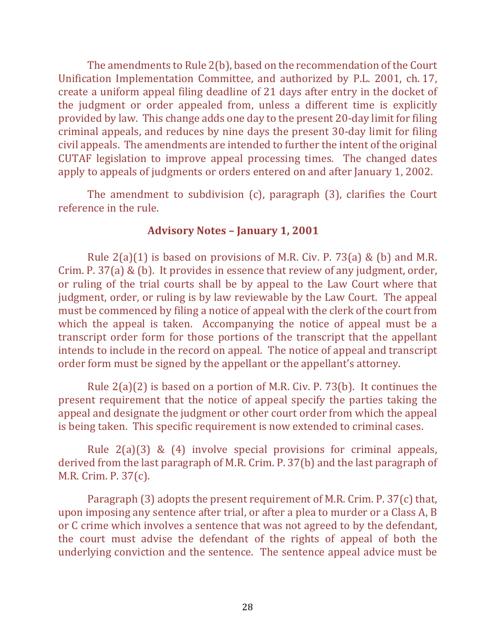The amendments to Rule 2(b), based on the recommendation of the Court Unification Implementation Committee, and authorized by P.L. 2001, ch. 17, create a uniform appeal filing deadline of 21 days after entry in the docket of the judgment or order appealed from, unless a different time is explicitly provided by law. This change adds one day to the present 20-day limit for filing criminal appeals, and reduces by nine days the present 30-day limit for filing civil appeals. The amendments are intended to further the intent of the original CUTAF legislation to improve appeal processing times. The changed dates apply to appeals of judgments or orders entered on and after January 1, 2002.

The amendment to subdivision  $(c)$ , paragraph  $(3)$ , clarifies the Court reference in the rule.

### **Advisory Notes – January 1, 2001**

Rule  $2(a)(1)$  is based on provisions of M.R. Civ. P. 73(a) & (b) and M.R. Crim. P. 37(a) & (b). It provides in essence that review of any judgment, order, or ruling of the trial courts shall be by appeal to the Law Court where that judgment, order, or ruling is by law reviewable by the Law Court. The appeal must be commenced by filing a notice of appeal with the clerk of the court from which the appeal is taken. Accompanying the notice of appeal must be a transcript order form for those portions of the transcript that the appellant intends to include in the record on appeal. The notice of appeal and transcript order form must be signed by the appellant or the appellant's attorney.

Rule  $2(a)(2)$  is based on a portion of M.R. Civ. P. 73(b). It continues the present requirement that the notice of appeal specify the parties taking the appeal and designate the judgment or other court order from which the appeal is being taken. This specific requirement is now extended to criminal cases.

Rule  $2(a)(3)$  & (4) involve special provisions for criminal appeals, derived from the last paragraph of M.R. Crim. P.  $37(b)$  and the last paragraph of M.R. Crim. P. 37(c).

Paragraph  $(3)$  adopts the present requirement of M.R. Crim. P. 37(c) that, upon imposing any sentence after trial, or after a plea to murder or a Class A, B or C crime which involves a sentence that was not agreed to by the defendant, the court must advise the defendant of the rights of appeal of both the underlying conviction and the sentence. The sentence appeal advice must be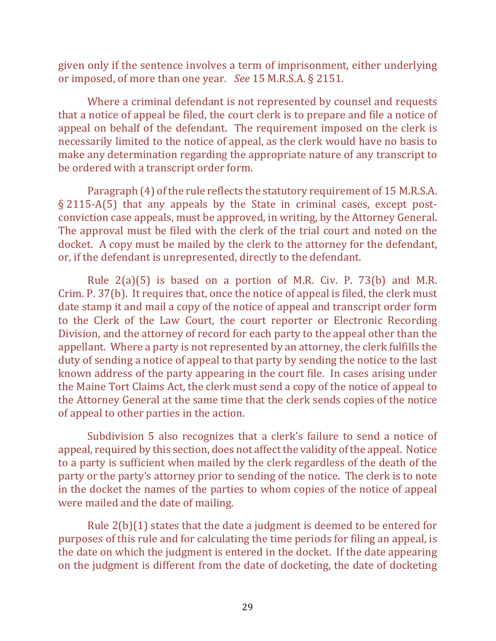given only if the sentence involves a term of imprisonment, either underlying or imposed, of more than one year. See 15 M.R.S.A. § 2151.

Where a criminal defendant is not represented by counsel and requests that a notice of appeal be filed, the court clerk is to prepare and file a notice of appeal on behalf of the defendant. The requirement imposed on the clerk is necessarily limited to the notice of appeal, as the clerk would have no basis to make any determination regarding the appropriate nature of any transcript to be ordered with a transcript order form.

Paragraph (4) of the rule reflects the statutory requirement of 15 M.R.S.A.  $\S$  2115-A(5) that any appeals by the State in criminal cases, except postconviction case appeals, must be approved, in writing, by the Attorney General. The approval must be filed with the clerk of the trial court and noted on the docket. A copy must be mailed by the clerk to the attorney for the defendant, or, if the defendant is unrepresented, directly to the defendant.

Rule  $2(a)(5)$  is based on a portion of M.R. Civ. P. 73(b) and M.R. Crim. P.  $37(b)$ . It requires that, once the notice of appeal is filed, the clerk must date stamp it and mail a copy of the notice of appeal and transcript order form to the Clerk of the Law Court, the court reporter or Electronic Recording Division, and the attorney of record for each party to the appeal other than the appellant. Where a party is not represented by an attorney, the clerk fulfills the duty of sending a notice of appeal to that party by sending the notice to the last known address of the party appearing in the court file. In cases arising under the Maine Tort Claims Act, the clerk must send a copy of the notice of appeal to the Attorney General at the same time that the clerk sends copies of the notice of appeal to other parties in the action.

Subdivision 5 also recognizes that a clerk's failure to send a notice of appeal, required by this section, does not affect the validity of the appeal. Notice to a party is sufficient when mailed by the clerk regardless of the death of the party or the party's attorney prior to sending of the notice. The clerk is to note in the docket the names of the parties to whom copies of the notice of appeal were mailed and the date of mailing.

Rule  $2(b)(1)$  states that the date a judgment is deemed to be entered for purposes of this rule and for calculating the time periods for filing an appeal, is the date on which the judgment is entered in the docket. If the date appearing on the judgment is different from the date of docketing, the date of docketing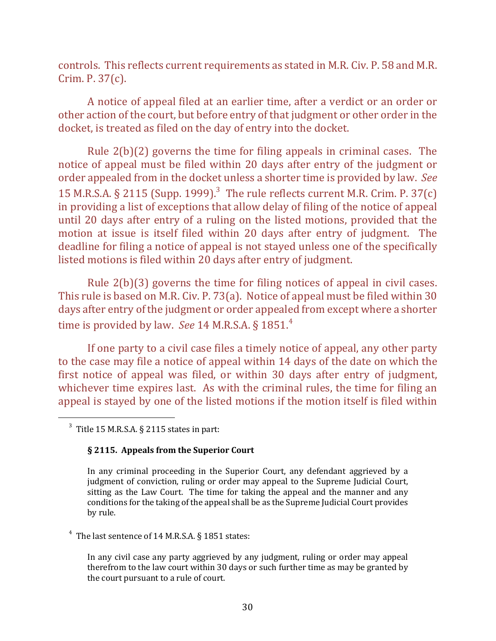controls. This reflects current requirements as stated in M.R. Civ. P. 58 and M.R. Crim. P. 37(c).

A notice of appeal filed at an earlier time, after a verdict or an order or other action of the court, but before entry of that judgment or other order in the docket, is treated as filed on the day of entry into the docket.

Rule  $2(b)(2)$  governs the time for filing appeals in criminal cases. The notice of appeal must be filed within 20 days after entry of the judgment or order appealed from in the docket unless a shorter time is provided by law. See 15 M.R.S.A. § 2115 (Supp. 1999).<sup>3</sup> The rule reflects current M.R. Crim. P. 37(c) in providing a list of exceptions that allow delay of filing of the notice of appeal until 20 days after entry of a ruling on the listed motions, provided that the motion at issue is itself filed within 20 days after entry of judgment. The deadline for filing a notice of appeal is not stayed unless one of the specifically listed motions is filed within 20 days after entry of judgment.

Rule  $2(b)(3)$  governs the time for filing notices of appeal in civil cases. This rule is based on M.R. Civ. P. 73(a). Notice of appeal must be filed within 30 days after entry of the judgment or order appealed from except where a shorter time is provided by law. See 14 M.R.S.A.  $\S$  1851.<sup>4</sup>

If one party to a civil case files a timely notice of appeal, any other party to the case may file a notice of appeal within 14 days of the date on which the first notice of appeal was filed, or within 30 days after entry of judgment, whichever time expires last. As with the criminal rules, the time for filing an appeal is stayed by one of the listed motions if the motion itself is filed within

#### § 2115. Appeals from the Superior Court

In any criminal proceeding in the Superior Court, any defendant aggrieved by a judgment of conviction, ruling or order may appeal to the Supreme Judicial Court, sitting as the Law Court. The time for taking the appeal and the manner and any conditions for the taking of the appeal shall be as the Supreme Judicial Court provides by rule.

 $4$  The last sentence of 14 M.R.S.A. § 1851 states:

In any civil case any party aggrieved by any judgment, ruling or order may appeal therefrom to the law court within 30 days or such further time as may be granted by the court pursuant to a rule of court.

 $3$  Title 15 M.R.S.A. § 2115 states in part: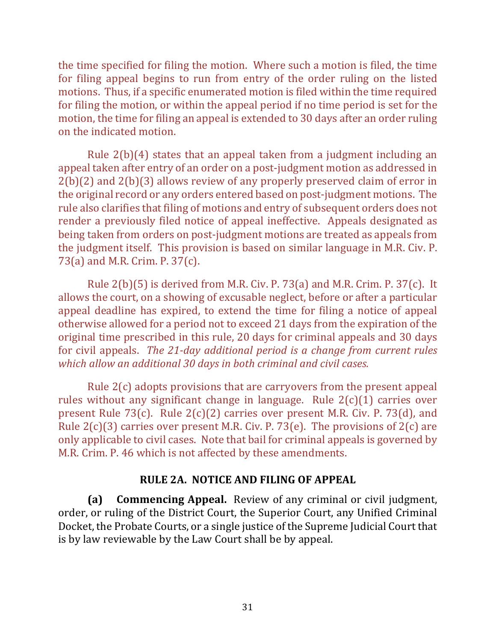the time specified for filing the motion. Where such a motion is filed, the time for filing appeal begins to run from entry of the order ruling on the listed motions. Thus, if a specific enumerated motion is filed within the time required for filing the motion, or within the appeal period if no time period is set for the motion, the time for filing an appeal is extended to 30 days after an order ruling on the indicated motion.

Rule  $2(b)(4)$  states that an appeal taken from a judgment including an appeal taken after entry of an order on a post-judgment motion as addressed in  $2(b)(2)$  and  $2(b)(3)$  allows review of any properly preserved claim of error in the original record or any orders entered based on post-judgment motions. The rule also clarifies that filing of motions and entry of subsequent orders does not render a previously filed notice of appeal ineffective. Appeals designated as being taken from orders on post-judgment motions are treated as appeals from the judgment itself. This provision is based on similar language in M.R. Civ. P. 73(a) and M.R. Crim. P.  $37(c)$ .

Rule  $2(b)(5)$  is derived from M.R. Civ. P. 73(a) and M.R. Crim. P. 37(c). It allows the court, on a showing of excusable neglect, before or after a particular appeal deadline has expired, to extend the time for filing a notice of appeal otherwise allowed for a period not to exceed 21 days from the expiration of the original time prescribed in this rule, 20 days for criminal appeals and 30 days for civil appeals. The 21-day additional period is a change from current rules *which allow an additional 30 days in both criminal and civil cases.* 

Rule  $2(c)$  adopts provisions that are carryovers from the present appeal rules without any significant change in language. Rule  $2(c)(1)$  carries over present Rule  $73(c)$ . Rule  $2(c)(2)$  carries over present M.R. Civ. P. 73(d), and Rule  $2(c)(3)$  carries over present M.R. Civ. P. 73(e). The provisions of  $2(c)$  are only applicable to civil cases. Note that bail for criminal appeals is governed by M.R. Crim. P. 46 which is not affected by these amendments.

### **RULE 2A. NOTICE AND FILING OF APPEAL**

**(a) Commencing Appeal.** Review of any criminal or civil judgment, order, or ruling of the District Court, the Superior Court, any Unified Criminal Docket, the Probate Courts, or a single justice of the Supreme Judicial Court that is by law reviewable by the Law Court shall be by appeal.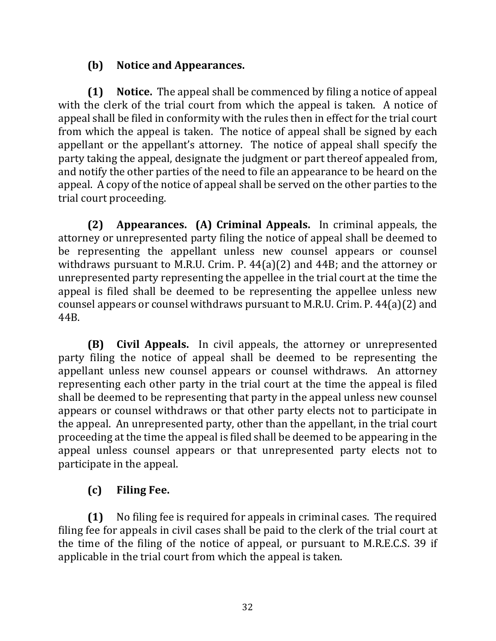# **(b) Notice and Appearances.**

**(1)** Notice. The appeal shall be commenced by filing a notice of appeal with the clerk of the trial court from which the appeal is taken. A notice of appeal shall be filed in conformity with the rules then in effect for the trial court from which the appeal is taken. The notice of appeal shall be signed by each appellant or the appellant's attorney. The notice of appeal shall specify the party taking the appeal, designate the judgment or part thereof appealed from, and notify the other parties of the need to file an appearance to be heard on the appeal. A copy of the notice of appeal shall be served on the other parties to the trial court proceeding.

**(2) Appearances. (A) Criminal Appeals.** In criminal appeals, the attorney or unrepresented party filing the notice of appeal shall be deemed to be representing the appellant unless new counsel appears or counsel withdraws pursuant to M.R.U. Crim. P.  $44(a)(2)$  and  $44B$ ; and the attorney or unrepresented party representing the appellee in the trial court at the time the appeal is filed shall be deemed to be representing the appellee unless new counsel appears or counsel withdraws pursuant to M.R.U. Crim. P.  $44(a)(2)$  and 44B.

**(B)** Civil Appeals. In civil appeals, the attorney or unrepresented party filing the notice of appeal shall be deemed to be representing the appellant unless new counsel appears or counsel withdraws. An attorney representing each other party in the trial court at the time the appeal is filed shall be deemed to be representing that party in the appeal unless new counsel appears or counsel withdraws or that other party elects not to participate in the appeal. An unrepresented party, other than the appellant, in the trial court proceeding at the time the appeal is filed shall be deemed to be appearing in the appeal unless counsel appears or that unrepresented party elects not to participate in the appeal.

# **(c) Filing Fee.**

**(1)** No filing fee is required for appeals in criminal cases. The required filing fee for appeals in civil cases shall be paid to the clerk of the trial court at the time of the filing of the notice of appeal, or pursuant to M.R.E.C.S. 39 if applicable in the trial court from which the appeal is taken.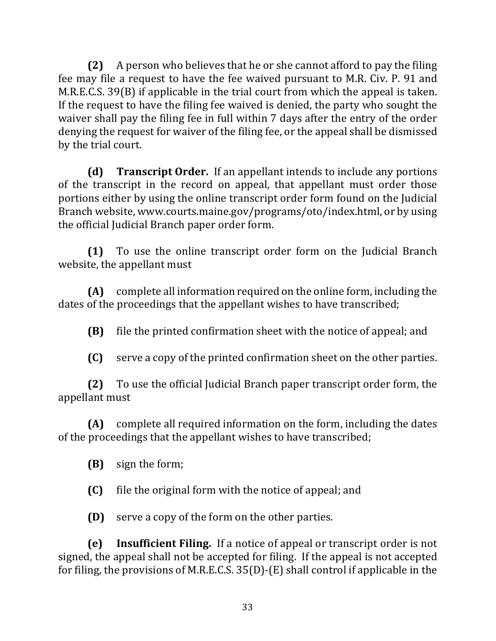**(2)** A person who believes that he or she cannot afford to pay the filing fee may file a request to have the fee waived pursuant to M.R. Civ. P. 91 and M.R.E.C.S.  $39(B)$  if applicable in the trial court from which the appeal is taken. If the request to have the filing fee waived is denied, the party who sought the waiver shall pay the filing fee in full within 7 days after the entry of the order denying the request for waiver of the filing fee, or the appeal shall be dismissed by the trial court.

**(d) Transcript Order.** If an appellant intends to include any portions of the transcript in the record on appeal, that appellant must order those portions either by using the online transcript order form found on the Judicial Branch website, www.courts.maine.gov/programs/oto/index.html, or by using the official Judicial Branch paper order form.

**(1)** To use the online transcript order form on the Judicial Branch website, the appellant must

**(A)** complete all information required on the online form, including the dates of the proceedings that the appellant wishes to have transcribed;

**(B)** file the printed confirmation sheet with the notice of appeal; and

**(C)** serve a copy of the printed confirmation sheet on the other parties.

**(2)** To use the official Judicial Branch paper transcript order form, the appellant must

**(A)** complete all required information on the form, including the dates of the proceedings that the appellant wishes to have transcribed;

**(B)** sign the form;

**(C)** file the original form with the notice of appeal; and

**(D)** serve a copy of the form on the other parties.

**(e) Insufficient Filing.** If a notice of appeal or transcript order is not signed, the appeal shall not be accepted for filing. If the appeal is not accepted for filing, the provisions of M.R.E.C.S.  $35(D)$ -(E) shall control if applicable in the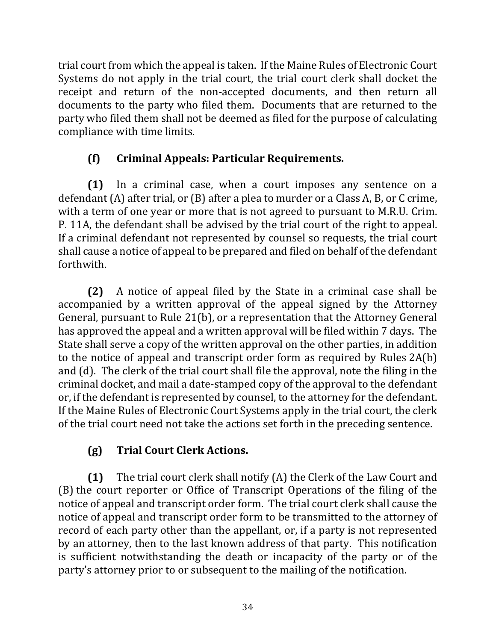trial court from which the appeal is taken. If the Maine Rules of Electronic Court Systems do not apply in the trial court, the trial court clerk shall docket the receipt and return of the non-accepted documents, and then return all documents to the party who filed them. Documents that are returned to the party who filed them shall not be deemed as filed for the purpose of calculating compliance with time limits.

# **(f) Criminal Appeals: Particular Requirements.**

**(1)** In a criminal case, when a court imposes any sentence on a defendant  $(A)$  after trial, or  $(B)$  after a plea to murder or a Class A, B, or C crime, with a term of one year or more that is not agreed to pursuant to M.R.U. Crim. P. 11A, the defendant shall be advised by the trial court of the right to appeal. If a criminal defendant not represented by counsel so requests, the trial court shall cause a notice of appeal to be prepared and filed on behalf of the defendant forthwith.

**(2)** A notice of appeal filed by the State in a criminal case shall be accompanied by a written approval of the appeal signed by the Attorney General, pursuant to Rule 21(b), or a representation that the Attorney General has approved the appeal and a written approval will be filed within 7 days. The State shall serve a copy of the written approval on the other parties, in addition to the notice of appeal and transcript order form as required by Rules  $2A(b)$ and  $(d)$ . The clerk of the trial court shall file the approval, note the filing in the criminal docket, and mail a date-stamped copy of the approval to the defendant or, if the defendant is represented by counsel, to the attorney for the defendant. If the Maine Rules of Electronic Court Systems apply in the trial court, the clerk of the trial court need not take the actions set forth in the preceding sentence.

# **(g) Trial Court Clerk Actions.**

**(1)** The trial court clerk shall notify (A) the Clerk of the Law Court and (B) the court reporter or Office of Transcript Operations of the filing of the notice of appeal and transcript order form. The trial court clerk shall cause the notice of appeal and transcript order form to be transmitted to the attorney of record of each party other than the appellant, or, if a party is not represented by an attorney, then to the last known address of that party. This notification is sufficient notwithstanding the death or incapacity of the party or of the party's attorney prior to or subsequent to the mailing of the notification.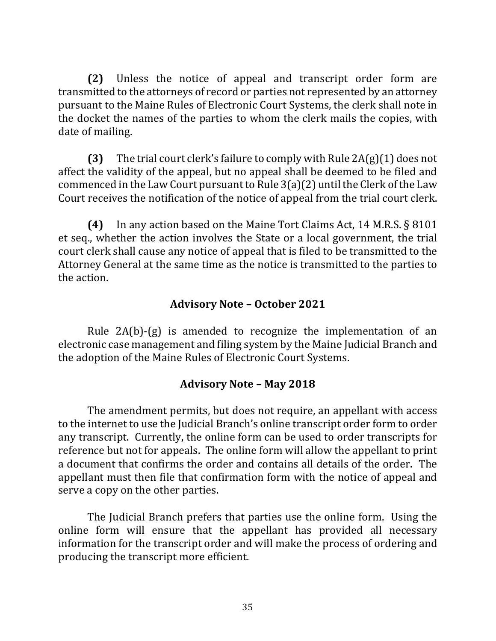**(2)** Unless the notice of appeal and transcript order form are transmitted to the attorneys of record or parties not represented by an attorney pursuant to the Maine Rules of Electronic Court Systems, the clerk shall note in the docket the names of the parties to whom the clerk mails the copies, with date of mailing.

**(3)** The trial court clerk's failure to comply with Rule  $2A(g)(1)$  does not affect the validity of the appeal, but no appeal shall be deemed to be filed and commenced in the Law Court pursuant to Rule  $3(a)(2)$  until the Clerk of the Law Court receives the notification of the notice of appeal from the trial court clerk.

**(4)** In any action based on the Maine Tort Claims Act, 14 M.R.S. § 8101 et seq., whether the action involves the State or a local government, the trial court clerk shall cause any notice of appeal that is filed to be transmitted to the Attorney General at the same time as the notice is transmitted to the parties to the action.

## **Advisory Note – October 2021**

Rule  $2A(b)$ -(g) is amended to recognize the implementation of an electronic case management and filing system by the Maine Judicial Branch and the adoption of the Maine Rules of Electronic Court Systems.

# **Advisory Note – May 2018**

The amendment permits, but does not require, an appellant with access to the internet to use the Judicial Branch's online transcript order form to order any transcript. Currently, the online form can be used to order transcripts for reference but not for appeals. The online form will allow the appellant to print a document that confirms the order and contains all details of the order. The appellant must then file that confirmation form with the notice of appeal and serve a copy on the other parties.

The Judicial Branch prefers that parties use the online form. Using the online form will ensure that the appellant has provided all necessary information for the transcript order and will make the process of ordering and producing the transcript more efficient.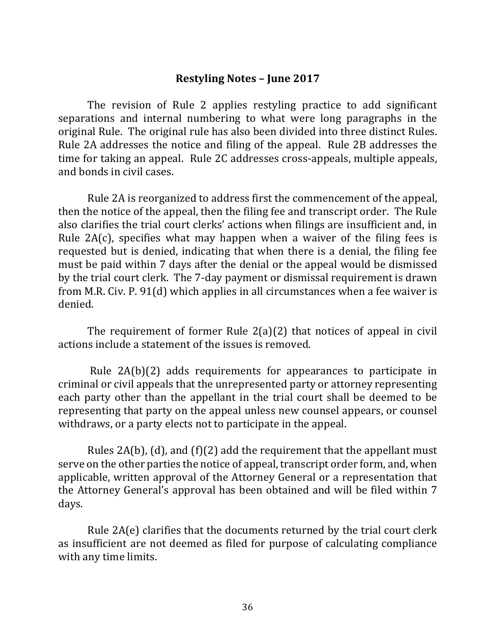### **Restyling Notes - June 2017**

The revision of Rule 2 applies restyling practice to add significant separations and internal numbering to what were long paragraphs in the original Rule. The original rule has also been divided into three distinct Rules. Rule 2A addresses the notice and filing of the appeal. Rule 2B addresses the time for taking an appeal. Rule 2C addresses cross-appeals, multiple appeals, and bonds in civil cases.

Rule 2A is reorganized to address first the commencement of the appeal, then the notice of the appeal, then the filing fee and transcript order. The Rule also clarifies the trial court clerks' actions when filings are insufficient and, in Rule  $2A(c)$ , specifies what may happen when a waiver of the filing fees is requested but is denied, indicating that when there is a denial, the filing fee must be paid within 7 days after the denial or the appeal would be dismissed by the trial court clerk. The 7-day payment or dismissal requirement is drawn from M.R. Civ. P. 91(d) which applies in all circumstances when a fee waiver is denied.

The requirement of former Rule  $2(a)(2)$  that notices of appeal in civil actions include a statement of the issues is removed.

Rule  $2A(b)(2)$  adds requirements for appearances to participate in criminal or civil appeals that the unrepresented party or attorney representing each party other than the appellant in the trial court shall be deemed to be representing that party on the appeal unless new counsel appears, or counsel withdraws, or a party elects not to participate in the appeal.

Rules  $2A(b)$ , (d), and (f)(2) add the requirement that the appellant must serve on the other parties the notice of appeal, transcript order form, and, when applicable, written approval of the Attorney General or a representation that the Attorney General's approval has been obtained and will be filed within 7 days. 

Rule  $2A(e)$  clarifies that the documents returned by the trial court clerk as insufficient are not deemed as filed for purpose of calculating compliance with any time limits.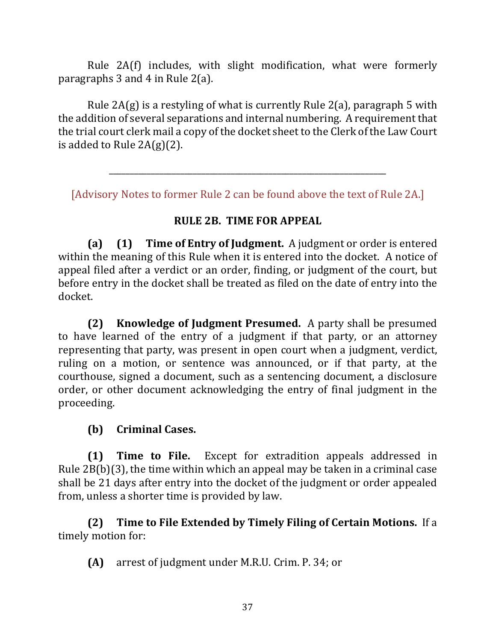Rule  $2A(f)$  includes, with slight modification, what were formerly paragraphs  $3$  and  $4$  in Rule  $2(a)$ .

Rule  $2A(g)$  is a restyling of what is currently Rule  $2(a)$ , paragraph 5 with the addition of several separations and internal numbering. A requirement that the trial court clerk mail a copy of the docket sheet to the Clerk of the Law Court is added to Rule  $2A(g)(2)$ .

[Advisory Notes to former Rule 2 can be found above the text of Rule 2A.]

\_\_\_\_\_\_\_\_\_\_\_\_\_\_\_\_\_\_\_\_\_\_\_\_\_\_\_\_\_\_\_\_\_\_\_\_\_\_\_\_\_\_\_\_\_\_\_\_\_\_\_\_\_\_\_\_\_\_\_\_\_\_\_\_\_\_

## **RULE 2B. TIME FOR APPEAL**

**(a) (1) Time of Entry of Judgment.** A judgment or order is entered within the meaning of this Rule when it is entered into the docket. A notice of appeal filed after a verdict or an order, finding, or judgment of the court, but before entry in the docket shall be treated as filed on the date of entry into the docket.

**(2) Knowledge of Judgment Presumed.** A party shall be presumed to have learned of the entry of a judgment if that party, or an attorney representing that party, was present in open court when a judgment, verdict, ruling on a motion, or sentence was announced, or if that party, at the courthouse, signed a document, such as a sentencing document, a disclosure order, or other document acknowledging the entry of final judgment in the proceeding.

## **(b) Criminal Cases.**

**(1) Time to File.** Except for extradition appeals addressed in Rule  $2B(b)(3)$ , the time within which an appeal may be taken in a criminal case shall be 21 days after entry into the docket of the judgment or order appealed from, unless a shorter time is provided by law.

**(2)** Time to File Extended by Timely Filing of Certain Motions. If a timely motion for:

**(A)** arrest of judgment under M.R.U. Crim. P. 34; or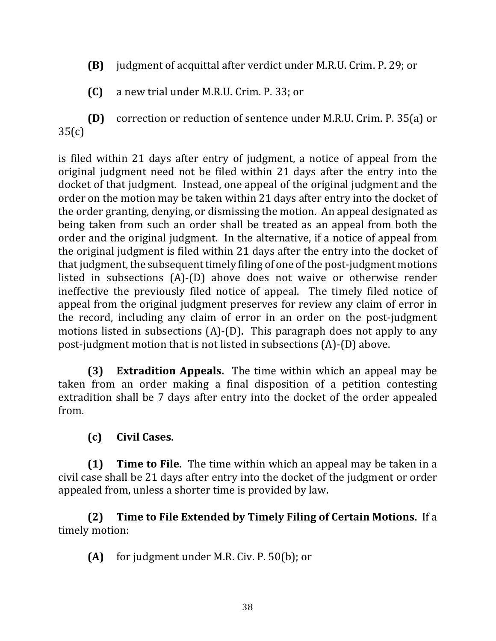- **(B)** judgment of acquittal after verdict under M.R.U. Crim. P. 29; or
- **(C)** a new trial under M.R.U. Crim. P. 33; or

**(D)** correction or reduction of sentence under M.R.U. Crim. P. 35(a) or 35(c)

is filed within 21 days after entry of judgment, a notice of appeal from the original judgment need not be filed within 21 days after the entry into the docket of that judgment. Instead, one appeal of the original judgment and the order on the motion may be taken within 21 days after entry into the docket of the order granting, denying, or dismissing the motion. An appeal designated as being taken from such an order shall be treated as an appeal from both the order and the original judgment. In the alternative, if a notice of appeal from the original judgment is filed within 21 days after the entry into the docket of that judgment, the subsequent timely filing of one of the post-judgment motions listed in subsections  $(A)$ - $(D)$  above does not waive or otherwise render ineffective the previously filed notice of appeal. The timely filed notice of appeal from the original judgment preserves for review any claim of error in the record, including any claim of error in an order on the post-judgment motions listed in subsections  $(A)$ - $(D)$ . This paragraph does not apply to any post-judgment motion that is not listed in subsections  $(A)$ - $(D)$  above.

**(3) Extradition Appeals.** The time within which an appeal may be taken from an order making a final disposition of a petition contesting extradition shall be 7 days after entry into the docket of the order appealed from.

**(c) Civil Cases.** 

**(1) Time to File.** The time within which an appeal may be taken in a civil case shall be 21 days after entry into the docket of the judgment or order appealed from, unless a shorter time is provided by law.

**(2)** Time to File Extended by Timely Filing of Certain Motions. If a timely motion:

**(A)** for judgment under M.R. Civ. P. 50(b); or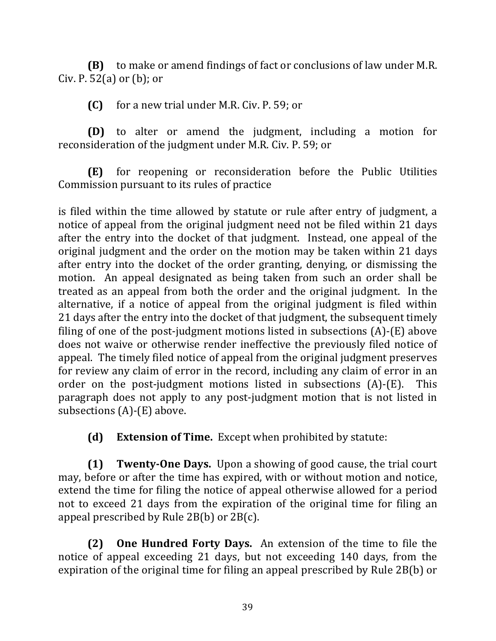**(B)** to make or amend findings of fact or conclusions of law under M.R. Civ. P.  $52(a)$  or  $(b)$ ; or

**(C)** for a new trial under M.R. Civ. P. 59; or

**(D)** to alter or amend the judgment, including a motion for reconsideration of the judgment under M.R. Civ. P. 59; or

**(E)** for reopening or reconsideration before the Public Utilities Commission pursuant to its rules of practice

is filed within the time allowed by statute or rule after entry of judgment, a notice of appeal from the original judgment need not be filed within 21 days after the entry into the docket of that judgment. Instead, one appeal of the original judgment and the order on the motion may be taken within 21 days after entry into the docket of the order granting, denying, or dismissing the motion. An appeal designated as being taken from such an order shall be treated as an appeal from both the order and the original judgment. In the alternative, if a notice of appeal from the original judgment is filed within 21 days after the entry into the docket of that judgment, the subsequent timely filing of one of the post-judgment motions listed in subsections  $(A)$ - $(E)$  above does not waive or otherwise render ineffective the previously filed notice of appeal. The timely filed notice of appeal from the original judgment preserves for review any claim of error in the record, including any claim of error in an order on the post-judgment motions listed in subsections  $(A)$ - $(E)$ . This paragraph does not apply to any post-judgment motion that is not listed in subsections  $(A)$ - $(E)$  above.

**(d) Extension of Time.** Except when prohibited by statute:

**(1) Twenty-One Days.** Upon a showing of good cause, the trial court may, before or after the time has expired, with or without motion and notice, extend the time for filing the notice of appeal otherwise allowed for a period not to exceed 21 days from the expiration of the original time for filing an appeal prescribed by Rule  $2B(b)$  or  $2B(c)$ .

**(2)** One Hundred Forty Days. An extension of the time to file the notice of appeal exceeding 21 days, but not exceeding 140 days, from the expiration of the original time for filing an appeal prescribed by Rule 2B(b) or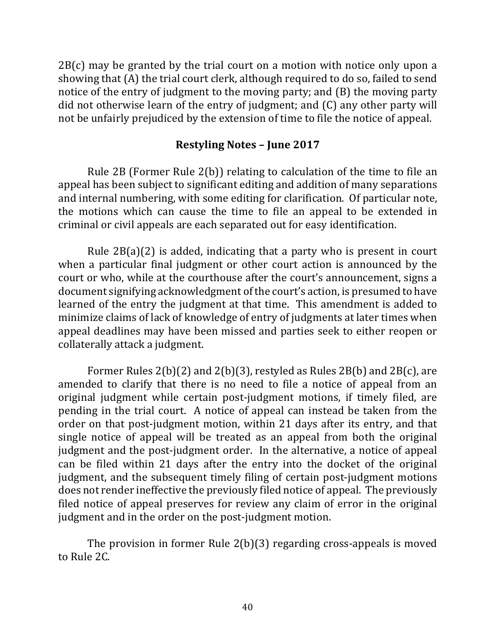$2B(c)$  may be granted by the trial court on a motion with notice only upon a showing that  $(A)$  the trial court clerk, although required to do so, failed to send notice of the entry of judgment to the moving party; and  $(B)$  the moving party did not otherwise learn of the entry of judgment; and  $(C)$  any other party will not be unfairly prejudiced by the extension of time to file the notice of appeal.

### **Restyling Notes – June 2017**

Rule 2B (Former Rule  $2(b)$ ) relating to calculation of the time to file an appeal has been subject to significant editing and addition of many separations and internal numbering, with some editing for clarification. Of particular note, the motions which can cause the time to file an appeal to be extended in criminal or civil appeals are each separated out for easy identification.

Rule  $2B(a)(2)$  is added, indicating that a party who is present in court when a particular final judgment or other court action is announced by the court or who, while at the courthouse after the court's announcement, signs a document signifying acknowledgment of the court's action, is presumed to have learned of the entry the judgment at that time. This amendment is added to minimize claims of lack of knowledge of entry of judgments at later times when appeal deadlines may have been missed and parties seek to either reopen or collaterally attack a judgment.

Former Rules  $2(b)(2)$  and  $2(b)(3)$ , restyled as Rules  $2B(b)$  and  $2B(c)$ , are amended to clarify that there is no need to file a notice of appeal from an original judgment while certain post-judgment motions, if timely filed, are pending in the trial court. A notice of appeal can instead be taken from the order on that post-judgment motion, within 21 days after its entry, and that single notice of appeal will be treated as an appeal from both the original judgment and the post-judgment order. In the alternative, a notice of appeal can be filed within 21 days after the entry into the docket of the original judgment, and the subsequent timely filing of certain post-judgment motions does not render ineffective the previously filed notice of appeal. The previously filed notice of appeal preserves for review any claim of error in the original judgment and in the order on the post-judgment motion.

The provision in former Rule  $2(b)(3)$  regarding cross-appeals is moved to Rule 2C.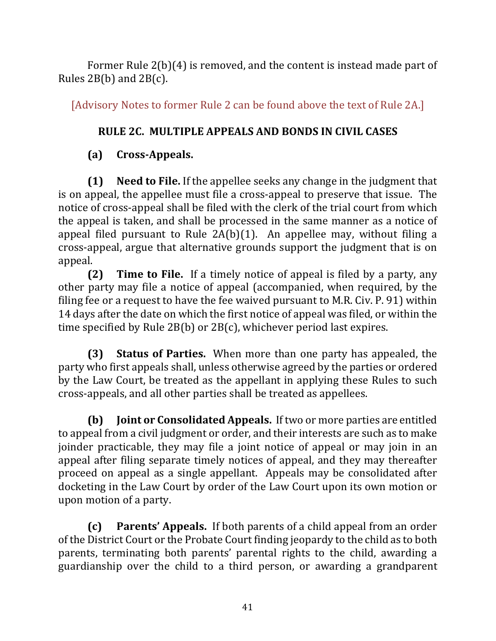Former Rule  $2(b)(4)$  is removed, and the content is instead made part of Rules  $2B(b)$  and  $2B(c)$ .

[Advisory Notes to former Rule 2 can be found above the text of Rule 2A.]

# **RULE 2C. MULTIPLE APPEALS AND BONDS IN CIVIL CASES**

# **(a) Cross-Appeals.**

**(1)** Need to File. If the appellee seeks any change in the judgment that is on appeal, the appellee must file a cross-appeal to preserve that issue. The notice of cross-appeal shall be filed with the clerk of the trial court from which the appeal is taken, and shall be processed in the same manner as a notice of appeal filed pursuant to Rule  $2A(b)(1)$ . An appellee may, without filing a cross-appeal, argue that alternative grounds support the judgment that is on appeal. 

**(2) Time to File.** If a timely notice of appeal is filed by a party, any other party may file a notice of appeal (accompanied, when required, by the filing fee or a request to have the fee waived pursuant to M.R. Civ.  $P. 91$ ) within 14 days after the date on which the first notice of appeal was filed, or within the time specified by Rule  $2B(b)$  or  $2B(c)$ , whichever period last expires.

**(3) Status of Parties.** When more than one party has appealed, the party who first appeals shall, unless otherwise agreed by the parties or ordered by the Law Court, be treated as the appellant in applying these Rules to such cross-appeals, and all other parties shall be treated as appellees.

**(b) Joint or Consolidated Appeals.** If two or more parties are entitled to appeal from a civil judgment or order, and their interests are such as to make joinder practicable, they may file a joint notice of appeal or may join in an appeal after filing separate timely notices of appeal, and they may thereafter proceed on appeal as a single appellant. Appeals may be consolidated after docketing in the Law Court by order of the Law Court upon its own motion or upon motion of a party.

**(c)** Parents' Appeals. If both parents of a child appeal from an order of the District Court or the Probate Court finding jeopardy to the child as to both parents, terminating both parents' parental rights to the child, awarding a guardianship over the child to a third person, or awarding a grandparent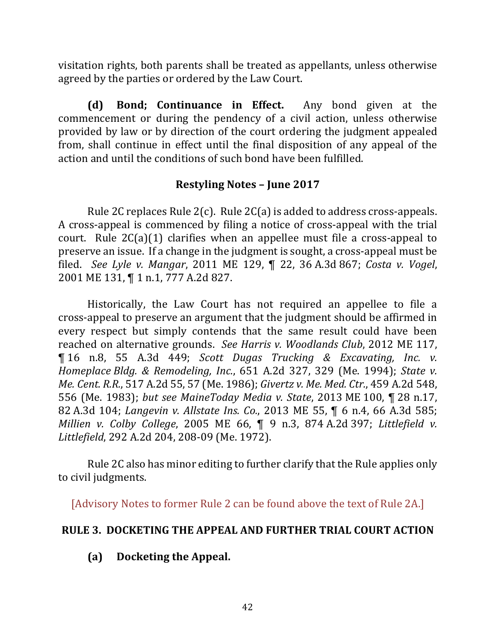visitation rights, both parents shall be treated as appellants, unless otherwise agreed by the parties or ordered by the Law Court.

**(d)** Bond; Continuance in Effect. Any bond given at the commencement or during the pendency of a civil action, unless otherwise provided by law or by direction of the court ordering the judgment appealed from, shall continue in effect until the final disposition of any appeal of the action and until the conditions of such bond have been fulfilled.

### **Restyling Notes – June 2017**

Rule 2C replaces Rule  $2(c)$ . Rule  $2C(a)$  is added to address cross-appeals. A cross-appeal is commenced by filing a notice of cross-appeal with the trial court. Rule  $2C(a)(1)$  clarifies when an appellee must file a cross-appeal to preserve an issue. If a change in the judgment is sought, a cross-appeal must be filed. *See Lyle v. Mangar*, 2011 ME 129, ¶ 22, 36 A.3d 867; *Costa v. Vogel*, 2001 ME 131, ¶ 1 n.1, 777 A.2d 827.

Historically, the Law Court has not required an appellee to file a cross-appeal to preserve an argument that the judgment should be affirmed in every respect but simply contends that the same result could have been reached on alternative grounds. See Harris v. Woodlands Club, 2012 ME 117, ¶ 16 n.8, 55 A.3d 449; *Scott Dugas Trucking & Excavating, Inc. v. Homeplace Bldg. & Remodeling, Inc.,* 651 A.2d 327, 329 (Me. 1994); *State v. Me. Cent. R.R.*, 517 A.2d 55, 57 (Me. 1986); *Givertz v. Me. Med. Ctr.*, 459 A.2d 548, 556 (Me. 1983); *but see MaineToday Media v. State*, 2013 ME 100, ¶ 28 n.17, 82 A.3d 104; *Langevin v. Allstate Ins. Co.*, 2013 ME 55, ¶ 6 n.4, 66 A.3d 585; *Millien v. Colby College*, 2005 ME 66,  $\parallel$  9 n.3, 874 A.2d 397; *Littlefield v. Littlefield*, 292 A.2d 204, 208-09 (Me. 1972).

Rule 2C also has minor editing to further clarify that the Rule applies only to civil judgments.

[Advisory Notes to former Rule 2 can be found above the text of Rule 2A.]

### **RULE 3. DOCKETING THE APPEAL AND FURTHER TRIAL COURT ACTION**

**(a)** Docketing the Appeal.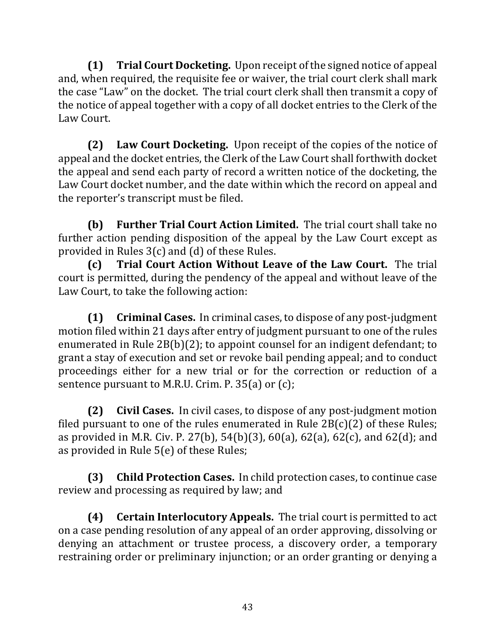**(1) Trial Court Docketing.** Upon receipt of the signed notice of appeal and, when required, the requisite fee or waiver, the trial court clerk shall mark the case "Law" on the docket. The trial court clerk shall then transmit a copy of the notice of appeal together with a copy of all docket entries to the Clerk of the Law Court. 

**(2)** Law Court Docketing. Upon receipt of the copies of the notice of appeal and the docket entries, the Clerk of the Law Court shall forthwith docket the appeal and send each party of record a written notice of the docketing, the Law Court docket number, and the date within which the record on appeal and the reporter's transcript must be filed.

**(b) Further Trial Court Action Limited.** The trial court shall take no further action pending disposition of the appeal by the Law Court except as provided in Rules  $3(c)$  and  $(d)$  of these Rules.

**(c) Trial Court Action Without Leave of the Law Court.** The trial court is permitted, during the pendency of the appeal and without leave of the Law Court, to take the following action:

**(1)** Criminal Cases. In criminal cases, to dispose of any post-judgment motion filed within 21 days after entry of judgment pursuant to one of the rules enumerated in Rule  $2B(b)(2)$ ; to appoint counsel for an indigent defendant; to grant a stay of execution and set or revoke bail pending appeal; and to conduct proceedings either for a new trial or for the correction or reduction of a sentence pursuant to M.R.U. Crim. P.  $35(a)$  or (c);

**(2)** Civil Cases. In civil cases, to dispose of any post-judgment motion filed pursuant to one of the rules enumerated in Rule  $2B(c)(2)$  of these Rules; as provided in M.R. Civ. P. 27(b), 54(b)(3), 60(a), 62(a), 62(c), and 62(d); and as provided in Rule  $5(e)$  of these Rules;

**(3) Child Protection Cases.** In child protection cases, to continue case review and processing as required by law; and

**(4)** Certain Interlocutory Appeals. The trial court is permitted to act on a case pending resolution of any appeal of an order approving, dissolving or denying an attachment or trustee process, a discovery order, a temporary restraining order or preliminary injunction; or an order granting or denying a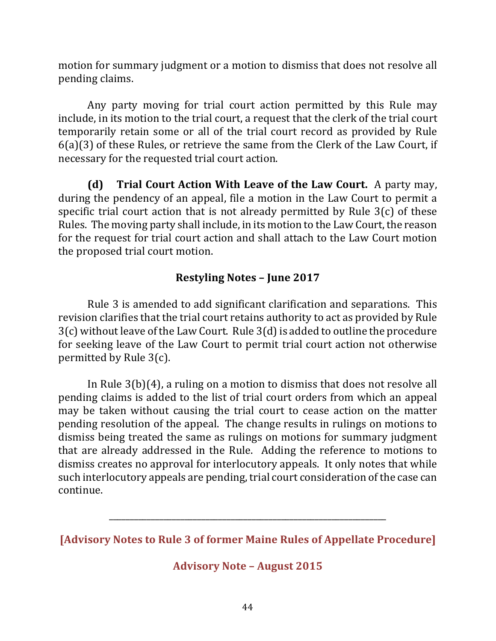motion for summary judgment or a motion to dismiss that does not resolve all pending claims.

Any party moving for trial court action permitted by this Rule may include, in its motion to the trial court, a request that the clerk of the trial court temporarily retain some or all of the trial court record as provided by Rule  $6(a)(3)$  of these Rules, or retrieve the same from the Clerk of the Law Court, if necessary for the requested trial court action.

**(d) Trial Court Action With Leave of the Law Court.** A party may, during the pendency of an appeal, file a motion in the Law Court to permit a specific trial court action that is not already permitted by Rule  $3(c)$  of these Rules. The moving party shall include, in its motion to the Law Court, the reason for the request for trial court action and shall attach to the Law Court motion the proposed trial court motion.

## **Restyling Notes – June 2017**

Rule 3 is amended to add significant clarification and separations. This revision clarifies that the trial court retains authority to act as provided by Rule  $3(c)$  without leave of the Law Court. Rule  $3(d)$  is added to outline the procedure for seeking leave of the Law Court to permit trial court action not otherwise permitted by Rule  $3(c)$ .

In Rule  $3(b)(4)$ , a ruling on a motion to dismiss that does not resolve all pending claims is added to the list of trial court orders from which an appeal may be taken without causing the trial court to cease action on the matter pending resolution of the appeal. The change results in rulings on motions to dismiss being treated the same as rulings on motions for summary judgment that are already addressed in the Rule. Adding the reference to motions to dismiss creates no approval for interlocutory appeals. It only notes that while such interlocutory appeals are pending, trial court consideration of the case can continue.

**[Advisory Notes to Rule 3 of former Maine Rules of Appellate Procedure]**

\_\_\_\_\_\_\_\_\_\_\_\_\_\_\_\_\_\_\_\_\_\_\_\_\_\_\_\_\_\_\_\_\_\_\_\_\_\_\_\_\_\_\_\_\_\_\_\_\_\_\_\_\_\_\_\_\_\_\_\_\_\_\_\_\_\_

**Advisory Note – August 2015**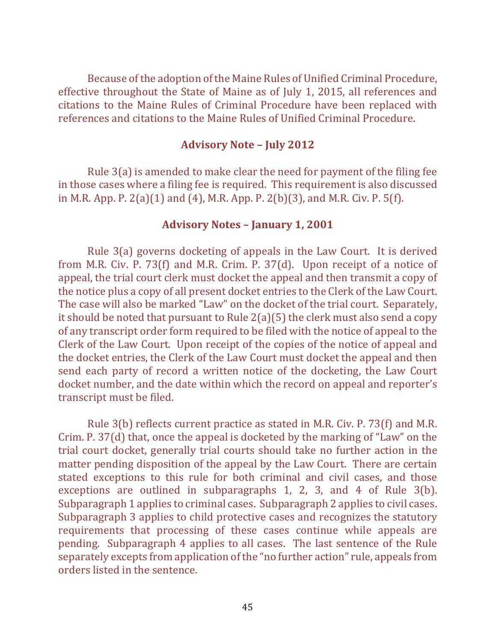Because of the adoption of the Maine Rules of Unified Criminal Procedure, effective throughout the State of Maine as of July 1, 2015, all references and citations to the Maine Rules of Criminal Procedure have been replaced with references and citations to the Maine Rules of Unified Criminal Procedure.

#### **Advisory Note – July 2012**

Rule  $3(a)$  is amended to make clear the need for payment of the filing fee in those cases where a filing fee is required. This requirement is also discussed in M.R. App. P.  $2(a)(1)$  and  $(4)$ , M.R. App. P.  $2(b)(3)$ , and M.R. Civ. P.  $5(f)$ .

#### **Advisory Notes – January 1, 2001**

Rule  $3(a)$  governs docketing of appeals in the Law Court. It is derived from M.R. Civ. P. 73(f) and M.R. Crim. P. 37(d). Upon receipt of a notice of appeal, the trial court clerk must docket the appeal and then transmit a copy of the notice plus a copy of all present docket entries to the Clerk of the Law Court. The case will also be marked "Law" on the docket of the trial court. Separately, it should be noted that pursuant to Rule  $2(a)(5)$  the clerk must also send a copy of any transcript order form required to be filed with the notice of appeal to the Clerk of the Law Court. Upon receipt of the copies of the notice of appeal and the docket entries, the Clerk of the Law Court must docket the appeal and then send each party of record a written notice of the docketing, the Law Court docket number, and the date within which the record on appeal and reporter's transcript must be filed.

Rule 3(b) reflects current practice as stated in M.R. Civ. P. 73(f) and M.R. Crim. P. 37(d) that, once the appeal is docketed by the marking of "Law" on the trial court docket, generally trial courts should take no further action in the matter pending disposition of the appeal by the Law Court. There are certain stated exceptions to this rule for both criminal and civil cases, and those exceptions are outlined in subparagraphs 1, 2, 3, and 4 of Rule  $3(b)$ . Subparagraph 1 applies to criminal cases. Subparagraph 2 applies to civil cases. Subparagraph 3 applies to child protective cases and recognizes the statutory requirements that processing of these cases continue while appeals are pending. Subparagraph 4 applies to all cases. The last sentence of the Rule separately excepts from application of the "no further action" rule, appeals from orders listed in the sentence.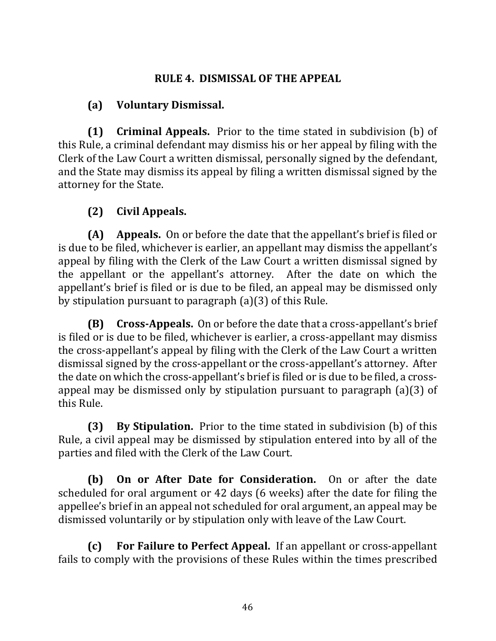## **RULE 4. DISMISSAL OF THE APPEAL**

## **(a) Voluntary Dismissal.**

**(1) Criminal Appeals.** Prior to the time stated in subdivision (b) of this Rule, a criminal defendant may dismiss his or her appeal by filing with the Clerk of the Law Court a written dismissal, personally signed by the defendant, and the State may dismiss its appeal by filing a written dismissal signed by the attorney for the State.

# **(2) Civil Appeals.**

**(A)** Appeals. On or before the date that the appellant's brief is filed or is due to be filed, whichever is earlier, an appellant may dismiss the appellant's appeal by filing with the Clerk of the Law Court a written dismissal signed by the appellant or the appellant's attorney. After the date on which the appellant's brief is filed or is due to be filed, an appeal may be dismissed only by stipulation pursuant to paragraph  $(a)(3)$  of this Rule.

**(B)** Cross-Appeals. On or before the date that a cross-appellant's brief is filed or is due to be filed, whichever is earlier, a cross-appellant may dismiss the cross-appellant's appeal by filing with the Clerk of the Law Court a written dismissal signed by the cross-appellant or the cross-appellant's attorney. After the date on which the cross-appellant's brief is filed or is due to be filed, a crossappeal may be dismissed only by stipulation pursuant to paragraph  $(a)(3)$  of this Rule.

**(3) By Stipulation.** Prior to the time stated in subdivision (b) of this Rule, a civil appeal may be dismissed by stipulation entered into by all of the parties and filed with the Clerk of the Law Court.

**(b)** On or After Date for Consideration. On or after the date scheduled for oral argument or 42 days (6 weeks) after the date for filing the appellee's brief in an appeal not scheduled for oral argument, an appeal may be dismissed voluntarily or by stipulation only with leave of the Law Court.

**(c)** For Failure to Perfect Appeal. If an appellant or cross-appellant fails to comply with the provisions of these Rules within the times prescribed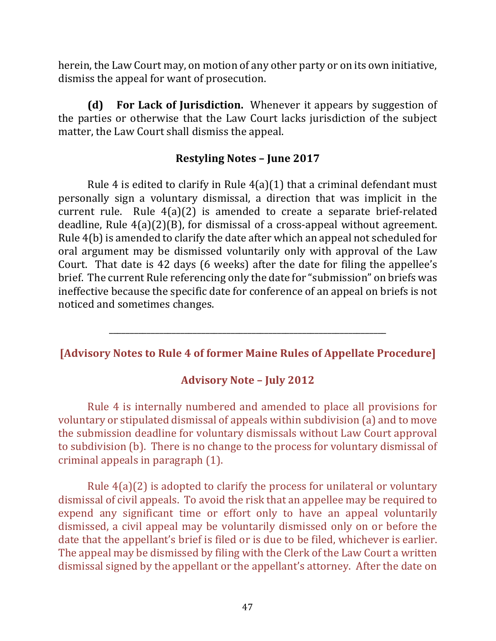herein, the Law Court may, on motion of any other party or on its own initiative, dismiss the appeal for want of prosecution.

**(d)** For Lack of Jurisdiction. Whenever it appears by suggestion of the parties or otherwise that the Law Court lacks jurisdiction of the subject matter, the Law Court shall dismiss the appeal.

### **Restyling Notes – June 2017**

Rule 4 is edited to clarify in Rule  $4(a)(1)$  that a criminal defendant must personally sign a voluntary dismissal, a direction that was implicit in the current rule. Rule  $4(a)(2)$  is amended to create a separate brief-related deadline, Rule  $4(a)(2)(B)$ , for dismissal of a cross-appeal without agreement. Rule  $4(b)$  is amended to clarify the date after which an appeal not scheduled for oral argument may be dismissed voluntarily only with approval of the Law Court. That date is 42 days (6 weeks) after the date for filing the appellee's brief. The current Rule referencing only the date for "submission" on briefs was ineffective because the specific date for conference of an appeal on briefs is not noticed and sometimes changes.

**[Advisory Notes to Rule 4 of former Maine Rules of Appellate Procedure]** 

\_\_\_\_\_\_\_\_\_\_\_\_\_\_\_\_\_\_\_\_\_\_\_\_\_\_\_\_\_\_\_\_\_\_\_\_\_\_\_\_\_\_\_\_\_\_\_\_\_\_\_\_\_\_\_\_\_\_\_\_\_\_\_\_\_\_

### **Advisory Note – July 2012**

Rule 4 is internally numbered and amended to place all provisions for voluntary or stipulated dismissal of appeals within subdivision (a) and to move the submission deadline for voluntary dismissals without Law Court approval to subdivision (b). There is no change to the process for voluntary dismissal of criminal appeals in paragraph  $(1)$ .

Rule  $4(a)(2)$  is adopted to clarify the process for unilateral or voluntary dismissal of civil appeals. To avoid the risk that an appellee may be required to expend any significant time or effort only to have an appeal voluntarily dismissed, a civil appeal may be voluntarily dismissed only on or before the date that the appellant's brief is filed or is due to be filed, whichever is earlier. The appeal may be dismissed by filing with the Clerk of the Law Court a written dismissal signed by the appellant or the appellant's attorney. After the date on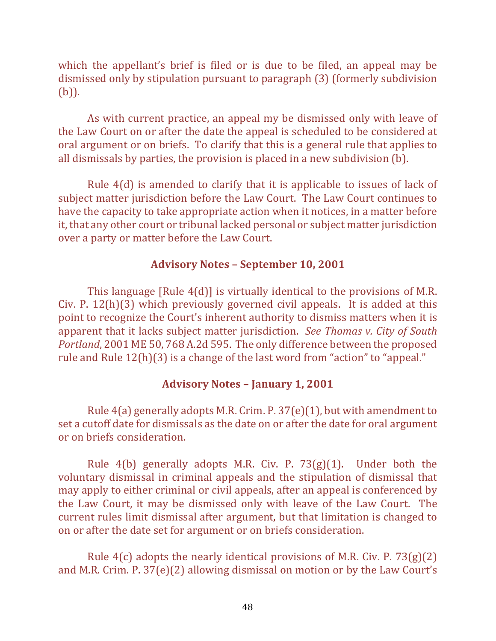which the appellant's brief is filed or is due to be filed, an appeal may be dismissed only by stipulation pursuant to paragraph (3) (formerly subdivision (b)). 

As with current practice, an appeal my be dismissed only with leave of the Law Court on or after the date the appeal is scheduled to be considered at oral argument or on briefs. To clarify that this is a general rule that applies to all dismissals by parties, the provision is placed in a new subdivision (b).

Rule  $4(d)$  is amended to clarify that it is applicable to issues of lack of subject matter jurisdiction before the Law Court. The Law Court continues to have the capacity to take appropriate action when it notices, in a matter before it, that any other court or tribunal lacked personal or subject matter jurisdiction over a party or matter before the Law Court.

### **Advisory Notes – September 10, 2001**

This language  $[Rule 4(d)]$  is virtually identical to the provisions of M.R. Civ. P.  $12(h)(3)$  which previously governed civil appeals. It is added at this point to recognize the Court's inherent authority to dismiss matters when it is apparent that it lacks subject matter jurisdiction. See Thomas v. City of South *Portland*, 2001 ME 50, 768 A.2d 595. The only difference between the proposed rule and Rule  $12(h)(3)$  is a change of the last word from "action" to "appeal."

#### **Advisory Notes – January 1, 2001**

Rule  $4(a)$  generally adopts M.R. Crim. P. 37(e)(1), but with amendment to set a cutoff date for dismissals as the date on or after the date for oral argument or on briefs consideration.

Rule  $4(b)$  generally adopts M.R. Civ. P. 73(g)(1). Under both the voluntary dismissal in criminal appeals and the stipulation of dismissal that may apply to either criminal or civil appeals, after an appeal is conferenced by the Law Court, it may be dismissed only with leave of the Law Court. The current rules limit dismissal after argument, but that limitation is changed to on or after the date set for argument or on briefs consideration.

Rule  $4(c)$  adopts the nearly identical provisions of M.R. Civ. P. 73(g)(2) and M.R. Crim. P.  $37(e)(2)$  allowing dismissal on motion or by the Law Court's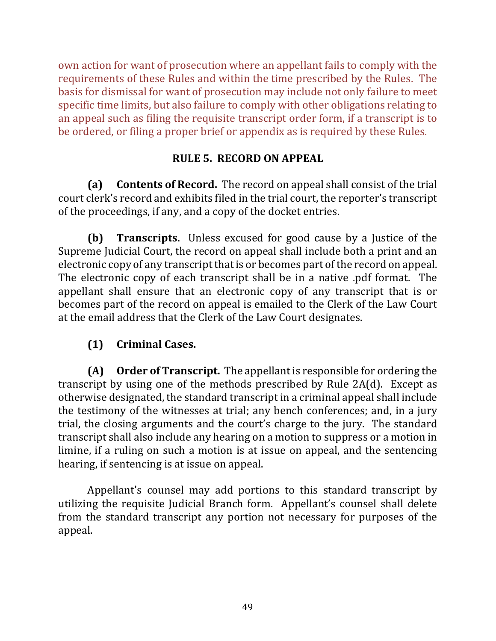own action for want of prosecution where an appellant fails to comply with the requirements of these Rules and within the time prescribed by the Rules. The basis for dismissal for want of prosecution may include not only failure to meet specific time limits, but also failure to comply with other obligations relating to an appeal such as filing the requisite transcript order form, if a transcript is to be ordered, or filing a proper brief or appendix as is required by these Rules.

## **RULE 5. RECORD ON APPEAL**

**(a)** Contents of Record. The record on appeal shall consist of the trial court clerk's record and exhibits filed in the trial court, the reporter's transcript of the proceedings, if any, and a copy of the docket entries.

**(b) Transcripts.** Unless excused for good cause by a Justice of the Supreme Judicial Court, the record on appeal shall include both a print and an electronic copy of any transcript that is or becomes part of the record on appeal. The electronic copy of each transcript shall be in a native .pdf format. The appellant shall ensure that an electronic copy of any transcript that is or becomes part of the record on appeal is emailed to the Clerk of the Law Court at the email address that the Clerk of the Law Court designates.

# **(1) Criminal Cases.**

**(A)** Order of Transcript. The appellant is responsible for ordering the transcript by using one of the methods prescribed by Rule  $2A(d)$ . Except as otherwise designated, the standard transcript in a criminal appeal shall include the testimony of the witnesses at trial; any bench conferences; and, in a jury trial, the closing arguments and the court's charge to the jury. The standard transcript shall also include any hearing on a motion to suppress or a motion in limine, if a ruling on such a motion is at issue on appeal, and the sentencing hearing, if sentencing is at issue on appeal.

Appellant's counsel may add portions to this standard transcript by utilizing the requisite Judicial Branch form. Appellant's counsel shall delete from the standard transcript any portion not necessary for purposes of the appeal.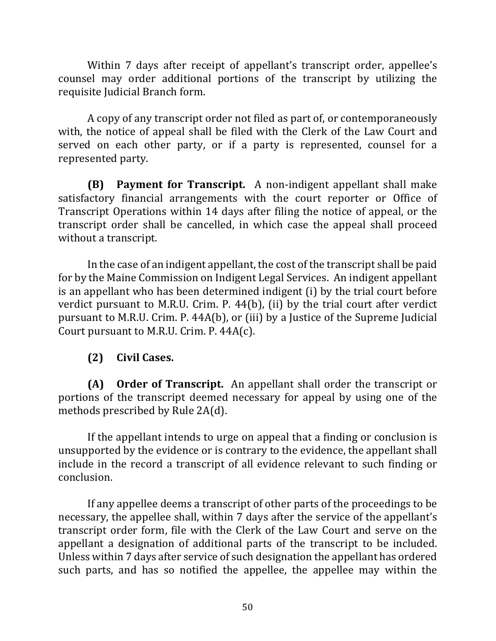Within 7 days after receipt of appellant's transcript order, appellee's counsel may order additional portions of the transcript by utilizing the requisite Judicial Branch form.

A copy of any transcript order not filed as part of, or contemporaneously with, the notice of appeal shall be filed with the Clerk of the Law Court and served on each other party, or if a party is represented, counsel for a represented party.

**(B)** Payment for Transcript. A non-indigent appellant shall make satisfactory financial arrangements with the court reporter or Office of Transcript Operations within 14 days after filing the notice of appeal, or the transcript order shall be cancelled, in which case the appeal shall proceed without a transcript.

In the case of an indigent appellant, the cost of the transcript shall be paid for by the Maine Commission on Indigent Legal Services. An indigent appellant is an appellant who has been determined indigent (i) by the trial court before verdict pursuant to M.R.U. Crim. P.  $44(b)$ , (ii) by the trial court after verdict pursuant to M.R.U. Crim. P. 44A(b), or (iii) by a Justice of the Supreme Judicial Court pursuant to M.R.U. Crim. P.  $44A(c)$ .

## **(2) Civil Cases.**

**(A)** Order of Transcript. An appellant shall order the transcript or portions of the transcript deemed necessary for appeal by using one of the methods prescribed by Rule 2A(d).

If the appellant intends to urge on appeal that a finding or conclusion is unsupported by the evidence or is contrary to the evidence, the appellant shall include in the record a transcript of all evidence relevant to such finding or conclusion.

If any appellee deems a transcript of other parts of the proceedings to be necessary, the appellee shall, within 7 days after the service of the appellant's transcript order form, file with the Clerk of the Law Court and serve on the appellant a designation of additional parts of the transcript to be included. Unless within 7 days after service of such designation the appellant has ordered such parts, and has so notified the appellee, the appellee may within the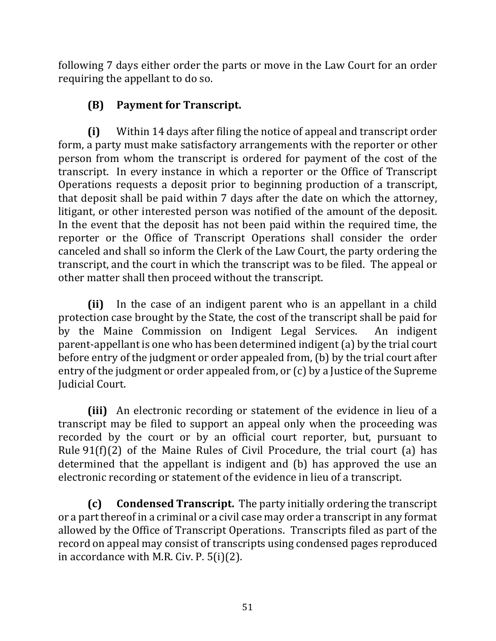following 7 days either order the parts or move in the Law Court for an order requiring the appellant to do so.

## **(B)** Payment for Transcript.

**(i)** Within 14 days after filing the notice of appeal and transcript order form, a party must make satisfactory arrangements with the reporter or other person from whom the transcript is ordered for payment of the cost of the transcript. In every instance in which a reporter or the Office of Transcript Operations requests a deposit prior to beginning production of a transcript, that deposit shall be paid within 7 days after the date on which the attorney, litigant, or other interested person was notified of the amount of the deposit. In the event that the deposit has not been paid within the required time, the reporter or the Office of Transcript Operations shall consider the order canceled and shall so inform the Clerk of the Law Court, the party ordering the transcript, and the court in which the transcript was to be filed. The appeal or other matter shall then proceed without the transcript.

**(ii)** In the case of an indigent parent who is an appellant in a child protection case brought by the State, the cost of the transcript shall be paid for by the Maine Commission on Indigent Legal Services. An indigent parent-appellant is one who has been determined indigent (a) by the trial court before entry of the judgment or order appealed from, (b) by the trial court after entry of the judgment or order appealed from, or  $(c)$  by a Justice of the Supreme **Judicial Court.** 

**(iii)** An electronic recording or statement of the evidence in lieu of a transcript may be filed to support an appeal only when the proceeding was recorded by the court or by an official court reporter, but, pursuant to Rule  $91(f)(2)$  of the Maine Rules of Civil Procedure, the trial court (a) has determined that the appellant is indigent and (b) has approved the use an electronic recording or statement of the evidence in lieu of a transcript.

**(c)** Condensed Transcript. The party initially ordering the transcript or a part thereof in a criminal or a civil case may order a transcript in any format allowed by the Office of Transcript Operations. Transcripts filed as part of the record on appeal may consist of transcripts using condensed pages reproduced in accordance with M.R. Civ. P.  $5(i)(2)$ .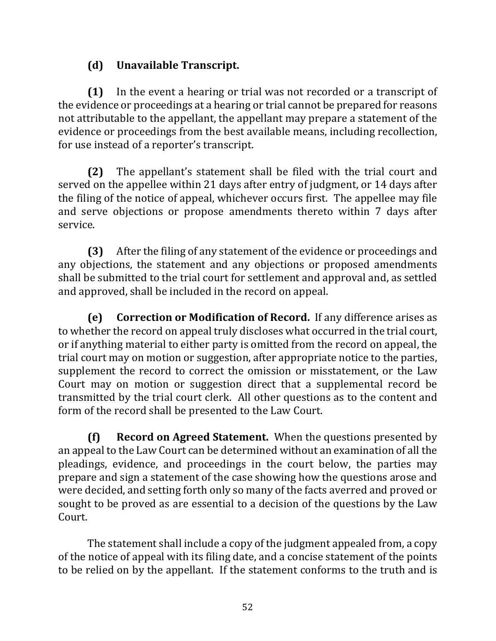## **(d) Unavailable Transcript.**

**(1)** In the event a hearing or trial was not recorded or a transcript of the evidence or proceedings at a hearing or trial cannot be prepared for reasons not attributable to the appellant, the appellant may prepare a statement of the evidence or proceedings from the best available means, including recollection, for use instead of a reporter's transcript.

**(2)** The appellant's statement shall be filed with the trial court and served on the appellee within 21 days after entry of judgment, or 14 days after the filing of the notice of appeal, whichever occurs first. The appellee may file and serve objections or propose amendments thereto within 7 days after service. 

**(3)** After the filing of any statement of the evidence or proceedings and any objections, the statement and any objections or proposed amendments shall be submitted to the trial court for settlement and approval and, as settled and approved, shall be included in the record on appeal.

**(e)** Correction or Modification of Record. If any difference arises as to whether the record on appeal truly discloses what occurred in the trial court, or if anything material to either party is omitted from the record on appeal, the trial court may on motion or suggestion, after appropriate notice to the parties, supplement the record to correct the omission or misstatement, or the Law Court may on motion or suggestion direct that a supplemental record be transmitted by the trial court clerk. All other questions as to the content and form of the record shall be presented to the Law Court.

**(f) Record on Agreed Statement.** When the questions presented by an appeal to the Law Court can be determined without an examination of all the pleadings, evidence, and proceedings in the court below, the parties may prepare and sign a statement of the case showing how the questions arose and were decided, and setting forth only so many of the facts averred and proved or sought to be proved as are essential to a decision of the questions by the Law Court.

The statement shall include a copy of the judgment appealed from, a copy of the notice of appeal with its filing date, and a concise statement of the points to be relied on by the appellant. If the statement conforms to the truth and is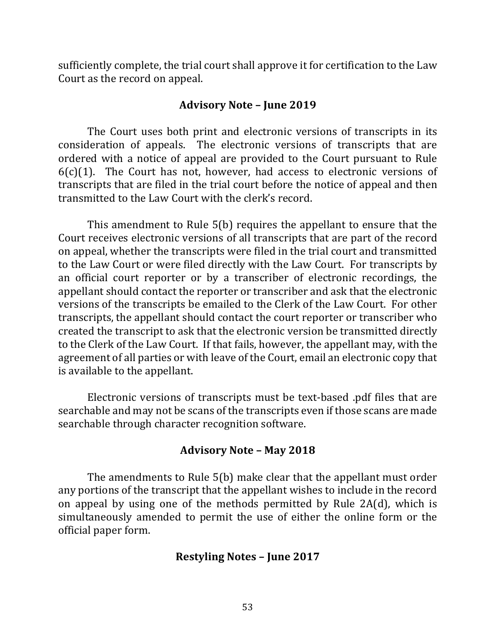sufficiently complete, the trial court shall approve it for certification to the Law Court as the record on appeal.

### **Advisory Note – June 2019**

The Court uses both print and electronic versions of transcripts in its consideration of appeals. The electronic versions of transcripts that are ordered with a notice of appeal are provided to the Court pursuant to Rule  $6(c)(1)$ . The Court has not, however, had access to electronic versions of transcripts that are filed in the trial court before the notice of appeal and then transmitted to the Law Court with the clerk's record.

This amendment to Rule  $5(b)$  requires the appellant to ensure that the Court receives electronic versions of all transcripts that are part of the record on appeal, whether the transcripts were filed in the trial court and transmitted to the Law Court or were filed directly with the Law Court. For transcripts by an official court reporter or by a transcriber of electronic recordings, the appellant should contact the reporter or transcriber and ask that the electronic versions of the transcripts be emailed to the Clerk of the Law Court. For other transcripts, the appellant should contact the court reporter or transcriber who created the transcript to ask that the electronic version be transmitted directly to the Clerk of the Law Court. If that fails, however, the appellant may, with the agreement of all parties or with leave of the Court, email an electronic copy that is available to the appellant.

Electronic versions of transcripts must be text-based .pdf files that are searchable and may not be scans of the transcripts even if those scans are made searchable through character recognition software.

### **Advisory Note – May 2018**

The amendments to Rule  $5(b)$  make clear that the appellant must order any portions of the transcript that the appellant wishes to include in the record on appeal by using one of the methods permitted by Rule  $2A(d)$ , which is simultaneously amended to permit the use of either the online form or the official paper form.

### **Restyling Notes - June 2017**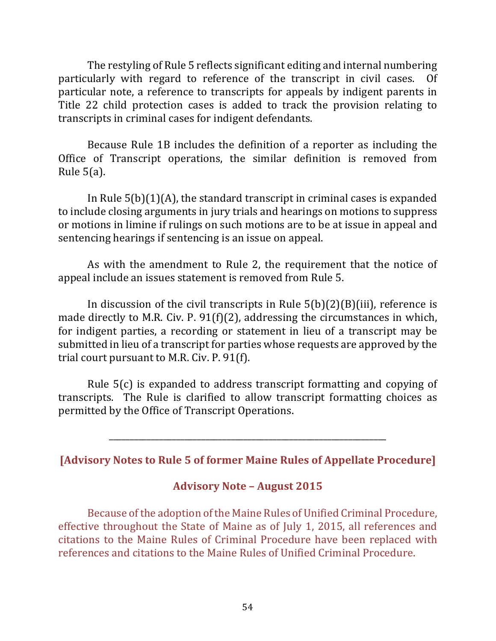The restyling of Rule 5 reflects significant editing and internal numbering particularly with regard to reference of the transcript in civil cases. Of particular note, a reference to transcripts for appeals by indigent parents in Title 22 child protection cases is added to track the provision relating to transcripts in criminal cases for indigent defendants.

Because Rule 1B includes the definition of a reporter as including the Office of Transcript operations, the similar definition is removed from Rule 5(a).

In Rule  $5(b)(1)(A)$ , the standard transcript in criminal cases is expanded to include closing arguments in jury trials and hearings on motions to suppress or motions in limine if rulings on such motions are to be at issue in appeal and sentencing hearings if sentencing is an issue on appeal.

As with the amendment to Rule 2, the requirement that the notice of appeal include an issues statement is removed from Rule 5.

In discussion of the civil transcripts in Rule  $5(b)(2)(B)(iii)$ , reference is made directly to M.R. Civ. P. 91(f)(2), addressing the circumstances in which, for indigent parties, a recording or statement in lieu of a transcript may be submitted in lieu of a transcript for parties whose requests are approved by the trial court pursuant to M.R. Civ. P.  $91(f)$ .

Rule  $5(c)$  is expanded to address transcript formatting and copying of transcripts. The Rule is clarified to allow transcript formatting choices as permitted by the Office of Transcript Operations.

**[Advisory Notes to Rule 5 of former Maine Rules of Appellate Procedure]** 

\_\_\_\_\_\_\_\_\_\_\_\_\_\_\_\_\_\_\_\_\_\_\_\_\_\_\_\_\_\_\_\_\_\_\_\_\_\_\_\_\_\_\_\_\_\_\_\_\_\_\_\_\_\_\_\_\_\_\_\_\_\_\_\_\_\_

### **Advisory Note – August 2015**

Because of the adoption of the Maine Rules of Unified Criminal Procedure, effective throughout the State of Maine as of July 1, 2015, all references and citations to the Maine Rules of Criminal Procedure have been replaced with references and citations to the Maine Rules of Unified Criminal Procedure.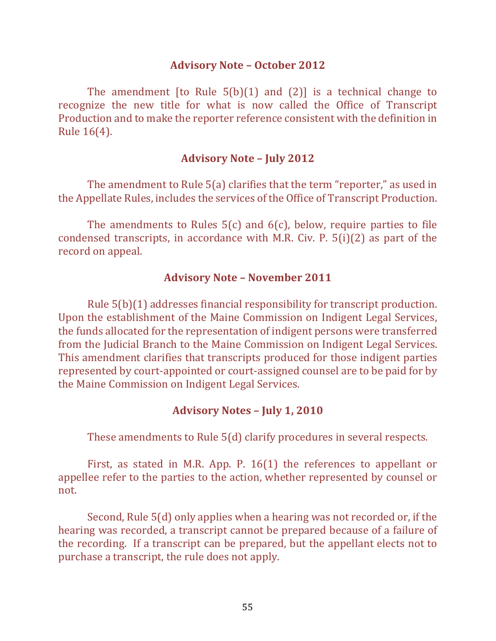#### **Advisory Note – October 2012**

The amendment [to Rule  $5(b)(1)$  and  $(2)$ ] is a technical change to recognize the new title for what is now called the Office of Transcript Production and to make the reporter reference consistent with the definition in Rule  $16(4)$ .

#### **Advisory Note – July 2012**

The amendment to Rule  $5(a)$  clarifies that the term "reporter," as used in the Appellate Rules, includes the services of the Office of Transcript Production.

The amendments to Rules  $5(c)$  and  $6(c)$ , below, require parties to file condensed transcripts, in accordance with M.R. Civ. P.  $5(i)(2)$  as part of the record on appeal.

#### **Advisory Note – November 2011**

Rule  $5(b)(1)$  addresses financial responsibility for transcript production. Upon the establishment of the Maine Commission on Indigent Legal Services, the funds allocated for the representation of indigent persons were transferred from the Judicial Branch to the Maine Commission on Indigent Legal Services. This amendment clarifies that transcripts produced for those indigent parties represented by court-appointed or court-assigned counsel are to be paid for by the Maine Commission on Indigent Legal Services.

#### Advisory Notes - July 1, 2010

These amendments to Rule 5(d) clarify procedures in several respects.

First, as stated in M.R. App. P.  $16(1)$  the references to appellant or appellee refer to the parties to the action, whether represented by counsel or not.

Second, Rule  $5(d)$  only applies when a hearing was not recorded or, if the hearing was recorded, a transcript cannot be prepared because of a failure of the recording. If a transcript can be prepared, but the appellant elects not to purchase a transcript, the rule does not apply.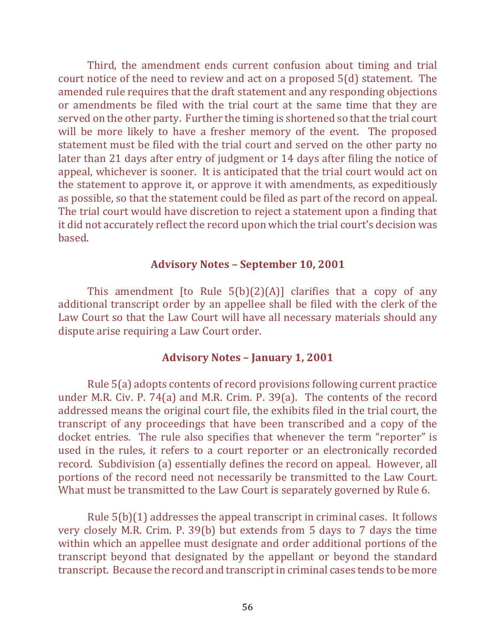Third, the amendment ends current confusion about timing and trial court notice of the need to review and act on a proposed  $5(d)$  statement. The amended rule requires that the draft statement and any responding objections or amendments be filed with the trial court at the same time that they are served on the other party. Further the timing is shortened so that the trial court will be more likely to have a fresher memory of the event. The proposed statement must be filed with the trial court and served on the other party no later than 21 days after entry of judgment or 14 days after filing the notice of appeal, whichever is sooner. It is anticipated that the trial court would act on the statement to approve it, or approve it with amendments, as expeditiously as possible, so that the statement could be filed as part of the record on appeal. The trial court would have discretion to reject a statement upon a finding that it did not accurately reflect the record upon which the trial court's decision was based. 

#### **Advisory Notes – September 10, 2001**

This amendment [to Rule  $5(b)(2)(A)$ ] clarifies that a copy of any additional transcript order by an appellee shall be filed with the clerk of the Law Court so that the Law Court will have all necessary materials should any dispute arise requiring a Law Court order.

#### **Advisory Notes – January 1, 2001**

Rule  $5(a)$  adopts contents of record provisions following current practice under M.R. Civ. P. 74(a) and M.R. Crim. P. 39(a). The contents of the record addressed means the original court file, the exhibits filed in the trial court, the transcript of any proceedings that have been transcribed and a copy of the docket entries. The rule also specifies that whenever the term "reporter" is used in the rules, it refers to a court reporter or an electronically recorded record. Subdivision (a) essentially defines the record on appeal. However, all portions of the record need not necessarily be transmitted to the Law Court. What must be transmitted to the Law Court is separately governed by Rule 6.

Rule  $5(b)(1)$  addresses the appeal transcript in criminal cases. It follows very closely M.R. Crim. P. 39(b) but extends from  $5$  days to  $7$  days the time within which an appellee must designate and order additional portions of the transcript beyond that designated by the appellant or beyond the standard transcript. Because the record and transcript in criminal cases tends to be more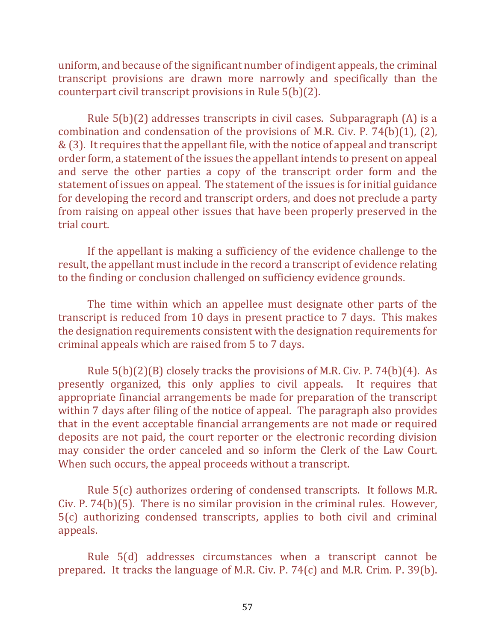uniform, and because of the significant number of indigent appeals, the criminal transcript provisions are drawn more narrowly and specifically than the counterpart civil transcript provisions in Rule  $5(b)(2)$ .

Rule  $5(b)(2)$  addresses transcripts in civil cases. Subparagraph  $(A)$  is a combination and condensation of the provisions of M.R. Civ. P. 74(b)(1), (2),  $&$  (3). It requires that the appellant file, with the notice of appeal and transcript order form, a statement of the issues the appellant intends to present on appeal and serve the other parties a copy of the transcript order form and the statement of issues on appeal. The statement of the issues is for initial guidance for developing the record and transcript orders, and does not preclude a party from raising on appeal other issues that have been properly preserved in the trial court.

If the appellant is making a sufficiency of the evidence challenge to the result, the appellant must include in the record a transcript of evidence relating to the finding or conclusion challenged on sufficiency evidence grounds.

The time within which an appellee must designate other parts of the transcript is reduced from 10 days in present practice to 7 days. This makes the designation requirements consistent with the designation requirements for criminal appeals which are raised from 5 to 7 days.

Rule  $5(b)(2)(B)$  closely tracks the provisions of M.R. Civ. P. 74(b)(4). As presently organized, this only applies to civil appeals. It requires that appropriate financial arrangements be made for preparation of the transcript within 7 days after filing of the notice of appeal. The paragraph also provides that in the event acceptable financial arrangements are not made or required deposits are not paid, the court reporter or the electronic recording division may consider the order canceled and so inform the Clerk of the Law Court. When such occurs, the appeal proceeds without a transcript.

Rule  $5(c)$  authorizes ordering of condensed transcripts. It follows M.R. Civ. P.  $74(b)(5)$ . There is no similar provision in the criminal rules. However,  $5(c)$  authorizing condensed transcripts, applies to both civil and criminal appeals. 

Rule  $5(d)$  addresses circumstances when a transcript cannot be prepared. It tracks the language of M.R. Civ. P.  $74(c)$  and M.R. Crim. P. 39(b).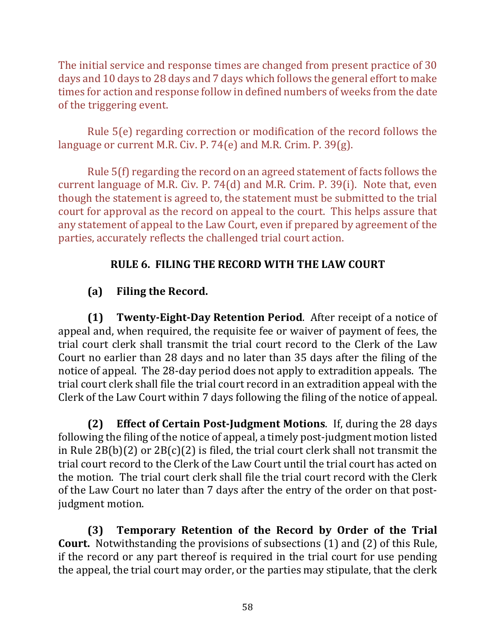The initial service and response times are changed from present practice of 30 days and 10 days to 28 days and 7 days which follows the general effort to make times for action and response follow in defined numbers of weeks from the date of the triggering event.

Rule  $5(e)$  regarding correction or modification of the record follows the language or current M.R. Civ. P.  $74(e)$  and M.R. Crim. P.  $39(g)$ .

Rule  $5(f)$  regarding the record on an agreed statement of facts follows the current language of M.R. Civ. P. 74(d) and M.R. Crim. P. 39(i). Note that, even though the statement is agreed to, the statement must be submitted to the trial court for approval as the record on appeal to the court. This helps assure that any statement of appeal to the Law Court, even if prepared by agreement of the parties, accurately reflects the challenged trial court action.

## **RULE 6. FILING THE RECORD WITH THE LAW COURT**

# **(a)** Filing the Record.

**(1) Twenty-Eight-Day Retention Period**. After receipt of a notice of appeal and, when required, the requisite fee or waiver of payment of fees, the trial court clerk shall transmit the trial court record to the Clerk of the Law Court no earlier than 28 days and no later than 35 days after the filing of the notice of appeal. The 28-day period does not apply to extradition appeals. The trial court clerk shall file the trial court record in an extradition appeal with the Clerk of the Law Court within 7 days following the filing of the notice of appeal.

**(2) Effect of Certain Post-Judgment Motions**. If, during the 28 days following the filing of the notice of appeal, a timely post-judgment motion listed in Rule  $2B(b)(2)$  or  $2B(c)(2)$  is filed, the trial court clerk shall not transmit the trial court record to the Clerk of the Law Court until the trial court has acted on the motion. The trial court clerk shall file the trial court record with the Clerk of the Law Court no later than 7 days after the entry of the order on that postjudgment motion.

**(3) Temporary Retention of the Record by Order of the Trial Court.** Notwithstanding the provisions of subsections (1) and (2) of this Rule, if the record or any part thereof is required in the trial court for use pending the appeal, the trial court may order, or the parties may stipulate, that the clerk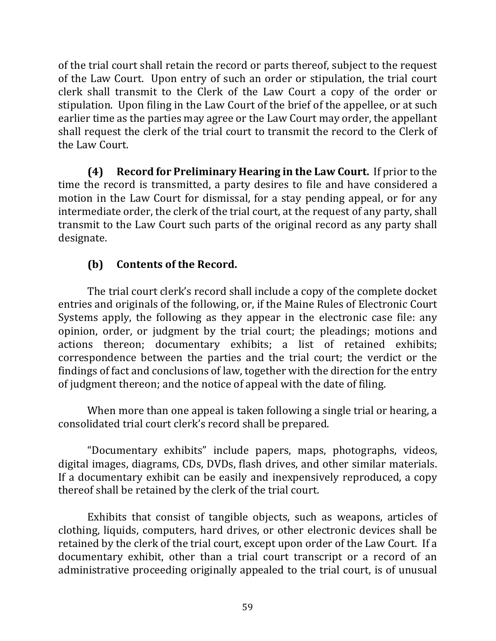of the trial court shall retain the record or parts thereof, subject to the request of the Law Court. Upon entry of such an order or stipulation, the trial court clerk shall transmit to the Clerk of the Law Court a copy of the order or stipulation. Upon filing in the Law Court of the brief of the appellee, or at such earlier time as the parties may agree or the Law Court may order, the appellant shall request the clerk of the trial court to transmit the record to the Clerk of the Law Court.

**(4)** Record for Preliminary Hearing in the Law Court. If prior to the time the record is transmitted, a party desires to file and have considered a motion in the Law Court for dismissal, for a stay pending appeal, or for any intermediate order, the clerk of the trial court, at the request of any party, shall transmit to the Law Court such parts of the original record as any party shall designate. 

## **(b)** Contents of the Record.

The trial court clerk's record shall include a copy of the complete docket entries and originals of the following, or, if the Maine Rules of Electronic Court Systems apply, the following as they appear in the electronic case file: any opinion, order, or judgment by the trial court; the pleadings; motions and actions thereon; documentary exhibits; a list of retained exhibits; correspondence between the parties and the trial court; the verdict or the findings of fact and conclusions of law, together with the direction for the entry of judgment thereon; and the notice of appeal with the date of filing.

When more than one appeal is taken following a single trial or hearing, a consolidated trial court clerk's record shall be prepared.

"Documentary exhibits" include papers, maps, photographs, videos, digital images, diagrams, CDs, DVDs, flash drives, and other similar materials. If a documentary exhibit can be easily and inexpensively reproduced, a copy thereof shall be retained by the clerk of the trial court.

Exhibits that consist of tangible objects, such as weapons, articles of clothing, liquids, computers, hard drives, or other electronic devices shall be retained by the clerk of the trial court, except upon order of the Law Court. If a documentary exhibit, other than a trial court transcript or a record of an administrative proceeding originally appealed to the trial court, is of unusual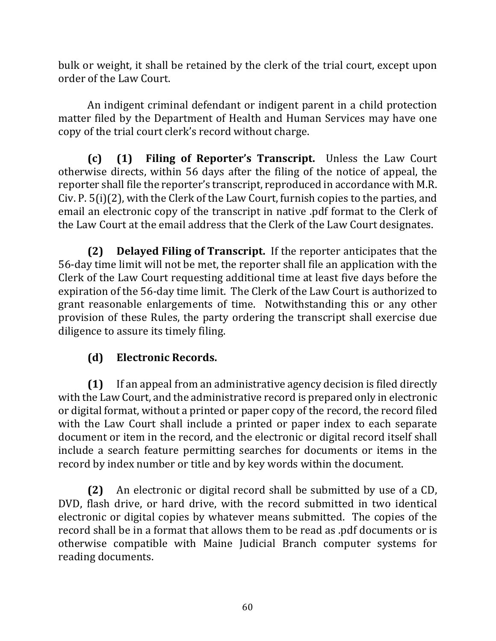bulk or weight, it shall be retained by the clerk of the trial court, except upon order of the Law Court.

An indigent criminal defendant or indigent parent in a child protection matter filed by the Department of Health and Human Services may have one copy of the trial court clerk's record without charge.

**(c)** (1) Filing of Reporter's Transcript. Unless the Law Court otherwise directs, within 56 days after the filing of the notice of appeal, the reporter shall file the reporter's transcript, reproduced in accordance with M.R. Civ. P.  $5(i)(2)$ , with the Clerk of the Law Court, furnish copies to the parties, and email an electronic copy of the transcript in native .pdf format to the Clerk of the Law Court at the email address that the Clerk of the Law Court designates.

**(2) Delayed Filing of Transcript.** If the reporter anticipates that the 56-day time limit will not be met, the reporter shall file an application with the Clerk of the Law Court requesting additional time at least five days before the expiration of the 56-day time limit. The Clerk of the Law Court is authorized to grant reasonable enlargements of time. Notwithstanding this or any other provision of these Rules, the party ordering the transcript shall exercise due diligence to assure its timely filing.

# **(d) Electronic Records.**

**(1)** If an appeal from an administrative agency decision is filed directly with the Law Court, and the administrative record is prepared only in electronic or digital format, without a printed or paper copy of the record, the record filed with the Law Court shall include a printed or paper index to each separate document or item in the record, and the electronic or digital record itself shall include a search feature permitting searches for documents or items in the record by index number or title and by key words within the document.

**(2)** An electronic or digital record shall be submitted by use of a CD, DVD, flash drive, or hard drive, with the record submitted in two identical electronic or digital copies by whatever means submitted. The copies of the record shall be in a format that allows them to be read as .pdf documents or is otherwise compatible with Maine Judicial Branch computer systems for reading documents.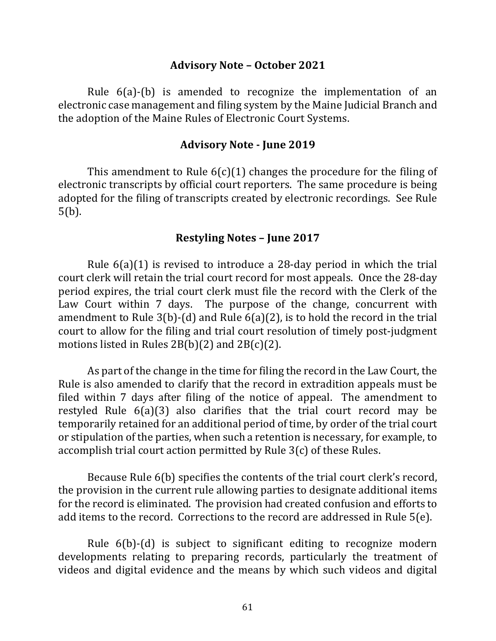#### **Advisory Note – October 2021**

Rule  $6(a)$ -(b) is amended to recognize the implementation of an electronic case management and filing system by the Maine Judicial Branch and the adoption of the Maine Rules of Electronic Court Systems.

#### **Advisory Note - June 2019**

This amendment to Rule  $6(c)(1)$  changes the procedure for the filing of electronic transcripts by official court reporters. The same procedure is being adopted for the filing of transcripts created by electronic recordings. See Rule 5(b).

#### **Restyling Notes – June 2017**

Rule  $6(a)(1)$  is revised to introduce a 28-day period in which the trial court clerk will retain the trial court record for most appeals. Once the 28-day period expires, the trial court clerk must file the record with the Clerk of the Law Court within 7 days. The purpose of the change, concurrent with amendment to Rule  $3(b)$ -(d) and Rule  $6(a)(2)$ , is to hold the record in the trial court to allow for the filing and trial court resolution of timely post-judgment motions listed in Rules  $2B(b)(2)$  and  $2B(c)(2)$ .

As part of the change in the time for filing the record in the Law Court, the Rule is also amended to clarify that the record in extradition appeals must be filed within 7 days after filing of the notice of appeal. The amendment to restyled Rule  $6(a)(3)$  also clarifies that the trial court record may be temporarily retained for an additional period of time, by order of the trial court or stipulation of the parties, when such a retention is necessary, for example, to accomplish trial court action permitted by Rule  $3(c)$  of these Rules.

Because Rule  $6(b)$  specifies the contents of the trial court clerk's record, the provision in the current rule allowing parties to designate additional items for the record is eliminated. The provision had created confusion and efforts to add items to the record. Corrections to the record are addressed in Rule  $5(e)$ .

Rule  $6(b)$ -(d) is subject to significant editing to recognize modern developments relating to preparing records, particularly the treatment of videos and digital evidence and the means by which such videos and digital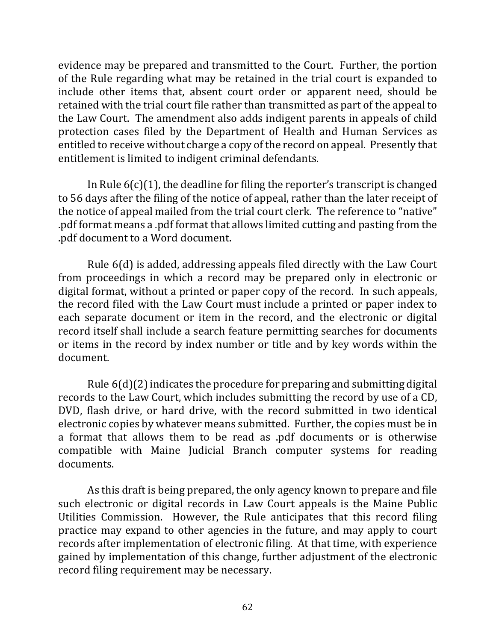evidence may be prepared and transmitted to the Court. Further, the portion of the Rule regarding what may be retained in the trial court is expanded to include other items that, absent court order or apparent need, should be retained with the trial court file rather than transmitted as part of the appeal to the Law Court. The amendment also adds indigent parents in appeals of child protection cases filed by the Department of Health and Human Services as entitled to receive without charge a copy of the record on appeal. Presently that entitlement is limited to indigent criminal defendants.

In Rule  $6(c)(1)$ , the deadline for filing the reporter's transcript is changed to 56 days after the filing of the notice of appeal, rather than the later receipt of the notice of appeal mailed from the trial court clerk. The reference to "native" .pdf format means a .pdf format that allows limited cutting and pasting from the .pdf document to a Word document.

Rule  $6(d)$  is added, addressing appeals filed directly with the Law Court from proceedings in which a record may be prepared only in electronic or digital format, without a printed or paper copy of the record. In such appeals, the record filed with the Law Court must include a printed or paper index to each separate document or item in the record, and the electronic or digital record itself shall include a search feature permitting searches for documents or items in the record by index number or title and by key words within the document. 

Rule  $6(d)(2)$  indicates the procedure for preparing and submitting digital records to the Law Court, which includes submitting the record by use of a CD, DVD, flash drive, or hard drive, with the record submitted in two identical electronic copies by whatever means submitted. Further, the copies must be in a format that allows them to be read as .pdf documents or is otherwise compatible with Maine Judicial Branch computer systems for reading documents.

As this draft is being prepared, the only agency known to prepare and file such electronic or digital records in Law Court appeals is the Maine Public Utilities Commission. However, the Rule anticipates that this record filing practice may expand to other agencies in the future, and may apply to court records after implementation of electronic filing. At that time, with experience gained by implementation of this change, further adjustment of the electronic record filing requirement may be necessary.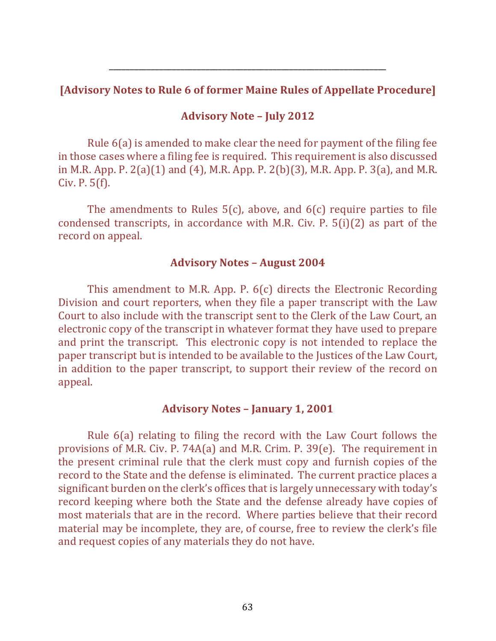### **[Advisory Notes to Rule 6 of former Maine Rules of Appellate Procedure]**

\_\_\_\_\_\_\_\_\_\_\_\_\_\_\_\_\_\_\_\_\_\_\_\_\_\_\_\_\_\_\_\_\_\_\_\_\_\_\_\_\_\_\_\_\_\_\_\_\_\_\_\_\_\_\_\_\_\_\_\_\_\_\_\_\_\_

#### **Advisory Note – July 2012**

Rule  $6(a)$  is amended to make clear the need for payment of the filing fee in those cases where a filing fee is required. This requirement is also discussed in M.R. App. P.  $2(a)(1)$  and  $(4)$ , M.R. App. P.  $2(b)(3)$ , M.R. App. P.  $3(a)$ , and M.R. Civ. P.  $5(f)$ .

The amendments to Rules  $5(c)$ , above, and  $6(c)$  require parties to file condensed transcripts, in accordance with M.R. Civ. P.  $5(i)(2)$  as part of the record on appeal.

#### **Advisory Notes – August 2004**

This amendment to M.R. App. P.  $6(c)$  directs the Electronic Recording Division and court reporters, when they file a paper transcript with the Law Court to also include with the transcript sent to the Clerk of the Law Court, an electronic copy of the transcript in whatever format they have used to prepare and print the transcript. This electronic copy is not intended to replace the paper transcript but is intended to be available to the Justices of the Law Court, in addition to the paper transcript, to support their review of the record on appeal.

#### **Advisory Notes – January 1, 2001**

Rule  $6(a)$  relating to filing the record with the Law Court follows the provisions of M.R. Civ. P. 74A(a) and M.R. Crim. P. 39(e). The requirement in the present criminal rule that the clerk must copy and furnish copies of the record to the State and the defense is eliminated. The current practice places a significant burden on the clerk's offices that is largely unnecessary with today's record keeping where both the State and the defense already have copies of most materials that are in the record. Where parties believe that their record material may be incomplete, they are, of course, free to review the clerk's file and request copies of any materials they do not have.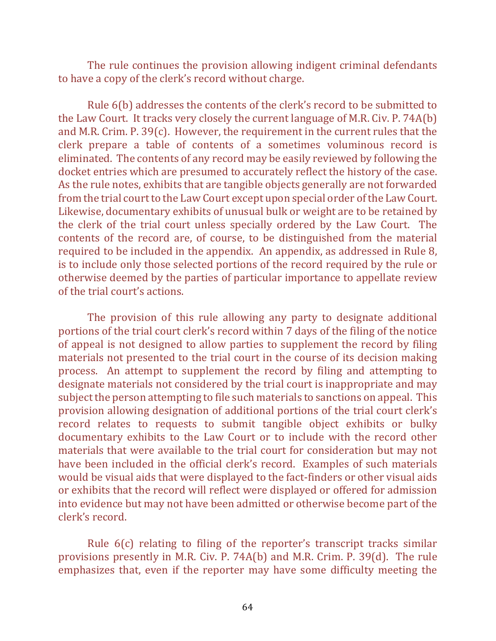The rule continues the provision allowing indigent criminal defendants to have a copy of the clerk's record without charge.

Rule  $6(b)$  addresses the contents of the clerk's record to be submitted to the Law Court. It tracks very closely the current language of M.R. Civ. P. 74A(b) and M.R. Crim. P. 39(c). However, the requirement in the current rules that the clerk prepare a table of contents of a sometimes voluminous record is eliminated. The contents of any record may be easily reviewed by following the docket entries which are presumed to accurately reflect the history of the case. As the rule notes, exhibits that are tangible objects generally are not forwarded from the trial court to the Law Court except upon special order of the Law Court. Likewise, documentary exhibits of unusual bulk or weight are to be retained by the clerk of the trial court unless specially ordered by the Law Court. The contents of the record are, of course, to be distinguished from the material required to be included in the appendix. An appendix, as addressed in Rule 8, is to include only those selected portions of the record required by the rule or otherwise deemed by the parties of particular importance to appellate review of the trial court's actions.

The provision of this rule allowing any party to designate additional portions of the trial court clerk's record within 7 days of the filing of the notice of appeal is not designed to allow parties to supplement the record by filing materials not presented to the trial court in the course of its decision making process. An attempt to supplement the record by filing and attempting to designate materials not considered by the trial court is inappropriate and may subject the person attempting to file such materials to sanctions on appeal. This provision allowing designation of additional portions of the trial court clerk's record relates to requests to submit tangible object exhibits or bulky documentary exhibits to the Law Court or to include with the record other materials that were available to the trial court for consideration but may not have been included in the official clerk's record. Examples of such materials would be visual aids that were displayed to the fact-finders or other visual aids or exhibits that the record will reflect were displayed or offered for admission into evidence but may not have been admitted or otherwise become part of the clerk's record.

Rule  $6(c)$  relating to filing of the reporter's transcript tracks similar provisions presently in M.R. Civ. P. 74A(b) and M.R. Crim. P. 39(d). The rule emphasizes that, even if the reporter may have some difficulty meeting the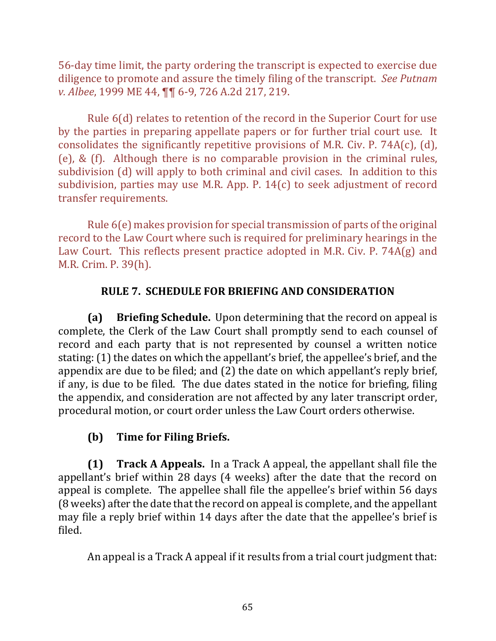56-day time limit, the party ordering the transcript is expected to exercise due diligence to promote and assure the timely filing of the transcript. See Putnam *v. Albee*, 1999 ME 44,  $\P$  $[$  6-9, 726 A.2d 217, 219.

Rule  $6(d)$  relates to retention of the record in the Superior Court for use by the parties in preparing appellate papers or for further trial court use. It consolidates the significantly repetitive provisions of M.R. Civ. P. 74A(c), (d), (e), &  $(f)$ . Although there is no comparable provision in the criminal rules, subdivision (d) will apply to both criminal and civil cases. In addition to this subdivision, parties may use M.R. App. P.  $14(c)$  to seek adjustment of record transfer requirements.

Rule  $6(e)$  makes provision for special transmission of parts of the original record to the Law Court where such is required for preliminary hearings in the Law Court. This reflects present practice adopted in M.R. Civ. P. 74A(g) and M.R. Crim. P. 39(h).

## **RULE 7. SCHEDULE FOR BRIEFING AND CONSIDERATION**

**(a) Briefing Schedule.** Upon determining that the record on appeal is complete, the Clerk of the Law Court shall promptly send to each counsel of record and each party that is not represented by counsel a written notice stating: (1) the dates on which the appellant's brief, the appellee's brief, and the appendix are due to be filed; and  $(2)$  the date on which appellant's reply brief, if any, is due to be filed. The due dates stated in the notice for briefing, filing the appendix, and consideration are not affected by any later transcript order, procedural motion, or court order unless the Law Court orders otherwise.

## **(b)** Time for Filing Briefs.

**(1) Track A Appeals.** In a Track A appeal, the appellant shall file the appellant's brief within 28 days (4 weeks) after the date that the record on appeal is complete. The appellee shall file the appellee's brief within 56 days (8 weeks) after the date that the record on appeal is complete, and the appellant may file a reply brief within 14 days after the date that the appellee's brief is filed.

An appeal is a Track A appeal if it results from a trial court judgment that: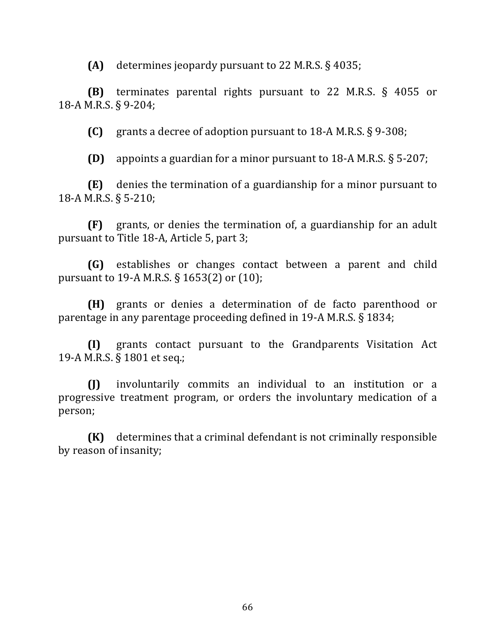$(A)$  determines jeopardy pursuant to 22 M.R.S.  $\S$  4035;

**(B)** terminates parental rights pursuant to 22 M.R.S. § 4055 or 18-A M.R.S. § 9-204;

**(C)** grants a decree of adoption pursuant to 18-A M.R.S. § 9-308;

**(D)** appoints a guardian for a minor pursuant to  $18-A$  M.R.S.  $\S$  5-207;

**(E)** denies the termination of a guardianship for a minor pursuant to 18-A M.R.S. § 5-210;

**(F)** grants, or denies the termination of, a guardianship for an adult pursuant to Title 18-A, Article 5, part 3;

**(G)** establishes or changes contact between a parent and child pursuant to 19-A M.R.S.  $\S$  1653(2) or (10);

**(H)** grants or denies a determination of de facto parenthood or parentage in any parentage proceeding defined in 19-A M.R.S. § 1834;

**(I)** grants contact pursuant to the Grandparents Visitation Act 19-A M.R.S. § 1801 et seq.;

**(J)** involuntarily commits an individual to an institution or a progressive treatment program, or orders the involuntary medication of a person;

**(K)** determines that a criminal defendant is not criminally responsible by reason of insanity;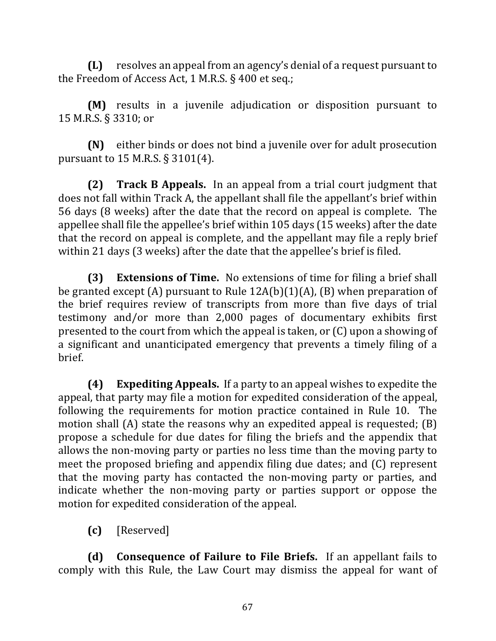**(L)** resolves an appeal from an agency's denial of a request pursuant to the Freedom of Access Act, 1 M.R.S.  $\S$  400 et seq.;

**(M)** results in a juvenile adjudication or disposition pursuant to 15 M.R.S. § 3310; or

**(N)** either binds or does not bind a juvenile over for adult prosecution pursuant to  $15$  M.R.S.  $\S 3101(4)$ .

**(2) Track B Appeals.** In an appeal from a trial court judgment that does not fall within Track A, the appellant shall file the appellant's brief within 56 days (8 weeks) after the date that the record on appeal is complete. The appellee shall file the appellee's brief within 105 days (15 weeks) after the date that the record on appeal is complete, and the appellant may file a reply brief within 21 days (3 weeks) after the date that the appellee's brief is filed.

**(3) Extensions of Time.** No extensions of time for filing a brief shall be granted except (A) pursuant to Rule  $12A(b)(1)(A)$ , (B) when preparation of the brief requires review of transcripts from more than five days of trial testimony and/or more than 2,000 pages of documentary exhibits first presented to the court from which the appeal is taken, or  $(C)$  upon a showing of a significant and unanticipated emergency that prevents a timely filing of a brief.

**(4) Expediting Appeals.** If a party to an appeal wishes to expedite the appeal, that party may file a motion for expedited consideration of the appeal, following the requirements for motion practice contained in Rule 10. The motion shall  $(A)$  state the reasons why an expedited appeal is requested;  $(B)$ propose a schedule for due dates for filing the briefs and the appendix that allows the non-moving party or parties no less time than the moving party to meet the proposed briefing and appendix filing due dates; and (C) represent that the moving party has contacted the non-moving party or parties, and indicate whether the non-moving party or parties support or oppose the motion for expedited consideration of the appeal.

**(c)** [Reserved]

**(d) Consequence of Failure to File Briefs.** If an appellant fails to comply with this Rule, the Law Court may dismiss the appeal for want of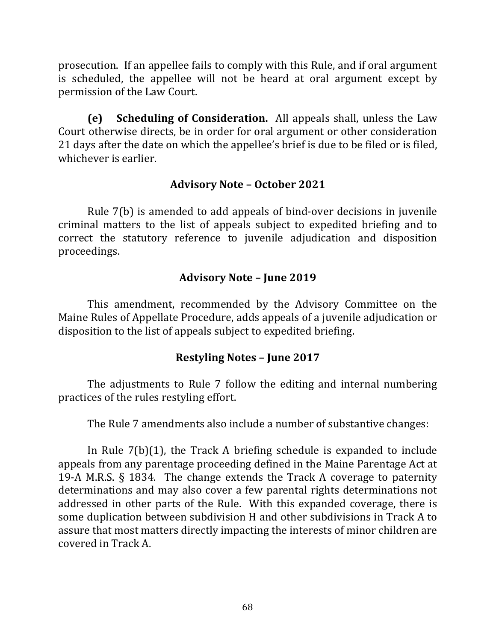prosecution. If an appellee fails to comply with this Rule, and if oral argument is scheduled, the appellee will not be heard at oral argument except by permission of the Law Court.

**(e)** Scheduling of Consideration. All appeals shall, unless the Law Court otherwise directs, be in order for oral argument or other consideration 21 days after the date on which the appellee's brief is due to be filed or is filed, whichever is earlier.

## **Advisory Note – October 2021**

Rule  $7(b)$  is amended to add appeals of bind-over decisions in juvenile criminal matters to the list of appeals subject to expedited briefing and to correct the statutory reference to juvenile adjudication and disposition proceedings.

## **Advisory Note – June 2019**

This amendment, recommended by the Advisory Committee on the Maine Rules of Appellate Procedure, adds appeals of a juvenile adjudication or disposition to the list of appeals subject to expedited briefing.

## **Restyling Notes – June 2017**

The adjustments to Rule 7 follow the editing and internal numbering practices of the rules restyling effort.

The Rule 7 amendments also include a number of substantive changes:

In Rule  $7(b)(1)$ , the Track A briefing schedule is expanded to include appeals from any parentage proceeding defined in the Maine Parentage Act at 19-A M.R.S.  $\S$  1834. The change extends the Track A coverage to paternity determinations and may also cover a few parental rights determinations not addressed in other parts of the Rule. With this expanded coverage, there is some duplication between subdivision H and other subdivisions in Track A to assure that most matters directly impacting the interests of minor children are covered in Track A.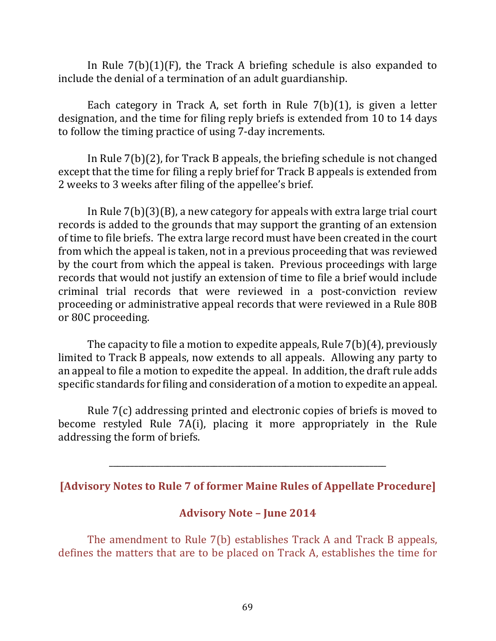In Rule  $7(b)(1)(F)$ , the Track A briefing schedule is also expanded to include the denial of a termination of an adult guardianship.

Each category in Track A, set forth in Rule  $7(b)(1)$ , is given a letter designation, and the time for filing reply briefs is extended from 10 to 14 days to follow the timing practice of using 7-day increments.

In Rule  $7(b)(2)$ , for Track B appeals, the briefing schedule is not changed except that the time for filing a reply brief for Track B appeals is extended from 2 weeks to 3 weeks after filing of the appellee's brief.

In Rule  $7(b)(3)(B)$ , a new category for appeals with extra large trial court records is added to the grounds that may support the granting of an extension of time to file briefs. The extra large record must have been created in the court from which the appeal is taken, not in a previous proceeding that was reviewed by the court from which the appeal is taken. Previous proceedings with large records that would not justify an extension of time to file a brief would include criminal trial records that were reviewed in a post-conviction review proceeding or administrative appeal records that were reviewed in a Rule 80B or 80C proceeding.

The capacity to file a motion to expedite appeals, Rule  $7(b)(4)$ , previously limited to Track B appeals, now extends to all appeals. Allowing any party to an appeal to file a motion to expedite the appeal. In addition, the draft rule adds specific standards for filing and consideration of a motion to expedite an appeal.

Rule  $7(c)$  addressing printed and electronic copies of briefs is moved to become restyled Rule 7A(i), placing it more appropriately in the Rule addressing the form of briefs.

**[Advisory Notes to Rule 7 of former Maine Rules of Appellate Procedure]** 

\_\_\_\_\_\_\_\_\_\_\_\_\_\_\_\_\_\_\_\_\_\_\_\_\_\_\_\_\_\_\_\_\_\_\_\_\_\_\_\_\_\_\_\_\_\_\_\_\_\_\_\_\_\_\_\_\_\_\_\_\_\_\_\_\_\_

### **Advisory Note – June 2014**

The amendment to Rule 7(b) establishes Track A and Track B appeals, defines the matters that are to be placed on Track A, establishes the time for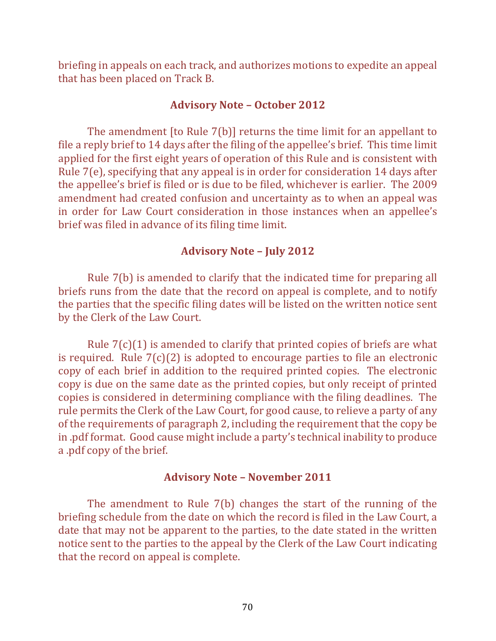briefing in appeals on each track, and authorizes motions to expedite an appeal that has been placed on Track B.

#### **Advisory Note – October 2012**

The amendment  $[$  to Rule  $7(b)$ ] returns the time limit for an appellant to file a reply brief to 14 days after the filing of the appellee's brief. This time limit applied for the first eight years of operation of this Rule and is consistent with Rule  $7(e)$ , specifying that any appeal is in order for consideration 14 days after the appellee's brief is filed or is due to be filed, whichever is earlier. The 2009 amendment had created confusion and uncertainty as to when an appeal was in order for Law Court consideration in those instances when an appellee's brief was filed in advance of its filing time limit.

#### **Advisory Note – July 2012**

Rule  $7(b)$  is amended to clarify that the indicated time for preparing all briefs runs from the date that the record on appeal is complete, and to notify the parties that the specific filing dates will be listed on the written notice sent by the Clerk of the Law Court.

Rule  $7(c)(1)$  is amended to clarify that printed copies of briefs are what is required. Rule  $7(c)(2)$  is adopted to encourage parties to file an electronic copy of each brief in addition to the required printed copies. The electronic copy is due on the same date as the printed copies, but only receipt of printed copies is considered in determining compliance with the filing deadlines. The rule permits the Clerk of the Law Court, for good cause, to relieve a party of any of the requirements of paragraph 2, including the requirement that the copy be in .pdf format. Good cause might include a party's technical inability to produce a .pdf copy of the brief.

#### **Advisory Note – November 2011**

The amendment to Rule  $7(b)$  changes the start of the running of the briefing schedule from the date on which the record is filed in the Law Court, a date that may not be apparent to the parties, to the date stated in the written notice sent to the parties to the appeal by the Clerk of the Law Court indicating that the record on appeal is complete.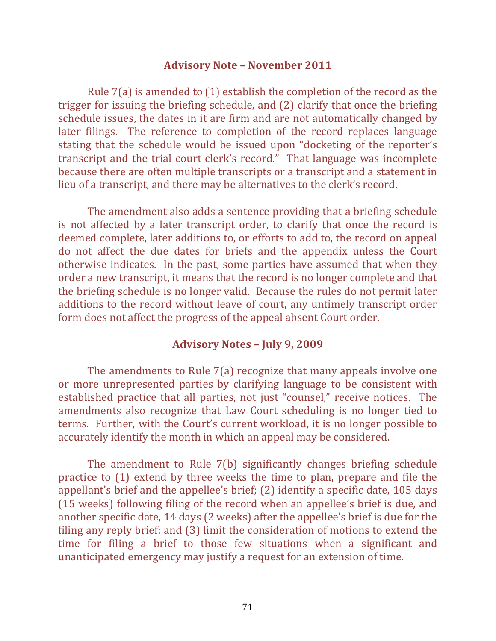#### **Advisory Note – November 2011**

Rule  $7(a)$  is amended to  $(1)$  establish the completion of the record as the trigger for issuing the briefing schedule, and  $(2)$  clarify that once the briefing schedule issues, the dates in it are firm and are not automatically changed by later filings. The reference to completion of the record replaces language stating that the schedule would be issued upon "docketing of the reporter's transcript and the trial court clerk's record." That language was incomplete because there are often multiple transcripts or a transcript and a statement in lieu of a transcript, and there may be alternatives to the clerk's record.

The amendment also adds a sentence providing that a briefing schedule is not affected by a later transcript order, to clarify that once the record is deemed complete, later additions to, or efforts to add to, the record on appeal do not affect the due dates for briefs and the appendix unless the Court otherwise indicates. In the past, some parties have assumed that when they order a new transcript, it means that the record is no longer complete and that the briefing schedule is no longer valid. Because the rules do not permit later additions to the record without leave of court, any untimely transcript order form does not affect the progress of the appeal absent Court order.

#### **Advisory Notes – July 9, 2009**

The amendments to Rule  $7(a)$  recognize that many appeals involve one or more unrepresented parties by clarifying language to be consistent with established practice that all parties, not just "counsel," receive notices. The amendments also recognize that Law Court scheduling is no longer tied to terms. Further, with the Court's current workload, it is no longer possible to accurately identify the month in which an appeal may be considered.

The amendment to Rule  $7(b)$  significantly changes briefing schedule practice to  $(1)$  extend by three weeks the time to plan, prepare and file the appellant's brief and the appellee's brief;  $(2)$  identify a specific date,  $105$  days (15 weeks) following filing of the record when an appellee's brief is due, and another specific date, 14 days (2 weeks) after the appellee's brief is due for the filing any reply brief; and  $(3)$  limit the consideration of motions to extend the time for filing a brief to those few situations when a significant and unanticipated emergency may justify a request for an extension of time.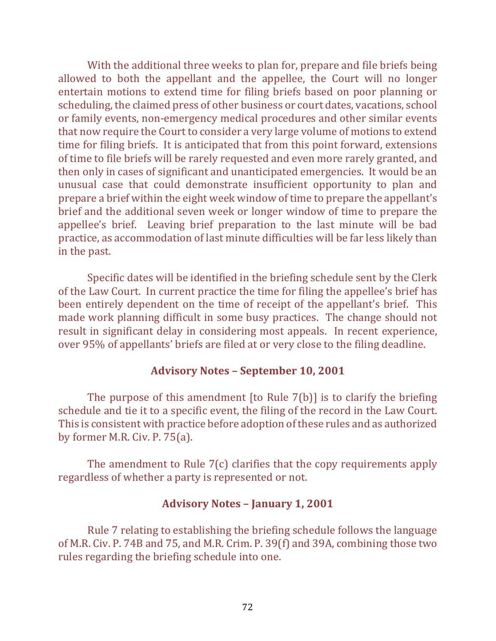With the additional three weeks to plan for, prepare and file briefs being allowed to both the appellant and the appellee, the Court will no longer entertain motions to extend time for filing briefs based on poor planning or scheduling, the claimed press of other business or court dates, vacations, school or family events, non-emergency medical procedures and other similar events that now require the Court to consider a very large volume of motions to extend time for filing briefs. It is anticipated that from this point forward, extensions of time to file briefs will be rarely requested and even more rarely granted, and then only in cases of significant and unanticipated emergencies. It would be an unusual case that could demonstrate insufficient opportunity to plan and prepare a brief within the eight week window of time to prepare the appellant's brief and the additional seven week or longer window of time to prepare the appellee's brief. Leaving brief preparation to the last minute will be bad practice, as accommodation of last minute difficulties will be far less likely than in the past.

Specific dates will be identified in the briefing schedule sent by the Clerk of the Law Court. In current practice the time for filing the appellee's brief has been entirely dependent on the time of receipt of the appellant's brief. This made work planning difficult in some busy practices. The change should not result in significant delay in considering most appeals. In recent experience, over 95% of appellants' briefs are filed at or very close to the filing deadline.

### **Advisory Notes – September 10, 2001**

The purpose of this amendment  $[$  to Rule  $7(b)$  $]$  is to clarify the briefing schedule and tie it to a specific event, the filing of the record in the Law Court. This is consistent with practice before adoption of these rules and as authorized by former M.R. Civ.  $P. 75(a)$ .

The amendment to Rule  $7(c)$  clarifies that the copy requirements apply regardless of whether a party is represented or not.

### **Advisory Notes – January 1, 2001**

Rule 7 relating to establishing the briefing schedule follows the language of M.R. Civ. P. 74B and 75, and M.R. Crim. P. 39(f) and 39A, combining those two rules regarding the briefing schedule into one.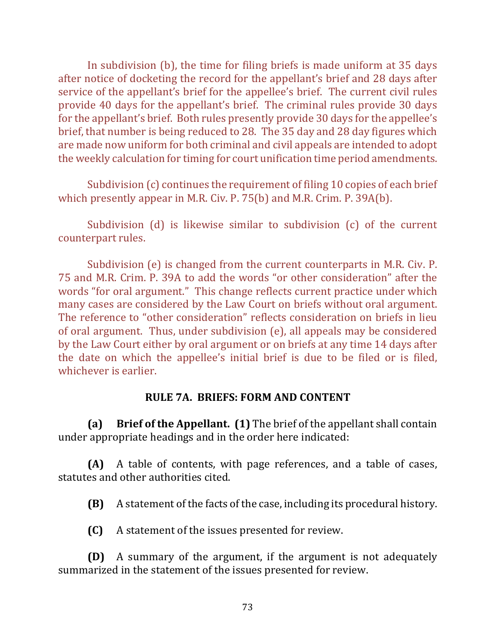In subdivision  $(b)$ , the time for filing briefs is made uniform at 35 days after notice of docketing the record for the appellant's brief and 28 days after service of the appellant's brief for the appellee's brief. The current civil rules provide 40 days for the appellant's brief. The criminal rules provide 30 days for the appellant's brief. Both rules presently provide 30 days for the appellee's brief, that number is being reduced to 28. The 35 day and 28 day figures which are made now uniform for both criminal and civil appeals are intended to adopt the weekly calculation for timing for court unification time period amendments.

Subdivision  $(c)$  continues the requirement of filing 10 copies of each brief which presently appear in M.R. Civ. P. 75(b) and M.R. Crim. P. 39A(b).

Subdivision  $(d)$  is likewise similar to subdivision  $(c)$  of the current counterpart rules.

Subdivision (e) is changed from the current counterparts in M.R. Civ. P. 75 and M.R. Crim. P. 39A to add the words "or other consideration" after the words "for oral argument." This change reflects current practice under which many cases are considered by the Law Court on briefs without oral argument. The reference to "other consideration" reflects consideration on briefs in lieu of oral argument. Thus, under subdivision  $(e)$ , all appeals may be considered by the Law Court either by oral argument or on briefs at any time 14 days after the date on which the appellee's initial brief is due to be filed or is filed, whichever is earlier.

### **RULE 7A. BRIEFS: FORM AND CONTENT**

**(a)** Brief of the Appellant. **(1)** The brief of the appellant shall contain under appropriate headings and in the order here indicated:

**(A)** A table of contents, with page references, and a table of cases, statutes and other authorities cited.

**(B)** A statement of the facts of the case, including its procedural history.

**(C)** A statement of the issues presented for review.

**(D)** A summary of the argument, if the argument is not adequately summarized in the statement of the issues presented for review.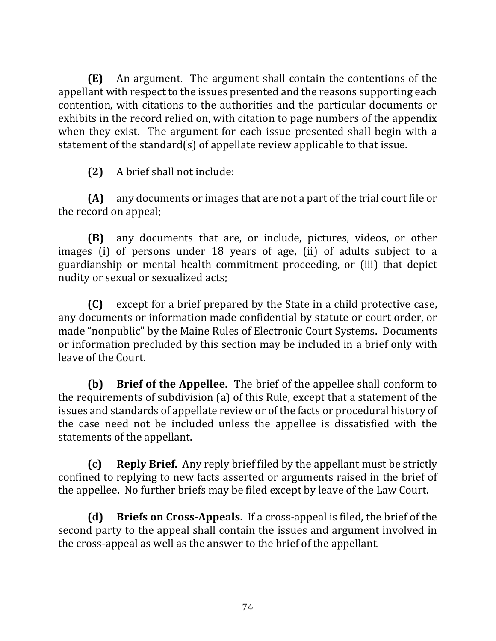**(E)** An argument. The argument shall contain the contentions of the appellant with respect to the issues presented and the reasons supporting each contention, with citations to the authorities and the particular documents or exhibits in the record relied on, with citation to page numbers of the appendix when they exist. The argument for each issue presented shall begin with a statement of the standard(s) of appellate review applicable to that issue.

**(2)** A brief shall not include:

**(A)** any documents or images that are not a part of the trial court file or the record on appeal;

**(B)** any documents that are, or include, pictures, videos, or other images (i) of persons under 18 years of age, (ii) of adults subject to a guardianship or mental health commitment proceeding, or (iii) that depict nudity or sexual or sexualized acts;

**(C)** except for a brief prepared by the State in a child protective case, any documents or information made confidential by statute or court order, or made "nonpublic" by the Maine Rules of Electronic Court Systems. Documents or information precluded by this section may be included in a brief only with leave of the Court.

**(b)** Brief of the Appellee. The brief of the appellee shall conform to the requirements of subdivision  $(a)$  of this Rule, except that a statement of the issues and standards of appellate review or of the facts or procedural history of the case need not be included unless the appellee is dissatisfied with the statements of the appellant.

**(c) Reply Brief.** Any reply brief filed by the appellant must be strictly confined to replying to new facts asserted or arguments raised in the brief of the appellee. No further briefs may be filed except by leave of the Law Court.

**(d)** Briefs on Cross-Appeals. If a cross-appeal is filed, the brief of the second party to the appeal shall contain the issues and argument involved in the cross-appeal as well as the answer to the brief of the appellant.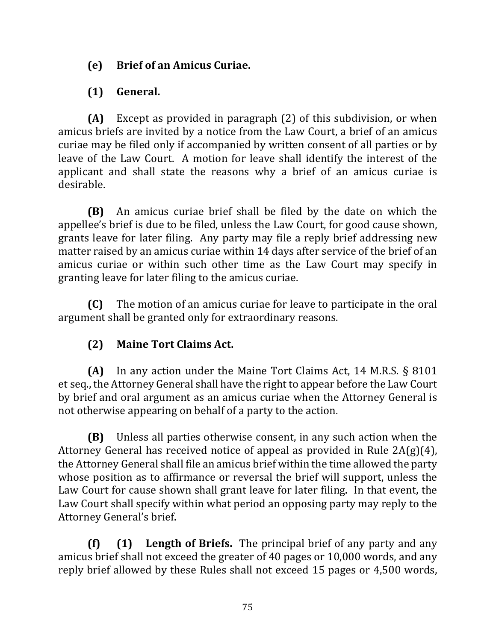# **(e)** Brief of an Amicus Curiae.

# **(1) General.**

**(A)** Except as provided in paragraph (2) of this subdivision, or when amicus briefs are invited by a notice from the Law Court, a brief of an amicus curiae may be filed only if accompanied by written consent of all parties or by leave of the Law Court. A motion for leave shall identify the interest of the applicant and shall state the reasons why a brief of an amicus curiae is desirable.

**(B)** An amicus curiae brief shall be filed by the date on which the appellee's brief is due to be filed, unless the Law Court, for good cause shown, grants leave for later filing. Any party may file a reply brief addressing new matter raised by an amicus curiae within 14 days after service of the brief of an amicus curiae or within such other time as the Law Court may specify in granting leave for later filing to the amicus curiae.

**(C)** The motion of an amicus curiae for leave to participate in the oral argument shall be granted only for extraordinary reasons.

# **(2) Maine Tort Claims Act.**

**(A)** In any action under the Maine Tort Claims Act, 14 M.R.S. § 8101 et seq., the Attorney General shall have the right to appear before the Law Court by brief and oral argument as an amicus curiae when the Attorney General is not otherwise appearing on behalf of a party to the action.

**(B)** Unless all parties otherwise consent, in any such action when the Attorney General has received notice of appeal as provided in Rule  $2A(g)(4)$ , the Attorney General shall file an amicus brief within the time allowed the party whose position as to affirmance or reversal the brief will support, unless the Law Court for cause shown shall grant leave for later filing. In that event, the Law Court shall specify within what period an opposing party may reply to the Attorney General's brief.

**(f)** (1) Length of Briefs. The principal brief of any party and any amicus brief shall not exceed the greater of 40 pages or 10,000 words, and any reply brief allowed by these Rules shall not exceed 15 pages or 4,500 words,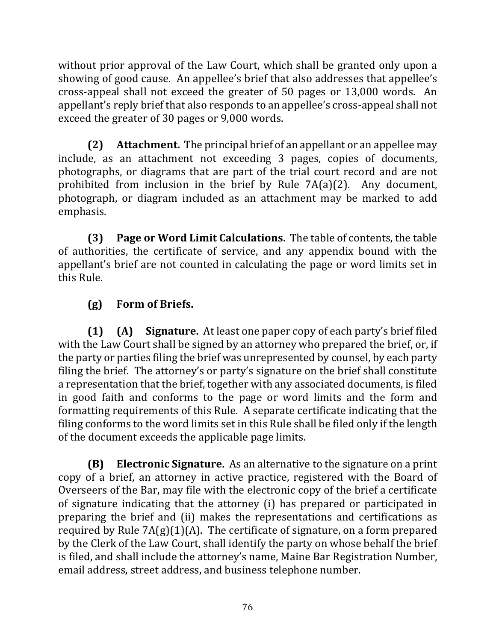without prior approval of the Law Court, which shall be granted only upon a showing of good cause. An appellee's brief that also addresses that appellee's cross-appeal shall not exceed the greater of 50 pages or 13,000 words. An appellant's reply brief that also responds to an appellee's cross-appeal shall not exceed the greater of 30 pages or 9,000 words.

**(2)** Attachment. The principal brief of an appellant or an appellee may include, as an attachment not exceeding 3 pages, copies of documents, photographs, or diagrams that are part of the trial court record and are not prohibited from inclusion in the brief by Rule  $7A(a)(2)$ . Any document, photograph, or diagram included as an attachment may be marked to add emphasis.

**(3)** Page or Word Limit Calculations. The table of contents, the table of authorities, the certificate of service, and any appendix bound with the appellant's brief are not counted in calculating the page or word limits set in this Rule.

# **(g) Form of Briefs.**

**(1) (A)** Signature. At least one paper copy of each party's brief filed with the Law Court shall be signed by an attorney who prepared the brief, or, if the party or parties filing the brief was unrepresented by counsel, by each party filing the brief. The attorney's or party's signature on the brief shall constitute a representation that the brief, together with any associated documents, is filed in good faith and conforms to the page or word limits and the form and formatting requirements of this Rule. A separate certificate indicating that the filing conforms to the word limits set in this Rule shall be filed only if the length of the document exceeds the applicable page limits.

**(B) Electronic Signature.** As an alternative to the signature on a print copy of a brief, an attorney in active practice, registered with the Board of Overseers of the Bar, may file with the electronic copy of the brief a certificate of signature indicating that the attorney (i) has prepared or participated in preparing the brief and (ii) makes the representations and certifications as required by Rule  $7A(g)(1)(A)$ . The certificate of signature, on a form prepared by the Clerk of the Law Court, shall identify the party on whose behalf the brief is filed, and shall include the attorney's name, Maine Bar Registration Number, email address, street address, and business telephone number.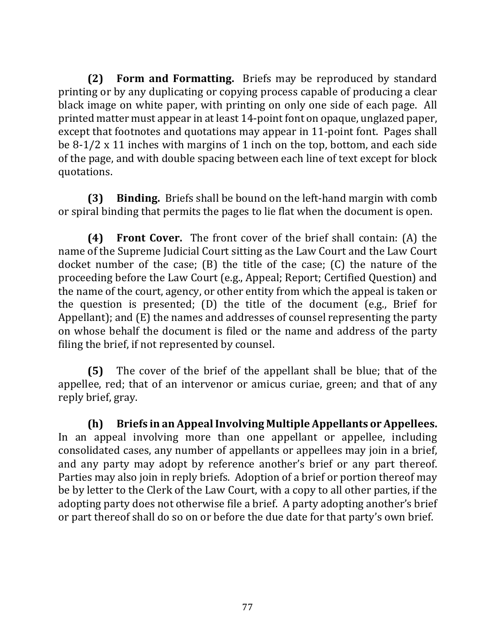**(2) Form and Formatting.** Briefs may be reproduced by standard printing or by any duplicating or copying process capable of producing a clear black image on white paper, with printing on only one side of each page. All printed matter must appear in at least 14-point font on opaque, unglazed paper, except that footnotes and quotations may appear in 11-point font. Pages shall be  $8-1/2 \times 11$  inches with margins of 1 inch on the top, bottom, and each side of the page, and with double spacing between each line of text except for block quotations.

**(3) Binding.** Briefs shall be bound on the left-hand margin with comb or spiral binding that permits the pages to lie flat when the document is open.

**(4) Front Cover.** The front cover of the brief shall contain: (A) the name of the Supreme Judicial Court sitting as the Law Court and the Law Court docket number of the case;  $(B)$  the title of the case;  $(C)$  the nature of the proceeding before the Law Court (e.g., Appeal; Report; Certified Question) and the name of the court, agency, or other entity from which the appeal is taken or the question is presented;  $(D)$  the title of the document  $(e.g., Brief for$ Appellant); and  $(E)$  the names and addresses of counsel representing the party on whose behalf the document is filed or the name and address of the party filing the brief, if not represented by counsel.

**(5)** The cover of the brief of the appellant shall be blue; that of the appellee, red; that of an intervenor or amicus curiae, green; and that of any reply brief, gray.

**(h)** Briefs in an Appeal Involving Multiple Appellants or Appellees. In an appeal involving more than one appellant or appellee, including consolidated cases, any number of appellants or appellees may join in a brief, and any party may adopt by reference another's brief or any part thereof. Parties may also join in reply briefs. Adoption of a brief or portion thereof may be by letter to the Clerk of the Law Court, with a copy to all other parties, if the adopting party does not otherwise file a brief. A party adopting another's brief or part thereof shall do so on or before the due date for that party's own brief.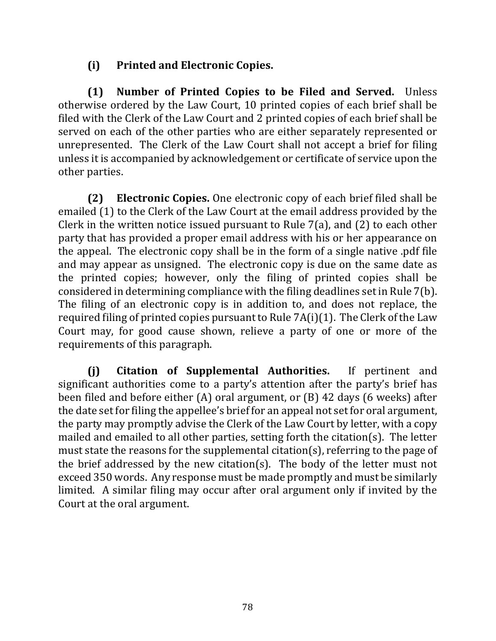# **(i) Printed and Electronic Copies.**

**(1)** Number of Printed Copies to be Filed and Served. Unless otherwise ordered by the Law Court, 10 printed copies of each brief shall be filed with the Clerk of the Law Court and 2 printed copies of each brief shall be served on each of the other parties who are either separately represented or unrepresented. The Clerk of the Law Court shall not accept a brief for filing unless it is accompanied by acknowledgement or certificate of service upon the other parties.

**(2) Electronic Copies.** One electronic copy of each brief filed shall be emailed (1) to the Clerk of the Law Court at the email address provided by the Clerk in the written notice issued pursuant to Rule  $7(a)$ , and  $(2)$  to each other party that has provided a proper email address with his or her appearance on the appeal. The electronic copy shall be in the form of a single native pdf file and may appear as unsigned. The electronic copy is due on the same date as the printed copies; however, only the filing of printed copies shall be considered in determining compliance with the filing deadlines set in Rule  $7(b)$ . The filing of an electronic copy is in addition to, and does not replace, the required filing of printed copies pursuant to Rule  $7A(i)(1)$ . The Clerk of the Law Court may, for good cause shown, relieve a party of one or more of the requirements of this paragraph.

**(j) Citation of Supplemental Authorities.** If pertinent and significant authorities come to a party's attention after the party's brief has been filed and before either  $(A)$  oral argument, or  $(B)$  42 days  $(6 \text{ weeks})$  after the date set for filing the appellee's brief for an appeal not set for oral argument, the party may promptly advise the Clerk of the Law Court by letter, with a copy mailed and emailed to all other parties, setting forth the citation(s). The letter must state the reasons for the supplemental citation(s), referring to the page of the brief addressed by the new citation(s). The body of the letter must not exceed 350 words. Any response must be made promptly and must be similarly limited. A similar filing may occur after oral argument only if invited by the Court at the oral argument.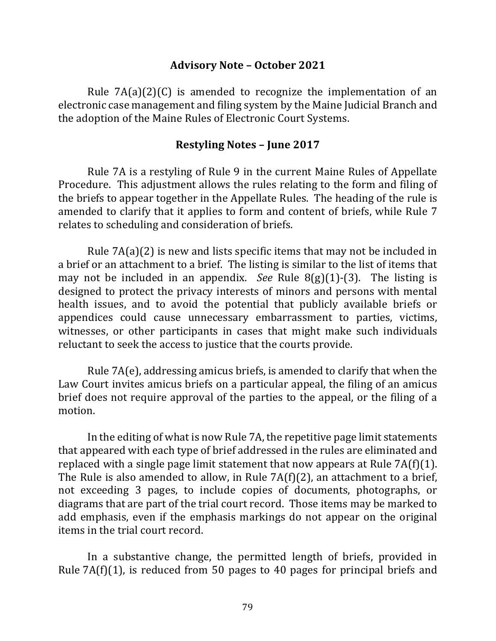#### **Advisory Note – October 2021**

Rule  $7A(a)(2)(C)$  is amended to recognize the implementation of an electronic case management and filing system by the Maine Judicial Branch and the adoption of the Maine Rules of Electronic Court Systems.

#### **Restyling Notes – June 2017**

Rule 7A is a restyling of Rule 9 in the current Maine Rules of Appellate Procedure. This adjustment allows the rules relating to the form and filing of the briefs to appear together in the Appellate Rules. The heading of the rule is amended to clarify that it applies to form and content of briefs, while Rule 7 relates to scheduling and consideration of briefs.

Rule  $7A(a)(2)$  is new and lists specific items that may not be included in a brief or an attachment to a brief. The listing is similar to the list of items that may not be included in an appendix. *See* Rule  $8(g)(1)$ -(3). The listing is designed to protect the privacy interests of minors and persons with mental health issues, and to avoid the potential that publicly available briefs or appendices could cause unnecessary embarrassment to parties, victims, witnesses, or other participants in cases that might make such individuals reluctant to seek the access to justice that the courts provide.

Rule  $7A(e)$ , addressing amicus briefs, is amended to clarify that when the Law Court invites amicus briefs on a particular appeal, the filing of an amicus brief does not require approval of the parties to the appeal, or the filing of a motion.

In the editing of what is now Rule 7A, the repetitive page limit statements that appeared with each type of brief addressed in the rules are eliminated and replaced with a single page limit statement that now appears at Rule  $7A(f)(1)$ . The Rule is also amended to allow, in Rule  $7A(f)(2)$ , an attachment to a brief, not exceeding 3 pages, to include copies of documents, photographs, or diagrams that are part of the trial court record. Those items may be marked to add emphasis, even if the emphasis markings do not appear on the original items in the trial court record.

In a substantive change, the permitted length of briefs, provided in Rule  $7A(f)(1)$ , is reduced from 50 pages to 40 pages for principal briefs and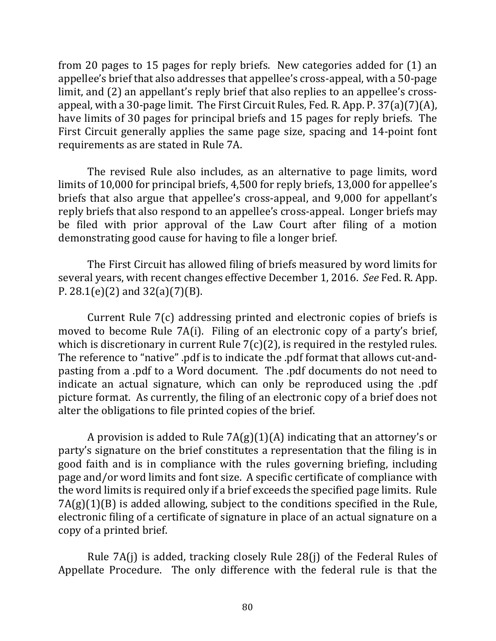from 20 pages to 15 pages for reply briefs. New categories added for (1) an appellee's brief that also addresses that appellee's cross-appeal, with a 50-page limit, and (2) an appellant's reply brief that also replies to an appellee's crossappeal, with a 30-page limit. The First Circuit Rules, Fed. R. App. P.  $37(a)(7)(A)$ , have limits of 30 pages for principal briefs and 15 pages for reply briefs. The First Circuit generally applies the same page size, spacing and 14-point font requirements as are stated in Rule 7A.

The revised Rule also includes, as an alternative to page limits, word limits of 10,000 for principal briefs, 4,500 for reply briefs, 13,000 for appellee's briefs that also argue that appellee's cross-appeal, and 9,000 for appellant's reply briefs that also respond to an appellee's cross-appeal. Longer briefs may be filed with prior approval of the Law Court after filing of a motion demonstrating good cause for having to file a longer brief.

The First Circuit has allowed filing of briefs measured by word limits for several years, with recent changes effective December 1, 2016. See Fed. R. App. P. 28.1(e)(2) and  $32(a)(7)(B)$ .

Current Rule  $7(c)$  addressing printed and electronic copies of briefs is moved to become Rule  $7A(i)$ . Filing of an electronic copy of a party's brief, which is discretionary in current Rule  $7(c)(2)$ , is required in the restyled rules. The reference to "native" .pdf is to indicate the .pdf format that allows cut-andpasting from a .pdf to a Word document. The .pdf documents do not need to indicate an actual signature, which can only be reproduced using the .pdf picture format. As currently, the filing of an electronic copy of a brief does not alter the obligations to file printed copies of the brief.

A provision is added to Rule  $7A(g)(1)(A)$  indicating that an attorney's or party's signature on the brief constitutes a representation that the filing is in good faith and is in compliance with the rules governing briefing, including page and/or word limits and font size. A specific certificate of compliance with the word limits is required only if a brief exceeds the specified page limits. Rule  $7A(g)(1)(B)$  is added allowing, subject to the conditions specified in the Rule, electronic filing of a certificate of signature in place of an actual signature on a copy of a printed brief.

Rule  $7A(j)$  is added, tracking closely Rule  $28(j)$  of the Federal Rules of Appellate Procedure. The only difference with the federal rule is that the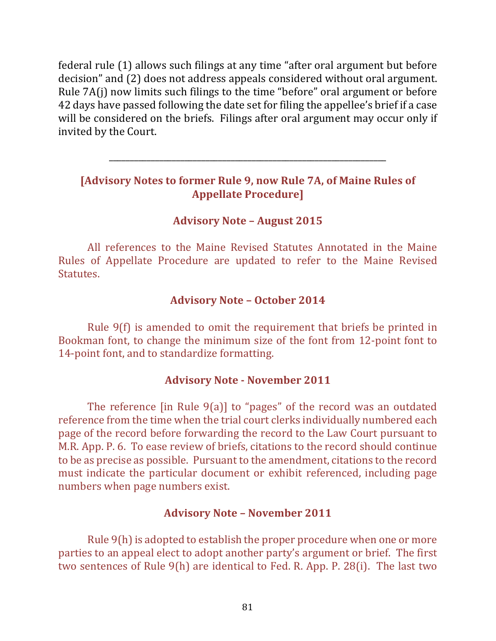federal rule (1) allows such filings at any time "after oral argument but before decision" and (2) does not address appeals considered without oral argument. Rule  $7A(i)$  now limits such filings to the time "before" oral argument or before 42 days have passed following the date set for filing the appellee's brief if a case will be considered on the briefs. Filings after oral argument may occur only if invited by the Court.

## **[Advisory Notes to former Rule 9, now Rule 7A, of Maine Rules of Appellate Procedure]**

\_\_\_\_\_\_\_\_\_\_\_\_\_\_\_\_\_\_\_\_\_\_\_\_\_\_\_\_\_\_\_\_\_\_\_\_\_\_\_\_\_\_\_\_\_\_\_\_\_\_\_\_\_\_\_\_\_\_\_\_\_\_\_\_\_\_

### **Advisory Note – August 2015**

All references to the Maine Revised Statutes Annotated in the Maine Rules of Appellate Procedure are updated to refer to the Maine Revised **Statutes.** 

#### **Advisory Note – October 2014**

Rule  $9(f)$  is amended to omit the requirement that briefs be printed in Bookman font, to change the minimum size of the font from 12-point font to 14-point font, and to standardize formatting.

### **Advisory Note - November 2011**

The reference  $\lceil$ in Rule  $9(a)$ ] to "pages" of the record was an outdated reference from the time when the trial court clerks individually numbered each page of the record before forwarding the record to the Law Court pursuant to M.R. App. P. 6. To ease review of briefs, citations to the record should continue to be as precise as possible. Pursuant to the amendment, citations to the record must indicate the particular document or exhibit referenced, including page numbers when page numbers exist.

#### **Advisory Note – November 2011**

Rule  $9(h)$  is adopted to establish the proper procedure when one or more parties to an appeal elect to adopt another party's argument or brief. The first two sentences of Rule  $9(h)$  are identical to Fed. R. App. P. 28(i). The last two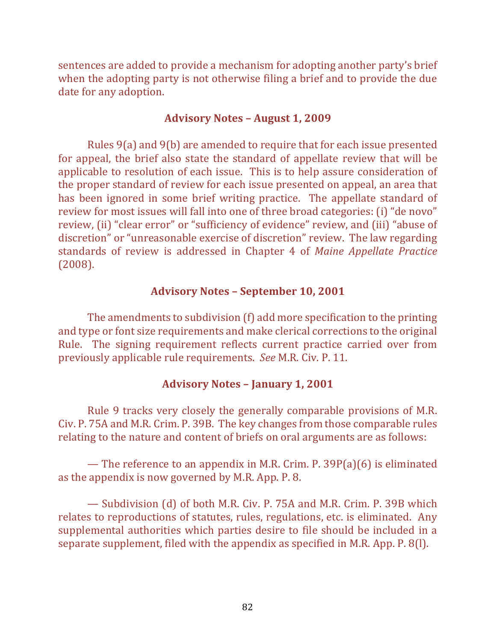sentences are added to provide a mechanism for adopting another party's brief when the adopting party is not otherwise filing a brief and to provide the due date for any adoption.

#### **Advisory Notes – August 1, 2009**

Rules  $9(a)$  and  $9(b)$  are amended to require that for each issue presented for appeal, the brief also state the standard of appellate review that will be applicable to resolution of each issue. This is to help assure consideration of the proper standard of review for each issue presented on appeal, an area that has been ignored in some brief writing practice. The appellate standard of review for most issues will fall into one of three broad categories: (i) "de novo" review, (ii) "clear error" or "sufficiency of evidence" review, and (iii) "abuse of discretion" or "unreasonable exercise of discretion" review. The law regarding standards of review is addressed in Chapter 4 of *Maine Appellate Practice* (2008).

#### **Advisory Notes – September 10, 2001**

The amendments to subdivision  $(f)$  add more specification to the printing and type or font size requirements and make clerical corrections to the original Rule. The signing requirement reflects current practice carried over from previously applicable rule requirements. *See* M.R. Civ. P. 11.

### **Advisory Notes – January 1, 2001**

Rule 9 tracks very closely the generally comparable provisions of M.R. Civ. P. 75A and M.R. Crim. P. 39B. The key changes from those comparable rules relating to the nature and content of briefs on oral arguments are as follows:

— The reference to an appendix in M.R. Crim. P. 39 $P(a)(6)$  is eliminated as the appendix is now governed by M.R. App. P. 8.

— Subdivision (d) of both M.R. Civ. P. 75A and M.R. Crim. P. 39B which relates to reproductions of statutes, rules, regulations, etc. is eliminated. Any supplemental authorities which parties desire to file should be included in a separate supplement, filed with the appendix as specified in M.R. App. P. 8(l).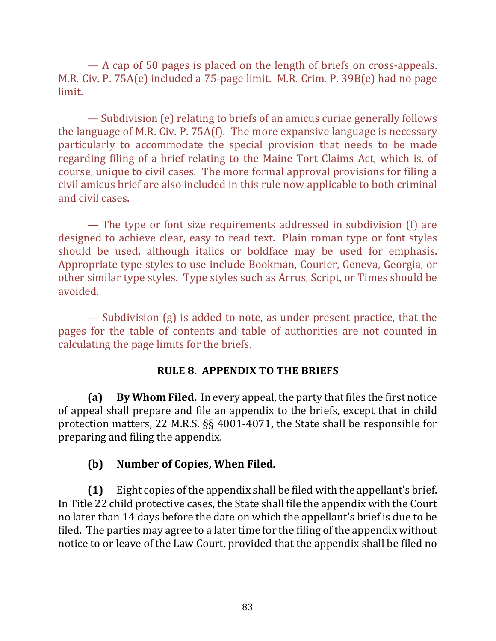— A cap of 50 pages is placed on the length of briefs on cross-appeals. M.R. Civ. P.  $75A(e)$  included a  $75$ -page limit. M.R. Crim. P. 39B(e) had no page limit.

— Subdivision (e) relating to briefs of an amicus curiae generally follows the language of M.R. Civ. P. 75A(f). The more expansive language is necessary particularly to accommodate the special provision that needs to be made regarding filing of a brief relating to the Maine Tort Claims Act, which is, of course, unique to civil cases. The more formal approval provisions for filing a civil amicus brief are also included in this rule now applicable to both criminal and civil cases.

— The type or font size requirements addressed in subdivision  $(f)$  are designed to achieve clear, easy to read text. Plain roman type or font styles should be used, although italics or boldface may be used for emphasis. Appropriate type styles to use include Bookman, Courier, Geneva, Georgia, or other similar type styles. Type styles such as Arrus, Script, or Times should be avoided.

— Subdivision  $(g)$  is added to note, as under present practice, that the pages for the table of contents and table of authorities are not counted in calculating the page limits for the briefs.

## **RULE 8. APPENDIX TO THE BRIEFS**

**(a)** By Whom Filed. In every appeal, the party that files the first notice of appeal shall prepare and file an appendix to the briefs, except that in child protection matters, 22 M.R.S.  $\S$ § 4001-4071, the State shall be responsible for preparing and filing the appendix.

## **(b) Number of Copies, When Filed**.

**(1)** Eight copies of the appendix shall be filed with the appellant's brief. In Title 22 child protective cases, the State shall file the appendix with the Court no later than 14 days before the date on which the appellant's brief is due to be filed. The parties may agree to a later time for the filing of the appendix without notice to or leave of the Law Court, provided that the appendix shall be filed no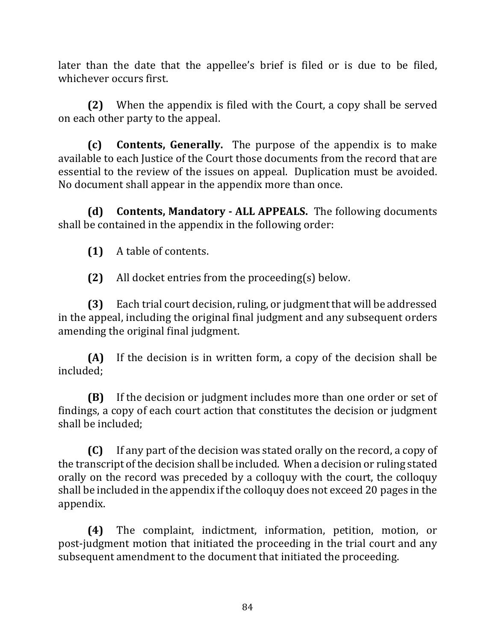later than the date that the appellee's brief is filed or is due to be filed, whichever occurs first.

**(2)** When the appendix is filed with the Court, a copy shall be served on each other party to the appeal.

**(c) Contents, Generally.** The purpose of the appendix is to make available to each Justice of the Court those documents from the record that are essential to the review of the issues on appeal. Duplication must be avoided. No document shall appear in the appendix more than once.

**(d)** Contents, Mandatory - ALL APPEALS. The following documents shall be contained in the appendix in the following order:

**(1)** A table of contents.

**(2)** All docket entries from the proceeding(s) below.

**(3)** Each trial court decision, ruling, or judgment that will be addressed in the appeal, including the original final judgment and any subsequent orders amending the original final judgment.

**(A)** If the decision is in written form, a copy of the decision shall be included;

**(B)** If the decision or judgment includes more than one order or set of findings, a copy of each court action that constitutes the decision or judgment shall be included:

**(C)** If any part of the decision was stated orally on the record, a copy of the transcript of the decision shall be included. When a decision or ruling stated orally on the record was preceded by a colloquy with the court, the colloquy shall be included in the appendix if the colloquy does not exceed 20 pages in the appendix. 

**(4)** The complaint, indictment, information, petition, motion, or post-judgment motion that initiated the proceeding in the trial court and any subsequent amendment to the document that initiated the proceeding.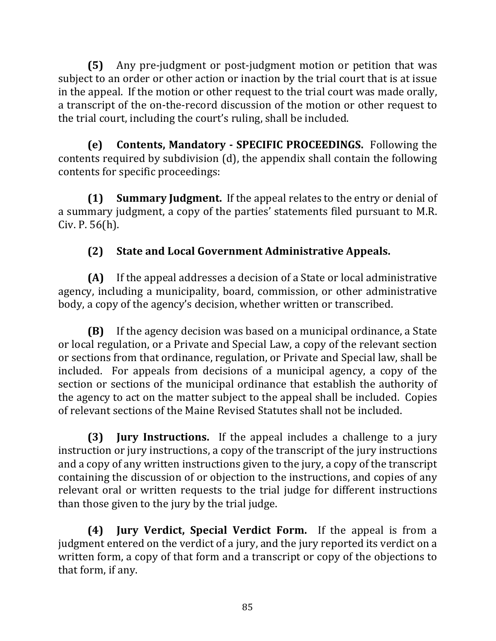**(5)** Any pre-judgment or post-judgment motion or petition that was subject to an order or other action or inaction by the trial court that is at issue in the appeal. If the motion or other request to the trial court was made orally, a transcript of the on-the-record discussion of the motion or other request to the trial court, including the court's ruling, shall be included.

**(e)** Contents, Mandatory - SPECIFIC PROCEEDINGS. Following the contents required by subdivision  $(d)$ , the appendix shall contain the following contents for specific proceedings:

**(1) Summary Judgment.** If the appeal relates to the entry or denial of a summary judgment, a copy of the parties' statements filed pursuant to M.R.  $Civ. P. 56(h).$ 

# **(2) State and Local Government Administrative Appeals.**

**(A)** If the appeal addresses a decision of a State or local administrative agency, including a municipality, board, commission, or other administrative body, a copy of the agency's decision, whether written or transcribed.

**(B)** If the agency decision was based on a municipal ordinance, a State or local regulation, or a Private and Special Law, a copy of the relevant section or sections from that ordinance, regulation, or Private and Special law, shall be included. For appeals from decisions of a municipal agency, a copy of the section or sections of the municipal ordinance that establish the authority of the agency to act on the matter subject to the appeal shall be included. Copies of relevant sections of the Maine Revised Statutes shall not be included.

**(3) Jury Instructions.** If the appeal includes a challenge to a jury instruction or jury instructions, a copy of the transcript of the jury instructions and a copy of any written instructions given to the jury, a copy of the transcript containing the discussion of or objection to the instructions, and copies of any relevant oral or written requests to the trial judge for different instructions than those given to the jury by the trial judge.

**(4) Jury Verdict, Special Verdict Form.** If the appeal is from a judgment entered on the verdict of a jury, and the jury reported its verdict on a written form, a copy of that form and a transcript or copy of the objections to that form, if any.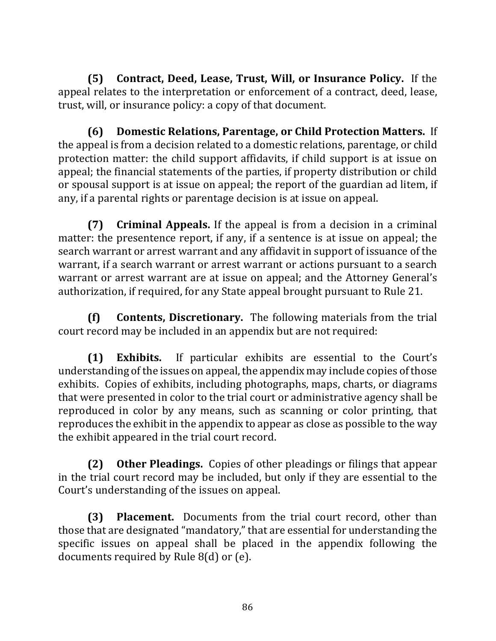**(5)** Contract, Deed, Lease, Trust, Will, or Insurance Policy. If the appeal relates to the interpretation or enforcement of a contract, deed, lease, trust, will, or insurance policy: a copy of that document.

**(6) Domestic Relations, Parentage, or Child Protection Matters.** If the appeal is from a decision related to a domestic relations, parentage, or child protection matter: the child support affidavits, if child support is at issue on appeal; the financial statements of the parties, if property distribution or child or spousal support is at issue on appeal; the report of the guardian ad litem, if any, if a parental rights or parentage decision is at issue on appeal.

**(7) Criminal Appeals.** If the appeal is from a decision in a criminal matter: the presentence report, if any, if a sentence is at issue on appeal; the search warrant or arrest warrant and any affidavit in support of issuance of the warrant, if a search warrant or arrest warrant or actions pursuant to a search warrant or arrest warrant are at issue on appeal; and the Attorney General's authorization, if required, for any State appeal brought pursuant to Rule 21.

**(f) Contents, Discretionary.** The following materials from the trial court record may be included in an appendix but are not required:

**(1) Exhibits.** If particular exhibits are essential to the Court's understanding of the issues on appeal, the appendix may include copies of those exhibits. Copies of exhibits, including photographs, maps, charts, or diagrams that were presented in color to the trial court or administrative agency shall be reproduced in color by any means, such as scanning or color printing, that reproduces the exhibit in the appendix to appear as close as possible to the way the exhibit appeared in the trial court record.

**(2) Other Pleadings.** Copies of other pleadings or filings that appear in the trial court record may be included, but only if they are essential to the Court's understanding of the issues on appeal.

**(3) Placement.** Documents from the trial court record, other than those that are designated "mandatory," that are essential for understanding the specific issues on appeal shall be placed in the appendix following the documents required by Rule  $8(d)$  or (e).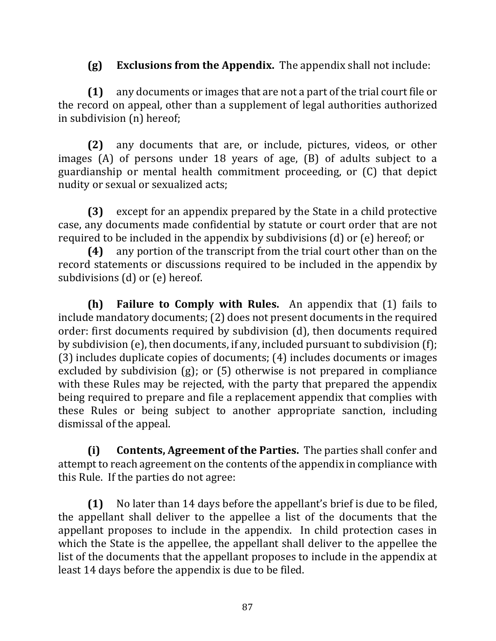**(g) Exclusions from the Appendix.** The appendix shall not include:

**(1)** any documents or images that are not a part of the trial court file or the record on appeal, other than a supplement of legal authorities authorized in subdivision (n) hereof;

**(2)** any documents that are, or include, pictures, videos, or other images  $(A)$  of persons under 18 years of age,  $(B)$  of adults subject to a guardianship or mental health commitment proceeding, or (C) that depict nudity or sexual or sexualized acts;

**(3)** except for an appendix prepared by the State in a child protective case, any documents made confidential by statute or court order that are not required to be included in the appendix by subdivisions  $(d)$  or  $(e)$  hereof; or

**(4)** any portion of the transcript from the trial court other than on the record statements or discussions required to be included in the appendix by subdivisions  $(d)$  or  $(e)$  hereof.

**(h)** Failure to Comply with Rules. An appendix that (1) fails to include mandatory documents; (2) does not present documents in the required order: first documents required by subdivision (d), then documents required by subdivision  $(e)$ , then documents, if any, included pursuant to subdivision  $(f)$ ;  $(3)$  includes duplicate copies of documents;  $(4)$  includes documents or images excluded by subdivision  $(g)$ ; or  $(5)$  otherwise is not prepared in compliance with these Rules may be rejected, with the party that prepared the appendix being required to prepare and file a replacement appendix that complies with these Rules or being subject to another appropriate sanction, including dismissal of the appeal.

**(i)** Contents, Agreement of the Parties. The parties shall confer and attempt to reach agreement on the contents of the appendix in compliance with this Rule. If the parties do not agree:

**(1)** No later than 14 days before the appellant's brief is due to be filed, the appellant shall deliver to the appellee a list of the documents that the appellant proposes to include in the appendix. In child protection cases in which the State is the appellee, the appellant shall deliver to the appellee the list of the documents that the appellant proposes to include in the appendix at least 14 days before the appendix is due to be filed.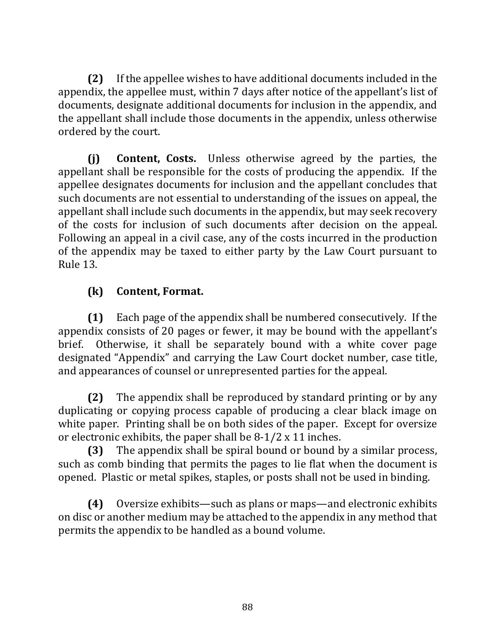**(2)** If the appellee wishes to have additional documents included in the appendix, the appellee must, within 7 days after notice of the appellant's list of documents, designate additional documents for inclusion in the appendix, and the appellant shall include those documents in the appendix, unless otherwise ordered by the court.

**(j) Content, Costs.** Unless otherwise agreed by the parties, the appellant shall be responsible for the costs of producing the appendix. If the appellee designates documents for inclusion and the appellant concludes that such documents are not essential to understanding of the issues on appeal, the appellant shall include such documents in the appendix, but may seek recovery of the costs for inclusion of such documents after decision on the appeal. Following an appeal in a civil case, any of the costs incurred in the production of the appendix may be taxed to either party by the Law Court pursuant to Rule 13.

# **(k)** Content, Format.

**(1)** Each page of the appendix shall be numbered consecutively. If the appendix consists of 20 pages or fewer, it may be bound with the appellant's brief. Otherwise, it shall be separately bound with a white cover page designated "Appendix" and carrying the Law Court docket number, case title, and appearances of counsel or unrepresented parties for the appeal.

**(2)** The appendix shall be reproduced by standard printing or by any duplicating or copying process capable of producing a clear black image on white paper. Printing shall be on both sides of the paper. Except for oversize or electronic exhibits, the paper shall be  $8-1/2 \times 11$  inches.

**(3)** The appendix shall be spiral bound or bound by a similar process, such as comb binding that permits the pages to lie flat when the document is opened. Plastic or metal spikes, staples, or posts shall not be used in binding.

**(4)** Oversize exhibits—such as plans or maps—and electronic exhibits on disc or another medium may be attached to the appendix in any method that permits the appendix to be handled as a bound volume.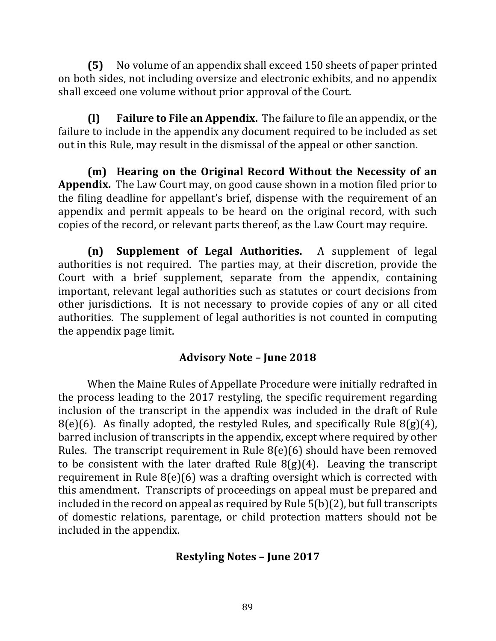**(5)** No volume of an appendix shall exceed 150 sheets of paper printed on both sides, not including oversize and electronic exhibits, and no appendix shall exceed one volume without prior approval of the Court.

**(I) Failure to File an Appendix.** The failure to file an appendix, or the failure to include in the appendix any document required to be included as set out in this Rule, may result in the dismissal of the appeal or other sanction.

**(m)** Hearing on the Original Record Without the Necessity of an **Appendix.** The Law Court may, on good cause shown in a motion filed prior to the filing deadline for appellant's brief, dispense with the requirement of an appendix and permit appeals to be heard on the original record, with such copies of the record, or relevant parts thereof, as the Law Court may require.

**(n) Supplement of Legal Authorities.** A supplement of legal authorities is not required. The parties may, at their discretion, provide the Court with a brief supplement, separate from the appendix, containing important, relevant legal authorities such as statutes or court decisions from other jurisdictions. It is not necessary to provide copies of any or all cited authorities. The supplement of legal authorities is not counted in computing the appendix page limit.

## **Advisory Note – June 2018**

When the Maine Rules of Appellate Procedure were initially redrafted in the process leading to the 2017 restyling, the specific requirement regarding inclusion of the transcript in the appendix was included in the draft of Rule  $8(e)(6)$ . As finally adopted, the restyled Rules, and specifically Rule  $8(g)(4)$ , barred inclusion of transcripts in the appendix, except where required by other Rules. The transcript requirement in Rule  $8(e)(6)$  should have been removed to be consistent with the later drafted Rule  $8(g)(4)$ . Leaving the transcript requirement in Rule  $8(e)(6)$  was a drafting oversight which is corrected with this amendment. Transcripts of proceedings on appeal must be prepared and included in the record on appeal as required by Rule  $5(b)(2)$ , but full transcripts of domestic relations, parentage, or child protection matters should not be included in the appendix.

### **Restyling Notes - June 2017**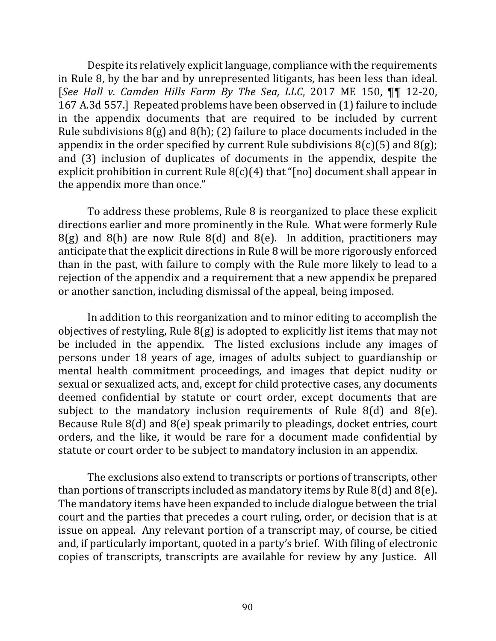Despite its relatively explicit language, compliance with the requirements in Rule 8, by the bar and by unrepresented litigants, has been less than ideal. [See Hall v. Camden Hills Farm By The Sea, LLC, 2017 ME 150,  $\P\P$  12-20, 167 A.3d 557.] Repeated problems have been observed in (1) failure to include in the appendix documents that are required to be included by current Rule subdivisions  $8(g)$  and  $8(h)$ ; (2) failure to place documents included in the appendix in the order specified by current Rule subdivisions  $8(c)(5)$  and  $8(g)$ ; and (3) inclusion of duplicates of documents in the appendix, despite the explicit prohibition in current Rule  $8(c)(4)$  that "[no] document shall appear in the appendix more than once."

To address these problems, Rule 8 is reorganized to place these explicit directions earlier and more prominently in the Rule. What were formerly Rule  $8(g)$  and  $8(h)$  are now Rule  $8(d)$  and  $8(e)$ . In addition, practitioners may anticipate that the explicit directions in Rule 8 will be more rigorously enforced than in the past, with failure to comply with the Rule more likely to lead to a rejection of the appendix and a requirement that a new appendix be prepared or another sanction, including dismissal of the appeal, being imposed.

In addition to this reorganization and to minor editing to accomplish the objectives of restyling, Rule  $8(g)$  is adopted to explicitly list items that may not be included in the appendix. The listed exclusions include any images of persons under 18 years of age, images of adults subject to guardianship or mental health commitment proceedings, and images that depict nudity or sexual or sexualized acts, and, except for child protective cases, any documents deemed confidential by statute or court order, except documents that are subject to the mandatory inclusion requirements of Rule  $8(d)$  and  $8(e)$ . Because Rule  $8(d)$  and  $8(e)$  speak primarily to pleadings, docket entries, court orders, and the like, it would be rare for a document made confidential by statute or court order to be subject to mandatory inclusion in an appendix.

The exclusions also extend to transcripts or portions of transcripts, other than portions of transcripts included as mandatory items by Rule 8(d) and 8(e). The mandatory items have been expanded to include dialogue between the trial court and the parties that precedes a court ruling, order, or decision that is at issue on appeal. Any relevant portion of a transcript may, of course, be citied and, if particularly important, quoted in a party's brief. With filing of electronic copies of transcripts, transcripts are available for review by any Justice. All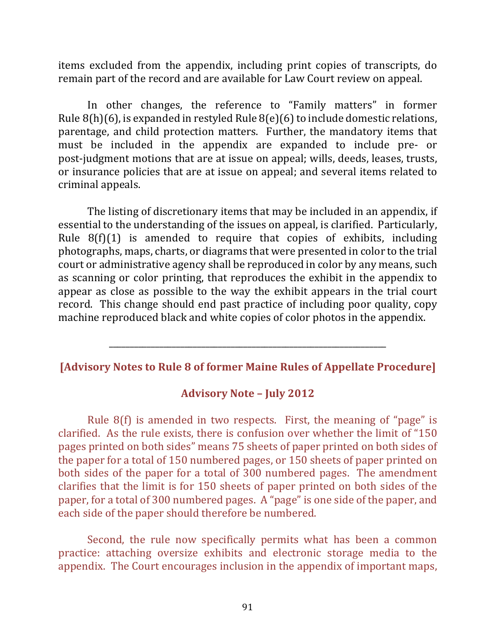items excluded from the appendix, including print copies of transcripts, do remain part of the record and are available for Law Court review on appeal.

In other changes, the reference to "Family matters" in former Rule  $8(h)(6)$ , is expanded in restyled Rule  $8(e)(6)$  to include domestic relations, parentage, and child protection matters. Further, the mandatory items that must be included in the appendix are expanded to include pre- or post-judgment motions that are at issue on appeal; wills, deeds, leases, trusts, or insurance policies that are at issue on appeal; and several items related to criminal appeals.

The listing of discretionary items that may be included in an appendix, if essential to the understanding of the issues on appeal, is clarified. Particularly, Rule  $8(f)(1)$  is amended to require that copies of exhibits, including photographs, maps, charts, or diagrams that were presented in color to the trial court or administrative agency shall be reproduced in color by any means, such as scanning or color printing, that reproduces the exhibit in the appendix to appear as close as possible to the way the exhibit appears in the trial court record. This change should end past practice of including poor quality, copy machine reproduced black and white copies of color photos in the appendix.

#### **[Advisory Notes to Rule 8 of former Maine Rules of Appellate Procedure]**

\_\_\_\_\_\_\_\_\_\_\_\_\_\_\_\_\_\_\_\_\_\_\_\_\_\_\_\_\_\_\_\_\_\_\_\_\_\_\_\_\_\_\_\_\_\_\_\_\_\_\_\_\_\_\_\_\_\_\_\_\_\_\_\_\_\_

#### **Advisory Note – July 2012**

Rule  $8(f)$  is amended in two respects. First, the meaning of "page" is clarified. As the rule exists, there is confusion over whether the limit of "150" pages printed on both sides" means 75 sheets of paper printed on both sides of the paper for a total of 150 numbered pages, or 150 sheets of paper printed on both sides of the paper for a total of 300 numbered pages. The amendment clarifies that the limit is for 150 sheets of paper printed on both sides of the paper, for a total of 300 numbered pages. A "page" is one side of the paper, and each side of the paper should therefore be numbered.

Second, the rule now specifically permits what has been a common practice: attaching oversize exhibits and electronic storage media to the appendix. The Court encourages inclusion in the appendix of important maps,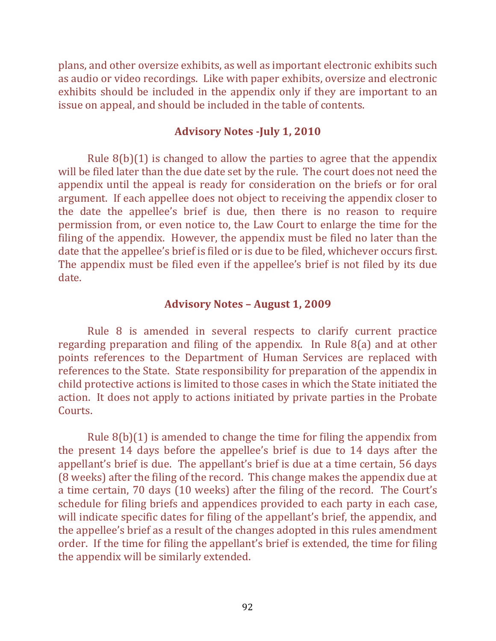plans, and other oversize exhibits, as well as important electronic exhibits such as audio or video recordings. Like with paper exhibits, oversize and electronic exhibits should be included in the appendix only if they are important to an issue on appeal, and should be included in the table of contents.

#### Advisory Notes -July 1, 2010

Rule  $8(b)(1)$  is changed to allow the parties to agree that the appendix will be filed later than the due date set by the rule. The court does not need the appendix until the appeal is ready for consideration on the briefs or for oral argument. If each appellee does not object to receiving the appendix closer to the date the appellee's brief is due, then there is no reason to require permission from, or even notice to, the Law Court to enlarge the time for the filing of the appendix. However, the appendix must be filed no later than the date that the appellee's brief is filed or is due to be filed, whichever occurs first. The appendix must be filed even if the appellee's brief is not filed by its due date.

#### **Advisory Notes – August 1, 2009**

Rule 8 is amended in several respects to clarify current practice regarding preparation and filing of the appendix. In Rule  $8(a)$  and at other points references to the Department of Human Services are replaced with references to the State. State responsibility for preparation of the appendix in child protective actions is limited to those cases in which the State initiated the action. It does not apply to actions initiated by private parties in the Probate Courts. 

Rule  $8(b)(1)$  is amended to change the time for filing the appendix from the present 14 days before the appellee's brief is due to 14 days after the appellant's brief is due. The appellant's brief is due at a time certain, 56 days (8 weeks) after the filing of the record. This change makes the appendix due at a time certain, 70 days (10 weeks) after the filing of the record. The Court's schedule for filing briefs and appendices provided to each party in each case, will indicate specific dates for filing of the appellant's brief, the appendix, and the appellee's brief as a result of the changes adopted in this rules amendment order. If the time for filing the appellant's brief is extended, the time for filing the appendix will be similarly extended.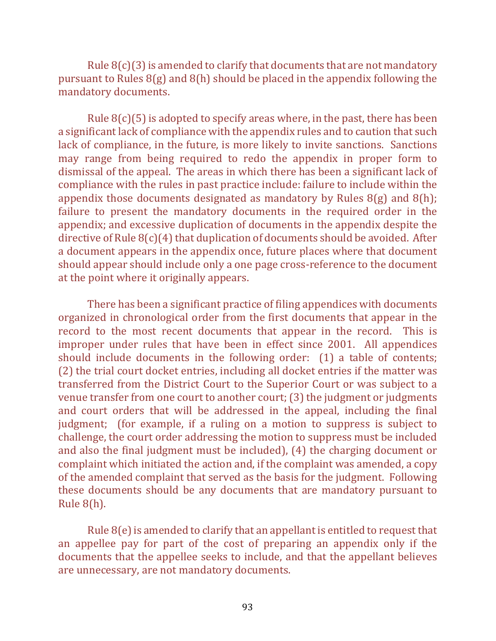Rule  $8(c)(3)$  is amended to clarify that documents that are not mandatory pursuant to Rules  $8(g)$  and  $8(h)$  should be placed in the appendix following the mandatory documents.

Rule  $8(c)(5)$  is adopted to specify areas where, in the past, there has been a significant lack of compliance with the appendix rules and to caution that such lack of compliance, in the future, is more likely to invite sanctions. Sanctions may range from being required to redo the appendix in proper form to dismissal of the appeal. The areas in which there has been a significant lack of compliance with the rules in past practice include: failure to include within the appendix those documents designated as mandatory by Rules  $8(g)$  and  $8(h)$ ; failure to present the mandatory documents in the required order in the appendix; and excessive duplication of documents in the appendix despite the directive of Rule  $8(c)(4)$  that duplication of documents should be avoided. After a document appears in the appendix once, future places where that document should appear should include only a one page cross-reference to the document at the point where it originally appears.

There has been a significant practice of filing appendices with documents organized in chronological order from the first documents that appear in the record to the most recent documents that appear in the record. This is improper under rules that have been in effect since 2001. All appendices should include documents in the following order:  $(1)$  a table of contents;  $(2)$  the trial court docket entries, including all docket entries if the matter was transferred from the District Court to the Superior Court or was subject to a venue transfer from one court to another court;  $(3)$  the judgment or judgments and court orders that will be addressed in the appeal, including the final judgment; (for example, if a ruling on a motion to suppress is subject to challenge, the court order addressing the motion to suppress must be included and also the final judgment must be included),  $(4)$  the charging document or complaint which initiated the action and, if the complaint was amended, a copy of the amended complaint that served as the basis for the judgment. Following these documents should be any documents that are mandatory pursuant to Rule  $8(h)$ .

Rule  $8(e)$  is amended to clarify that an appellant is entitled to request that an appellee pay for part of the cost of preparing an appendix only if the documents that the appellee seeks to include, and that the appellant believes are unnecessary, are not mandatory documents.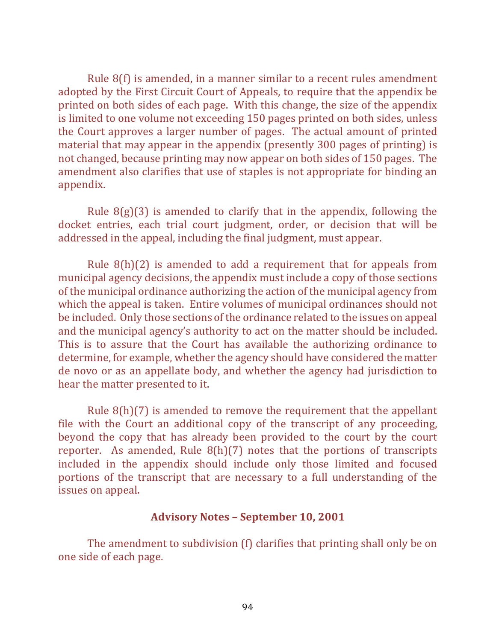Rule  $8(f)$  is amended, in a manner similar to a recent rules amendment adopted by the First Circuit Court of Appeals, to require that the appendix be printed on both sides of each page. With this change, the size of the appendix is limited to one volume not exceeding 150 pages printed on both sides, unless the Court approves a larger number of pages. The actual amount of printed material that may appear in the appendix (presently 300 pages of printing) is not changed, because printing may now appear on both sides of 150 pages. The amendment also clarifies that use of staples is not appropriate for binding an appendix.

Rule  $8(g)(3)$  is amended to clarify that in the appendix, following the docket entries, each trial court judgment, order, or decision that will be addressed in the appeal, including the final judgment, must appear.

Rule  $8(h)(2)$  is amended to add a requirement that for appeals from municipal agency decisions, the appendix must include a copy of those sections of the municipal ordinance authorizing the action of the municipal agency from which the appeal is taken. Entire volumes of municipal ordinances should not be included. Only those sections of the ordinance related to the issues on appeal and the municipal agency's authority to act on the matter should be included. This is to assure that the Court has available the authorizing ordinance to determine, for example, whether the agency should have considered the matter de novo or as an appellate body, and whether the agency had jurisdiction to hear the matter presented to it.

Rule  $8(h)(7)$  is amended to remove the requirement that the appellant file with the Court an additional copy of the transcript of any proceeding, beyond the copy that has already been provided to the court by the court reporter. As amended, Rule  $8(h)(7)$  notes that the portions of transcripts included in the appendix should include only those limited and focused portions of the transcript that are necessary to a full understanding of the issues on appeal.

#### **Advisory Notes – September 10, 2001**

The amendment to subdivision (f) clarifies that printing shall only be on one side of each page.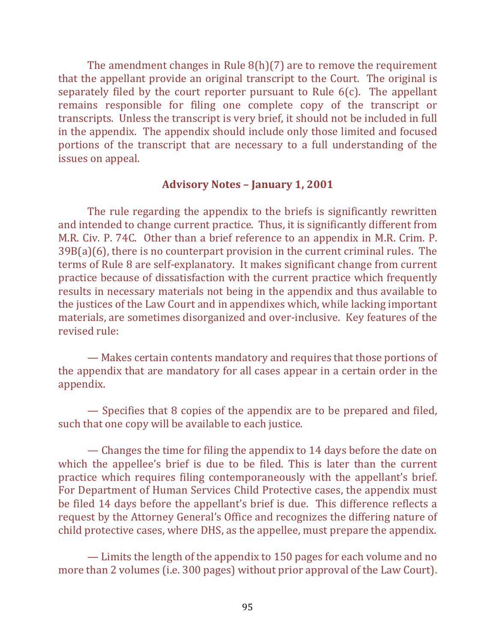The amendment changes in Rule  $8(h)(7)$  are to remove the requirement that the appellant provide an original transcript to the Court. The original is separately filed by the court reporter pursuant to Rule  $6(c)$ . The appellant remains responsible for filing one complete copy of the transcript or transcripts. Unless the transcript is very brief, it should not be included in full in the appendix. The appendix should include only those limited and focused portions of the transcript that are necessary to a full understanding of the issues on appeal.

#### **Advisory Notes – January 1, 2001**

The rule regarding the appendix to the briefs is significantly rewritten and intended to change current practice. Thus, it is significantly different from M.R. Civ. P. 74C. Other than a brief reference to an appendix in M.R. Crim. P.  $39B(a)(6)$ , there is no counterpart provision in the current criminal rules. The terms of Rule 8 are self-explanatory. It makes significant change from current practice because of dissatisfaction with the current practice which frequently results in necessary materials not being in the appendix and thus available to the justices of the Law Court and in appendixes which, while lacking important materials, are sometimes disorganized and over-inclusive. Key features of the revised rule:

— Makes certain contents mandatory and requires that those portions of the appendix that are mandatory for all cases appear in a certain order in the appendix. 

— Specifies that 8 copies of the appendix are to be prepared and filed, such that one copy will be available to each justice.

— Changes the time for filing the appendix to 14 days before the date on which the appellee's brief is due to be filed. This is later than the current practice which requires filing contemporaneously with the appellant's brief. For Department of Human Services Child Protective cases, the appendix must be filed 14 days before the appellant's brief is due. This difference reflects a request by the Attorney General's Office and recognizes the differing nature of child protective cases, where DHS, as the appellee, must prepare the appendix.

— Limits the length of the appendix to 150 pages for each volume and no more than 2 volumes (i.e. 300 pages) without prior approval of the Law Court).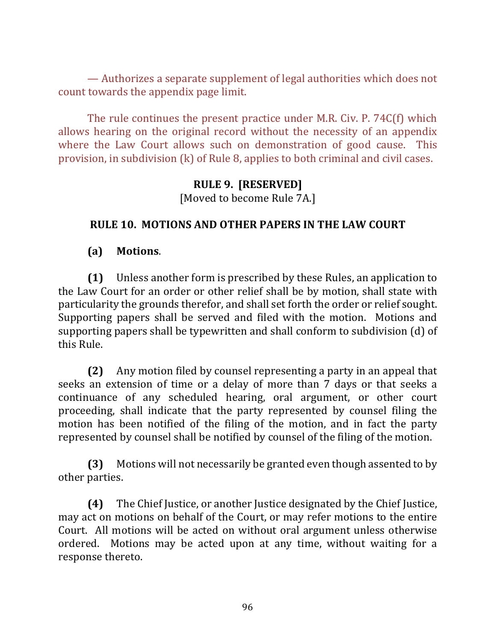$-$  Authorizes a separate supplement of legal authorities which does not count towards the appendix page limit.

The rule continues the present practice under M.R. Civ. P. 74 $C(f)$  which allows hearing on the original record without the necessity of an appendix where the Law Court allows such on demonstration of good cause. This provision, in subdivision  $(k)$  of Rule 8, applies to both criminal and civil cases.

#### **RULE 9. [RESERVED]** [Moved to become Rule 7A.]

### **RULE 10. MOTIONS AND OTHER PAPERS IN THE LAW COURT**

**(a) Motions**.

**(1)** Unless another form is prescribed by these Rules, an application to the Law Court for an order or other relief shall be by motion, shall state with particularity the grounds therefor, and shall set forth the order or relief sought. Supporting papers shall be served and filed with the motion. Motions and supporting papers shall be typewritten and shall conform to subdivision  $(d)$  of this Rule.

**(2)** Any motion filed by counsel representing a party in an appeal that seeks an extension of time or a delay of more than 7 days or that seeks a continuance of any scheduled hearing, oral argument, or other court proceeding, shall indicate that the party represented by counsel filing the motion has been notified of the filing of the motion, and in fact the party represented by counsel shall be notified by counsel of the filing of the motion.

**(3)** Motions will not necessarily be granted even though assented to by other parties.

**(4)** The Chief Justice, or another Justice designated by the Chief Justice, may act on motions on behalf of the Court, or may refer motions to the entire Court. All motions will be acted on without oral argument unless otherwise ordered. Motions may be acted upon at any time, without waiting for a response thereto.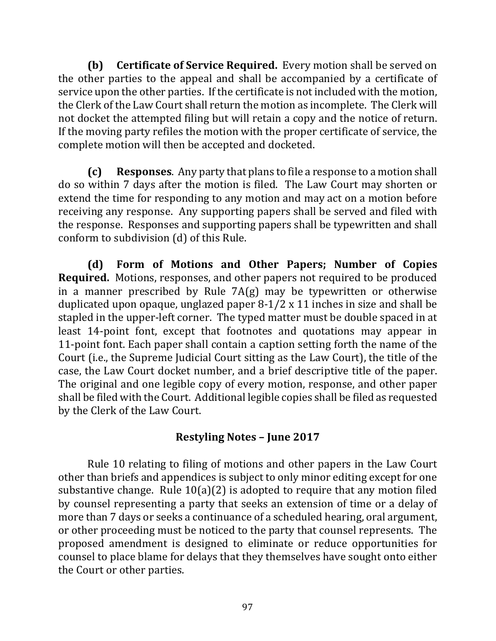**(b)** Certificate of Service Required. Every motion shall be served on the other parties to the appeal and shall be accompanied by a certificate of service upon the other parties. If the certificate is not included with the motion, the Clerk of the Law Court shall return the motion as incomplete. The Clerk will not docket the attempted filing but will retain a copy and the notice of return. If the moving party refiles the motion with the proper certificate of service, the complete motion will then be accepted and docketed.

**(c) Responses**. Any party that plans to file a response to a motion shall do so within 7 days after the motion is filed. The Law Court may shorten or extend the time for responding to any motion and may act on a motion before receiving any response. Any supporting papers shall be served and filed with the response. Responses and supporting papers shall be typewritten and shall conform to subdivision (d) of this Rule.

**(d) Form of Motions and Other Papers; Number of Copies Required.** Motions, responses, and other papers not required to be produced in a manner prescribed by Rule  $7A(g)$  may be typewritten or otherwise duplicated upon opaque, unglazed paper  $8-1/2 \times 11$  inches in size and shall be stapled in the upper-left corner. The typed matter must be double spaced in at least 14-point font, except that footnotes and quotations may appear in 11-point font. Each paper shall contain a caption setting forth the name of the Court (i.e., the Supreme Judicial Court sitting as the Law Court), the title of the case, the Law Court docket number, and a brief descriptive title of the paper. The original and one legible copy of every motion, response, and other paper shall be filed with the Court. Additional legible copies shall be filed as requested by the Clerk of the Law Court.

# **Restyling Notes - June 2017**

Rule 10 relating to filing of motions and other papers in the Law Court other than briefs and appendices is subject to only minor editing except for one substantive change. Rule  $10(a)(2)$  is adopted to require that any motion filed by counsel representing a party that seeks an extension of time or a delay of more than 7 days or seeks a continuance of a scheduled hearing, oral argument, or other proceeding must be noticed to the party that counsel represents. The proposed amendment is designed to eliminate or reduce opportunities for counsel to place blame for delays that they themselves have sought onto either the Court or other parties.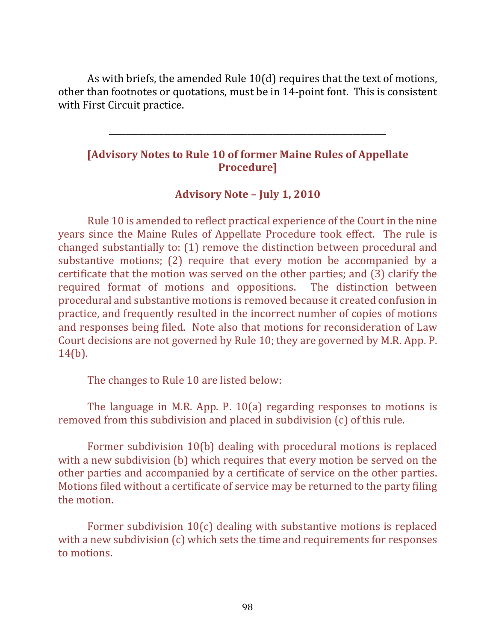As with briefs, the amended Rule  $10(d)$  requires that the text of motions, other than footnotes or quotations, must be in 14-point font. This is consistent with First Circuit practice.

## **[Advisory Notes to Rule 10 of former Maine Rules of Appellate Procedure]**

\_\_\_\_\_\_\_\_\_\_\_\_\_\_\_\_\_\_\_\_\_\_\_\_\_\_\_\_\_\_\_\_\_\_\_\_\_\_\_\_\_\_\_\_\_\_\_\_\_\_\_\_\_\_\_\_\_\_\_\_\_\_\_\_\_\_

### Advisory Note - July 1, 2010

Rule 10 is amended to reflect practical experience of the Court in the nine years since the Maine Rules of Appellate Procedure took effect. The rule is changed substantially to: (1) remove the distinction between procedural and substantive motions; (2) require that every motion be accompanied by a certificate that the motion was served on the other parties; and (3) clarify the required format of motions and oppositions. The distinction between procedural and substantive motions is removed because it created confusion in practice, and frequently resulted in the incorrect number of copies of motions and responses being filed. Note also that motions for reconsideration of Law Court decisions are not governed by Rule 10; they are governed by M.R. App. P. 14(b).

The changes to Rule 10 are listed below:

The language in M.R. App. P.  $10(a)$  regarding responses to motions is removed from this subdivision and placed in subdivision  $(c)$  of this rule.

Former subdivision 10(b) dealing with procedural motions is replaced with a new subdivision (b) which requires that every motion be served on the other parties and accompanied by a certificate of service on the other parties. Motions filed without a certificate of service may be returned to the party filing the motion.

Former subdivision  $10(c)$  dealing with substantive motions is replaced with a new subdivision  $(c)$  which sets the time and requirements for responses to motions.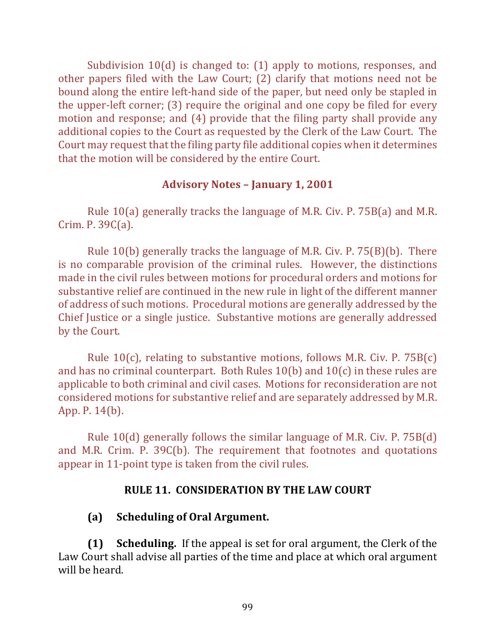Subdivision  $10(d)$  is changed to:  $(1)$  apply to motions, responses, and other papers filed with the Law Court;  $(2)$  clarify that motions need not be bound along the entire left-hand side of the paper, but need only be stapled in the upper-left corner;  $(3)$  require the original and one copy be filed for every motion and response; and  $(4)$  provide that the filing party shall provide any additional copies to the Court as requested by the Clerk of the Law Court. The Court may request that the filing party file additional copies when it determines that the motion will be considered by the entire Court.

### **Advisory Notes – January 1, 2001**

Rule  $10(a)$  generally tracks the language of M.R. Civ. P. 75B(a) and M.R. Crim. P.  $39C(a)$ .

Rule  $10(b)$  generally tracks the language of M.R. Civ. P. 75(B)(b). There is no comparable provision of the criminal rules. However, the distinctions made in the civil rules between motions for procedural orders and motions for substantive relief are continued in the new rule in light of the different manner of address of such motions. Procedural motions are generally addressed by the Chief Justice or a single justice. Substantive motions are generally addressed by the Court.

Rule  $10(c)$ , relating to substantive motions, follows M.R. Civ. P. 75B(c) and has no criminal counterpart. Both Rules  $10(b)$  and  $10(c)$  in these rules are applicable to both criminal and civil cases. Motions for reconsideration are not considered motions for substantive relief and are separately addressed by M.R. App.  $P. 14(b)$ .

Rule  $10(d)$  generally follows the similar language of M.R. Civ. P. 75B(d) and M.R. Crim. P.  $39C(b)$ . The requirement that footnotes and quotations appear in  $11$ -point type is taken from the civil rules.

## **RULE 11. CONSIDERATION BY THE LAW COURT**

# **(a) Scheduling of Oral Argument.**

**(1) Scheduling.** If the appeal is set for oral argument, the Clerk of the Law Court shall advise all parties of the time and place at which oral argument will be heard.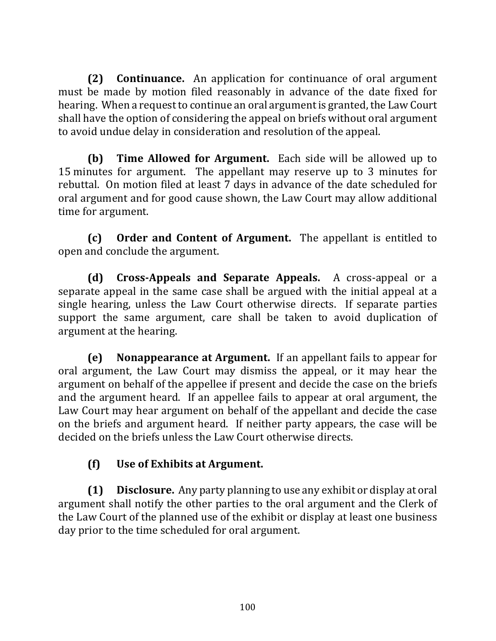**(2) Continuance.** An application for continuance of oral argument must be made by motion filed reasonably in advance of the date fixed for hearing. When a request to continue an oral argument is granted, the Law Court shall have the option of considering the appeal on briefs without oral argument to avoid undue delay in consideration and resolution of the appeal.

**(b) Time Allowed for Argument.** Each side will be allowed up to 15 minutes for argument. The appellant may reserve up to 3 minutes for rebuttal. On motion filed at least 7 days in advance of the date scheduled for oral argument and for good cause shown, the Law Court may allow additional time for argument.

**(c)** Order and Content of Argument. The appellant is entitled to open and conclude the argument.

**(d) Cross-Appeals and Separate Appeals.** A cross-appeal or a separate appeal in the same case shall be argued with the initial appeal at a single hearing, unless the Law Court otherwise directs. If separate parties support the same argument, care shall be taken to avoid duplication of argument at the hearing.

**(e)** Nonappearance at Argument. If an appellant fails to appear for oral argument, the Law Court may dismiss the appeal, or it may hear the argument on behalf of the appellee if present and decide the case on the briefs and the argument heard. If an appellee fails to appear at oral argument, the Law Court may hear argument on behalf of the appellant and decide the case on the briefs and argument heard. If neither party appears, the case will be decided on the briefs unless the Law Court otherwise directs.

# **(f) Use of Exhibits at Argument.**

**(1) Disclosure.** Any party planning to use any exhibit or display at oral argument shall notify the other parties to the oral argument and the Clerk of the Law Court of the planned use of the exhibit or display at least one business day prior to the time scheduled for oral argument.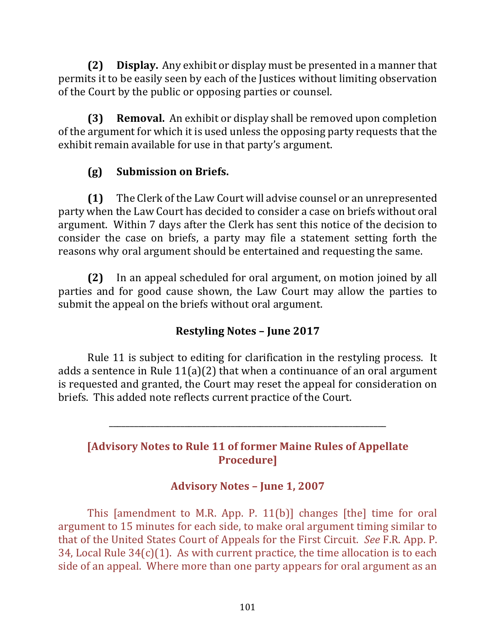**(2) Display.** Any exhibit or display must be presented in a manner that permits it to be easily seen by each of the Justices without limiting observation of the Court by the public or opposing parties or counsel.

**(3) Removal.** An exhibit or display shall be removed upon completion of the argument for which it is used unless the opposing party requests that the exhibit remain available for use in that party's argument.

# **(g) Submission on Briefs.**

**(1)** The Clerk of the Law Court will advise counsel or an unrepresented party when the Law Court has decided to consider a case on briefs without oral argument. Within 7 days after the Clerk has sent this notice of the decision to consider the case on briefs, a party may file a statement setting forth the reasons why oral argument should be entertained and requesting the same.

**(2)** In an appeal scheduled for oral argument, on motion joined by all parties and for good cause shown, the Law Court may allow the parties to submit the appeal on the briefs without oral argument.

# **Restyling Notes - June 2017**

Rule 11 is subject to editing for clarification in the restyling process. It adds a sentence in Rule  $11(a)(2)$  that when a continuance of an oral argument is requested and granted, the Court may reset the appeal for consideration on briefs. This added note reflects current practice of the Court.

**[Advisory Notes to Rule 11 of former Maine Rules of Appellate Procedure]**

\_\_\_\_\_\_\_\_\_\_\_\_\_\_\_\_\_\_\_\_\_\_\_\_\_\_\_\_\_\_\_\_\_\_\_\_\_\_\_\_\_\_\_\_\_\_\_\_\_\_\_\_\_\_\_\_\_\_\_\_\_\_\_\_\_\_

# **Advisory Notes – June 1, 2007**

This [amendment to M.R. App. P. 11(b)] changes [the] time for oral argument to 15 minutes for each side, to make oral argument timing similar to that of the United States Court of Appeals for the First Circuit. See F.R. App. P. 34, Local Rule  $34(c)(1)$ . As with current practice, the time allocation is to each side of an appeal. Where more than one party appears for oral argument as an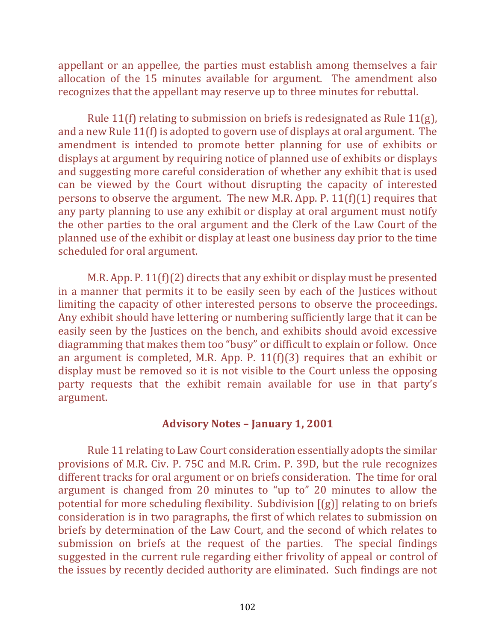appellant or an appellee, the parties must establish among themselves a fair allocation of the 15 minutes available for argument. The amendment also recognizes that the appellant may reserve up to three minutes for rebuttal.

Rule  $11(f)$  relating to submission on briefs is redesignated as Rule  $11(g)$ , and a new Rule  $11(f)$  is adopted to govern use of displays at oral argument. The amendment is intended to promote better planning for use of exhibits or displays at argument by requiring notice of planned use of exhibits or displays and suggesting more careful consideration of whether any exhibit that is used can be viewed by the Court without disrupting the capacity of interested persons to observe the argument. The new M.R. App. P.  $11(f)(1)$  requires that any party planning to use any exhibit or display at oral argument must notify the other parties to the oral argument and the Clerk of the Law Court of the planned use of the exhibit or display at least one business day prior to the time scheduled for oral argument.

M.R. App. P.  $11(f)(2)$  directs that any exhibit or display must be presented in a manner that permits it to be easily seen by each of the Justices without limiting the capacity of other interested persons to observe the proceedings. Any exhibit should have lettering or numbering sufficiently large that it can be easily seen by the Justices on the bench, and exhibits should avoid excessive diagramming that makes them too "busy" or difficult to explain or follow. Once an argument is completed, M.R. App. P.  $11(f)(3)$  requires that an exhibit or display must be removed so it is not visible to the Court unless the opposing party requests that the exhibit remain available for use in that party's argument.

#### **Advisory Notes – January 1, 2001**

Rule 11 relating to Law Court consideration essentially adopts the similar provisions of M.R. Civ. P. 75C and M.R. Crim. P. 39D, but the rule recognizes different tracks for oral argument or on briefs consideration. The time for oral argument is changed from 20 minutes to "up to" 20 minutes to allow the potential for more scheduling flexibility. Subdivision  $[(g)]$  relating to on briefs consideration is in two paragraphs, the first of which relates to submission on briefs by determination of the Law Court, and the second of which relates to submission on briefs at the request of the parties. The special findings suggested in the current rule regarding either frivolity of appeal or control of the issues by recently decided authority are eliminated. Such findings are not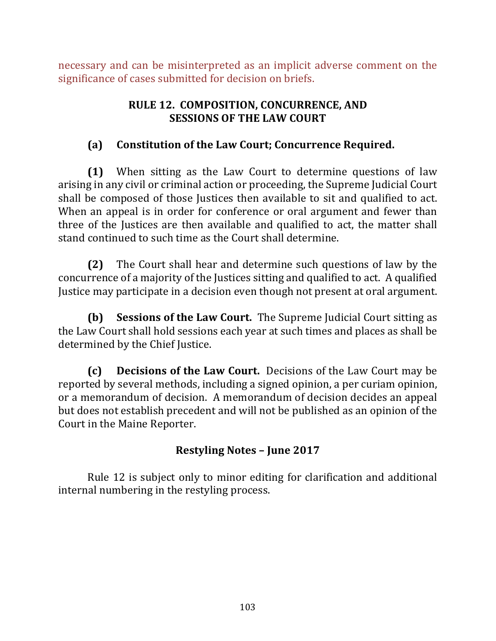necessary and can be misinterpreted as an implicit adverse comment on the significance of cases submitted for decision on briefs.

## **RULE 12. COMPOSITION, CONCURRENCE, AND SESSIONS OF THE LAW COURT**

# **(a) Constitution of the Law Court; Concurrence Required.**

**(1)** When sitting as the Law Court to determine questions of law arising in any civil or criminal action or proceeding, the Supreme Judicial Court shall be composed of those Justices then available to sit and qualified to act. When an appeal is in order for conference or oral argument and fewer than three of the Justices are then available and qualified to act, the matter shall stand continued to such time as the Court shall determine.

**(2)** The Court shall hear and determine such questions of law by the concurrence of a majority of the Justices sitting and qualified to act. A qualified Justice may participate in a decision even though not present at oral argument.

**(b) Sessions of the Law Court.** The Supreme Judicial Court sitting as the Law Court shall hold sessions each year at such times and places as shall be determined by the Chief Justice.

**(c) Decisions of the Law Court.** Decisions of the Law Court may be reported by several methods, including a signed opinion, a per curiam opinion, or a memorandum of decision. A memorandum of decision decides an appeal but does not establish precedent and will not be published as an opinion of the Court in the Maine Reporter.

# **Restyling Notes – June 2017**

Rule 12 is subject only to minor editing for clarification and additional internal numbering in the restyling process.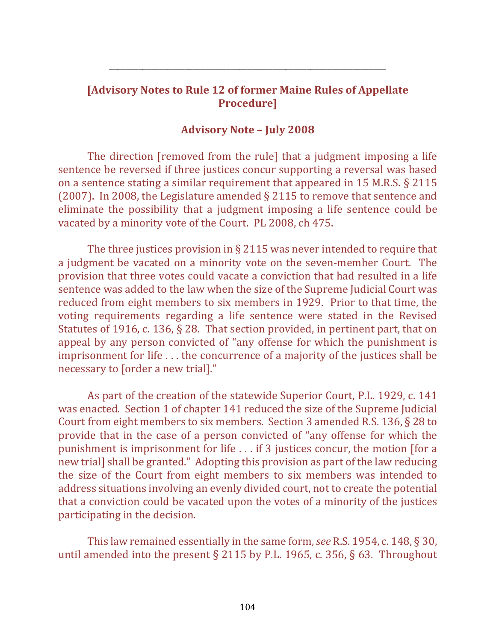## **[Advisory Notes to Rule 12 of former Maine Rules of Appellate Procedure]**

\_\_\_\_\_\_\_\_\_\_\_\_\_\_\_\_\_\_\_\_\_\_\_\_\_\_\_\_\_\_\_\_\_\_\_\_\_\_\_\_\_\_\_\_\_\_\_\_\_\_\_\_\_\_\_\_\_\_\_\_\_\_\_\_\_\_

### **Advisory Note – July 2008**

The direction [removed from the rule] that a judgment imposing a life sentence be reversed if three justices concur supporting a reversal was based on a sentence stating a similar requirement that appeared in 15 M.R.S.  $\S$  2115 (2007). In 2008, the Legislature amended  $\S$  2115 to remove that sentence and eliminate the possibility that a judgment imposing a life sentence could be vacated by a minority vote of the Court. PL 2008, ch 475.

The three justices provision in  $\S$  2115 was never intended to require that a judgment be vacated on a minority vote on the seven-member Court. The provision that three votes could vacate a conviction that had resulted in a life sentence was added to the law when the size of the Supreme Judicial Court was reduced from eight members to six members in 1929. Prior to that time, the voting requirements regarding a life sentence were stated in the Revised Statutes of 1916, c. 136,  $\S$  28. That section provided, in pertinent part, that on appeal by any person convicted of "any offense for which the punishment is imprisonment for life . . . the concurrence of a majority of the justices shall be necessary to [order a new trial]."

As part of the creation of the statewide Superior Court, P.L. 1929, c. 141 was enacted. Section 1 of chapter 141 reduced the size of the Supreme Judicial Court from eight members to six members. Section 3 amended R.S. 136,  $\S$  28 to provide that in the case of a person convicted of "any offense for which the punishment is imprisonment for life  $\dots$  if 3 justices concur, the motion [for a new trial] shall be granted." Adopting this provision as part of the law reducing the size of the Court from eight members to six members was intended to address situations involving an evenly divided court, not to create the potential that a conviction could be vacated upon the votes of a minority of the justices participating in the decision.

This law remained essentially in the same form, *see* R.S. 1954, c. 148,  $\S$  30, until amended into the present  $\S$  2115 by P.L. 1965, c. 356,  $\S$  63. Throughout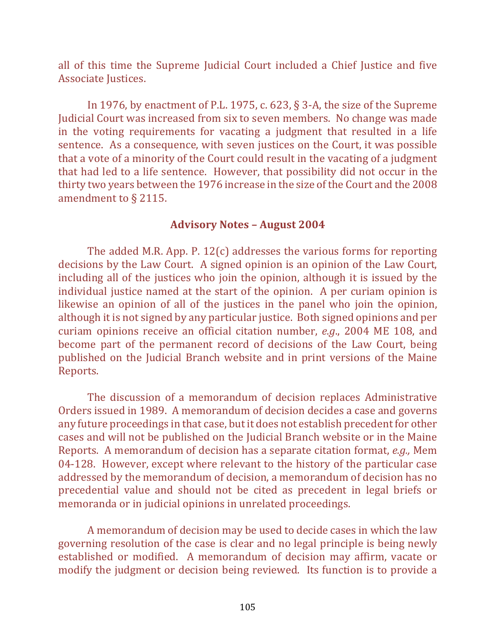all of this time the Supreme Judicial Court included a Chief Justice and five Associate Justices.

In 1976, by enactment of P.L. 1975, c. 623,  $\S$  3-A, the size of the Supreme Judicial Court was increased from six to seven members. No change was made in the voting requirements for vacating a judgment that resulted in a life sentence. As a consequence, with seven justices on the Court, it was possible that a vote of a minority of the Court could result in the vacating of a judgment that had led to a life sentence. However, that possibility did not occur in the thirty two years between the 1976 increase in the size of the Court and the 2008 amendment to  $\S$  2115.

#### **Advisory Notes – August 2004**

The added M.R. App. P.  $12(c)$  addresses the various forms for reporting decisions by the Law Court. A signed opinion is an opinion of the Law Court, including all of the justices who join the opinion, although it is issued by the individual justice named at the start of the opinion. A per curiam opinion is likewise an opinion of all of the justices in the panel who join the opinion, although it is not signed by any particular justice. Both signed opinions and per curiam opinions receive an official citation number, *e.g.*, 2004 ME 108, and become part of the permanent record of decisions of the Law Court, being published on the Judicial Branch website and in print versions of the Maine Reports. 

The discussion of a memorandum of decision replaces Administrative Orders issued in 1989. A memorandum of decision decides a case and governs any future proceedings in that case, but it does not establish precedent for other cases and will not be published on the Judicial Branch website or in the Maine Reports. A memorandum of decision has a separate citation format, *e.g.*, Mem 04-128. However, except where relevant to the history of the particular case addressed by the memorandum of decision, a memorandum of decision has no precedential value and should not be cited as precedent in legal briefs or memoranda or in judicial opinions in unrelated proceedings.

A memorandum of decision may be used to decide cases in which the law governing resolution of the case is clear and no legal principle is being newly established or modified. A memorandum of decision may affirm, vacate or modify the judgment or decision being reviewed. Its function is to provide a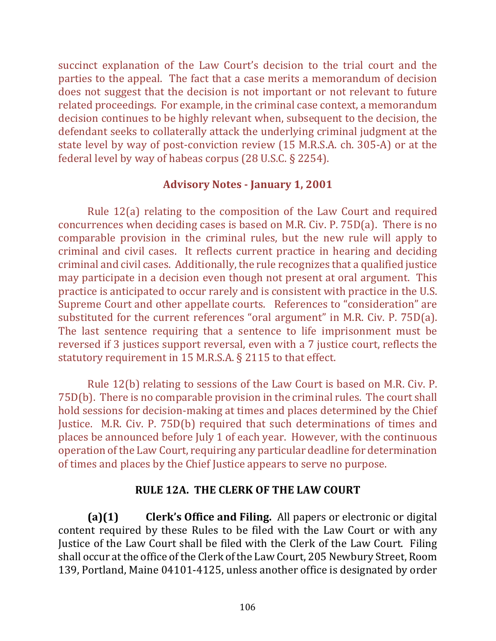succinct explanation of the Law Court's decision to the trial court and the parties to the appeal. The fact that a case merits a memorandum of decision does not suggest that the decision is not important or not relevant to future related proceedings. For example, in the criminal case context, a memorandum decision continues to be highly relevant when, subsequent to the decision, the defendant seeks to collaterally attack the underlying criminal judgment at the state level by way of post-conviction review (15 M.R.S.A. ch. 305-A) or at the federal level by way of habeas corpus  $(28 \text{ U.S.C.} \S 2254)$ .

### **Advisory Notes - January 1, 2001**

Rule  $12(a)$  relating to the composition of the Law Court and required concurrences when deciding cases is based on M.R. Civ. P. 75D(a). There is no comparable provision in the criminal rules, but the new rule will apply to criminal and civil cases. It reflects current practice in hearing and deciding criminal and civil cases. Additionally, the rule recognizes that a qualified justice may participate in a decision even though not present at oral argument. This practice is anticipated to occur rarely and is consistent with practice in the U.S. Supreme Court and other appellate courts. References to "consideration" are substituted for the current references "oral argument" in M.R. Civ. P. 75D(a). The last sentence requiring that a sentence to life imprisonment must be reversed if 3 justices support reversal, even with a 7 justice court, reflects the statutory requirement in 15 M.R.S.A.  $\S$  2115 to that effect.

Rule  $12(b)$  relating to sessions of the Law Court is based on M.R. Civ. P.  $75D(b)$ . There is no comparable provision in the criminal rules. The court shall hold sessions for decision-making at times and places determined by the Chief Justice. M.R. Civ. P. 75D(b) required that such determinations of times and places be announced before July 1 of each year. However, with the continuous operation of the Law Court, requiring any particular deadline for determination of times and places by the Chief Justice appears to serve no purpose.

## **RULE 12A. THE CLERK OF THE LAW COURT**

**(a)(1) Clerk's Office and Filing.** All papers or electronic or digital content required by these Rules to be filed with the Law Court or with any Justice of the Law Court shall be filed with the Clerk of the Law Court. Filing shall occur at the office of the Clerk of the Law Court, 205 Newbury Street, Room 139, Portland, Maine 04101-4125, unless another office is designated by order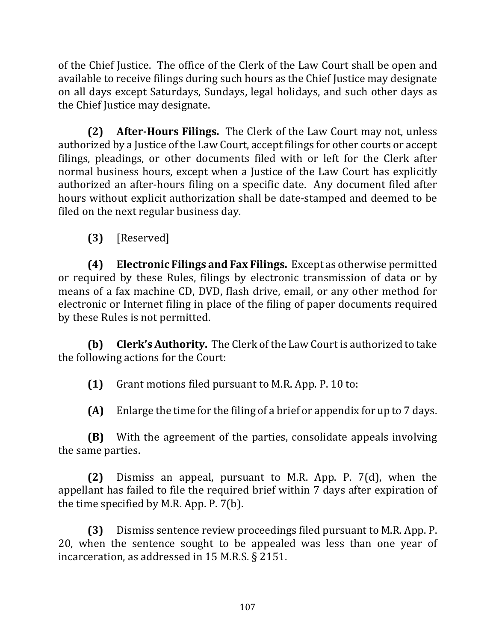of the Chief Justice. The office of the Clerk of the Law Court shall be open and available to receive filings during such hours as the Chief Justice may designate on all days except Saturdays, Sundays, legal holidays, and such other days as the Chief Justice may designate.

**(2) After-Hours Filings.** The Clerk of the Law Court may not, unless authorized by a Justice of the Law Court, accept filings for other courts or accept filings, pleadings, or other documents filed with or left for the Clerk after normal business hours, except when a Justice of the Law Court has explicitly authorized an after-hours filing on a specific date. Any document filed after hours without explicit authorization shall be date-stamped and deemed to be filed on the next regular business day.

**(3)** [Reserved]

**(4) Electronic Filings and Fax Filings.** Except as otherwise permitted or required by these Rules, filings by electronic transmission of data or by means of a fax machine CD, DVD, flash drive, email, or any other method for electronic or Internet filing in place of the filing of paper documents required by these Rules is not permitted.

**(b)** Clerk's Authority. The Clerk of the Law Court is authorized to take the following actions for the Court:

**(1)** Grant motions filed pursuant to M.R. App. P. 10 to:

**(A)** Enlarge the time for the filing of a brief or appendix for up to 7 days.

**(B)** With the agreement of the parties, consolidate appeals involving the same parties.

**(2)** Dismiss an appeal, pursuant to M.R. App. P. 7(d), when the appellant has failed to file the required brief within 7 days after expiration of the time specified by M.R. App. P.  $7(b)$ .

**(3)** Dismiss sentence review proceedings filed pursuant to M.R. App. P. 20, when the sentence sought to be appealed was less than one year of incarceration, as addressed in  $15$  M.R.S. § 2151.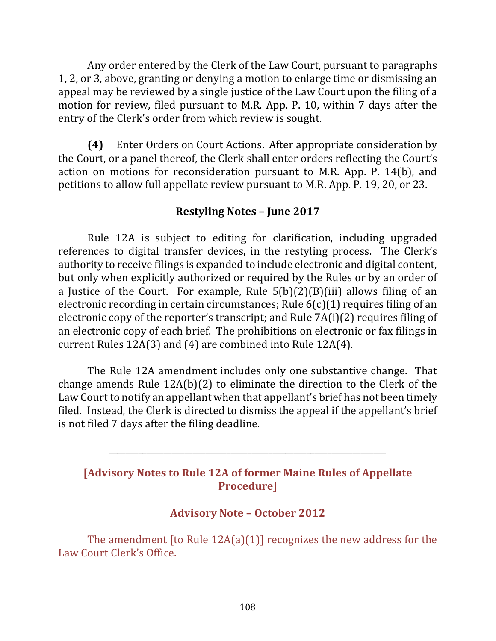Any order entered by the Clerk of the Law Court, pursuant to paragraphs 1, 2, or 3, above, granting or denying a motion to enlarge time or dismissing an appeal may be reviewed by a single justice of the Law Court upon the filing of a motion for review, filed pursuant to M.R. App. P. 10, within 7 days after the entry of the Clerk's order from which review is sought.

**(4)** Enter Orders on Court Actions. After appropriate consideration by the Court, or a panel thereof, the Clerk shall enter orders reflecting the Court's action on motions for reconsideration pursuant to M.R. App. P.  $14(b)$ , and petitions to allow full appellate review pursuant to M.R. App. P. 19, 20, or 23.

## **Restyling Notes – June 2017**

Rule 12A is subject to editing for clarification, including upgraded references to digital transfer devices, in the restyling process. The Clerk's authority to receive filings is expanded to include electronic and digital content, but only when explicitly authorized or required by the Rules or by an order of a Justice of the Court. For example, Rule  $5(b)(2)(B)(iii)$  allows filing of an electronic recording in certain circumstances; Rule  $6(c)(1)$  requires filing of an electronic copy of the reporter's transcript; and Rule  $7A(i)(2)$  requires filing of an electronic copy of each brief. The prohibitions on electronic or fax filings in current Rules  $12A(3)$  and  $(4)$  are combined into Rule  $12A(4)$ .

The Rule 12A amendment includes only one substantive change. That change amends Rule  $12A(b)(2)$  to eliminate the direction to the Clerk of the Law Court to notify an appellant when that appellant's brief has not been timely filed. Instead, the Clerk is directed to dismiss the appeal if the appellant's brief is not filed 7 days after the filing deadline.

## **[Advisory Notes to Rule 12A of former Maine Rules of Appellate Procedure]**

\_\_\_\_\_\_\_\_\_\_\_\_\_\_\_\_\_\_\_\_\_\_\_\_\_\_\_\_\_\_\_\_\_\_\_\_\_\_\_\_\_\_\_\_\_\_\_\_\_\_\_\_\_\_\_\_\_\_\_\_\_\_\_\_\_\_

## **Advisory Note – October 2012**

The amendment  $[$  to Rule 12A(a)(1)] recognizes the new address for the Law Court Clerk's Office.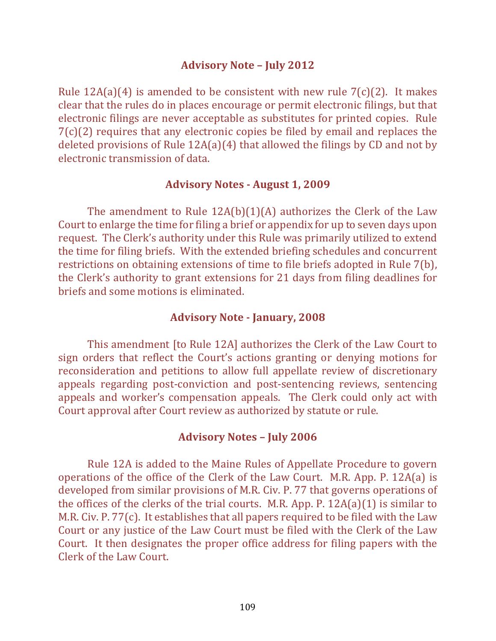#### **Advisory Note – July 2012**

Rule  $12A(a)(4)$  is amended to be consistent with new rule  $7(c)(2)$ . It makes clear that the rules do in places encourage or permit electronic filings, but that electronic filings are never acceptable as substitutes for printed copies. Rule  $7(c)(2)$  requires that any electronic copies be filed by email and replaces the deleted provisions of Rule  $12A(a)(4)$  that allowed the filings by CD and not by electronic transmission of data.

#### **Advisory Notes - August 1, 2009**

The amendment to Rule  $12A(b)(1)(A)$  authorizes the Clerk of the Law Court to enlarge the time for filing a brief or appendix for up to seven days upon request. The Clerk's authority under this Rule was primarily utilized to extend the time for filing briefs. With the extended briefing schedules and concurrent restrictions on obtaining extensions of time to file briefs adopted in Rule 7(b), the Clerk's authority to grant extensions for 21 days from filing deadlines for briefs and some motions is eliminated.

#### **Advisory Note - January, 2008**

This amendment [to Rule 12A] authorizes the Clerk of the Law Court to sign orders that reflect the Court's actions granting or denying motions for reconsideration and petitions to allow full appellate review of discretionary appeals regarding post-conviction and post-sentencing reviews, sentencing appeals and worker's compensation appeals. The Clerk could only act with Court approval after Court review as authorized by statute or rule.

#### **Advisory Notes – July 2006**

Rule 12A is added to the Maine Rules of Appellate Procedure to govern operations of the office of the Clerk of the Law Court. M.R. App. P.  $12A(a)$  is developed from similar provisions of M.R. Civ. P. 77 that governs operations of the offices of the clerks of the trial courts. M.R. App. P.  $12A(a)(1)$  is similar to M.R. Civ. P.  $77(c)$ . It establishes that all papers required to be filed with the Law Court or any justice of the Law Court must be filed with the Clerk of the Law Court. It then designates the proper office address for filing papers with the Clerk of the Law Court.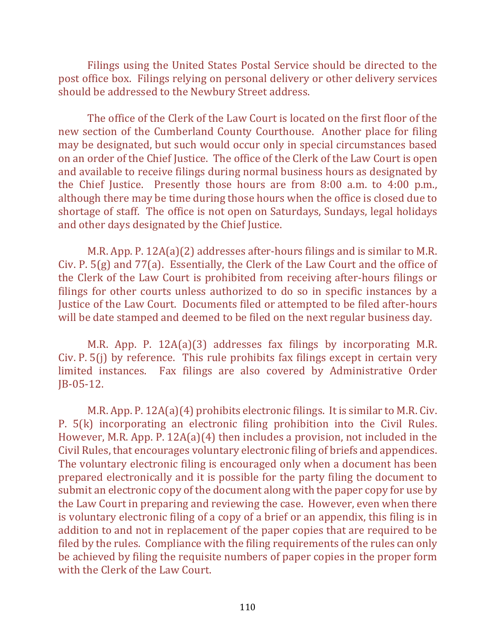Filings using the United States Postal Service should be directed to the post office box. Filings relying on personal delivery or other delivery services should be addressed to the Newbury Street address.

The office of the Clerk of the Law Court is located on the first floor of the new section of the Cumberland County Courthouse. Another place for filing may be designated, but such would occur only in special circumstances based on an order of the Chief Justice. The office of the Clerk of the Law Court is open and available to receive filings during normal business hours as designated by the Chief Justice. Presently those hours are from  $8:00$  a.m. to  $4:00$  p.m., although there may be time during those hours when the office is closed due to shortage of staff. The office is not open on Saturdays, Sundays, legal holidays and other days designated by the Chief Justice.

M.R. App. P.  $12A(a)(2)$  addresses after-hours filings and is similar to M.R. Civ. P.  $5(g)$  and  $77(a)$ . Essentially, the Clerk of the Law Court and the office of the Clerk of the Law Court is prohibited from receiving after-hours filings or filings for other courts unless authorized to do so in specific instances by a Justice of the Law Court. Documents filed or attempted to be filed after-hours will be date stamped and deemed to be filed on the next regular business day.

M.R. App. P.  $12A(a)(3)$  addresses fax filings by incorporating M.R. Civ. P.  $5(i)$  by reference. This rule prohibits fax filings except in certain very limited instances. Fax filings are also covered by Administrative Order JB-05-12. 

M.R. App. P.  $12A(a)(4)$  prohibits electronic filings. It is similar to M.R. Civ. P.  $5(k)$  incorporating an electronic filing prohibition into the Civil Rules. However, M.R. App. P.  $12A(a)(4)$  then includes a provision, not included in the Civil Rules, that encourages voluntary electronic filing of briefs and appendices. The voluntary electronic filing is encouraged only when a document has been prepared electronically and it is possible for the party filing the document to submit an electronic copy of the document along with the paper copy for use by the Law Court in preparing and reviewing the case. However, even when there is voluntary electronic filing of a copy of a brief or an appendix, this filing is in addition to and not in replacement of the paper copies that are required to be filed by the rules. Compliance with the filing requirements of the rules can only be achieved by filing the requisite numbers of paper copies in the proper form with the Clerk of the Law Court.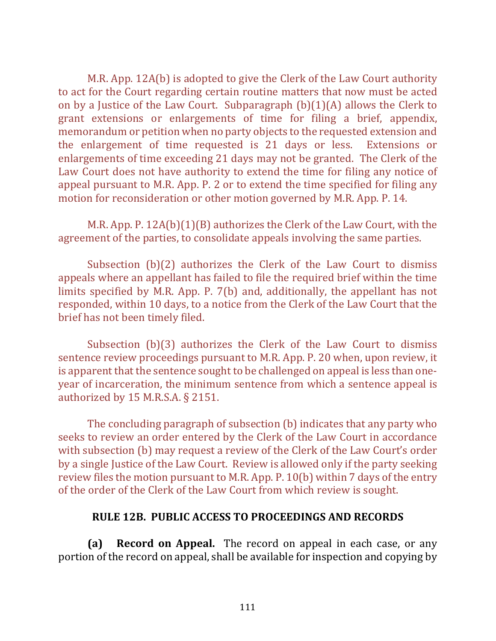M.R. App.  $12A(b)$  is adopted to give the Clerk of the Law Court authority to act for the Court regarding certain routine matters that now must be acted on by a Justice of the Law Court. Subparagraph  $(b)(1)(A)$  allows the Clerk to grant extensions or enlargements of time for filing a brief, appendix, memorandum or petition when no party objects to the requested extension and the enlargement of time requested is 21 days or less. Extensions or enlargements of time exceeding 21 days may not be granted. The Clerk of the Law Court does not have authority to extend the time for filing any notice of appeal pursuant to M.R. App. P. 2 or to extend the time specified for filing any motion for reconsideration or other motion governed by M.R. App. P. 14.

M.R. App. P.  $12A(b)(1)(B)$  authorizes the Clerk of the Law Court, with the agreement of the parties, to consolidate appeals involving the same parties.

Subsection  $(b)(2)$  authorizes the Clerk of the Law Court to dismiss appeals where an appellant has failed to file the required brief within the time limits specified by M.R. App. P.  $7(b)$  and, additionally, the appellant has not responded, within 10 days, to a notice from the Clerk of the Law Court that the brief has not been timely filed.

Subsection  $(b)(3)$  authorizes the Clerk of the Law Court to dismiss sentence review proceedings pursuant to M.R. App. P. 20 when, upon review, it is apparent that the sentence sought to be challenged on appeal is less than oneyear of incarceration, the minimum sentence from which a sentence appeal is authorized by 15 M.R.S.A. § 2151.

The concluding paragraph of subsection  $(b)$  indicates that any party who seeks to review an order entered by the Clerk of the Law Court in accordance with subsection (b) may request a review of the Clerk of the Law Court's order by a single Justice of the Law Court. Review is allowed only if the party seeking review files the motion pursuant to M.R. App. P.  $10(b)$  within 7 days of the entry of the order of the Clerk of the Law Court from which review is sought.

### **RULE 12B. PUBLIC ACCESS TO PROCEEDINGS AND RECORDS**

**(a) Record on Appeal.** The record on appeal in each case, or any portion of the record on appeal, shall be available for inspection and copying by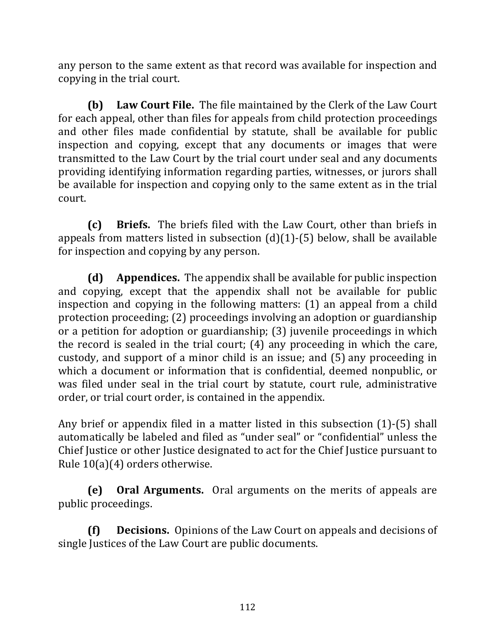any person to the same extent as that record was available for inspection and copying in the trial court.

**(b)** Law Court File. The file maintained by the Clerk of the Law Court for each appeal, other than files for appeals from child protection proceedings and other files made confidential by statute, shall be available for public inspection and copying, except that any documents or images that were transmitted to the Law Court by the trial court under seal and any documents providing identifying information regarding parties, witnesses, or jurors shall be available for inspection and copying only to the same extent as in the trial court. 

**(c)** Briefs. The briefs filed with the Law Court, other than briefs in appeals from matters listed in subsection  $(d)(1)-(5)$  below, shall be available for inspection and copying by any person.

**(d) Appendices.** The appendix shall be available for public inspection and copying, except that the appendix shall not be available for public inspection and copying in the following matters:  $(1)$  an appeal from a child protection proceeding; (2) proceedings involving an adoption or guardianship or a petition for adoption or guardianship; (3) juvenile proceedings in which the record is sealed in the trial court;  $(4)$  any proceeding in which the care, custody, and support of a minor child is an issue; and (5) any proceeding in which a document or information that is confidential, deemed nonpublic, or was filed under seal in the trial court by statute, court rule, administrative order, or trial court order, is contained in the appendix.

Any brief or appendix filed in a matter listed in this subsection  $(1)-(5)$  shall automatically be labeled and filed as "under seal" or "confidential" unless the Chief Justice or other Justice designated to act for the Chief Justice pursuant to Rule  $10(a)(4)$  orders otherwise.

**(e)** Oral Arguments. Oral arguments on the merits of appeals are public proceedings.

**(f) Decisions.** Opinions of the Law Court on appeals and decisions of single Justices of the Law Court are public documents.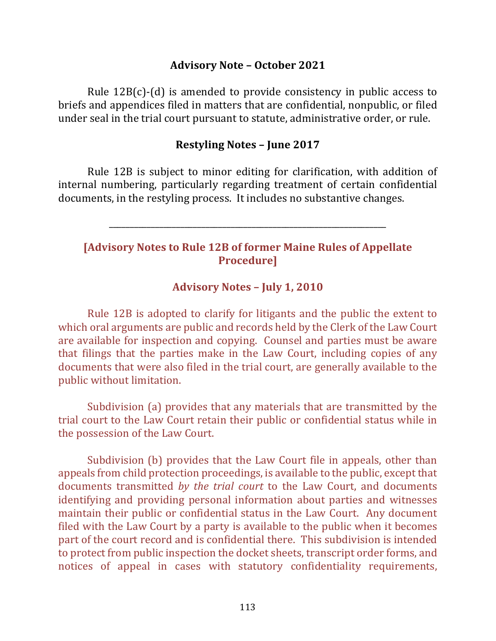#### **Advisory Note – October 2021**

Rule  $12B(c)-(d)$  is amended to provide consistency in public access to briefs and appendices filed in matters that are confidential, nonpublic, or filed under seal in the trial court pursuant to statute, administrative order, or rule.

#### **Restyling Notes - June 2017**

Rule 12B is subject to minor editing for clarification, with addition of internal numbering, particularly regarding treatment of certain confidential documents, in the restyling process. It includes no substantive changes.

### **[Advisory Notes to Rule 12B of former Maine Rules of Appellate Procedure]**

\_\_\_\_\_\_\_\_\_\_\_\_\_\_\_\_\_\_\_\_\_\_\_\_\_\_\_\_\_\_\_\_\_\_\_\_\_\_\_\_\_\_\_\_\_\_\_\_\_\_\_\_\_\_\_\_\_\_\_\_\_\_\_\_\_\_

#### Advisory Notes - July 1, 2010

Rule 12B is adopted to clarify for litigants and the public the extent to which oral arguments are public and records held by the Clerk of the Law Court are available for inspection and copying. Counsel and parties must be aware that filings that the parties make in the Law Court, including copies of any documents that were also filed in the trial court, are generally available to the public without limitation.

Subdivision (a) provides that any materials that are transmitted by the trial court to the Law Court retain their public or confidential status while in the possession of the Law Court.

Subdivision (b) provides that the Law Court file in appeals, other than appeals from child protection proceedings, is available to the public, except that documents transmitted by the trial court to the Law Court, and documents identifying and providing personal information about parties and witnesses maintain their public or confidential status in the Law Court. Any document filed with the Law Court by a party is available to the public when it becomes part of the court record and is confidential there. This subdivision is intended to protect from public inspection the docket sheets, transcript order forms, and notices of appeal in cases with statutory confidentiality requirements,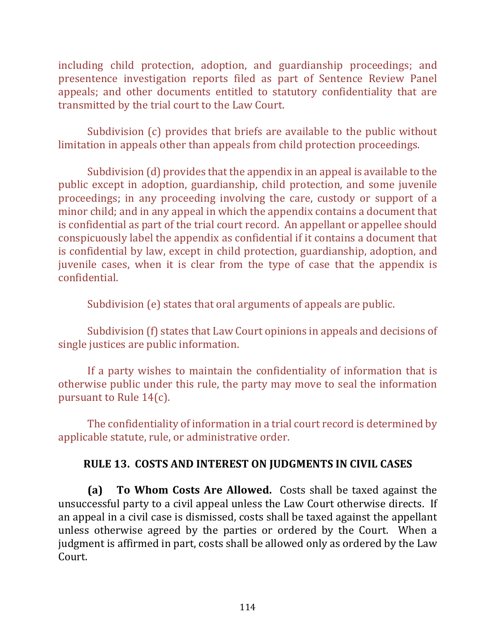including child protection, adoption, and guardianship proceedings; and presentence investigation reports filed as part of Sentence Review Panel appeals; and other documents entitled to statutory confidentiality that are transmitted by the trial court to the Law Court.

Subdivision  $(c)$  provides that briefs are available to the public without limitation in appeals other than appeals from child protection proceedings.

Subdivision (d) provides that the appendix in an appeal is available to the public except in adoption, guardianship, child protection, and some juvenile proceedings; in any proceeding involving the care, custody or support of a minor child; and in any appeal in which the appendix contains a document that is confidential as part of the trial court record. An appellant or appellee should conspicuously label the appendix as confidential if it contains a document that is confidential by law, except in child protection, guardianship, adoption, and juvenile cases, when it is clear from the type of case that the appendix is confidential.

Subdivision (e) states that oral arguments of appeals are public.

Subdivision  $(f)$  states that Law Court opinions in appeals and decisions of single justices are public information.

If a party wishes to maintain the confidentiality of information that is otherwise public under this rule, the party may move to seal the information pursuant to Rule  $14(c)$ .

The confidentiality of information in a trial court record is determined by applicable statute, rule, or administrative order.

### **RULE 13. COSTS AND INTEREST ON JUDGMENTS IN CIVIL CASES**

**(a) To Whom Costs Are Allowed.** Costs shall be taxed against the unsuccessful party to a civil appeal unless the Law Court otherwise directs. If an appeal in a civil case is dismissed, costs shall be taxed against the appellant unless otherwise agreed by the parties or ordered by the Court. When a judgment is affirmed in part, costs shall be allowed only as ordered by the Law Court.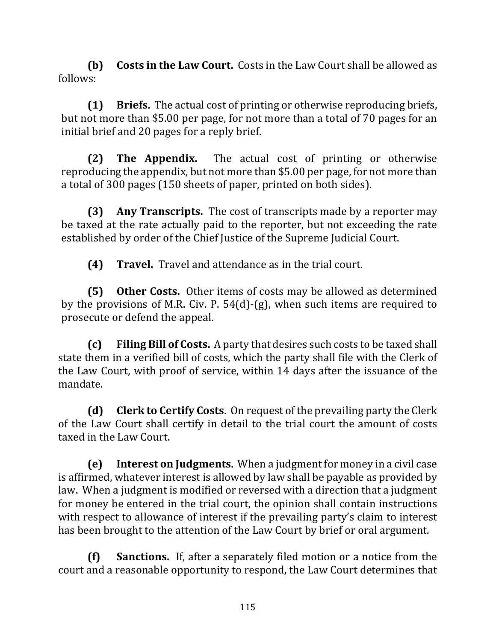**(b)** Costs in the Law Court. Costs in the Law Court shall be allowed as follows:

**(1) Briefs.** The actual cost of printing or otherwise reproducing briefs, but not more than \$5.00 per page, for not more than a total of 70 pages for an initial brief and 20 pages for a reply brief.

**(2) The Appendix.** The actual cost of printing or otherwise reproducing the appendix, but not more than \$5.00 per page, for not more than a total of 300 pages (150 sheets of paper, printed on both sides).

**(3) Any Transcripts.** The cost of transcripts made by a reporter may be taxed at the rate actually paid to the reporter, but not exceeding the rate established by order of the Chief Justice of the Supreme Judicial Court.

**(4) Travel.** Travel and attendance as in the trial court.

**(5) Other Costs.** Other items of costs may be allowed as determined by the provisions of M.R. Civ. P.  $54(d)$ -(g), when such items are required to prosecute or defend the appeal.

**(c)** Filing Bill of Costs. A party that desires such costs to be taxed shall state them in a verified bill of costs, which the party shall file with the Clerk of the Law Court, with proof of service, within 14 days after the issuance of the mandate. 

**(d)** Clerk to Certify Costs. On request of the prevailing party the Clerk of the Law Court shall certify in detail to the trial court the amount of costs taxed in the Law Court.

**(e)** Interest on Judgments. When a judgment for money in a civil case is affirmed, whatever interest is allowed by law shall be payable as provided by law. When a judgment is modified or reversed with a direction that a judgment for money be entered in the trial court, the opinion shall contain instructions with respect to allowance of interest if the prevailing party's claim to interest has been brought to the attention of the Law Court by brief or oral argument.

**(f)** Sanctions. If, after a separately filed motion or a notice from the court and a reasonable opportunity to respond, the Law Court determines that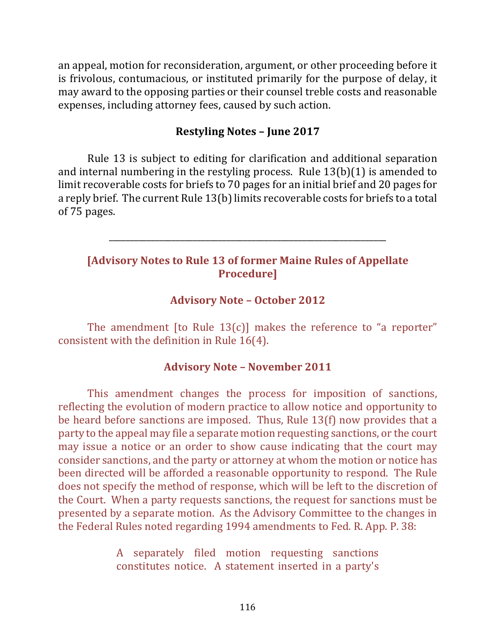an appeal, motion for reconsideration, argument, or other proceeding before it is frivolous, contumacious, or instituted primarily for the purpose of delay, it may award to the opposing parties or their counsel treble costs and reasonable expenses, including attorney fees, caused by such action.

#### **Restyling Notes – June 2017**

Rule 13 is subject to editing for clarification and additional separation and internal numbering in the restyling process. Rule  $13(b)(1)$  is amended to limit recoverable costs for briefs to 70 pages for an initial brief and 20 pages for a reply brief. The current Rule 13(b) limits recoverable costs for briefs to a total of 75 pages.

### **[Advisory Notes to Rule 13 of former Maine Rules of Appellate Procedure]**

\_\_\_\_\_\_\_\_\_\_\_\_\_\_\_\_\_\_\_\_\_\_\_\_\_\_\_\_\_\_\_\_\_\_\_\_\_\_\_\_\_\_\_\_\_\_\_\_\_\_\_\_\_\_\_\_\_\_\_\_\_\_\_\_\_\_

### **Advisory Note – October 2012**

The amendment [to Rule  $13(c)$ ] makes the reference to "a reporter" consistent with the definition in Rule  $16(4)$ .

#### **Advisory Note – November 2011**

This amendment changes the process for imposition of sanctions, reflecting the evolution of modern practice to allow notice and opportunity to be heard before sanctions are imposed. Thus, Rule  $13(f)$  now provides that a party to the appeal may file a separate motion requesting sanctions, or the court may issue a notice or an order to show cause indicating that the court may consider sanctions, and the party or attorney at whom the motion or notice has been directed will be afforded a reasonable opportunity to respond. The Rule does not specify the method of response, which will be left to the discretion of the Court. When a party requests sanctions, the request for sanctions must be presented by a separate motion. As the Advisory Committee to the changes in the Federal Rules noted regarding 1994 amendments to Fed. R. App. P. 38:

> A separately filed motion requesting sanctions constitutes notice. A statement inserted in a party's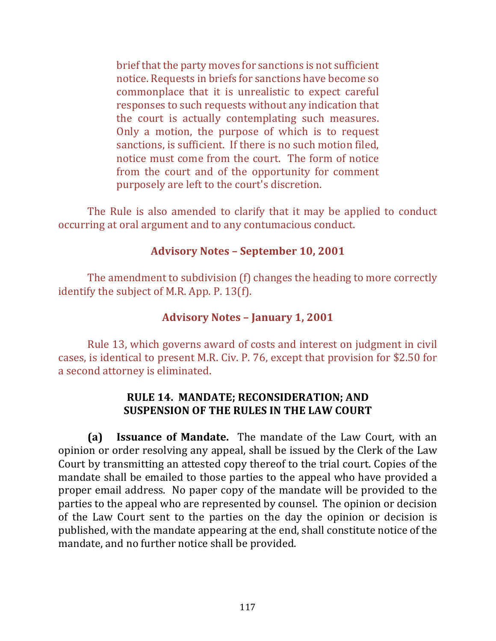brief that the party moves for sanctions is not sufficient notice. Requests in briefs for sanctions have become so commonplace that it is unrealistic to expect careful responses to such requests without any indication that the court is actually contemplating such measures. Only a motion, the purpose of which is to request sanctions, is sufficient. If there is no such motion filed. notice must come from the court. The form of notice from the court and of the opportunity for comment purposely are left to the court's discretion.

The Rule is also amended to clarify that it may be applied to conduct occurring at oral argument and to any contumacious conduct.

### **Advisory Notes – September 10, 2001**

The amendment to subdivision (f) changes the heading to more correctly identify the subject of M.R. App.  $P. 13(f)$ .

### **Advisory Notes – January 1, 2001**

Rule 13, which governs award of costs and interest on judgment in civil cases, is identical to present M.R. Civ. P. 76, except that provision for \$2.50 for a second attorney is eliminated.

### **RULE 14. MANDATE; RECONSIDERATION; AND SUSPENSION OF THE RULES IN THE LAW COURT**

**(a) Issuance of Mandate.** The mandate of the Law Court, with an opinion or order resolving any appeal, shall be issued by the Clerk of the Law Court by transmitting an attested copy thereof to the trial court. Copies of the mandate shall be emailed to those parties to the appeal who have provided a proper email address. No paper copy of the mandate will be provided to the parties to the appeal who are represented by counsel. The opinion or decision of the Law Court sent to the parties on the day the opinion or decision is published, with the mandate appearing at the end, shall constitute notice of the mandate, and no further notice shall be provided.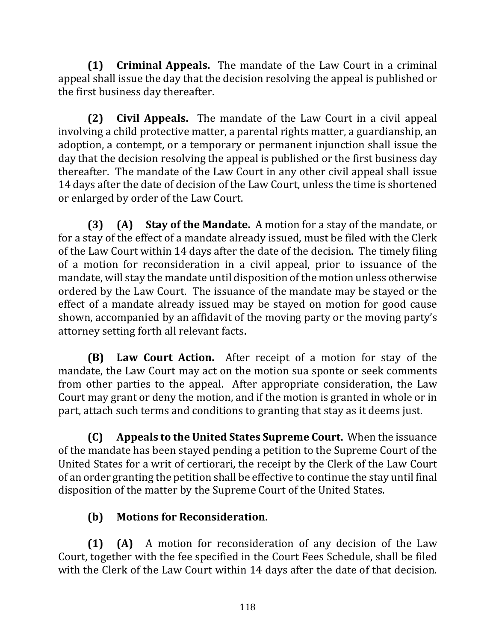**(1) Criminal Appeals.** The mandate of the Law Court in a criminal appeal shall issue the day that the decision resolving the appeal is published or the first business day thereafter.

**(2)** Civil Appeals. The mandate of the Law Court in a civil appeal involving a child protective matter, a parental rights matter, a guardianship, an adoption, a contempt, or a temporary or permanent injunction shall issue the day that the decision resolving the appeal is published or the first business day thereafter. The mandate of the Law Court in any other civil appeal shall issue 14 days after the date of decision of the Law Court, unless the time is shortened or enlarged by order of the Law Court.

**(3) (A) Stay of the Mandate.** A motion for a stay of the mandate, or for a stay of the effect of a mandate already issued, must be filed with the Clerk of the Law Court within 14 days after the date of the decision. The timely filing of a motion for reconsideration in a civil appeal, prior to issuance of the mandate, will stay the mandate until disposition of the motion unless otherwise ordered by the Law Court. The issuance of the mandate may be stayed or the effect of a mandate already issued may be stayed on motion for good cause shown, accompanied by an affidavit of the moving party or the moving party's attorney setting forth all relevant facts.

**(B)** Law Court Action. After receipt of a motion for stay of the mandate, the Law Court may act on the motion sua sponte or seek comments from other parties to the appeal. After appropriate consideration, the Law Court may grant or deny the motion, and if the motion is granted in whole or in part, attach such terms and conditions to granting that stay as it deems just.

**(C)** Appeals to the United States Supreme Court. When the issuance of the mandate has been stayed pending a petition to the Supreme Court of the United States for a writ of certiorari, the receipt by the Clerk of the Law Court of an order granting the petition shall be effective to continue the stay until final disposition of the matter by the Supreme Court of the United States.

# **(b)** Motions for Reconsideration.

**(1) (A)** A motion for reconsideration of any decision of the Law Court, together with the fee specified in the Court Fees Schedule, shall be filed with the Clerk of the Law Court within 14 days after the date of that decision.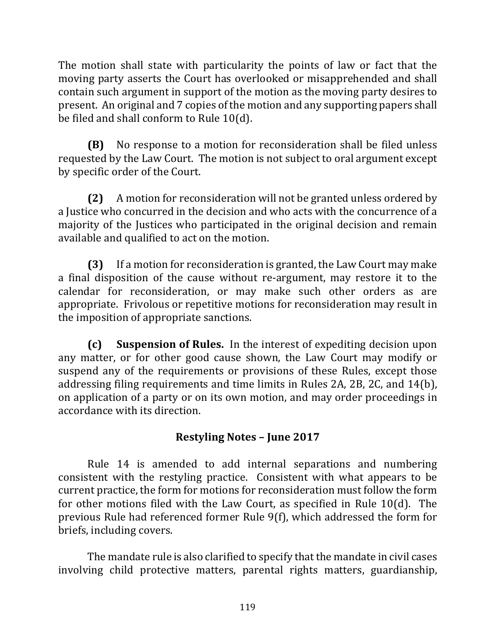The motion shall state with particularity the points of law or fact that the moving party asserts the Court has overlooked or misapprehended and shall contain such argument in support of the motion as the moving party desires to present. An original and 7 copies of the motion and any supporting papers shall be filed and shall conform to Rule 10(d).

**(B)** No response to a motion for reconsideration shall be filed unless requested by the Law Court. The motion is not subject to oral argument except by specific order of the Court.

**(2)** A motion for reconsideration will not be granted unless ordered by a Justice who concurred in the decision and who acts with the concurrence of a majority of the Justices who participated in the original decision and remain available and qualified to act on the motion.

**(3)** If a motion for reconsideration is granted, the Law Court may make a final disposition of the cause without re-argument, may restore it to the calendar for reconsideration, or may make such other orders as are appropriate. Frivolous or repetitive motions for reconsideration may result in the imposition of appropriate sanctions.

**(c)** Suspension of Rules. In the interest of expediting decision upon any matter, or for other good cause shown, the Law Court may modify or suspend any of the requirements or provisions of these Rules, except those addressing filing requirements and time limits in Rules 2A, 2B, 2C, and 14(b), on application of a party or on its own motion, and may order proceedings in accordance with its direction.

# **Restyling Notes - June 2017**

Rule 14 is amended to add internal separations and numbering consistent with the restyling practice. Consistent with what appears to be current practice, the form for motions for reconsideration must follow the form for other motions filed with the Law Court, as specified in Rule  $10(d)$ . The previous Rule had referenced former Rule 9(f), which addressed the form for briefs, including covers.

The mandate rule is also clarified to specify that the mandate in civil cases involving child protective matters, parental rights matters, guardianship,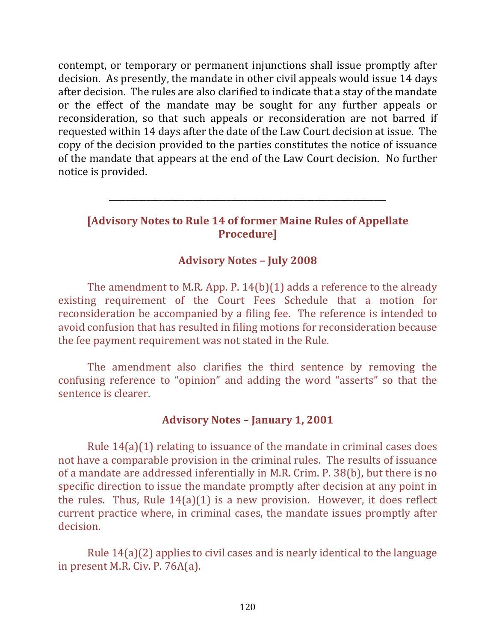contempt, or temporary or permanent injunctions shall issue promptly after decision. As presently, the mandate in other civil appeals would issue 14 days after decision. The rules are also clarified to indicate that a stay of the mandate or the effect of the mandate may be sought for any further appeals or reconsideration, so that such appeals or reconsideration are not barred if requested within 14 days after the date of the Law Court decision at issue. The copy of the decision provided to the parties constitutes the notice of issuance of the mandate that appears at the end of the Law Court decision. No further notice is provided.

### **[Advisory Notes to Rule 14 of former Maine Rules of Appellate Procedure]**

\_\_\_\_\_\_\_\_\_\_\_\_\_\_\_\_\_\_\_\_\_\_\_\_\_\_\_\_\_\_\_\_\_\_\_\_\_\_\_\_\_\_\_\_\_\_\_\_\_\_\_\_\_\_\_\_\_\_\_\_\_\_\_\_\_\_

#### **Advisory Notes – July 2008**

The amendment to M.R. App. P.  $14(b)(1)$  adds a reference to the already existing requirement of the Court Fees Schedule that a motion for reconsideration be accompanied by a filing fee. The reference is intended to avoid confusion that has resulted in filing motions for reconsideration because the fee payment requirement was not stated in the Rule.

The amendment also clarifies the third sentence by removing the confusing reference to "opinion" and adding the word "asserts" so that the sentence is clearer.

#### **Advisory Notes – January 1, 2001**

Rule  $14(a)(1)$  relating to issuance of the mandate in criminal cases does not have a comparable provision in the criminal rules. The results of issuance of a mandate are addressed inferentially in M.R. Crim. P. 38(b), but there is no specific direction to issue the mandate promptly after decision at any point in the rules. Thus, Rule  $14(a)(1)$  is a new provision. However, it does reflect current practice where, in criminal cases, the mandate issues promptly after decision. 

Rule  $14(a)(2)$  applies to civil cases and is nearly identical to the language in present M.R. Civ. P.  $76A(a)$ .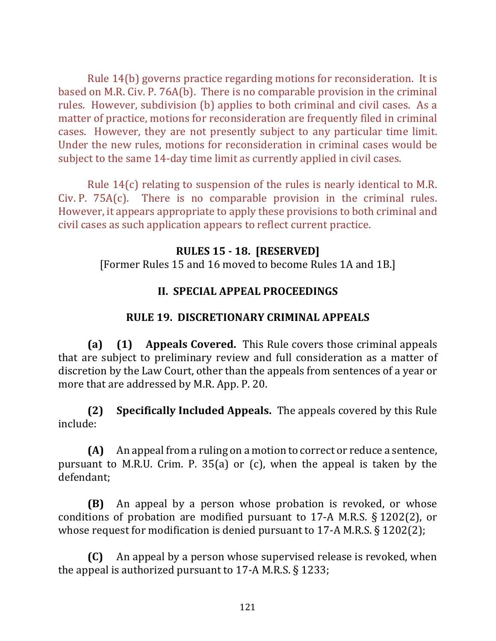Rule  $14(b)$  governs practice regarding motions for reconsideration. It is based on M.R. Civ. P.  $76A(b)$ . There is no comparable provision in the criminal rules. However, subdivision (b) applies to both criminal and civil cases. As a matter of practice, motions for reconsideration are frequently filed in criminal cases. However, they are not presently subject to any particular time limit. Under the new rules, motions for reconsideration in criminal cases would be subject to the same 14-day time limit as currently applied in civil cases.

Rule  $14(c)$  relating to suspension of the rules is nearly identical to M.R. Civ. P.  $75A(c)$ . There is no comparable provision in the criminal rules. However, it appears appropriate to apply these provisions to both criminal and civil cases as such application appears to reflect current practice.

### **RULES 15 - 18. [RESERVED]**

[Former Rules 15 and 16 moved to become Rules 1A and 1B.]

# **II. SPECIAL APPEAL PROCEEDINGS**

# **RULE 19. DISCRETIONARY CRIMINAL APPEALS**

**(a) (1) Appeals Covered.** This Rule covers those criminal appeals that are subject to preliminary review and full consideration as a matter of discretion by the Law Court, other than the appeals from sentences of a year or more that are addressed by M.R. App. P. 20.

**(2) Specifically Included Appeals.** The appeals covered by this Rule include:

**(A)** An appeal from a ruling on a motion to correct or reduce a sentence, pursuant to M.R.U. Crim. P.  $35(a)$  or (c), when the appeal is taken by the defendant;

**(B)** An appeal by a person whose probation is revoked, or whose conditions of probation are modified pursuant to 17-A M.R.S.  $\S 1202(2)$ , or whose request for modification is denied pursuant to 17-A M.R.S.  $\S$  1202(2);

**(C)** An appeal by a person whose supervised release is revoked, when the appeal is authorized pursuant to 17-A M.R.S.  $\S$  1233;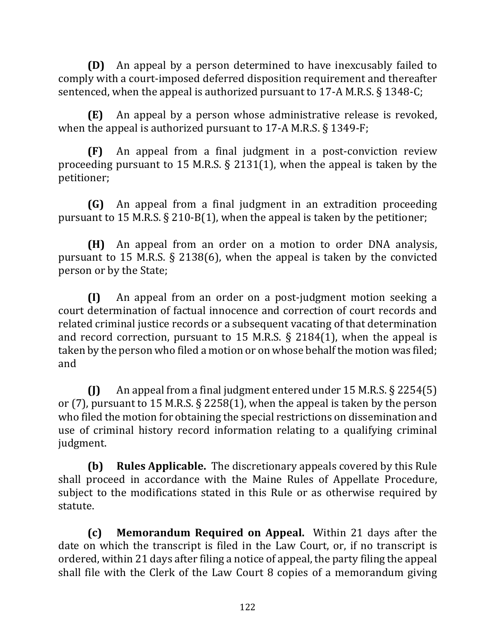**(D)** An appeal by a person determined to have inexcusably failed to comply with a court-imposed deferred disposition requirement and thereafter sentenced, when the appeal is authorized pursuant to 17-A M.R.S.  $\S$  1348-C;

**(E)** An appeal by a person whose administrative release is revoked, when the appeal is authorized pursuant to 17-A M.R.S.  $\S$  1349-F;

**(F)** An appeal from a final judgment in a post-conviction review proceeding pursuant to 15 M.R.S.  $\S$  2131(1), when the appeal is taken by the petitioner; 

**(G)** An appeal from a final judgment in an extradition proceeding pursuant to 15 M.R.S.  $\S$  210-B(1), when the appeal is taken by the petitioner;

**(H)** An appeal from an order on a motion to order DNA analysis, pursuant to 15 M.R.S.  $\S$  2138(6), when the appeal is taken by the convicted person or by the State;

**(I)** An appeal from an order on a post-judgment motion seeking a court determination of factual innocence and correction of court records and related criminal justice records or a subsequent vacating of that determination and record correction, pursuant to 15 M.R.S.  $\S$  2184(1), when the appeal is taken by the person who filed a motion or on whose behalf the motion was filed; and

 $\textbf{(J)}$  An appeal from a final judgment entered under 15 M.R.S.  $\S$  2254(5) or (7), pursuant to 15 M.R.S. § 2258(1), when the appeal is taken by the person who filed the motion for obtaining the special restrictions on dissemination and use of criminal history record information relating to a qualifying criminal judgment.

**(b) Rules Applicable.** The discretionary appeals covered by this Rule shall proceed in accordance with the Maine Rules of Appellate Procedure, subject to the modifications stated in this Rule or as otherwise required by statute. 

**(c)** Memorandum Required on Appeal. Within 21 days after the date on which the transcript is filed in the Law Court, or, if no transcript is ordered, within 21 days after filing a notice of appeal, the party filing the appeal shall file with the Clerk of the Law Court 8 copies of a memorandum giving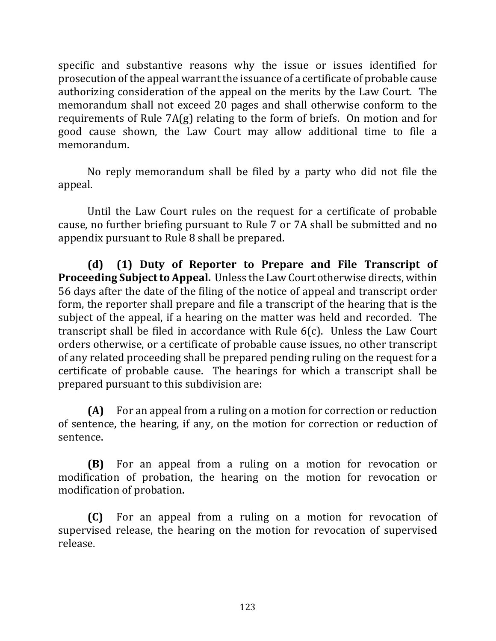specific and substantive reasons why the issue or issues identified for prosecution of the appeal warrant the issuance of a certificate of probable cause authorizing consideration of the appeal on the merits by the Law Court. The memorandum shall not exceed 20 pages and shall otherwise conform to the requirements of Rule  $7A(g)$  relating to the form of briefs. On motion and for good cause shown, the Law Court may allow additional time to file a memorandum. 

No reply memorandum shall be filed by a party who did not file the appeal. 

Until the Law Court rules on the request for a certificate of probable cause, no further briefing pursuant to Rule 7 or 7A shall be submitted and no appendix pursuant to Rule 8 shall be prepared.

**(d) (1) Duty of Reporter to Prepare and File Transcript of Proceeding Subject to Appeal.** Unless the Law Court otherwise directs, within 56 days after the date of the filing of the notice of appeal and transcript order form, the reporter shall prepare and file a transcript of the hearing that is the subject of the appeal, if a hearing on the matter was held and recorded. The transcript shall be filed in accordance with Rule  $6(c)$ . Unless the Law Court orders otherwise, or a certificate of probable cause issues, no other transcript of any related proceeding shall be prepared pending ruling on the request for a certificate of probable cause. The hearings for which a transcript shall be prepared pursuant to this subdivision are:

**(A)** For an appeal from a ruling on a motion for correction or reduction of sentence, the hearing, if any, on the motion for correction or reduction of sentence. 

**(B)** For an appeal from a ruling on a motion for revocation or modification of probation, the hearing on the motion for revocation or modification of probation.

**(C)** For an appeal from a ruling on a motion for revocation of supervised release, the hearing on the motion for revocation of supervised release.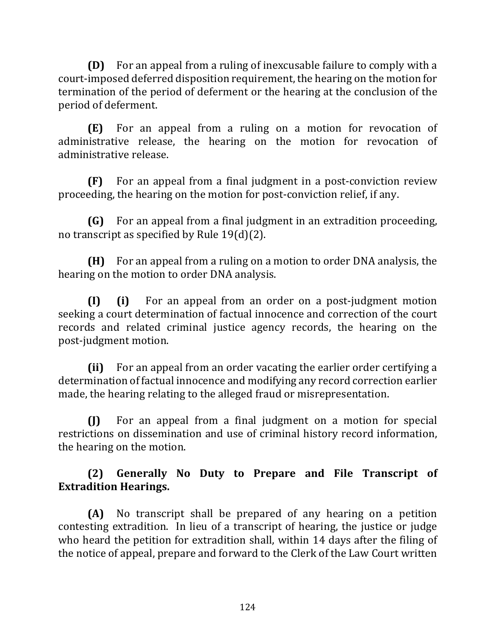**(D)** For an appeal from a ruling of inexcusable failure to comply with a court-imposed deferred disposition requirement, the hearing on the motion for termination of the period of deferment or the hearing at the conclusion of the period of deferment.

**(E)** For an appeal from a ruling on a motion for revocation of administrative release, the hearing on the motion for revocation of administrative release.

**(F)** For an appeal from a final judgment in a post-conviction review proceeding, the hearing on the motion for post-conviction relief, if any.

**(G)** For an appeal from a final judgment in an extradition proceeding, no transcript as specified by Rule  $19(d)(2)$ .

**(H)** For an appeal from a ruling on a motion to order DNA analysis, the hearing on the motion to order DNA analysis.

**(I) (i)** For an appeal from an order on a post-judgment motion seeking a court determination of factual innocence and correction of the court records and related criminal justice agency records, the hearing on the post-judgment motion.

**(ii)** For an appeal from an order vacating the earlier order certifying a determination of factual innocence and modifying any record correction earlier made, the hearing relating to the alleged fraud or misrepresentation.

**(J)** For an appeal from a final judgment on a motion for special restrictions on dissemination and use of criminal history record information, the hearing on the motion.

# **(2) Generally No Duty to Prepare and File Transcript of Extradition Hearings.**

**(A)** No transcript shall be prepared of any hearing on a petition contesting extradition. In lieu of a transcript of hearing, the justice or judge who heard the petition for extradition shall, within 14 days after the filing of the notice of appeal, prepare and forward to the Clerk of the Law Court written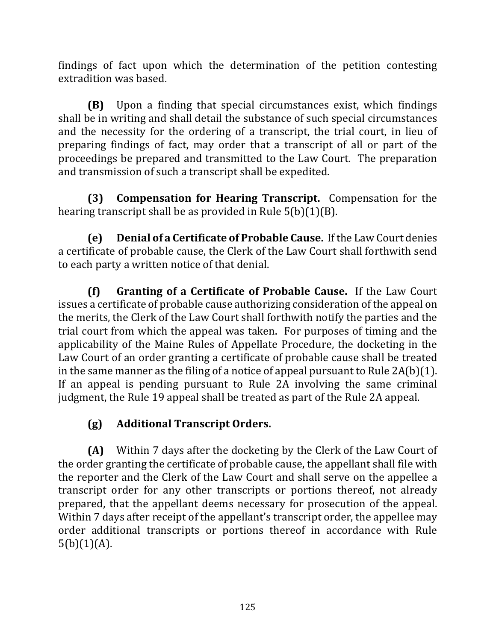findings of fact upon which the determination of the petition contesting extradition was based.

**(B)** Upon a finding that special circumstances exist, which findings shall be in writing and shall detail the substance of such special circumstances and the necessity for the ordering of a transcript, the trial court, in lieu of preparing findings of fact, may order that a transcript of all or part of the proceedings be prepared and transmitted to the Law Court. The preparation and transmission of such a transcript shall be expedited.

**(3) Compensation for Hearing Transcript.** Compensation for the hearing transcript shall be as provided in Rule  $5(b)(1)(B)$ .

**(e)** Denial of a Certificate of Probable Cause. If the Law Court denies a certificate of probable cause, the Clerk of the Law Court shall forthwith send to each party a written notice of that denial.

**(f)** Granting of a Certificate of Probable Cause. If the Law Court issues a certificate of probable cause authorizing consideration of the appeal on the merits, the Clerk of the Law Court shall forthwith notify the parties and the trial court from which the appeal was taken. For purposes of timing and the applicability of the Maine Rules of Appellate Procedure, the docketing in the Law Court of an order granting a certificate of probable cause shall be treated in the same manner as the filing of a notice of appeal pursuant to Rule  $2A(b)(1)$ . If an appeal is pending pursuant to Rule  $2A$  involving the same criminal judgment, the Rule 19 appeal shall be treated as part of the Rule 2A appeal.

# **(g) Additional Transcript Orders.**

**(A)** Within 7 days after the docketing by the Clerk of the Law Court of the order granting the certificate of probable cause, the appellant shall file with the reporter and the Clerk of the Law Court and shall serve on the appellee a transcript order for any other transcripts or portions thereof, not already prepared, that the appellant deems necessary for prosecution of the appeal. Within 7 days after receipt of the appellant's transcript order, the appellee may order additional transcripts or portions thereof in accordance with Rule  $5(b)(1)(A).$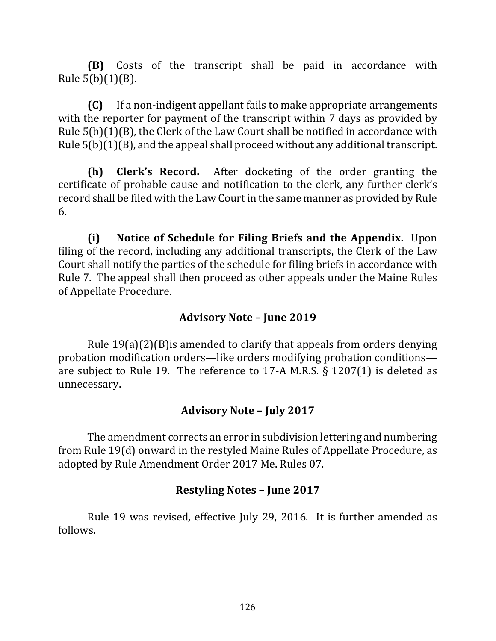**(B)** Costs of the transcript shall be paid in accordance with Rule 5(b)(1)(B). 

**(C)** If a non-indigent appellant fails to make appropriate arrangements with the reporter for payment of the transcript within 7 days as provided by Rule  $5(b)(1)(B)$ , the Clerk of the Law Court shall be notified in accordance with Rule  $5(b)(1)(B)$ , and the appeal shall proceed without any additional transcript.

**(h) Clerk's Record.** After docketing of the order granting the certificate of probable cause and notification to the clerk, any further clerk's record shall be filed with the Law Court in the same manner as provided by Rule 6.

**(i)** Notice of Schedule for Filing Briefs and the Appendix. Upon filing of the record, including any additional transcripts, the Clerk of the Law Court shall notify the parties of the schedule for filing briefs in accordance with Rule 7. The appeal shall then proceed as other appeals under the Maine Rules of Appellate Procedure.

### **Advisory Note – June 2019**

Rule  $19(a)(2)(B)$  is amended to clarify that appeals from orders denying probation modification orders-like orders modifying probation conditionsare subject to Rule 19. The reference to 17-A M.R.S.  $\S$  1207(1) is deleted as unnecessary.

### **Advisory Note – July 2017**

The amendment corrects an error in subdivision lettering and numbering from Rule 19(d) onward in the restyled Maine Rules of Appellate Procedure, as adopted by Rule Amendment Order 2017 Me. Rules 07.

### **Restyling Notes - June 2017**

Rule 19 was revised, effective July 29, 2016. It is further amended as follows.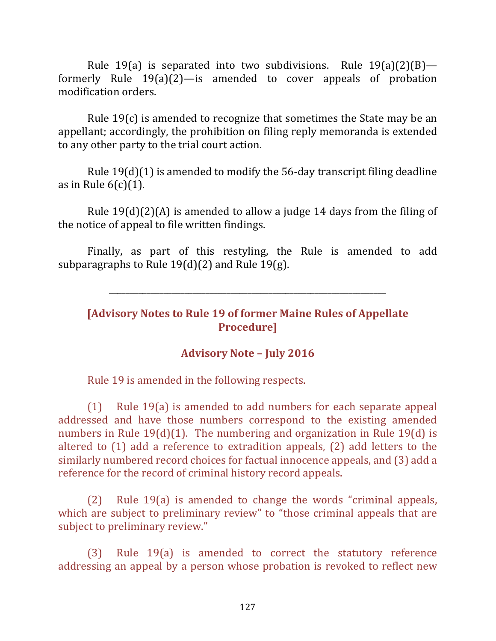Rule 19(a) is separated into two subdivisions. Rule  $19(a)(2)(B)$  formerly Rule  $19(a)(2)$ —is amended to cover appeals of probation modification orders.

Rule  $19(c)$  is amended to recognize that sometimes the State may be an appellant; accordingly, the prohibition on filing reply memoranda is extended to any other party to the trial court action.

Rule  $19(d)(1)$  is amended to modify the 56-day transcript filing deadline as in Rule  $6(c)(1)$ .

Rule  $19(d)(2)(A)$  is amended to allow a judge 14 days from the filing of the notice of appeal to file written findings.

Finally, as part of this restyling, the Rule is amended to add subparagraphs to Rule  $19(d)(2)$  and Rule  $19(g)$ .

### **[Advisory Notes to Rule 19 of former Maine Rules of Appellate Procedure]**

\_\_\_\_\_\_\_\_\_\_\_\_\_\_\_\_\_\_\_\_\_\_\_\_\_\_\_\_\_\_\_\_\_\_\_\_\_\_\_\_\_\_\_\_\_\_\_\_\_\_\_\_\_\_\_\_\_\_\_\_\_\_\_\_\_\_

### **Advisory Note – July 2016**

Rule 19 is amended in the following respects.

 $(1)$  Rule 19(a) is amended to add numbers for each separate appeal addressed and have those numbers correspond to the existing amended numbers in Rule  $19(d)(1)$ . The numbering and organization in Rule 19(d) is altered to  $(1)$  add a reference to extradition appeals,  $(2)$  add letters to the similarly numbered record choices for factual innocence appeals, and (3) add a reference for the record of criminal history record appeals.

 $(2)$  Rule 19(a) is amended to change the words "criminal appeals, which are subject to preliminary review" to "those criminal appeals that are subject to preliminary review."

 $(3)$  Rule 19(a) is amended to correct the statutory reference addressing an appeal by a person whose probation is revoked to reflect new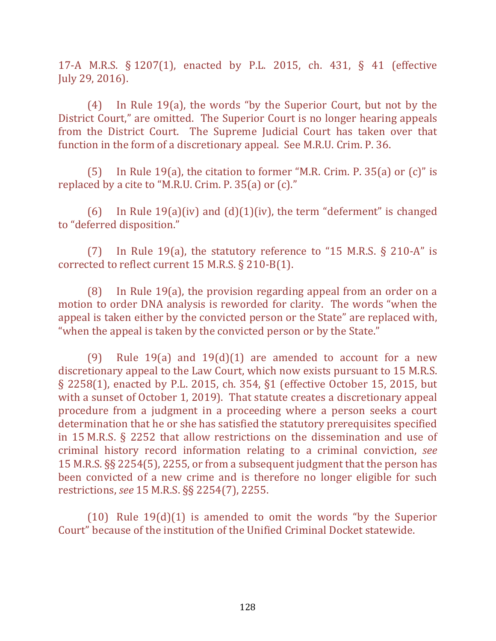17-A M.R.S. § 1207(1), enacted by P.L. 2015, ch. 431, § 41 (effective July 29, 2016).

(4) In Rule 19(a), the words "by the Superior Court, but not by the District Court," are omitted. The Superior Court is no longer hearing appeals from the District Court. The Supreme Judicial Court has taken over that function in the form of a discretionary appeal. See M.R.U. Crim. P. 36.

(5) In Rule 19(a), the citation to former "M.R. Crim. P. 35(a) or  $(c)$ " is replaced by a cite to "M.R.U. Crim. P.  $35(a)$  or (c)."

(6) In Rule  $19(a)(iv)$  and  $(d)(1)(iv)$ , the term "deferment" is changed to "deferred disposition."

(7) In Rule 19(a), the statutory reference to "15 M.R.S.  $\S$  210-A" is corrected to reflect current  $15$  M.R.S.  $\S$  210-B(1).

(8) In Rule 19(a), the provision regarding appeal from an order on a motion to order DNA analysis is reworded for clarity. The words "when the appeal is taken either by the convicted person or the State" are replaced with, "when the appeal is taken by the convicted person or by the State."

(9) Rule 19(a) and 19(d)(1) are amended to account for a new discretionary appeal to the Law Court, which now exists pursuant to 15 M.R.S. § 2258(1), enacted by P.L. 2015, ch. 354, §1 (effective October 15, 2015, but with a sunset of October 1, 2019). That statute creates a discretionary appeal procedure from a judgment in a proceeding where a person seeks a court determination that he or she has satisfied the statutory prerequisites specified in 15 M.R.S.  $\S$  2252 that allow restrictions on the dissemination and use of criminal history record information relating to a criminal conviction, *see* 15 M.R.S. §§ 2254(5), 2255, or from a subsequent judgment that the person has been convicted of a new crime and is therefore no longer eligible for such restrictions, *see* 15 M.R.S. §§ 2254(7), 2255.

(10) Rule  $19(d)(1)$  is amended to omit the words "by the Superior" Court" because of the institution of the Unified Criminal Docket statewide.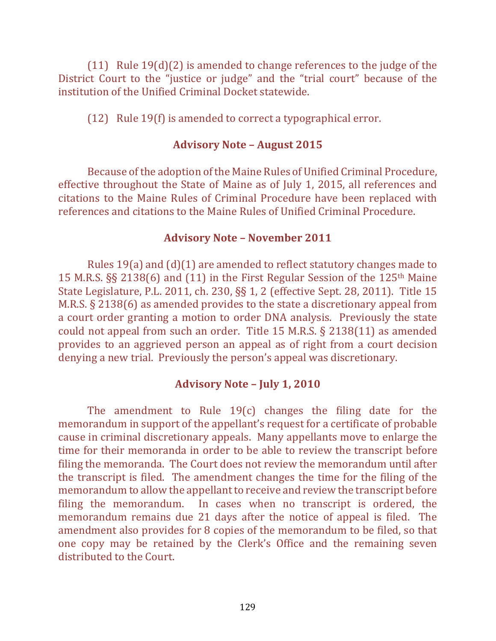(11) Rule  $19(d)(2)$  is amended to change references to the judge of the District Court to the "justice or judge" and the "trial court" because of the institution of the Unified Criminal Docket statewide.

 $(12)$  Rule 19(f) is amended to correct a typographical error.

#### **Advisory Note – August 2015**

Because of the adoption of the Maine Rules of Unified Criminal Procedure, effective throughout the State of Maine as of July 1, 2015, all references and citations to the Maine Rules of Criminal Procedure have been replaced with references and citations to the Maine Rules of Unified Criminal Procedure.

#### **Advisory Note – November 2011**

Rules  $19(a)$  and  $(d)(1)$  are amended to reflect statutory changes made to 15 M.R.S. §§ 2138(6) and (11) in the First Regular Session of the 125<sup>th</sup> Maine State Legislature, P.L. 2011, ch. 230, §§ 1, 2 (effective Sept. 28, 2011). Title 15 M.R.S.  $\S$  2138(6) as amended provides to the state a discretionary appeal from a court order granting a motion to order DNA analysis. Previously the state could not appeal from such an order. Title 15 M.R.S.  $\S$  2138(11) as amended provides to an aggrieved person an appeal as of right from a court decision denying a new trial. Previously the person's appeal was discretionary.

#### Advisory Note - July 1, 2010

The amendment to Rule 19(c) changes the filing date for the memorandum in support of the appellant's request for a certificate of probable cause in criminal discretionary appeals. Many appellants move to enlarge the time for their memoranda in order to be able to review the transcript before filing the memoranda. The Court does not review the memorandum until after the transcript is filed. The amendment changes the time for the filing of the memorandum to allow the appellant to receive and review the transcript before filing the memorandum. In cases when no transcript is ordered, the memorandum remains due 21 days after the notice of appeal is filed. The amendment also provides for 8 copies of the memorandum to be filed, so that one copy may be retained by the Clerk's Office and the remaining seven distributed to the Court.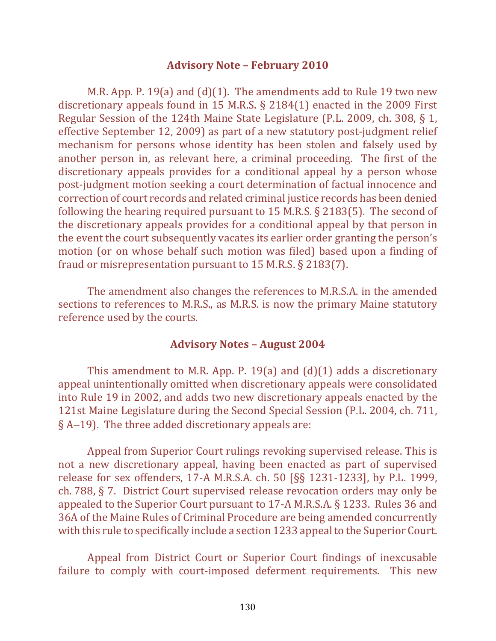#### **Advisory Note – February 2010**

M.R. App. P. 19(a) and  $(d)(1)$ . The amendments add to Rule 19 two new discretionary appeals found in 15 M.R.S.  $\S$  2184(1) enacted in the 2009 First Regular Session of the 124th Maine State Legislature (P.L. 2009, ch. 308, § 1, effective September 12, 2009) as part of a new statutory post-judgment relief mechanism for persons whose identity has been stolen and falsely used by another person in, as relevant here, a criminal proceeding. The first of the discretionary appeals provides for a conditional appeal by a person whose post-judgment motion seeking a court determination of factual innocence and correction of court records and related criminal justice records has been denied following the hearing required pursuant to 15 M.R.S.  $\S$  2183(5). The second of the discretionary appeals provides for a conditional appeal by that person in the event the court subsequently vacates its earlier order granting the person's motion (or on whose behalf such motion was filed) based upon a finding of fraud or misrepresentation pursuant to  $15$  M.R.S.  $\S$  2183(7).

The amendment also changes the references to M.R.S.A. in the amended sections to references to M.R.S., as M.R.S. is now the primary Maine statutory reference used by the courts.

#### **Advisory Notes – August 2004**

This amendment to M.R. App. P. 19(a) and  $(d)(1)$  adds a discretionary appeal unintentionally omitted when discretionary appeals were consolidated into Rule 19 in 2002, and adds two new discretionary appeals enacted by the 121st Maine Legislature during the Second Special Session (P.L. 2004, ch. 711,  $§$  A-19). The three added discretionary appeals are:

Appeal from Superior Court rulings revoking supervised release. This is not a new discretionary appeal, having been enacted as part of supervised release for sex offenders, 17-A M.R.S.A. ch. 50 [§§ 1231-1233], by P.L. 1999, ch. 788,  $\S$  7. District Court supervised release revocation orders may only be appealed to the Superior Court pursuant to  $17-A$  M.R.S.A. § 1233. Rules 36 and 36A of the Maine Rules of Criminal Procedure are being amended concurrently with this rule to specifically include a section 1233 appeal to the Superior Court.

Appeal from District Court or Superior Court findings of inexcusable failure to comply with court-imposed deferment requirements. This new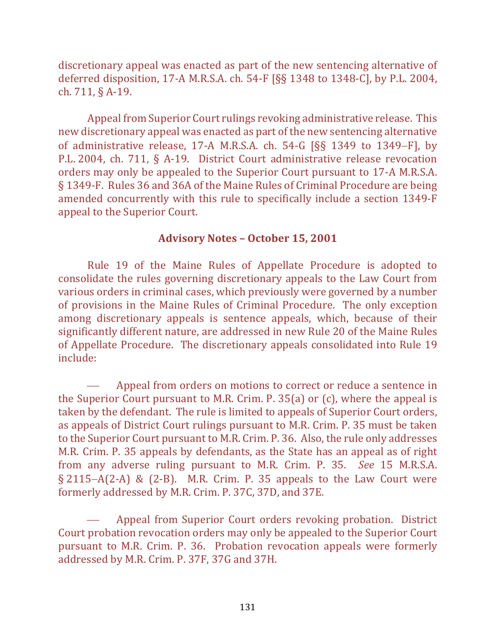discretionary appeal was enacted as part of the new sentencing alternative of deferred disposition, 17-A M.R.S.A. ch. 54-F  $\frac{55}{1348}$  to 1348-C, by P.L. 2004, ch. 711, § A-19.

Appeal from Superior Court rulings revoking administrative release. This new discretionary appeal was enacted as part of the new sentencing alternative of administrative release,  $17-A$  M.R.S.A. ch.  $54-G$   $[$ §§  $1349$  to  $1349-F$ ], by P.L. 2004, ch. 711, § A-19. District Court administrative release revocation orders may only be appealed to the Superior Court pursuant to 17-A M.R.S.A. § 1349-F. Rules 36 and 36A of the Maine Rules of Criminal Procedure are being amended concurrently with this rule to specifically include a section 1349-F appeal to the Superior Court.

### **Advisory Notes – October 15, 2001**

Rule 19 of the Maine Rules of Appellate Procedure is adopted to consolidate the rules governing discretionary appeals to the Law Court from various orders in criminal cases, which previously were governed by a number of provisions in the Maine Rules of Criminal Procedure. The only exception among discretionary appeals is sentence appeals, which, because of their significantly different nature, are addressed in new Rule 20 of the Maine Rules of Appellate Procedure. The discretionary appeals consolidated into Rule 19 include:

Appeal from orders on motions to correct or reduce a sentence in the Superior Court pursuant to M.R. Crim. P. 35(a) or (c), where the appeal is taken by the defendant. The rule is limited to appeals of Superior Court orders, as appeals of District Court rulings pursuant to M.R. Crim. P. 35 must be taken to the Superior Court pursuant to M.R. Crim. P. 36. Also, the rule only addresses M.R. Crim. P. 35 appeals by defendants, as the State has an appeal as of right from any adverse ruling pursuant to M.R. Crim. P. 35. *See* 15 M.R.S.A.  $\S$  2115-A(2-A) & (2-B). M.R. Crim. P. 35 appeals to the Law Court were formerly addressed by M.R. Crim. P. 37C, 37D, and 37E.

Appeal from Superior Court orders revoking probation. District Court probation revocation orders may only be appealed to the Superior Court pursuant to M.R. Crim. P. 36. Probation revocation appeals were formerly addressed by M.R. Crim. P. 37F, 37G and 37H.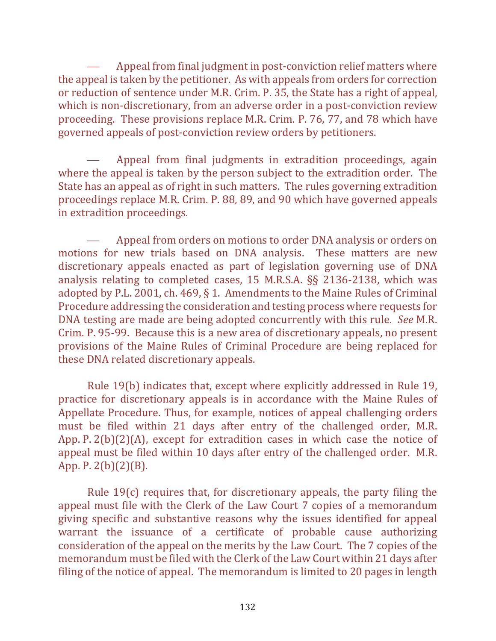Appeal from final judgment in post-conviction relief matters where the appeal is taken by the petitioner. As with appeals from orders for correction or reduction of sentence under M.R. Crim. P. 35, the State has a right of appeal, which is non-discretionary, from an adverse order in a post-conviction review proceeding. These provisions replace M.R. Crim. P. 76, 77, and 78 which have governed appeals of post-conviction review orders by petitioners.

Appeal from final judgments in extradition proceedings, again where the appeal is taken by the person subject to the extradition order. The State has an appeal as of right in such matters. The rules governing extradition proceedings replace M.R. Crim. P. 88, 89, and 90 which have governed appeals in extradition proceedings.

Appeal from orders on motions to order DNA analysis or orders on motions for new trials based on DNA analysis. These matters are new discretionary appeals enacted as part of legislation governing use of DNA analysis relating to completed cases,  $15$  M.R.S.A.  $\S$ § 2136-2138, which was adopted by P.L. 2001, ch. 469, § 1. Amendments to the Maine Rules of Criminal Procedure addressing the consideration and testing process where requests for DNA testing are made are being adopted concurrently with this rule. See M.R. Crim. P. 95-99. Because this is a new area of discretionary appeals, no present provisions of the Maine Rules of Criminal Procedure are being replaced for these DNA related discretionary appeals.

Rule 19(b) indicates that, except where explicitly addressed in Rule 19, practice for discretionary appeals is in accordance with the Maine Rules of Appellate Procedure. Thus, for example, notices of appeal challenging orders must be filed within 21 days after entry of the challenged order, M.R. App. P.  $2(b)(2)(A)$ , except for extradition cases in which case the notice of appeal must be filed within 10 days after entry of the challenged order. M.R. App. P. 2(b)(2)(B).

Rule  $19(c)$  requires that, for discretionary appeals, the party filing the appeal must file with the Clerk of the Law Court 7 copies of a memorandum giving specific and substantive reasons why the issues identified for appeal warrant the issuance of a certificate of probable cause authorizing consideration of the appeal on the merits by the Law Court. The 7 copies of the memorandum must be filed with the Clerk of the Law Court within 21 days after filing of the notice of appeal. The memorandum is limited to 20 pages in length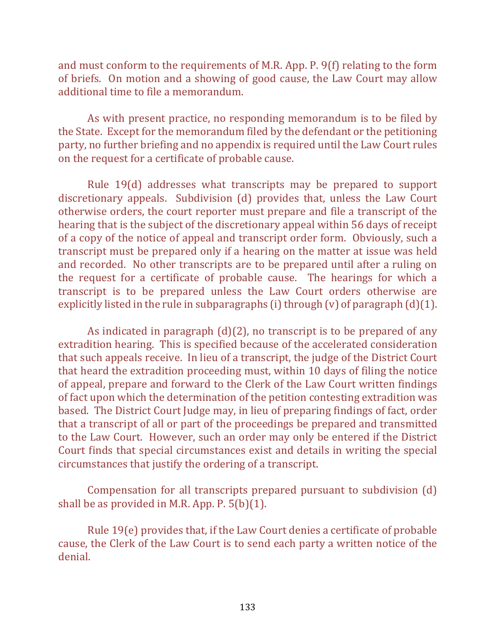and must conform to the requirements of M.R. App. P.  $9(f)$  relating to the form of briefs. On motion and a showing of good cause, the Law Court may allow additional time to file a memorandum.

As with present practice, no responding memorandum is to be filed by the State. Except for the memorandum filed by the defendant or the petitioning party, no further briefing and no appendix is required until the Law Court rules on the request for a certificate of probable cause.

Rule 19(d) addresses what transcripts may be prepared to support discretionary appeals. Subdivision (d) provides that, unless the Law Court otherwise orders, the court reporter must prepare and file a transcript of the hearing that is the subject of the discretionary appeal within 56 days of receipt of a copy of the notice of appeal and transcript order form. Obviously, such a transcript must be prepared only if a hearing on the matter at issue was held and recorded. No other transcripts are to be prepared until after a ruling on the request for a certificate of probable cause. The hearings for which a transcript is to be prepared unless the Law Court orders otherwise are explicitly listed in the rule in subparagraphs (i) through (v) of paragraph  $(d)(1)$ .

As indicated in paragraph  $(d)(2)$ , no transcript is to be prepared of any extradition hearing. This is specified because of the accelerated consideration that such appeals receive. In lieu of a transcript, the judge of the District Court that heard the extradition proceeding must, within 10 days of filing the notice of appeal, prepare and forward to the Clerk of the Law Court written findings of fact upon which the determination of the petition contesting extradition was based. The District Court Judge may, in lieu of preparing findings of fact, order that a transcript of all or part of the proceedings be prepared and transmitted to the Law Court. However, such an order may only be entered if the District Court finds that special circumstances exist and details in writing the special circumstances that justify the ordering of a transcript.

Compensation for all transcripts prepared pursuant to subdivision (d) shall be as provided in M.R. App. P.  $5(b)(1)$ .

Rule  $19(e)$  provides that, if the Law Court denies a certificate of probable cause, the Clerk of the Law Court is to send each party a written notice of the denial.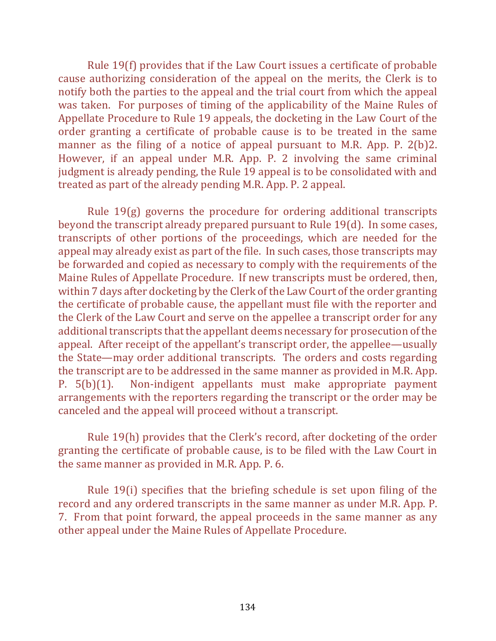Rule  $19(f)$  provides that if the Law Court issues a certificate of probable cause authorizing consideration of the appeal on the merits, the Clerk is to notify both the parties to the appeal and the trial court from which the appeal was taken. For purposes of timing of the applicability of the Maine Rules of Appellate Procedure to Rule 19 appeals, the docketing in the Law Court of the order granting a certificate of probable cause is to be treated in the same manner as the filing of a notice of appeal pursuant to M.R. App. P.  $2(b)2$ . However, if an appeal under M.R. App. P. 2 involving the same criminal judgment is already pending, the Rule 19 appeal is to be consolidated with and treated as part of the already pending M.R. App. P. 2 appeal.

Rule  $19(g)$  governs the procedure for ordering additional transcripts beyond the transcript already prepared pursuant to Rule  $19(d)$ . In some cases, transcripts of other portions of the proceedings, which are needed for the appeal may already exist as part of the file. In such cases, those transcripts may be forwarded and copied as necessary to comply with the requirements of the Maine Rules of Appellate Procedure. If new transcripts must be ordered, then, within 7 days after docketing by the Clerk of the Law Court of the order granting the certificate of probable cause, the appellant must file with the reporter and the Clerk of the Law Court and serve on the appellee a transcript order for any additional transcripts that the appellant deems necessary for prosecution of the appeal. After receipt of the appellant's transcript order, the appellee—usually the State—may order additional transcripts. The orders and costs regarding the transcript are to be addressed in the same manner as provided in M.R. App. P. 5(b)(1). Non-indigent appellants must make appropriate payment arrangements with the reporters regarding the transcript or the order may be canceled and the appeal will proceed without a transcript.

Rule 19(h) provides that the Clerk's record, after docketing of the order granting the certificate of probable cause, is to be filed with the Law Court in the same manner as provided in M.R. App. P. 6.

Rule  $19(i)$  specifies that the briefing schedule is set upon filing of the record and any ordered transcripts in the same manner as under M.R. App. P. 7. From that point forward, the appeal proceeds in the same manner as any other appeal under the Maine Rules of Appellate Procedure.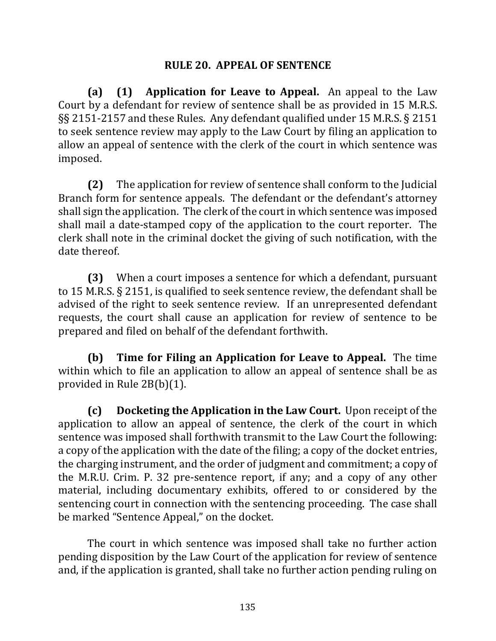### **RULE 20. APPEAL OF SENTENCE**

**(a) (1) Application for Leave to Appeal.** An appeal to the Law Court by a defendant for review of sentence shall be as provided in 15 M.R.S. §§ 2151-2157 and these Rules. Any defendant qualified under 15 M.R.S. § 2151 to seek sentence review may apply to the Law Court by filing an application to allow an appeal of sentence with the clerk of the court in which sentence was imposed. 

**(2)** The application for review of sentence shall conform to the Judicial Branch form for sentence appeals. The defendant or the defendant's attorney shall sign the application. The clerk of the court in which sentence was imposed shall mail a date-stamped copy of the application to the court reporter. The clerk shall note in the criminal docket the giving of such notification, with the date thereof.

**(3)** When a court imposes a sentence for which a defendant, pursuant to 15 M.R.S. § 2151, is qualified to seek sentence review, the defendant shall be advised of the right to seek sentence review. If an unrepresented defendant requests, the court shall cause an application for review of sentence to be prepared and filed on behalf of the defendant forthwith.

**(b)** Time for Filing an Application for Leave to Appeal. The time within which to file an application to allow an appeal of sentence shall be as provided in Rule  $2B(b)(1)$ .

**(c)** Docketing the Application in the Law Court. Upon receipt of the application to allow an appeal of sentence, the clerk of the court in which sentence was imposed shall forthwith transmit to the Law Court the following: a copy of the application with the date of the filing; a copy of the docket entries, the charging instrument, and the order of judgment and commitment; a copy of the M.R.U. Crim. P. 32 pre-sentence report, if any; and a copy of any other material, including documentary exhibits, offered to or considered by the sentencing court in connection with the sentencing proceeding. The case shall be marked "Sentence Appeal," on the docket.

The court in which sentence was imposed shall take no further action pending disposition by the Law Court of the application for review of sentence and, if the application is granted, shall take no further action pending ruling on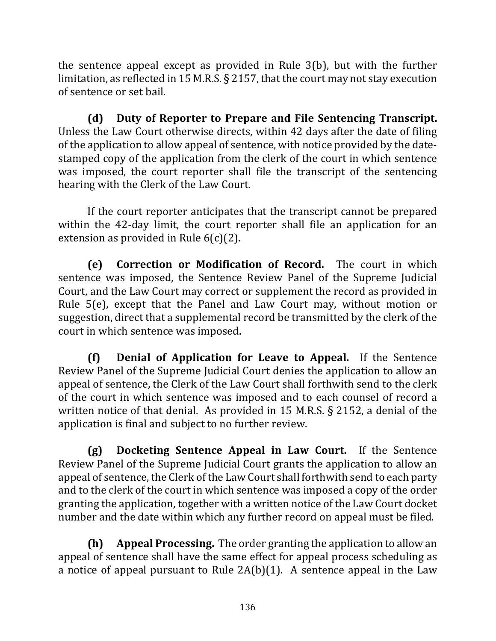the sentence appeal except as provided in Rule  $3(b)$ , but with the further limitation, as reflected in 15 M.R.S. § 2157, that the court may not stay execution of sentence or set bail.

**(d) Duty of Reporter to Prepare and File Sentencing Transcript.** Unless the Law Court otherwise directs, within 42 days after the date of filing of the application to allow appeal of sentence, with notice provided by the datestamped copy of the application from the clerk of the court in which sentence was imposed, the court reporter shall file the transcript of the sentencing hearing with the Clerk of the Law Court.

If the court reporter anticipates that the transcript cannot be prepared within the 42-day limit, the court reporter shall file an application for an extension as provided in Rule  $6(c)(2)$ .

**(e) Correction or Modification of Record.** The court in which sentence was imposed, the Sentence Review Panel of the Supreme Judicial Court, and the Law Court may correct or supplement the record as provided in Rule  $5(e)$ , except that the Panel and Law Court may, without motion or suggestion, direct that a supplemental record be transmitted by the clerk of the court in which sentence was imposed.

**(f) Denial of Application for Leave to Appeal.**  If the Sentence Review Panel of the Supreme Judicial Court denies the application to allow an appeal of sentence, the Clerk of the Law Court shall forthwith send to the clerk of the court in which sentence was imposed and to each counsel of record a written notice of that denial. As provided in 15 M.R.S.  $\S$  2152, a denial of the application is final and subject to no further review.

**(g) Docketing Sentence Appeal in Law Court.** If the Sentence Review Panel of the Supreme Judicial Court grants the application to allow an appeal of sentence, the Clerk of the Law Court shall forthwith send to each party and to the clerk of the court in which sentence was imposed a copy of the order granting the application, together with a written notice of the Law Court docket number and the date within which any further record on appeal must be filed.

**(h)** Appeal Processing. The order granting the application to allow an appeal of sentence shall have the same effect for appeal process scheduling as a notice of appeal pursuant to Rule  $2A(b)(1)$ . A sentence appeal in the Law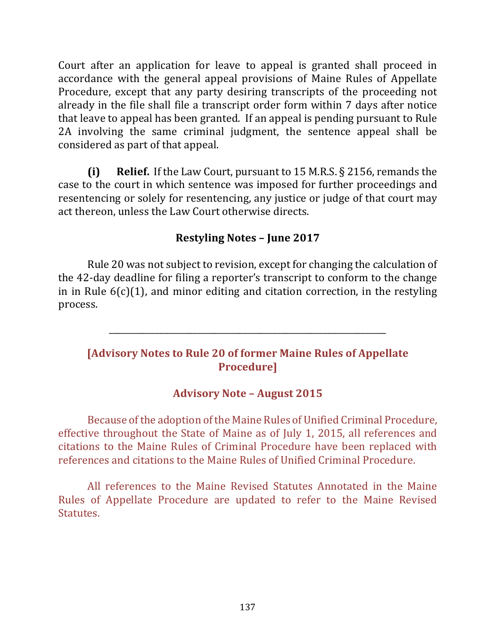Court after an application for leave to appeal is granted shall proceed in accordance with the general appeal provisions of Maine Rules of Appellate Procedure, except that any party desiring transcripts of the proceeding not already in the file shall file a transcript order form within 7 days after notice that leave to appeal has been granted. If an appeal is pending pursuant to Rule 2A involving the same criminal judgment, the sentence appeal shall be considered as part of that appeal.

**(i) Relief.** If the Law Court, pursuant to 15 M.R.S. § 2156, remands the case to the court in which sentence was imposed for further proceedings and resentencing or solely for resentencing, any justice or judge of that court may act thereon, unless the Law Court otherwise directs.

# **Restyling Notes – June 2017**

Rule 20 was not subject to revision, except for changing the calculation of the 42-day deadline for filing a reporter's transcript to conform to the change in in Rule  $6(c)(1)$ , and minor editing and citation correction, in the restyling process.

# **[Advisory Notes to Rule 20 of former Maine Rules of Appellate Procedure]**

\_\_\_\_\_\_\_\_\_\_\_\_\_\_\_\_\_\_\_\_\_\_\_\_\_\_\_\_\_\_\_\_\_\_\_\_\_\_\_\_\_\_\_\_\_\_\_\_\_\_\_\_\_\_\_\_\_\_\_\_\_\_\_\_\_\_

### **Advisory Note – August 2015**

Because of the adoption of the Maine Rules of Unified Criminal Procedure, effective throughout the State of Maine as of July 1, 2015, all references and citations to the Maine Rules of Criminal Procedure have been replaced with references and citations to the Maine Rules of Unified Criminal Procedure.

All references to the Maine Revised Statutes Annotated in the Maine Rules of Appellate Procedure are updated to refer to the Maine Revised Statutes.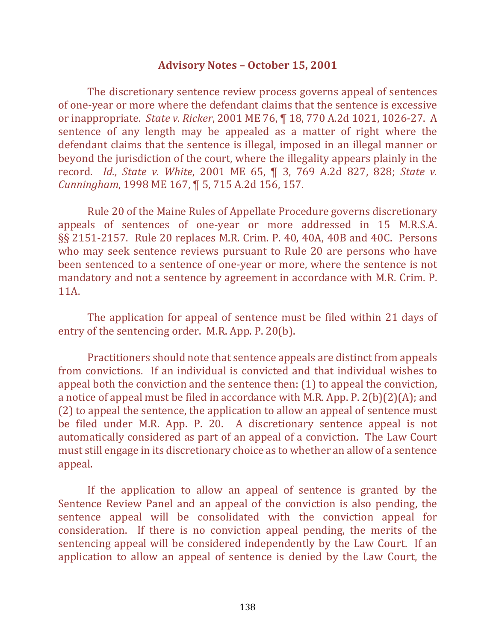#### **Advisory Notes – October 15, 2001**

The discretionary sentence review process governs appeal of sentences of one-year or more where the defendant claims that the sentence is excessive or inappropriate. *State v. Ricker*, 2001 ME 76, ¶ 18, 770 A.2d 1021, 1026-27. A sentence of any length may be appealed as a matter of right where the defendant claims that the sentence is illegal, imposed in an illegal manner or beyond the jurisdiction of the court, where the illegality appears plainly in the record. *Id.*, *State v. White*, 2001 ME 65, ¶ 3, 769 A.2d 827, 828; *State v. Cunningham*, 1998 ME 167, ¶ 5, 715 A.2d 156, 157.

Rule 20 of the Maine Rules of Appellate Procedure governs discretionary appeals of sentences of one-year or more addressed in 15 M.R.S.A. §§ 2151-2157. Rule 20 replaces M.R. Crim. P. 40, 40A, 40B and 40C. Persons who may seek sentence reviews pursuant to Rule 20 are persons who have been sentenced to a sentence of one-year or more, where the sentence is not mandatory and not a sentence by agreement in accordance with M.R. Crim. P. 11A. 

The application for appeal of sentence must be filed within 21 days of entry of the sentencing order. M.R. App. P. 20(b).

Practitioners should note that sentence appeals are distinct from appeals from convictions. If an individual is convicted and that individual wishes to appeal both the conviction and the sentence then: (1) to appeal the conviction, a notice of appeal must be filed in accordance with M.R. App. P.  $2(b)(2)(A)$ ; and  $(2)$  to appeal the sentence, the application to allow an appeal of sentence must be filed under M.R. App. P. 20. A discretionary sentence appeal is not automatically considered as part of an appeal of a conviction. The Law Court must still engage in its discretionary choice as to whether an allow of a sentence appeal. 

If the application to allow an appeal of sentence is granted by the Sentence Review Panel and an appeal of the conviction is also pending, the sentence appeal will be consolidated with the conviction appeal for consideration. If there is no conviction appeal pending, the merits of the sentencing appeal will be considered independently by the Law Court. If an application to allow an appeal of sentence is denied by the Law Court, the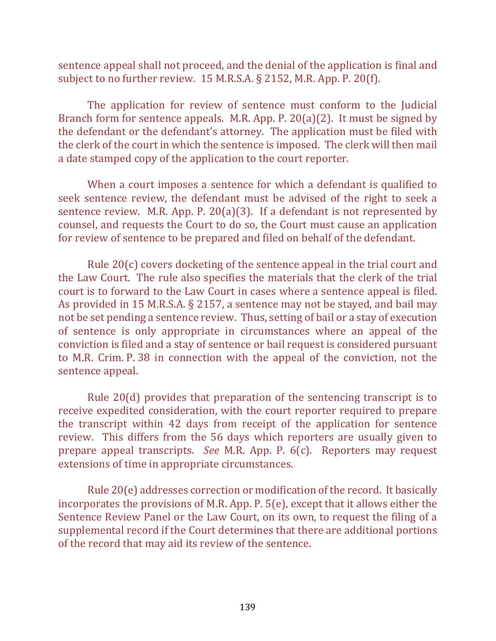sentence appeal shall not proceed, and the denial of the application is final and subject to no further review.  $15$  M.R.S.A. § 2152, M.R. App. P. 20(f).

The application for review of sentence must conform to the Judicial Branch form for sentence appeals. M.R. App. P. 20(a)(2). It must be signed by the defendant or the defendant's attorney. The application must be filed with the clerk of the court in which the sentence is imposed. The clerk will then mail a date stamped copy of the application to the court reporter.

When a court imposes a sentence for which a defendant is qualified to seek sentence review, the defendant must be advised of the right to seek a sentence review. M.R. App. P. 20(a)(3). If a defendant is not represented by counsel, and requests the Court to do so, the Court must cause an application for review of sentence to be prepared and filed on behalf of the defendant.

Rule  $20(c)$  covers docketing of the sentence appeal in the trial court and the Law Court. The rule also specifies the materials that the clerk of the trial court is to forward to the Law Court in cases where a sentence appeal is filed. As provided in 15 M.R.S.A.  $\S$  2157, a sentence may not be stayed, and bail may not be set pending a sentence review. Thus, setting of bail or a stay of execution of sentence is only appropriate in circumstances where an appeal of the conviction is filed and a stay of sentence or bail request is considered pursuant to M.R. Crim. P. 38 in connection with the appeal of the conviction, not the sentence appeal.

Rule  $20(d)$  provides that preparation of the sentencing transcript is to receive expedited consideration, with the court reporter required to prepare the transcript within 42 days from receipt of the application for sentence review. This differs from the 56 days which reporters are usually given to prepare appeal transcripts. *See* M.R. App. P. 6(c). Reporters may request extensions of time in appropriate circumstances.

Rule 20(e) addresses correction or modification of the record. It basically incorporates the provisions of M.R. App. P.  $5(e)$ , except that it allows either the Sentence Review Panel or the Law Court, on its own, to request the filing of a supplemental record if the Court determines that there are additional portions of the record that may aid its review of the sentence.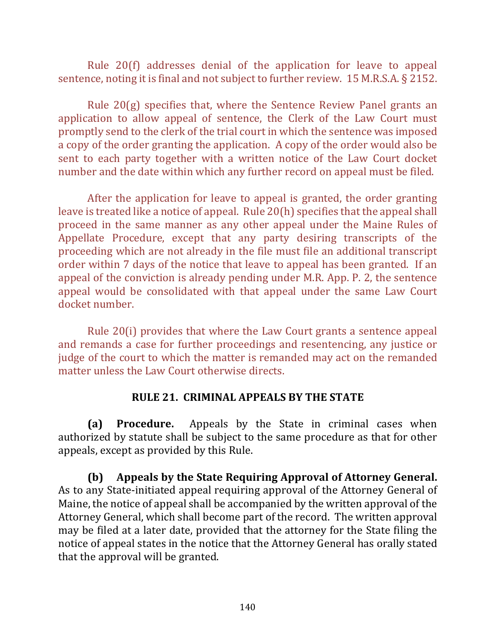Rule  $20(f)$  addresses denial of the application for leave to appeal sentence, noting it is final and not subject to further review.  $15$  M.R.S.A. § 2152.

Rule  $20(g)$  specifies that, where the Sentence Review Panel grants an application to allow appeal of sentence, the Clerk of the Law Court must promptly send to the clerk of the trial court in which the sentence was imposed a copy of the order granting the application. A copy of the order would also be sent to each party together with a written notice of the Law Court docket number and the date within which any further record on appeal must be filed.

After the application for leave to appeal is granted, the order granting leave is treated like a notice of appeal. Rule  $20(h)$  specifies that the appeal shall proceed in the same manner as any other appeal under the Maine Rules of Appellate Procedure, except that any party desiring transcripts of the proceeding which are not already in the file must file an additional transcript order within 7 days of the notice that leave to appeal has been granted. If an appeal of the conviction is already pending under M.R. App. P. 2, the sentence appeal would be consolidated with that appeal under the same Law Court docket number.

Rule  $20(i)$  provides that where the Law Court grants a sentence appeal and remands a case for further proceedings and resentencing, any justice or judge of the court to which the matter is remanded may act on the remanded matter unless the Law Court otherwise directs.

### **RULE 21. CRIMINAL APPEALS BY THE STATE**

**(a) Procedure.** Appeals by the State in criminal cases when authorized by statute shall be subject to the same procedure as that for other appeals, except as provided by this Rule.

**(b)** Appeals by the State Requiring Approval of Attorney General. As to any State-initiated appeal requiring approval of the Attorney General of Maine, the notice of appeal shall be accompanied by the written approval of the Attorney General, which shall become part of the record. The written approval may be filed at a later date, provided that the attorney for the State filing the notice of appeal states in the notice that the Attorney General has orally stated that the approval will be granted.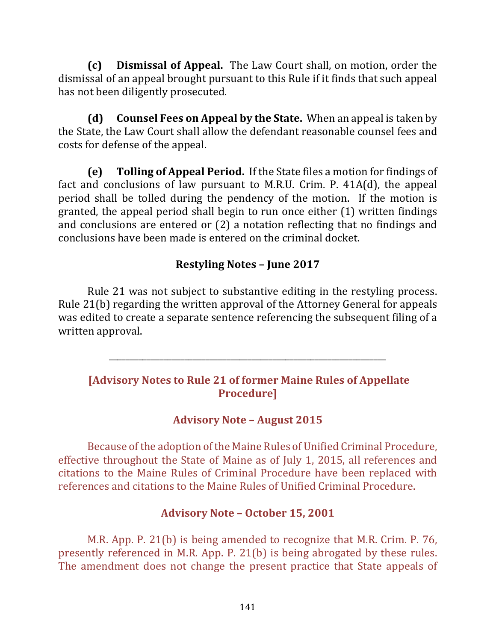**(c)** Dismissal of Appeal. The Law Court shall, on motion, order the dismissal of an appeal brought pursuant to this Rule if it finds that such appeal has not been diligently prosecuted.

**(d)** Counsel Fees on Appeal by the State. When an appeal is taken by the State, the Law Court shall allow the defendant reasonable counsel fees and costs for defense of the appeal.

**(e)** Tolling of Appeal Period. If the State files a motion for findings of fact and conclusions of law pursuant to M.R.U. Crim. P.  $41A(d)$ , the appeal period shall be tolled during the pendency of the motion. If the motion is granted, the appeal period shall begin to run once either  $(1)$  written findings and conclusions are entered or  $(2)$  a notation reflecting that no findings and conclusions have been made is entered on the criminal docket.

### **Restyling Notes - June 2017**

Rule 21 was not subject to substantive editing in the restyling process. Rule  $21(b)$  regarding the written approval of the Attorney General for appeals was edited to create a separate sentence referencing the subsequent filing of a written approval.

# **[Advisory Notes to Rule 21 of former Maine Rules of Appellate Procedure]**

\_\_\_\_\_\_\_\_\_\_\_\_\_\_\_\_\_\_\_\_\_\_\_\_\_\_\_\_\_\_\_\_\_\_\_\_\_\_\_\_\_\_\_\_\_\_\_\_\_\_\_\_\_\_\_\_\_\_\_\_\_\_\_\_\_\_

### **Advisory Note – August 2015**

Because of the adoption of the Maine Rules of Unified Criminal Procedure, effective throughout the State of Maine as of July 1, 2015, all references and citations to the Maine Rules of Criminal Procedure have been replaced with references and citations to the Maine Rules of Unified Criminal Procedure.

### **Advisory Note – October 15, 2001**

M.R. App. P. 21(b) is being amended to recognize that M.R. Crim. P. 76, presently referenced in M.R. App. P. 21(b) is being abrogated by these rules. The amendment does not change the present practice that State appeals of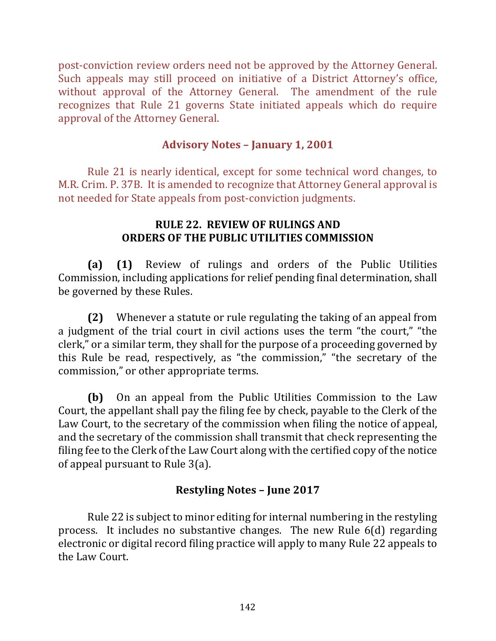post-conviction review orders need not be approved by the Attorney General. Such appeals may still proceed on initiative of a District Attorney's office, without approval of the Attorney General. The amendment of the rule recognizes that Rule 21 governs State initiated appeals which do require approval of the Attorney General.

### **Advisory Notes – January 1, 2001**

Rule 21 is nearly identical, except for some technical word changes, to M.R. Crim. P. 37B. It is amended to recognize that Attorney General approval is not needed for State appeals from post-conviction judgments.

### **RULE 22. REVIEW OF RULINGS AND ORDERS OF THE PUBLIC UTILITIES COMMISSION**

**(a) (1)** Review of rulings and orders of the Public Utilities Commission, including applications for relief pending final determination, shall be governed by these Rules.

**(2)** Whenever a statute or rule regulating the taking of an appeal from a judgment of the trial court in civil actions uses the term "the court," "the clerk," or a similar term, they shall for the purpose of a proceeding governed by this Rule be read, respectively, as "the commission," "the secretary of the commission," or other appropriate terms.

**(b)** On an appeal from the Public Utilities Commission to the Law Court, the appellant shall pay the filing fee by check, payable to the Clerk of the Law Court, to the secretary of the commission when filing the notice of appeal, and the secretary of the commission shall transmit that check representing the filing fee to the Clerk of the Law Court along with the certified copy of the notice of appeal pursuant to Rule  $3(a)$ .

### **Restyling Notes - June 2017**

Rule 22 is subject to minor editing for internal numbering in the restyling process. It includes no substantive changes. The new Rule  $6(d)$  regarding electronic or digital record filing practice will apply to many Rule 22 appeals to the Law Court.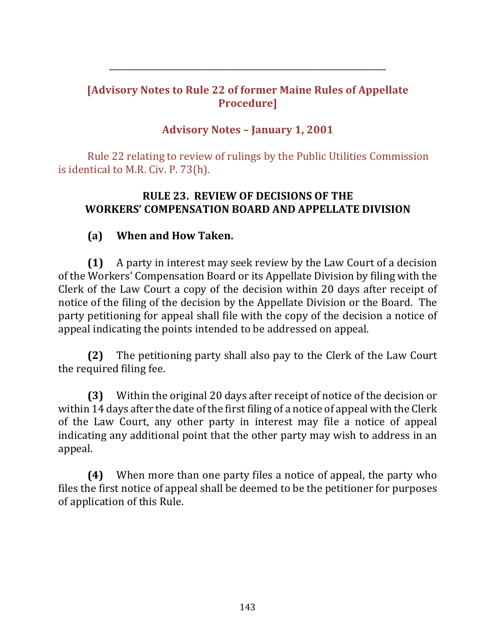# **[Advisory Notes to Rule 22 of former Maine Rules of Appellate Procedure]**

\_\_\_\_\_\_\_\_\_\_\_\_\_\_\_\_\_\_\_\_\_\_\_\_\_\_\_\_\_\_\_\_\_\_\_\_\_\_\_\_\_\_\_\_\_\_\_\_\_\_\_\_\_\_\_\_\_\_\_\_\_\_\_\_\_\_

# **Advisory Notes – January 1, 2001**

Rule 22 relating to review of rulings by the Public Utilities Commission is identical to M.R. Civ.  $P. 73(h)$ .

### **RULE 23. REVIEW OF DECISIONS OF THE WORKERS' COMPENSATION BOARD AND APPELLATE DIVISION**

### **(a) When and How Taken.**

**(1)** A party in interest may seek review by the Law Court of a decision of the Workers' Compensation Board or its Appellate Division by filing with the Clerk of the Law Court a copy of the decision within 20 days after receipt of notice of the filing of the decision by the Appellate Division or the Board. The party petitioning for appeal shall file with the copy of the decision a notice of appeal indicating the points intended to be addressed on appeal.

**(2)** The petitioning party shall also pay to the Clerk of the Law Court the required filing fee.

**(3)** Within the original 20 days after receipt of notice of the decision or within  $14$  days after the date of the first filing of a notice of appeal with the Clerk of the Law Court, any other party in interest may file a notice of appeal indicating any additional point that the other party may wish to address in an appeal.

**(4)** When more than one party files a notice of appeal, the party who files the first notice of appeal shall be deemed to be the petitioner for purposes of application of this Rule.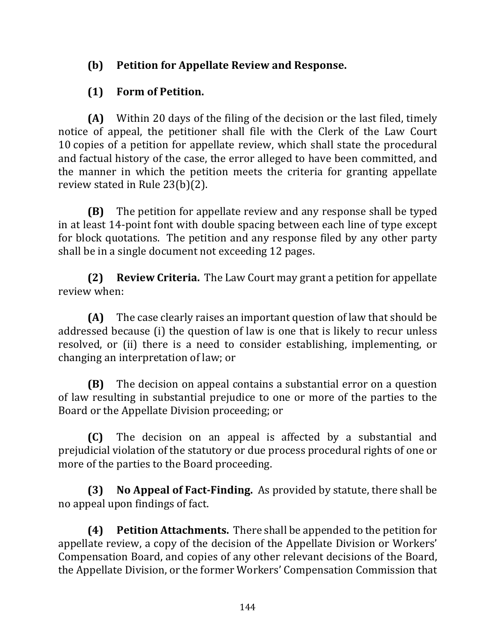# **(b)** Petition for Appellate Review and Response.

### **(1) Form of Petition.**

**(A)** Within 20 days of the filing of the decision or the last filed, timely notice of appeal, the petitioner shall file with the Clerk of the Law Court 10 copies of a petition for appellate review, which shall state the procedural and factual history of the case, the error alleged to have been committed, and the manner in which the petition meets the criteria for granting appellate review stated in Rule  $23(b)(2)$ .

**(B)** The petition for appellate review and any response shall be typed in at least 14-point font with double spacing between each line of type except for block quotations. The petition and any response filed by any other party shall be in a single document not exceeding 12 pages.

**(2) Review Criteria.** The Law Court may grant a petition for appellate review when:

**(A)** The case clearly raises an important question of law that should be addressed because (i) the question of law is one that is likely to recur unless resolved, or (ii) there is a need to consider establishing, implementing, or changing an interpretation of law; or

**(B)** The decision on appeal contains a substantial error on a question of law resulting in substantial prejudice to one or more of the parties to the Board or the Appellate Division proceeding; or

**(C)** The decision on an appeal is affected by a substantial and prejudicial violation of the statutory or due process procedural rights of one or more of the parties to the Board proceeding.

**(3)** No Appeal of Fact-Finding. As provided by statute, there shall be no appeal upon findings of fact.

**(4) Petition Attachments.** There shall be appended to the petition for appellate review, a copy of the decision of the Appellate Division or Workers' Compensation Board, and copies of any other relevant decisions of the Board, the Appellate Division, or the former Workers' Compensation Commission that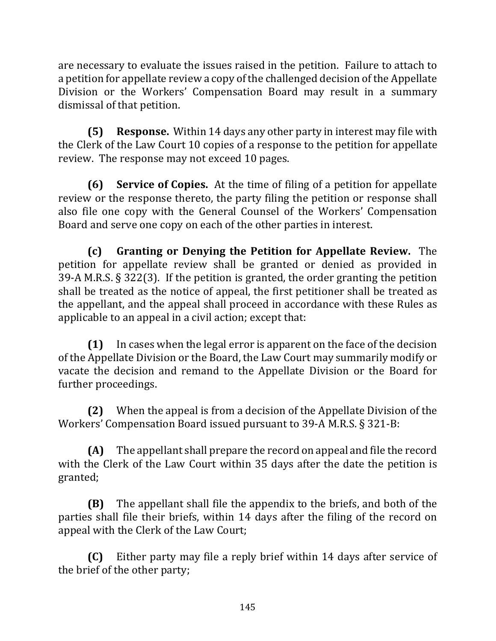are necessary to evaluate the issues raised in the petition. Failure to attach to a petition for appellate review a copy of the challenged decision of the Appellate Division or the Workers' Compensation Board may result in a summary dismissal of that petition.

**(5) Response.** Within 14 days any other party in interest may file with the Clerk of the Law Court 10 copies of a response to the petition for appellate review. The response may not exceed 10 pages.

**(6) Service of Copies.** At the time of filing of a petition for appellate review or the response thereto, the party filing the petition or response shall also file one copy with the General Counsel of the Workers' Compensation Board and serve one copy on each of the other parties in interest.

**(c)** Granting or Denying the Petition for Appellate Review. The petition for appellate review shall be granted or denied as provided in 39-A M.R.S.  $\S 322(3)$ . If the petition is granted, the order granting the petition shall be treated as the notice of appeal, the first petitioner shall be treated as the appellant, and the appeal shall proceed in accordance with these Rules as applicable to an appeal in a civil action; except that:

**(1)** In cases when the legal error is apparent on the face of the decision of the Appellate Division or the Board, the Law Court may summarily modify or vacate the decision and remand to the Appellate Division or the Board for further proceedings.

**(2)** When the appeal is from a decision of the Appellate Division of the Workers' Compensation Board issued pursuant to 39-A M.R.S.  $\S$  321-B:

**(A)** The appellant shall prepare the record on appeal and file the record with the Clerk of the Law Court within 35 days after the date the petition is granted;

**(B)** The appellant shall file the appendix to the briefs, and both of the parties shall file their briefs, within 14 days after the filing of the record on appeal with the Clerk of the Law Court;

**(C)** Either party may file a reply brief within 14 days after service of the brief of the other party;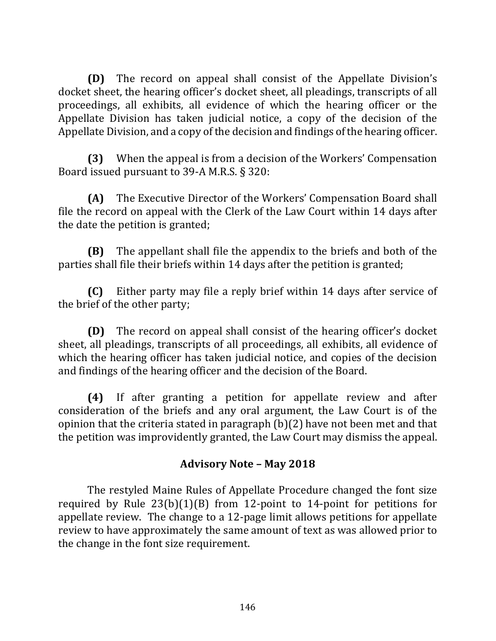**(D)** The record on appeal shall consist of the Appellate Division's docket sheet, the hearing officer's docket sheet, all pleadings, transcripts of all proceedings, all exhibits, all evidence of which the hearing officer or the Appellate Division has taken judicial notice, a copy of the decision of the Appellate Division, and a copy of the decision and findings of the hearing officer.

**(3)** When the appeal is from a decision of the Workers' Compensation Board issued pursuant to 39-A M.R.S. § 320:

**(A)** The Executive Director of the Workers' Compensation Board shall file the record on appeal with the Clerk of the Law Court within 14 days after the date the petition is granted;

**(B)** The appellant shall file the appendix to the briefs and both of the parties shall file their briefs within 14 days after the petition is granted;

**(C)** Either party may file a reply brief within 14 days after service of the brief of the other party;

**(D)** The record on appeal shall consist of the hearing officer's docket sheet, all pleadings, transcripts of all proceedings, all exhibits, all evidence of which the hearing officer has taken judicial notice, and copies of the decision and findings of the hearing officer and the decision of the Board.

**(4)** If after granting a petition for appellate review and after consideration of the briefs and any oral argument, the Law Court is of the opinion that the criteria stated in paragraph  $(b)(2)$  have not been met and that the petition was improvidently granted, the Law Court may dismiss the appeal.

## **Advisory Note – May 2018**

The restyled Maine Rules of Appellate Procedure changed the font size required by Rule  $23(b)(1)(B)$  from 12-point to 14-point for petitions for appellate review. The change to a 12-page limit allows petitions for appellate review to have approximately the same amount of text as was allowed prior to the change in the font size requirement.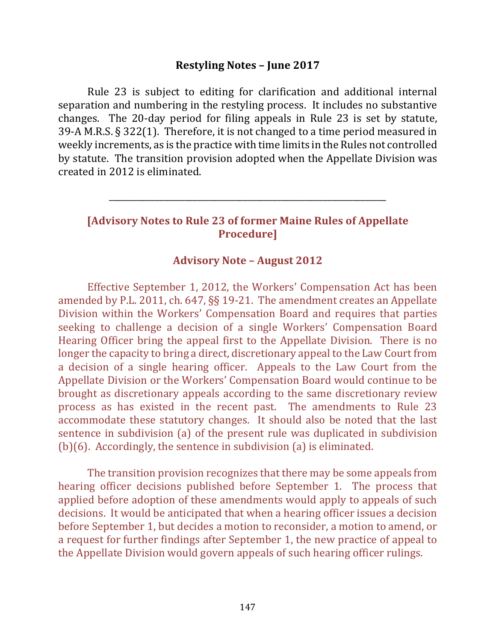#### **Restyling Notes – June 2017**

Rule 23 is subject to editing for clarification and additional internal separation and numbering in the restyling process. It includes no substantive changes. The 20-day period for filing appeals in Rule 23 is set by statute, 39-A M.R.S.  $\S 322(1)$ . Therefore, it is not changed to a time period measured in weekly increments, as is the practice with time limits in the Rules not controlled by statute. The transition provision adopted when the Appellate Division was created in 2012 is eliminated.

### **[Advisory Notes to Rule 23 of former Maine Rules of Appellate Procedure]**

\_\_\_\_\_\_\_\_\_\_\_\_\_\_\_\_\_\_\_\_\_\_\_\_\_\_\_\_\_\_\_\_\_\_\_\_\_\_\_\_\_\_\_\_\_\_\_\_\_\_\_\_\_\_\_\_\_\_\_\_\_\_\_\_\_\_

#### **Advisory Note – August 2012**

Effective September 1, 2012, the Workers' Compensation Act has been amended by P.L. 2011, ch. 647, §§ 19-21. The amendment creates an Appellate Division within the Workers' Compensation Board and requires that parties seeking to challenge a decision of a single Workers' Compensation Board Hearing Officer bring the appeal first to the Appellate Division. There is no longer the capacity to bring a direct, discretionary appeal to the Law Court from a decision of a single hearing officer. Appeals to the Law Court from the Appellate Division or the Workers' Compensation Board would continue to be brought as discretionary appeals according to the same discretionary review process as has existed in the recent past. The amendments to Rule 23 accommodate these statutory changes. It should also be noted that the last sentence in subdivision (a) of the present rule was duplicated in subdivision (b) $(6)$ . Accordingly, the sentence in subdivision  $(a)$  is eliminated.

The transition provision recognizes that there may be some appeals from hearing officer decisions published before September 1. The process that applied before adoption of these amendments would apply to appeals of such decisions. It would be anticipated that when a hearing officer issues a decision before September 1, but decides a motion to reconsider, a motion to amend, or a request for further findings after September 1, the new practice of appeal to the Appellate Division would govern appeals of such hearing officer rulings.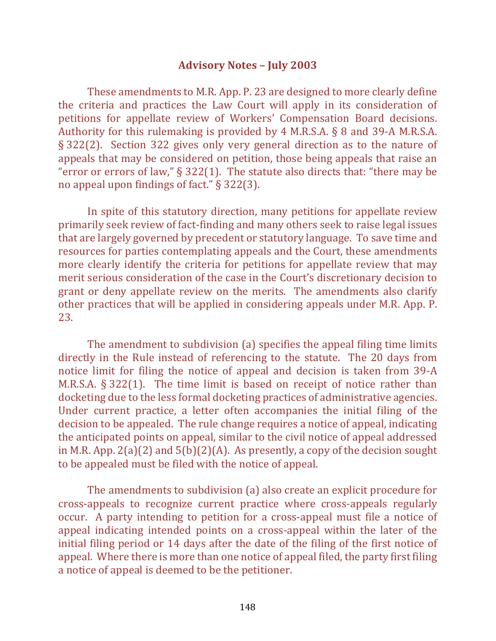#### **Advisory Notes – July 2003**

These amendments to M.R. App. P. 23 are designed to more clearly define the criteria and practices the Law Court will apply in its consideration of petitions for appellate review of Workers' Compensation Board decisions. Authority for this rulemaking is provided by 4 M.R.S.A.  $\S$  8 and 39-A M.R.S.A. §  $322(2)$ . Section  $322$  gives only very general direction as to the nature of appeals that may be considered on petition, those being appeals that raise an "error or errors of law,"  $\S$  322(1). The statute also directs that: "there may be no appeal upon findings of fact."  $\S$  322(3).

In spite of this statutory direction, many petitions for appellate review primarily seek review of fact-finding and many others seek to raise legal issues that are largely governed by precedent or statutory language. To save time and resources for parties contemplating appeals and the Court, these amendments more clearly identify the criteria for petitions for appellate review that may merit serious consideration of the case in the Court's discretionary decision to grant or deny appellate review on the merits. The amendments also clarify other practices that will be applied in considering appeals under M.R. App. P. 23.

The amendment to subdivision (a) specifies the appeal filing time limits directly in the Rule instead of referencing to the statute. The 20 days from notice limit for filing the notice of appeal and decision is taken from 39-A M.R.S.A.  $\S 322(1)$ . The time limit is based on receipt of notice rather than docketing due to the less formal docketing practices of administrative agencies. Under current practice, a letter often accompanies the initial filing of the decision to be appealed. The rule change requires a notice of appeal, indicating the anticipated points on appeal, similar to the civil notice of appeal addressed in M.R. App.  $2(a)(2)$  and  $5(b)(2)(A)$ . As presently, a copy of the decision sought to be appealed must be filed with the notice of appeal.

The amendments to subdivision (a) also create an explicit procedure for cross-appeals to recognize current practice where cross-appeals regularly occur. A party intending to petition for a cross-appeal must file a notice of appeal indicating intended points on a cross-appeal within the later of the initial filing period or 14 days after the date of the filing of the first notice of appeal. Where there is more than one notice of appeal filed, the party first filing a notice of appeal is deemed to be the petitioner.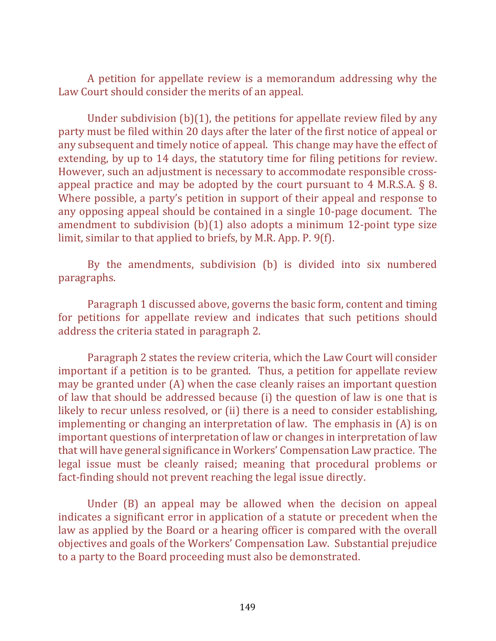A petition for appellate review is a memorandum addressing why the Law Court should consider the merits of an appeal.

Under subdivision  $(b)(1)$ , the petitions for appellate review filed by any party must be filed within 20 days after the later of the first notice of appeal or any subsequent and timely notice of appeal. This change may have the effect of extending, by up to 14 days, the statutory time for filing petitions for review. However, such an adjustment is necessary to accommodate responsible crossappeal practice and may be adopted by the court pursuant to  $4$  M.R.S.A.  $\S$  8. Where possible, a party's petition in support of their appeal and response to any opposing appeal should be contained in a single 10-page document. The amendment to subdivision  $(b)(1)$  also adopts a minimum 12-point type size limit, similar to that applied to briefs, by M.R. App. P.  $9(f)$ .

By the amendments, subdivision (b) is divided into six numbered paragraphs. 

Paragraph 1 discussed above, governs the basic form, content and timing for petitions for appellate review and indicates that such petitions should address the criteria stated in paragraph 2.

Paragraph 2 states the review criteria, which the Law Court will consider important if a petition is to be granted. Thus, a petition for appellate review may be granted under  $(A)$  when the case cleanly raises an important question of law that should be addressed because (i) the question of law is one that is likely to recur unless resolved, or (ii) there is a need to consider establishing, implementing or changing an interpretation of law. The emphasis in  $(A)$  is on important questions of interpretation of law or changes in interpretation of law that will have general significance in Workers' Compensation Law practice. The legal issue must be cleanly raised; meaning that procedural problems or fact-finding should not prevent reaching the legal issue directly.

Under  $(B)$  an appeal may be allowed when the decision on appeal indicates a significant error in application of a statute or precedent when the law as applied by the Board or a hearing officer is compared with the overall objectives and goals of the Workers' Compensation Law. Substantial prejudice to a party to the Board proceeding must also be demonstrated.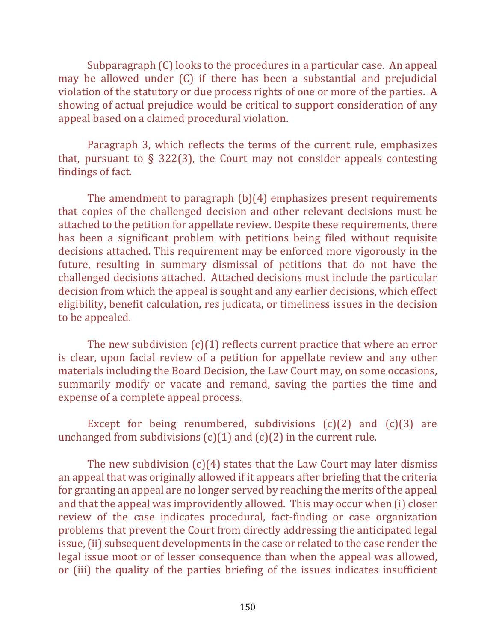Subparagraph  $(C)$  looks to the procedures in a particular case. An appeal may be allowed under  $(C)$  if there has been a substantial and prejudicial violation of the statutory or due process rights of one or more of the parties. A showing of actual prejudice would be critical to support consideration of any appeal based on a claimed procedural violation.

Paragraph 3, which reflects the terms of the current rule, emphasizes that, pursuant to  $\S$  322(3), the Court may not consider appeals contesting findings of fact.

The amendment to paragraph  $(b)(4)$  emphasizes present requirements that copies of the challenged decision and other relevant decisions must be attached to the petition for appellate review. Despite these requirements, there has been a significant problem with petitions being filed without requisite decisions attached. This requirement may be enforced more vigorously in the future, resulting in summary dismissal of petitions that do not have the challenged decisions attached. Attached decisions must include the particular decision from which the appeal is sought and any earlier decisions, which effect eligibility, benefit calculation, res judicata, or timeliness issues in the decision to be appealed.

The new subdivision  $(c)(1)$  reflects current practice that where an error is clear, upon facial review of a petition for appellate review and any other materials including the Board Decision, the Law Court may, on some occasions, summarily modify or vacate and remand, saving the parties the time and expense of a complete appeal process.

Except for being renumbered, subdivisions  $(c)(2)$  and  $(c)(3)$  are unchanged from subdivisions  $(c)(1)$  and  $(c)(2)$  in the current rule.

The new subdivision  $(c)(4)$  states that the Law Court may later dismiss an appeal that was originally allowed if it appears after briefing that the criteria for granting an appeal are no longer served by reaching the merits of the appeal and that the appeal was improvidently allowed. This may occur when (i) closer review of the case indicates procedural, fact-finding or case organization problems that prevent the Court from directly addressing the anticipated legal issue, (ii) subsequent developments in the case or related to the case render the legal issue moot or of lesser consequence than when the appeal was allowed, or (iii) the quality of the parties briefing of the issues indicates insufficient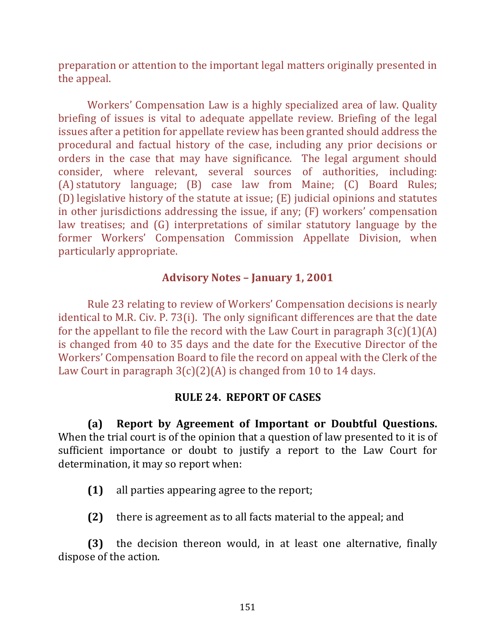preparation or attention to the important legal matters originally presented in the appeal.

Workers' Compensation Law is a highly specialized area of law. Quality briefing of issues is vital to adequate appellate review. Briefing of the legal issues after a petition for appellate review has been granted should address the procedural and factual history of the case, including any prior decisions or orders in the case that may have significance. The legal argument should consider, where relevant, several sources of authorities, including:  $(A)$  statutory language;  $(B)$  case law from Maine;  $(C)$  Board Rules; (D) legislative history of the statute at issue;  $(E)$  judicial opinions and statutes in other jurisdictions addressing the issue, if any;  $(F)$  workers' compensation law treatises; and (G) interpretations of similar statutory language by the former Workers' Compensation Commission Appellate Division, when particularly appropriate.

#### **Advisory Notes – January 1, 2001**

Rule 23 relating to review of Workers' Compensation decisions is nearly identical to M.R. Civ. P. 73(i). The only significant differences are that the date for the appellant to file the record with the Law Court in paragraph  $3(c)(1)(A)$ is changed from 40 to 35 days and the date for the Executive Director of the Workers' Compensation Board to file the record on appeal with the Clerk of the Law Court in paragraph  $3(c)(2)(A)$  is changed from 10 to 14 days.

### **RULE 24. REPORT OF CASES**

**(a) Report by Agreement of Important or Doubtful Questions.** When the trial court is of the opinion that a question of law presented to it is of sufficient importance or doubt to justify a report to the Law Court for determination, it may so report when:

**(1)** all parties appearing agree to the report;

**(2)** there is agreement as to all facts material to the appeal; and

**(3)** the decision thereon would, in at least one alternative, finally dispose of the action.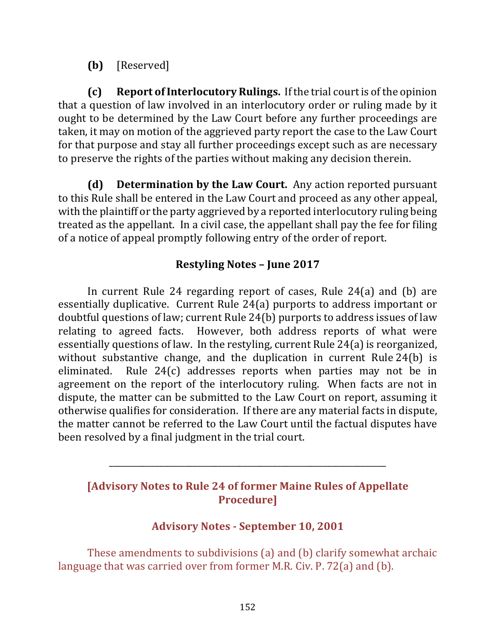**(b)** [Reserved]

**(c) Report of Interlocutory Rulings.** If the trial court is of the opinion that a question of law involved in an interlocutory order or ruling made by it ought to be determined by the Law Court before any further proceedings are taken, it may on motion of the aggrieved party report the case to the Law Court for that purpose and stay all further proceedings except such as are necessary to preserve the rights of the parties without making any decision therein.

**(d) Determination by the Law Court.** Any action reported pursuant to this Rule shall be entered in the Law Court and proceed as any other appeal, with the plaintiff or the party aggrieved by a reported interlocutory ruling being treated as the appellant. In a civil case, the appellant shall pay the fee for filing of a notice of appeal promptly following entry of the order of report.

# **Restyling Notes – June 2017**

In current Rule 24 regarding report of cases, Rule  $24(a)$  and (b) are essentially duplicative. Current Rule 24(a) purports to address important or doubtful questions of law; current Rule  $24(b)$  purports to address issues of law relating to agreed facts. However, both address reports of what were essentially questions of law. In the restyling, current Rule 24(a) is reorganized, without substantive change, and the duplication in current Rule  $24(b)$  is eliminated. Rule  $24(c)$  addresses reports when parties may not be in agreement on the report of the interlocutory ruling. When facts are not in dispute, the matter can be submitted to the Law Court on report, assuming it otherwise qualifies for consideration. If there are any material facts in dispute, the matter cannot be referred to the Law Court until the factual disputes have been resolved by a final judgment in the trial court.

# **[Advisory Notes to Rule 24 of former Maine Rules of Appellate Procedure]**

\_\_\_\_\_\_\_\_\_\_\_\_\_\_\_\_\_\_\_\_\_\_\_\_\_\_\_\_\_\_\_\_\_\_\_\_\_\_\_\_\_\_\_\_\_\_\_\_\_\_\_\_\_\_\_\_\_\_\_\_\_\_\_\_\_\_

# **Advisory Notes - September 10, 2001**

These amendments to subdivisions (a) and (b) clarify somewhat archaic language that was carried over from former M.R. Civ. P. 72(a) and (b).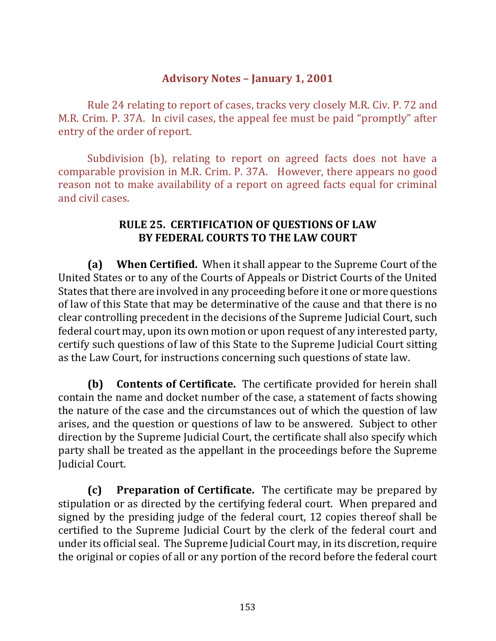### **Advisory Notes – January 1, 2001**

Rule 24 relating to report of cases, tracks very closely M.R. Civ. P. 72 and M.R. Crim. P. 37A. In civil cases, the appeal fee must be paid "promptly" after entry of the order of report.

Subdivision (b), relating to report on agreed facts does not have a comparable provision in M.R. Crim. P. 37A. However, there appears no good reason not to make availability of a report on agreed facts equal for criminal and civil cases.

## **RULE 25. CERTIFICATION OF QUESTIONS OF LAW BY FEDERAL COURTS TO THE LAW COURT**

**(a)** When Certified. When it shall appear to the Supreme Court of the United States or to any of the Courts of Appeals or District Courts of the United States that there are involved in any proceeding before it one or more questions of law of this State that may be determinative of the cause and that there is no clear controlling precedent in the decisions of the Supreme Judicial Court, such federal court may, upon its own motion or upon request of any interested party, certify such questions of law of this State to the Supreme Judicial Court sitting as the Law Court, for instructions concerning such questions of state law.

**(b)** Contents of Certificate. The certificate provided for herein shall contain the name and docket number of the case, a statement of facts showing the nature of the case and the circumstances out of which the question of law arises, and the question or questions of law to be answered. Subject to other direction by the Supreme Judicial Court, the certificate shall also specify which party shall be treated as the appellant in the proceedings before the Supreme **Judicial Court.** 

**(c)** Preparation of Certificate. The certificate may be prepared by stipulation or as directed by the certifying federal court. When prepared and signed by the presiding judge of the federal court, 12 copies thereof shall be certified to the Supreme Judicial Court by the clerk of the federal court and under its official seal. The Supreme Judicial Court may, in its discretion, require the original or copies of all or any portion of the record before the federal court